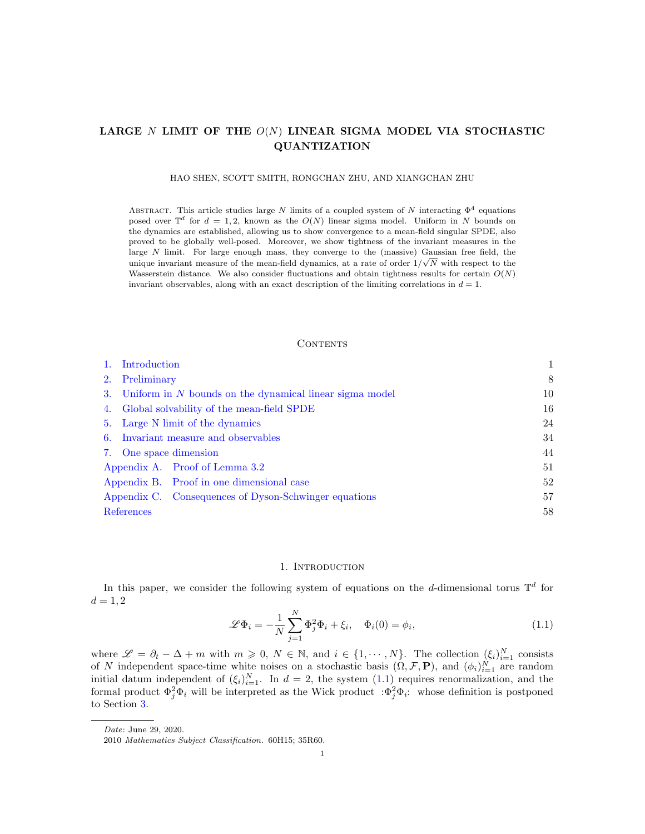# LARGE N LIMIT OF THE  $O(N)$  LINEAR SIGMA MODEL VIA STOCHASTIC QUANTIZATION

### HAO SHEN, SCOTT SMITH, RONGCHAN ZHU, AND XIANGCHAN ZHU

ABSTRACT. This article studies large N limits of a coupled system of N interacting  $\Phi^4$  equations posed over  $\mathbb{T}^d$  for  $d = 1, 2$ , known as the  $O(N)$  linear sigma model. Uniform in N bounds on the dynamics are established, allowing us to show convergence to a mean-field singular SPDE, also proved to be globally well-posed. Moreover, we show tightness of the invariant measures in the large N limit. For large enough mass, they converge to the (massive) Gaussian free field, the unique invariant measure of the mean-field dynamics, at a rate of order  $1/\sqrt{N}$  with respect to the Wasserstein distance. We also consider fluctuations and obtain tightness results for certain  $O(N)$ invariant observables, along with an exact description of the limiting correlations in  $d = 1$ .

### **CONTENTS**

| Introduction                                 |                                                            |    |
|----------------------------------------------|------------------------------------------------------------|----|
| Preliminary<br>2.                            |                                                            | 8  |
|                                              | 3. Uniform in N bounds on the dynamical linear sigma model |    |
| 4. Global solvability of the mean-field SPDE |                                                            | 16 |
| Large N limit of the dynamics<br>5.          |                                                            | 24 |
| 6. Invariant measure and observables         |                                                            | 34 |
| 7. One space dimension                       |                                                            | 44 |
|                                              | Appendix A. Proof of Lemma 3.2                             | 51 |
|                                              | Appendix B. Proof in one dimensional case                  | 52 |
|                                              | Appendix C. Consequences of Dyson-Schwinger equations      | 57 |
| References                                   |                                                            | 58 |

#### 1. INTRODUCTION

<span id="page-0-0"></span>In this paper, we consider the following system of equations on the d-dimensional torus  $\mathbb{T}^d$  for  $d = 1, 2$ 

<span id="page-0-1"></span>
$$
\mathscr{L}\Phi_i = -\frac{1}{N} \sum_{j=1}^N \Phi_j^2 \Phi_i + \xi_i, \quad \Phi_i(0) = \phi_i,
$$
\n(1.1)

where  $\mathscr{L} = \partial_t - \Delta + m$  with  $m \geqslant 0, N \in \mathbb{N}$ , and  $i \in \{1, \cdots, N\}$ . The collection  $(\xi_i)_{i=1}^N$  consists of N independent space-time white noises on a stochastic basis  $(\Omega, \mathcal{F}, \mathbf{P})$ , and  $(\phi_i)_{i=1}^N$  are random initial datum independent of  $(\xi_i)_{i=1}^N$ . In  $d=2$ , the system  $(1.1)$  requires renormalization, and the formal product  $\Phi_j^2 \Phi_i$  will be interpreted as the Wick product  $\Phi_j^2 \Phi_i$ : whose definition is postponed to Section [3.](#page-9-0)

Date: June 29, 2020.

<sup>2010</sup> Mathematics Subject Classification. 60H15; 35R60.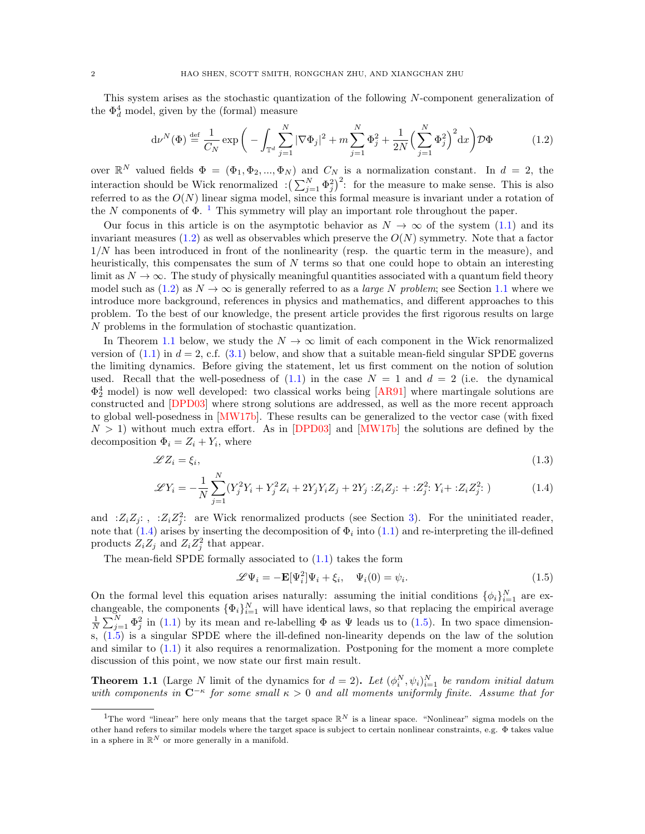This system arises as the stochastic quantization of the following N-component generalization of the  $\Phi_d^4$  model, given by the (formal) measure

<span id="page-1-1"></span>
$$
d\nu^{N}(\Phi) \stackrel{\text{def}}{=} \frac{1}{C_{N}} \exp\bigg(-\int_{\mathbb{T}^{d}} \sum_{j=1}^{N} |\nabla \Phi_{j}|^{2} + m \sum_{j=1}^{N} \Phi_{j}^{2} + \frac{1}{2N} \Big(\sum_{j=1}^{N} \Phi_{j}^{2}\Big)^{2} dx\bigg) \mathcal{D}\Phi \tag{1.2}
$$

over  $\mathbb{R}^N$  valued fields  $\Phi = (\Phi_1, \Phi_2, ..., \Phi_N)$  and  $C_N$  is a normalization constant. In  $d = 2$ , the interaction should be Wick renormalized  $\left(\sum_{j=1}^{N} \Phi_j^2\right)^2$ : for the measure to make sense. This is also referred to as the  $O(N)$  linear sigma model, since this formal measure is invariant under a rotation of the N components of  $\Phi$ .<sup>[1](#page-1-0)</sup> This symmetry will play an important role throughout the paper.

Our focus in this article is on the asymptotic behavior as  $N \to \infty$  of the system [\(1.1\)](#page-0-1) and its invariant measures  $(1.2)$  as well as observables which preserve the  $O(N)$  symmetry. Note that a factor  $1/N$  has been introduced in front of the nonlinearity (resp. the quartic term in the measure), and heuristically, this compensates the sum of  $N$  terms so that one could hope to obtain an interesting limit as  $N \to \infty$ . The study of physically meaningful quantities associated with a quantum field theory model such as  $(1.2)$  as  $N \to \infty$  is generally referred to as a *large* N problem; see Section [1.1](#page-5-0) where we introduce more background, references in physics and mathematics, and different approaches to this problem. To the best of our knowledge, the present article provides the first rigorous results on large N problems in the formulation of stochastic quantization.

In Theorem [1.1](#page-1-2) below, we study the  $N \to \infty$  limit of each component in the Wick renormalized version of  $(1.1)$  in  $d = 2$ , c.f.  $(3.1)$  below, and show that a suitable mean-field singular SPDE governs the limiting dynamics. Before giving the statement, let us first comment on the notion of solution used. Recall that the well-posedness of  $(1.1)$  in the case  $N = 1$  and  $d = 2$  (i.e. the dynamical  $\Phi_2^4$  model) is now well developed: two classical works being [\[AR91\]](#page-57-1) where martingale solutions are constructed and [\[DPD03\]](#page-58-0) where strong solutions are addressed, as well as the more recent approach to global well-posedness in [\[MW17b\]](#page-59-0). These results can be generalized to the vector case (with fixed  $N > 1$ ) without much extra effort. As in [\[DPD03\]](#page-58-0) and [\[MW17b\]](#page-59-0) the solutions are defined by the decomposition  $\Phi_i = Z_i + Y_i$ , where

$$
\mathscr{L}Z_i = \xi_i,\tag{1.3}
$$

$$
\mathcal{L}Y_i = -\frac{1}{N} \sum_{j=1}^{N} (Y_j^2 Y_i + Y_j^2 Z_i + 2Y_j Y_i Z_j + 2Y_j : Z_i Z_j : + : Z_j^2 : Y_i + : Z_i Z_j^2 :)
$$
 (1.4)

and : $Z_i Z_j$ : , : $Z_i Z_j^2$ : are Wick renormalized products (see Section [3\)](#page-9-0). For the uninitiated reader, note that  $(1.4)$  arises by inserting the decomposition of  $\Phi_i$  into  $(1.1)$  and re-interpreting the ill-defined products  $Z_i Z_j$  and  $Z_i Z_j^2$  that appear.

The mean-field SPDE formally associated to [\(1.1\)](#page-0-1) takes the form

<span id="page-1-5"></span><span id="page-1-4"></span><span id="page-1-3"></span>
$$
\mathscr{L}\Psi_i = -\mathbf{E}[\Psi_i^2]\Psi_i + \xi_i, \quad \Psi_i(0) = \psi_i.
$$
\n(1.5)

On the formal level this equation arises naturally: assuming the initial conditions  $\{\phi_i\}_{i=1}^N$  are exchangeable, the components  $\{\Phi_i\}_{i=1}^N$  will have identical laws, so that replacing the empirical average  $\frac{1}{N}\sum_{j=1}^{N}\Phi_j^2$  in [\(1.1\)](#page-0-1) by its mean and re-labelling  $\Phi$  as  $\Psi$  leads us to [\(1.5\)](#page-1-4). In two space dimensions, [\(1.5\)](#page-1-4) is a singular SPDE where the ill-defined non-linearity depends on the law of the solution and similar to  $(1.1)$  it also requires a renormalization. Postponing for the moment a more complete discussion of this point, we now state our first main result.

<span id="page-1-2"></span>**Theorem 1.1** (Large N limit of the dynamics for  $d = 2$ ). Let  $(\phi_i^N, \psi_i)_{i=1}^N$  be random initial datum with components in  $C^{-\kappa}$  for some small  $\kappa > 0$  and all moments uniformly finite. Assume that for

<span id="page-1-0"></span><sup>&</sup>lt;sup>1</sup>The word "linear" here only means that the target space  $\mathbb{R}^N$  is a linear space. "Nonlinear" sigma models on the other hand refers to similar models where the target space is subject to certain nonlinear constraints, e.g. Φ takes value in a sphere in  $\mathbb{R}^N$  or more generally in a manifold.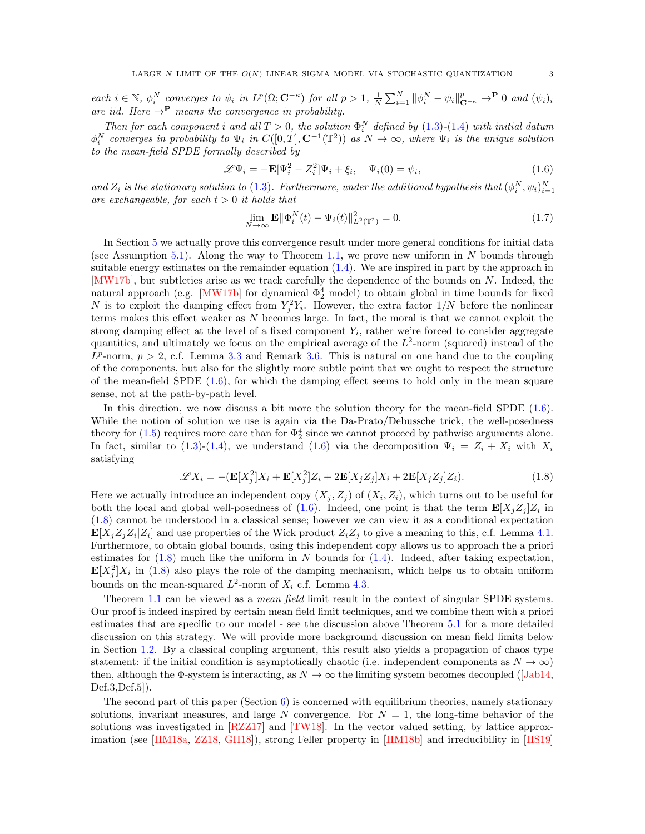each  $i \in \mathbb{N}$ ,  $\phi_i^N$  converges to  $\psi_i$  in  $L^p(\Omega; \mathbf{C}^{-\kappa})$  for all  $p > 1$ ,  $\frac{1}{N} \sum_{i=1}^N ||\phi_i^N - \psi_i||_{\mathbf{C}^{-\kappa}}^p \to^{\mathbf{P}} 0$  and  $(\psi_i)_i$ are iid. Here  $\rightarrow$ P means the convergence in probability.

Then for each component i and all  $T > 0$ , the solution  $\Phi_i^N$  defined by  $(1.3)-(1.4)$  $(1.3)-(1.4)$  $(1.3)-(1.4)$  with initial datum  $\phi_i^N$  converges in probability to  $\Psi_i$  in  $C([0,T],\mathbf{C}^{-1}(\mathbb{T}^2))$  as  $N\to\infty$ , where  $\Psi_i$  is the unique solution to the mean-field SPDE formally described by

<span id="page-2-0"></span>
$$
\mathscr{L}\Psi_i = -\mathbf{E}[\Psi_i^2 - Z_i^2]\Psi_i + \xi_i, \quad \Psi_i(0) = \psi_i,
$$
\n(1.6)

and  $Z_i$  is the stationary solution to [\(1.3\)](#page-1-5). Furthermore, under the additional hypothesis that  $(\phi_i^N, \psi_i)_{i=1}^N$ are exchangeable, for each  $t > 0$  it holds that

$$
\lim_{N \to \infty} \mathbf{E} \|\Phi_i^N(t) - \Psi_i(t)\|_{L^2(\mathbb{T}^2)}^2 = 0.
$$
\n(1.7)

In Section [5](#page-23-0) we actually prove this convergence result under more general conditions for initial data (see Assumption [5.1\)](#page-23-1). Along the way to Theorem [1.1,](#page-1-2) we prove new uniform in  $N$  bounds through suitable energy estimates on the remainder equation  $(1.4)$ . We are inspired in part by the approach in [\[MW17b\]](#page-59-0), but subtleties arise as we track carefully the dependence of the bounds on N. Indeed, the natural approach (e.g. [\[MW17b\]](#page-59-0) for dynamical  $\Phi_2^4$  model) to obtain global in time bounds for fixed N is to exploit the damping effect from  $Y_j^2 Y_i$ . However, the extra factor  $1/N$  before the nonlinear terms makes this effect weaker as N becomes large. In fact, the moral is that we cannot exploit the strong damping effect at the level of a fixed component  $Y_i$ , rather we're forced to consider aggregate quantities, and ultimately we focus on the empirical average of the  $L^2$ -norm (squared) instead of the  $L^p$ -norm,  $p > 2$ , c.f. Lemma [3.3](#page-11-1) and Remark [3.6.](#page-15-1) This is natural on one hand due to the coupling of the components, but also for the slightly more subtle point that we ought to respect the structure of the mean-field SPDE  $(1.6)$ , for which the damping effect seems to hold only in the mean square sense, not at the path-by-path level.

In this direction, we now discuss a bit more the solution theory for the mean-field SPDE [\(1.6\)](#page-2-0). While the notion of solution we use is again via the Da-Prato/Debussche trick, the well-posedness theory for  $(1.5)$  requires more care than for  $\Phi_2^4$  since we cannot proceed by pathwise arguments alone. In fact, similar to [\(1.3\)](#page-1-5)-[\(1.4\)](#page-1-3), we understand [\(1.6\)](#page-2-0) via the decomposition  $\Psi_i = Z_i + X_i$  with  $X_i$ satisfying

<span id="page-2-1"></span>
$$
\mathcal{L}X_i = -(\mathbf{E}[X_j^2]X_i + \mathbf{E}[X_j^2]Z_i + 2\mathbf{E}[X_jZ_j]X_i + 2\mathbf{E}[X_jZ_j]Z_i).
$$
\n(1.8)

Here we actually introduce an independent copy  $(X_j, Z_j)$  of  $(X_i, Z_i)$ , which turns out to be useful for both the local and global well-posedness of [\(1.6\)](#page-2-0). Indeed, one point is that the term  $\mathbf{E}[X_j Z_j] Z_i$  in [\(1.8\)](#page-2-1) cannot be understood in a classical sense; however we can view it as a conditional expectation  $\mathbf{E}[X_j Z_j Z_i | Z_i]$  and use properties of the Wick product  $Z_i Z_j$  to give a meaning to this, c.f. Lemma [4.1.](#page-16-0) Furthermore, to obtain global bounds, using this independent copy allows us to approach the a priori estimates for  $(1.8)$  much like the uniform in N bounds for  $(1.4)$ . Indeed, after taking expectation,  $\mathbf{E}[X_j^2]X_i$  in [\(1.8\)](#page-2-1) also plays the role of the damping mechanism, which helps us to obtain uniform bounds on the mean-squared  $L^2$ -norm of  $X_i$  c.f. Lemma [4.3.](#page-17-0)

Theorem [1.1](#page-1-2) can be viewed as a *mean field* limit result in the context of singular SPDE systems. Our proof is indeed inspired by certain mean field limit techniques, and we combine them with a priori estimates that are specific to our model - see the discussion above Theorem [5.1](#page-24-0) for a more detailed discussion on this strategy. We will provide more background discussion on mean field limits below in Section [1.2.](#page-6-0) By a classical coupling argument, this result also yields a propagation of chaos type statement: if the initial condition is asymptotically chaotic (i.e. independent components as  $N \to \infty$ ) then, although the  $\Phi$ -system is interacting, as  $N \to \infty$  the limiting system becomes decoupled ([\[Jab14,](#page-58-1) Def.3,Def.5]).

The second part of this paper (Section  $6$ ) is concerned with equilibrium theories, namely stationary solutions, invariant measures, and large N convergence. For  $N = 1$ , the long-time behavior of the solutions was investigated in [\[RZZ17\]](#page-59-1) and [\[TW18\]](#page-59-2). In the vector valued setting, by lattice approximation (see [\[HM18a,](#page-58-2) [ZZ18,](#page-59-3) [GH18\]](#page-58-3)), strong Feller property in [\[HM18b\]](#page-58-4) and irreducibility in [\[HS19\]](#page-58-5)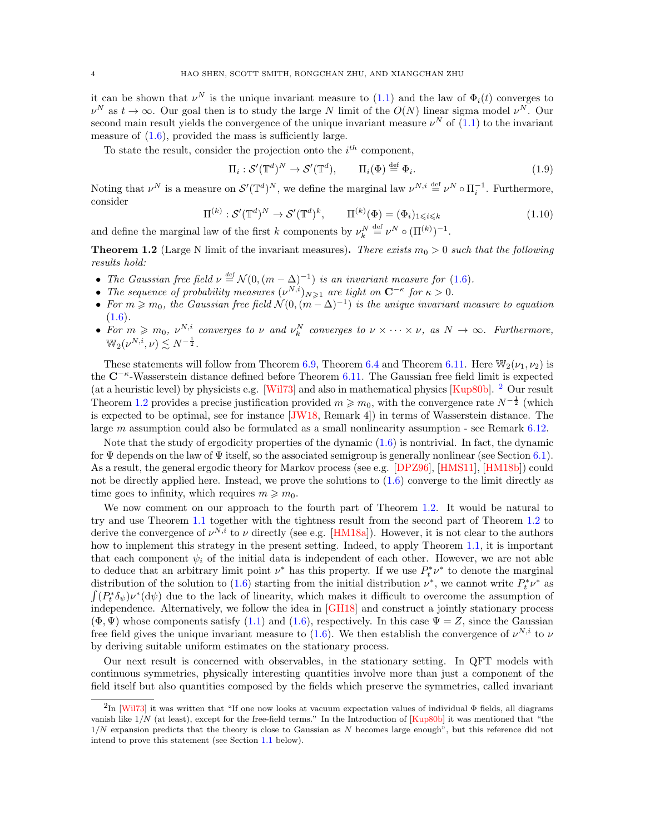it can be shown that  $\nu^N$  is the unique invariant measure to [\(1.1\)](#page-0-1) and the law of  $\Phi_i(t)$  converges to  $\nu^N$  as  $t \to \infty$ . Our goal then is to study the large N limit of the  $O(N)$  linear sigma model  $\nu^N$ . Our second main result yields the convergence of the unique invariant measure  $\nu^N$  of  $(1.1)$  to the invariant measure of  $(1.6)$ , provided the mass is sufficiently large.

To state the result, consider the projection onto the  $i^{th}$  component,

<span id="page-3-3"></span><span id="page-3-2"></span>
$$
\Pi_i: \mathcal{S}'(\mathbb{T}^d)^N \to \mathcal{S}'(\mathbb{T}^d), \qquad \Pi_i(\Phi) \stackrel{\text{def}}{=} \Phi_i.
$$
 (1.9)

Noting that  $\nu^N$  is a measure on  $\mathcal{S}'(\mathbb{T}^d)^N$ , we define the marginal law  $\nu^{N,i} \stackrel{\text{def}}{=} \nu^N \circ \Pi_i^{-1}$ . Furthermore, consider

$$
\Pi^{(k)} : \mathcal{S}'(\mathbb{T}^d)^N \to \mathcal{S}'(\mathbb{T}^d)^k, \qquad \Pi^{(k)}(\Phi) = (\Phi_i)_{1 \leq i \leq k} \tag{1.10}
$$

and define the marginal law of the first k components by  $\nu_k^N \stackrel{\text{def}}{=} \nu^N \circ (\Pi^{(k)})^{-1}$ .

<span id="page-3-1"></span>**Theorem 1.2** (Large N limit of the invariant measures). There exists  $m_0 > 0$  such that the following results hold:

- The Gaussian free field  $\nu \stackrel{\text{def}}{=} \mathcal{N}(0, (m \Delta)^{-1})$  is an invariant measure for [\(1.6\)](#page-2-0).
- The sequence of probability measures  $(\nu^{N,i})_{N\geqslant 1}$  are tight on  $\mathbb{C}^{-\kappa}$  for  $\kappa > 0$ .
- For  $m \geqslant m_0$ , the Gaussian free field  $\mathcal{N}(0, (m \Delta)^{-1})$  is the unique invariant measure to equation  $(1.6).$  $(1.6).$
- For  $m \geq m_0$ ,  $\nu^{N,i}$  converges to  $\nu$  and  $\nu_k^N$  converges to  $\nu \times \cdots \times \nu$ , as  $N \to \infty$ . Furthermore,  $\mathbb{W}_2(\nu^{N,i},\nu) \lesssim N^{-\frac{1}{2}}.$

These statements will follow from Theorem [6.9,](#page-37-0) Theorem [6.4](#page-35-0) and Theorem [6.11.](#page-38-0) Here  $\mathbb{W}_2(\nu_1, \nu_2)$  is the C<sup>-κ</sup>-Wasserstein distance defined before Theorem [6.11.](#page-38-0) The Gaussian free field limit is expected (at a heuristic level) by physicists e.g. [\[Wil73\]](#page-59-4) and also in mathematical physics [\[Kup80b\]](#page-58-6).  $^2$  $^2$  Our result Theorem [1.2](#page-3-1) provides a precise justification provided  $m \geq m_0$ , with the convergence rate  $N^{-\frac{1}{2}}$  (which is expected to be optimal, see for instance [\[JW18,](#page-58-7) Remark 4]) in terms of Wasserstein distance. The large m assumption could also be formulated as a small nonlinearity assumption - see Remark [6.12.](#page-39-0)

Note that the study of ergodicity properties of the dynamic [\(1.6\)](#page-2-0) is nontrivial. In fact, the dynamic for  $\Psi$  depends on the law of  $\Psi$  itself, so the associated semigroup is generally nonlinear (see Section [6.1\)](#page-34-0). As a result, the general ergodic theory for Markov process (see e.g. [\[DPZ96\]](#page-58-8), [\[HMS11\]](#page-58-9), [\[HM18b\]](#page-58-4)) could not be directly applied here. Instead, we prove the solutions to  $(1.6)$  converge to the limit directly as time goes to infinity, which requires  $m \geq m_0$ .

We now comment on our approach to the fourth part of Theorem [1.2.](#page-3-1) It would be natural to try and use Theorem [1.1](#page-1-2) together with the tightness result from the second part of Theorem [1.2](#page-3-1) to derive the convergence of  $\nu^{N,i}$  to  $\nu$  directly (see e.g. [\[HM18a\]](#page-58-2)). However, it is not clear to the authors how to implement this strategy in the present setting. Indeed, to apply Theorem [1.1,](#page-1-2) it is important that each component  $\psi_i$  of the initial data is independent of each other. However, we are not able to deduce that an arbitrary limit point  $\nu^*$  has this property. If we use  $P_t^* \nu^*$  to denote the marginal distribution of the solution to [\(1.6\)](#page-2-0) starting from the initial distribution  $\nu^*$ , we cannot write  $P_t^* \nu^*$  as  $\int (P_t^* \delta_{\psi}) \nu^* (\mathrm{d}\psi)$  due to the lack of linearity, which makes it difficult to overcome the assumption of independence. Alternatively, we follow the idea in [\[GH18\]](#page-58-3) and construct a jointly stationary process  $(\Phi, \Psi)$  whose components satisfy [\(1.1\)](#page-0-1) and [\(1.6\)](#page-2-0), respectively. In this case  $\Psi = Z$ , since the Gaussian free field gives the unique invariant measure to [\(1.6\)](#page-2-0). We then establish the convergence of  $\nu^{N,i}$  to  $\nu$ by deriving suitable uniform estimates on the stationary process.

Our next result is concerned with observables, in the stationary setting. In QFT models with continuous symmetries, physically interesting quantities involve more than just a component of the field itself but also quantities composed by the fields which preserve the symmetries, called invariant

<span id="page-3-0"></span> $^{2}$ In [\[Wil73\]](#page-59-4) it was written that "If one now looks at vacuum expectation values of individual  $\Phi$  fields, all diagrams vanish like 1/N (at least), except for the free-field terms." In the Introduction of [\[Kup80b\]](#page-58-6) it was mentioned that "the  $1/N$  expansion predicts that the theory is close to Gaussian as N becomes large enough", but this reference did not intend to prove this statement (see Section [1.1](#page-5-0) below).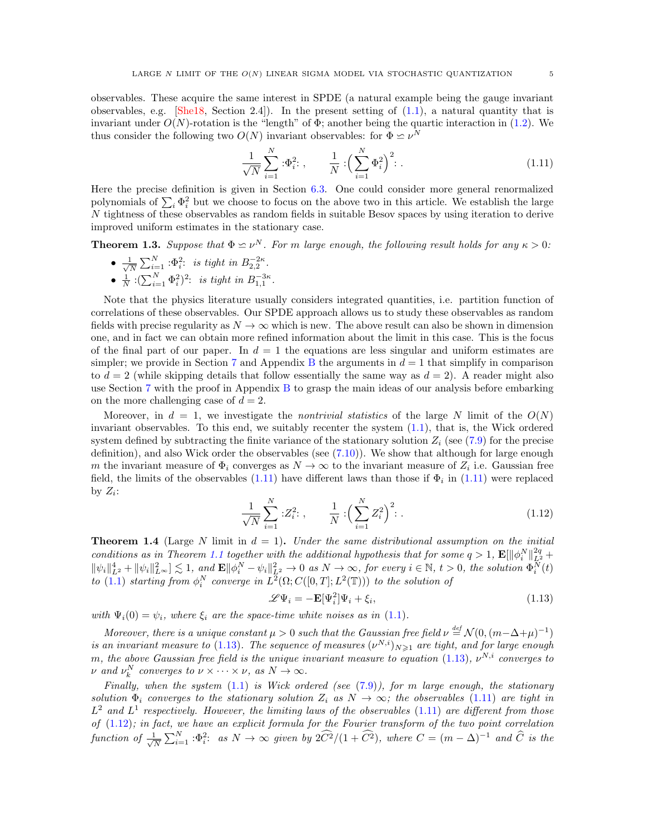observables. These acquire the same interest in SPDE (a natural example being the gauge invariant observables, e.g.  $[She18, Section 2.4]$  $[She18, Section 2.4]$ . In the present setting of  $(1.1)$ , a natural quantity that is invariant under  $O(N)$ -rotation is the "length" of  $\Phi$ ; another being the quartic interaction in [\(1.2\)](#page-1-1). We thus consider the following two  $O(N)$  invariant observables: for  $\Phi \simeq \nu^N$ 

<span id="page-4-0"></span>
$$
\frac{1}{\sqrt{N}} \sum_{i=1}^{N} \, : \Phi_i^2; \, , \qquad \frac{1}{N} \, : \left( \sum_{i=1}^{N} \Phi_i^2 \right)^2; \, . \tag{1.11}
$$

Here the precise definition is given in Section [6.3.](#page-39-1) One could consider more general renormalized polynomials of  $\sum_i \Phi_i^2$  but we choose to focus on the above two in this article. We establish the large N tightness of these observables as random fields in suitable Besov spaces by using iteration to derive improved uniform estimates in the stationary case.

<span id="page-4-4"></span>**Theorem 1.3.** Suppose that  $\Phi \simeq \nu^N$ . For m large enough, the following result holds for any  $\kappa > 0$ :

 $\bullet$   $\frac{1}{4}$  $\frac{1}{N}\sum_{i=1}^N \,:\!\Phi_i^2$ : is tight in  $B_{2,2}^{-2\kappa}$ . •  $\frac{1}{N}$  : $(\sum_{i=1}^{N} \Phi_i^2)^2$ : is tight in  $B_{1,1}^{-3\kappa}$ .

Note that the physics literature usually considers integrated quantities, i.e. partition function of correlations of these observables. Our SPDE approach allows us to study these observables as random fields with precise regularity as  $N \to \infty$  which is new. The above result can also be shown in dimension one, and in fact we can obtain more refined information about the limit in this case. This is the focus of the final part of our paper. In  $d = 1$  the equations are less singular and uniform estimates are simpler; we provide in Section [7](#page-43-0) and Appendix [B](#page-51-0) the arguments in  $d = 1$  that simplify in comparison to  $d = 2$  (while skipping details that follow essentially the same way as  $d = 2$ ). A reader might also use Section [7](#page-43-0) with the proof in Appendix [B](#page-51-0) to grasp the main ideas of our analysis before embarking on the more challenging case of  $d = 2$ .

Moreover, in  $d = 1$ , we investigate the *nontrivial statistics* of the large N limit of the  $O(N)$ invariant observables. To this end, we suitably recenter the system [\(1.1\)](#page-0-1), that is, the Wick ordered system defined by subtracting the finite variance of the stationary solution  $Z_i$  (see [\(7.9\)](#page-45-0) for the precise definition), and also Wick order the observables (see [\(7.10\)](#page-45-1)). We show that although for large enough m the invariant measure of  $\Phi_i$  converges as  $N \to \infty$  to the invariant measure of  $Z_i$  i.e. Gaussian free field, the limits of the observables  $(1.11)$  have different laws than those if  $\Phi_i$  in  $(1.11)$  were replaced by  $Z_i$ :

$$
\frac{1}{\sqrt{N}} \sum_{i=1}^{N} :Z_i^2: \,, \qquad \frac{1}{N} : \left(\sum_{i=1}^{N} Z_i^2\right)^2: \,. \tag{1.12}
$$

<span id="page-4-3"></span>**Theorem 1.4** (Large N limit in  $d = 1$ ). Under the same distributional assumption on the initial conditions as in Theorem [1.1](#page-1-2) together with the additional hypothesis that for some  $q > 1$ ,  $\mathbf{E}[\|\phi_i^N\|_{L^2}^{2q}$  +  $\|\psi_i\|_{L^2}^4 + \|\psi_i\|_{L^{\infty}}^2 \leq 1$ , and  $\mathbf{E} \|\phi_i^N - \psi_i\|_{L^2}^2 \to 0$  as  $N \to \infty$ , for every  $i \in \mathbb{N}$ ,  $t > 0$ , the solution  $\Phi_i^{\widetilde{N}}(t)$ to [\(1.1\)](#page-0-1) starting from  $\phi_i^N$  converge in  $L^2(\Omega; C([0,T]; L^2(\mathbb{T})))$  to the solution of

<span id="page-4-2"></span><span id="page-4-1"></span>
$$
\mathcal{L}\Psi_i = -\mathbf{E}[\Psi_i^2]\Psi_i + \xi_i,\tag{1.13}
$$

with  $\Psi_i(0) = \psi_i$ , where  $\xi_i$  are the space-time white noises as in [\(1.1\)](#page-0-1).

Moreover, there is a unique constant  $\mu > 0$  such that the Gaussian free field  $\nu \stackrel{\text{def}}{=} \mathcal{N}(0, (m-\Delta+\mu)^{-1})$ is an invariant measure to [\(1.13\)](#page-4-1). The sequence of measures  $(\nu^{N,i})_{N\geqslant 1}$  are tight, and for large enough m, the above Gaussian free field is the unique invariant measure to equation  $(1.13)$ ,  $\nu^{N,i}$  converges to  $\nu$  and  $\nu_k^N$  converges to  $\nu \times \cdots \times \nu$ , as  $N \to \infty$ .

Finally, when the system  $(1.1)$  is Wick ordered (see  $(7.9)$ ), for m large enough, the stationary solution  $\Phi_i$  converges to the stationary solution  $Z_i$  as  $N \to \infty$ ; the observables [\(1.11\)](#page-4-0) are tight in  $L^2$  and  $L^1$  respectively. However, the limiting laws of the observables [\(1.11\)](#page-4-0) are different from those of [\(1.12\)](#page-4-2); in fact, we have an explicit formula for the Fourier transform of the two point correlation function of  $\frac{1}{\sqrt{2}}$  $\frac{1}{N}\sum_{i=1}^{N}:\Phi_i^2$ : as  $N\to\infty$  given by  $2\widehat{C}^2/(1+\widehat{C}^2)$ , where  $C=(m-\Delta)^{-1}$  and  $\widehat{C}$  is the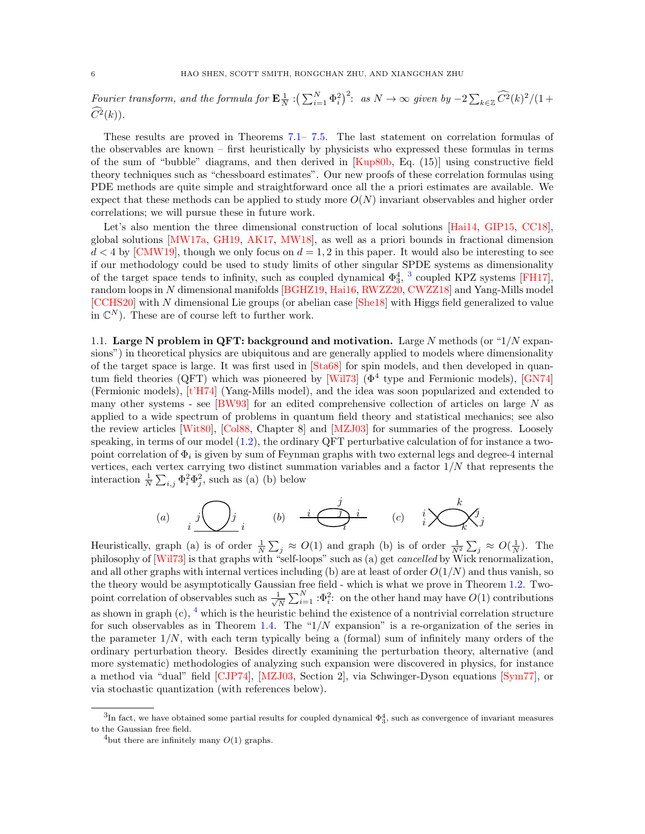Fourier transform, and the formula for  $\mathbf{E}^{\perp}_{N} : (\sum_{i=1}^{N} \Phi_i^2)^2$ : as  $N \to \infty$  given by  $-2 \sum_{k \in \mathbb{Z}} \widehat{C}^2(k)^2/(1+\epsilon)$  $\widehat{C}^2(k)$ ).

These results are proved in Theorems [7.1–](#page-44-0) [7.5.](#page-46-0) The last statement on correlation formulas of the observables are known – first heuristically by physicists who expressed these formulas in terms of the sum of "bubble" diagrams, and then derived in [\[Kup80b,](#page-58-6) Eq. (15)] using constructive field theory techniques such as "chessboard estimates". Our new proofs of these correlation formulas using PDE methods are quite simple and straightforward once all the a priori estimates are available. We expect that these methods can be applied to study more  $O(N)$  invariant observables and higher order correlations; we will pursue these in future work.

Let's also mention the three dimensional construction of local solutions [\[Hai14,](#page-58-10) [GIP15,](#page-58-11) [CC18\]](#page-57-2), global solutions [\[MW17a,](#page-58-12) [GH19,](#page-58-13) [AK17,](#page-57-3) [MW18\]](#page-59-6), as well as a priori bounds in fractional dimension  $d < 4$  by [\[CMW19\]](#page-58-14), though we only focus on  $d = 1, 2$  in this paper. It would also be interesting to see if our methodology could be used to study limits of other singular SPDE systems as dimensionality of the target space tends to infinity, such as coupled dynamical  $\Phi_3^4$  $\Phi_3^4$  $\Phi_3^4$ , <sup>3</sup> coupled KPZ systems [\[FH17\]](#page-58-15), random loops in N dimensional manifolds [\[BGHZ19,](#page-57-4) [Hai16,](#page-58-16) [RWZZ20,](#page-59-7) [CWZZ18\]](#page-58-17) and Yang-Mills model [\[CCHS20\]](#page-57-5) with N dimensional Lie groups (or abelian case [\[She18\]](#page-59-5) with Higgs field generalized to value in  $\mathbb{C}^N$ ). These are of course left to further work.

<span id="page-5-0"></span>1.1. Large N problem in QFT: background and motivation. Large N methods (or " $1/N$  expansions") in theoretical physics are ubiquitous and are generally applied to models where dimensionality of the target space is large. It was first used in [\[Sta68\]](#page-59-8) for spin models, and then developed in quan-tum field theories (QFT) which was pioneered by [\[Wil73\]](#page-59-4) ( $\Phi^4$  type and Fermionic models), [\[GN74\]](#page-58-18) (Fermionic models), [\[t'H74\]](#page-59-9) (Yang-Mills model), and the idea was soon popularized and extended to many other systems - see  $[BW93]$  for an edited comprehensive collection of articles on large N as applied to a wide spectrum of problems in quantum field theory and statistical mechanics; see also the review articles [\[Wit80\]](#page-59-10), [\[Col88,](#page-58-19) Chapter 8] and [\[MZJ03\]](#page-59-11) for summaries of the progress. Loosely speaking, in terms of our model  $(1.2)$ , the ordinary QFT perturbative calculation of for instance a twopoint correlation of  $\Phi_i$  is given by sum of Feynman graphs with two external legs and degree-4 internal vertices, each vertex carrying two distinct summation variables and a factor  $1/N$  that represents the interaction  $\frac{1}{N} \sum_{i,j} \Phi_i^2 \Phi_j^2$ , such as (a) (b) below

$$
(a) \qquad i \overbrace{\hspace{13mm}}^j \hspace{13mm} j \qquad (b) \qquad i \overbrace{\hspace{13mm}}^j \hspace{13mm} i \qquad (c) \qquad i \hspace{13mm} \bigtimes \hspace{13mm} k \hspace{13mm} j \hspace{13mm} j
$$

Heuristically, graph (a) is of order  $\frac{1}{N} \sum_j \approx O(1)$  and graph (b) is of order  $\frac{1}{N^2} \sum_j \approx O(\frac{1}{N})$ . The philosophy of [\[Wil73\]](#page-59-4) is that graphs with "self-loops" such as (a) get cancelled by Wick renormalization, and all other graphs with internal vertices including (b) are at least of order  $O(1/N)$  and thus vanish, so the theory would be asymptotically Gaussian free field - which is what we prove in Theorem [1.2.](#page-3-1) Twopoint correlation of observables such as  $\frac{1}{\sqrt{2}}$  $\frac{1}{N} \sum_{i=1}^{N} \, : \Phi_i^2$ : on the other hand may have  $O(1)$  contributions as shown in graph  $(c)$ ,  $\frac{4}{3}$  $\frac{4}{3}$  $\frac{4}{3}$  which is the heuristic behind the existence of a nontrivial correlation structure for such observables as in Theorem [1.4.](#page-4-3) The " $1/N$  expansion" is a re-organization of the series in the parameter  $1/N$ , with each term typically being a (formal) sum of infinitely many orders of the ordinary perturbation theory. Besides directly examining the perturbation theory, alternative (and more systematic) methodologies of analyzing such expansion were discovered in physics, for instance a method via "dual" field [\[CJP74\]](#page-57-7), [\[MZJ03,](#page-59-11) Section 2], via Schwinger-Dyson equations [\[Sym77\]](#page-59-12), or via stochastic quantization (with references below).

<span id="page-5-1"></span> ${}^{3}$ In fact, we have obtained some partial results for coupled dynamical  $\Phi_{3}^{4}$ , such as convergence of invariant measures to the Gaussian free field.

<span id="page-5-2"></span><sup>&</sup>lt;sup>4</sup>but there are infinitely many  $O(1)$  graphs.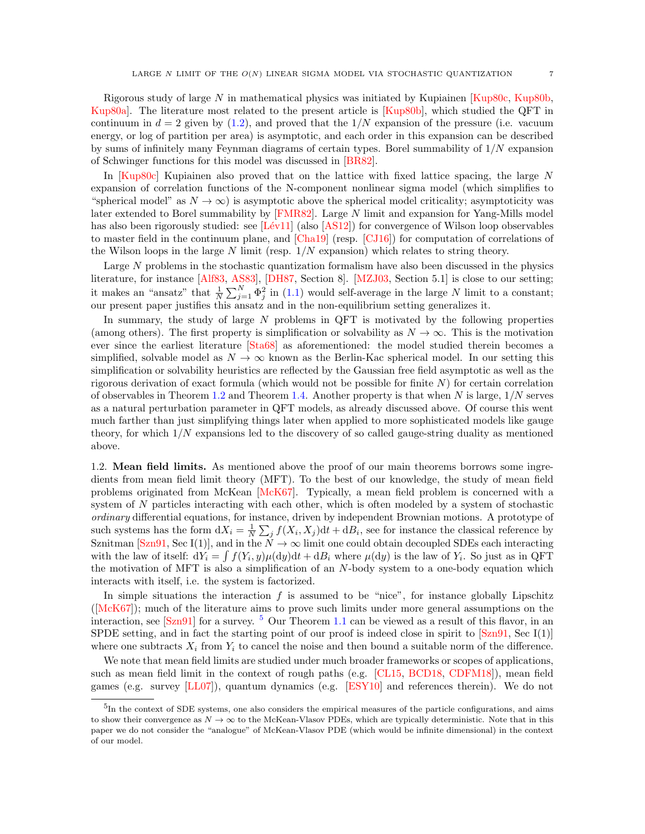Rigorous study of large N in mathematical physics was initiated by Kupiainen  $\kappa$  Kup80c, [Kup80b,](#page-58-6) [Kup80a\]](#page-58-21). The literature most related to the present article is [\[Kup80b\]](#page-58-6), which studied the QFT in continuum in  $d = 2$  given by [\(1.2\)](#page-1-1), and proved that the  $1/N$  expansion of the pressure (i.e. vacuum energy, or log of partition per area) is asymptotic, and each order in this expansion can be described by sums of infinitely many Feynman diagrams of certain types. Borel summability of  $1/N$  expansion of Schwinger functions for this model was discussed in [\[BR82\]](#page-57-8).

In [\[Kup80c\]](#page-58-20) Kupiainen also proved that on the lattice with fixed lattice spacing, the large N expansion of correlation functions of the N-component nonlinear sigma model (which simplifies to "spherical model" as  $N \to \infty$ ) is asymptotic above the spherical model criticality; asymptoticity was later extended to Borel summability by [\[FMR82\]](#page-58-22). Large N limit and expansion for Yang-Mills model has also been rigorously studied: see  $[Lév11]$  (also  $[AS12]$ ) for convergence of Wilson loop observables to master field in the continuum plane, and [\[Cha19\]](#page-57-10) (resp. [\[CJ16\]](#page-57-11)) for computation of correlations of the Wilson loops in the large  $N$  limit (resp.  $1/N$  expansion) which relates to string theory.

Large N problems in the stochastic quantization formalism have also been discussed in the physics literature, for instance [\[Alf83,](#page-57-12) [AS83\]](#page-57-13), [\[DH87,](#page-58-24) Section 8]. [\[MZJ03,](#page-59-11) Section 5.1] is close to our setting; it makes an "ansatz" that  $\frac{1}{N} \sum_{j=1}^{N} \Phi_j^2$  in [\(1.1\)](#page-0-1) would self-average in the large N limit to a constant; our present paper justifies this ansatz and in the non-equilibrium setting generalizes it.

In summary, the study of large  $N$  problems in QFT is motivated by the following properties (among others). The first property is simplification or solvability as  $N \to \infty$ . This is the motivation ever since the earliest literature [\[Sta68\]](#page-59-8) as aforementioned: the model studied therein becomes a simplified, solvable model as  $N \to \infty$  known as the Berlin-Kac spherical model. In our setting this simplification or solvability heuristics are reflected by the Gaussian free field asymptotic as well as the rigorous derivation of exact formula (which would not be possible for finite  $N$ ) for certain correlation of observables in Theorem [1.2](#page-3-1) and Theorem [1.4.](#page-4-3) Another property is that when  $N$  is large,  $1/N$  serves as a natural perturbation parameter in QFT models, as already discussed above. Of course this went much farther than just simplifying things later when applied to more sophisticated models like gauge theory, for which  $1/N$  expansions led to the discovery of so called gauge-string duality as mentioned above.

<span id="page-6-0"></span>1.2. Mean field limits. As mentioned above the proof of our main theorems borrows some ingredients from mean field limit theory (MFT). To the best of our knowledge, the study of mean field problems originated from McKean [\[McK67\]](#page-58-25). Typically, a mean field problem is concerned with a system of N particles interacting with each other, which is often modeled by a system of stochastic ordinary differential equations, for instance, driven by independent Brownian motions. A prototype of such systems has the form  $dX_i = \frac{1}{N} \sum_j f(X_i, X_j) dt + dB_i$ , see for instance the classical reference by Sznitman [\[Szn91,](#page-59-13) Sec I(1)], and in the  $N \to \infty$  limit one could obtain decoupled SDEs each interacting with the law of itself:  $dY_i = \int f(Y_i, y) \mu(dy) dt + dB_i$  where  $\mu(dy)$  is the law of  $Y_i$ . So just as in QFT the motivation of MFT is also a simplification of an N-body system to a one-body equation which interacts with itself, i.e. the system is factorized.

In simple situations the interaction  $f$  is assumed to be "nice", for instance globally Lipschitz ([\[McK67\]](#page-58-25)); much of the literature aims to prove such limits under more general assumptions on the interaction, see  $[Szn91]$  for a survey. <sup>[5](#page-6-1)</sup> Our Theorem [1.1](#page-1-2) can be viewed as a result of this flavor, in an SPDE setting, and in fact the starting point of our proof is indeed close in spirit to  $[\text{Szn91}, \text{Sec I}(1)]$ where one subtracts  $X_i$  from  $Y_i$  to cancel the noise and then bound a suitable norm of the difference.

We note that mean field limits are studied under much broader frameworks or scopes of applications, such as mean field limit in the context of rough paths (e.g. [\[CL15,](#page-57-14) [BCD18,](#page-57-15) [CDFM18\]](#page-57-16)), mean field games (e.g. survey [\[LL07\]](#page-58-26)), quantum dynamics (e.g. [\[ESY10\]](#page-58-27) and references therein). We do not

<span id="page-6-1"></span><sup>&</sup>lt;sup>5</sup>In the context of SDE systems, one also considers the empirical measures of the particle configurations, and aims to show their convergence as  $N \to \infty$  to the McKean-Vlasov PDEs, which are typically deterministic. Note that in this paper we do not consider the "analogue" of McKean-Vlasov PDE (which would be infinite dimensional) in the context of our model.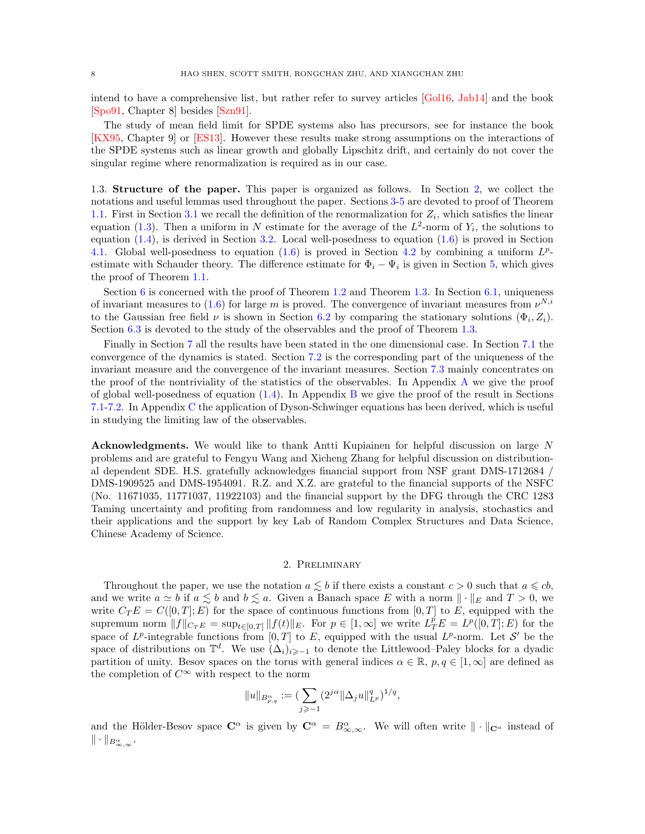intend to have a comprehensive list, but rather refer to survey articles [\[Gol16,](#page-58-28) [Jab14\]](#page-58-1) and the book [\[Spo91,](#page-59-14) Chapter 8] besides [\[Szn91\]](#page-59-13).

The study of mean field limit for SPDE systems also has precursors, see for instance the book [\[KX95,](#page-58-29) Chapter 9] or [\[ES13\]](#page-58-30). However these results make strong assumptions on the interactions of the SPDE systems such as linear growth and globally Lipschitz drift, and certainly do not cover the singular regime where renormalization is required as in our case.

1.3. Structure of the paper. This paper is organized as follows. In Section [2,](#page-7-0) we collect the notations and useful lemmas used throughout the paper. Sections [3-](#page-9-0)[5](#page-23-0) are devoted to proof of Theorem [1.1.](#page-1-2) First in Section [3.1](#page-10-0) we recall the definition of the renormalization for  $Z_i$ , which satisfies the linear equation [\(1.3\)](#page-1-5). Then a uniform in N estimate for the average of the  $L^2$ -norm of  $Y_i$ , the solutions to equation  $(1.4)$ , is derived in Section [3.2.](#page-11-2) Local well-posedness to equation  $(1.6)$  is proved in Section [4.1.](#page-16-1) Global well-posedness to equation  $(1.6)$  is proved in Section [4.2](#page-17-1) by combining a uniform  $L^p$ estimate with Schauder theory. The difference estimate for  $\Phi_i - \Psi_i$  is given in Section [5,](#page-23-0) which gives the proof of Theorem [1.1.](#page-1-2)

Section [6](#page-33-0) is concerned with the proof of Theorem [1.2](#page-3-1) and Theorem [1.3.](#page-4-4) In Section [6.1,](#page-34-0) uniqueness of invariant measures to  $(1.6)$  for large m is proved. The convergence of invariant measures from  $\nu^{N,i}$ to the Gaussian free field  $\nu$  is shown in Section [6.2](#page-36-0) by comparing the stationary solutions  $(\Phi_i, Z_i)$ . Section [6.3](#page-39-1) is devoted to the study of the observables and the proof of Theorem [1.3.](#page-4-4)

Finally in Section [7](#page-43-0) all the results have been stated in the one dimensional case. In Section [7.1](#page-43-1) the convergence of the dynamics is stated. Section [7.2](#page-45-2) is the corresponding part of the uniqueness of the invariant measure and the convergence of the invariant measures. Section [7.3](#page-45-3) mainly concentrates on the proof of the nontriviality of the statistics of the observables. In Appendix [A](#page-50-0) we give the proof of global well-posedness of equation  $(1.4)$ . In Appendix [B](#page-51-0) we give the proof of the result in Sections [7.1](#page-43-1)[-7.2.](#page-45-2) In Appendix [C](#page-56-0) the application of Dyson-Schwinger equations has been derived, which is useful in studying the limiting law of the observables.

Acknowledgments. We would like to thank Antti Kupiainen for helpful discussion on large N problems and are grateful to Fengyu Wang and Xicheng Zhang for helpful discussion on distributional dependent SDE. H.S. gratefully acknowledges financial support from NSF grant DMS-1712684 / DMS-1909525 and DMS-1954091. R.Z. and X.Z. are grateful to the financial supports of the NSFC (No. 11671035, 11771037, 11922103) and the financial support by the DFG through the CRC 1283 Taming uncertainty and profiting from randomness and low regularity in analysis, stochastics and their applications and the support by key Lab of Random Complex Structures and Data Science, Chinese Academy of Science.

### 2. Preliminary

<span id="page-7-0"></span>Throughout the paper, we use the notation  $a \lesssim b$  if there exists a constant  $c > 0$  such that  $a \leq c b$ , and we write  $a \simeq b$  if  $a \lesssim b$  and  $b \lesssim a$ . Given a Banach space E with a norm  $\|\cdot\|_E$  and  $T > 0$ , we write  $C_T E = C([0, T]; E)$  for the space of continuous functions from  $[0, T]$  to E, equipped with the supremum norm  $||f||_{CTE} = \sup_{t \in [0,T]} ||f(t)||_E$ . For  $p \in [1,\infty]$  we write  $L^p_T E = L^p([0,T];E)$  for the space of  $L^p$ -integrable functions from  $[0,T]$  to E, equipped with the usual  $L^p$ -norm. Let S' be the space of distributions on  $\mathbb{T}^d$ . We use  $(\Delta_i)_{i\geqslant -1}$  to denote the Littlewood–Paley blocks for a dyadic partition of unity. Besov spaces on the torus with general indices  $\alpha \in \mathbb{R}$ ,  $p, q \in [1, \infty]$  are defined as the completion of  $C^{\infty}$  with respect to the norm

$$
||u||_{B^{\alpha}_{p,q}} := (\sum_{j\geqslant -1} (2^{j\alpha}\|\Delta_j u\|_{L^p}^q)^{1/q},
$$

and the Hölder-Besov space  $\mathbb{C}^{\alpha}$  is given by  $\mathbb{C}^{\alpha} = B^{\alpha}_{\infty,\infty}$ . We will often write  $\|\cdot\|_{\mathbb{C}^{\alpha}}$  instead of  $\|\cdot\|_{B^{\alpha}_{\infty,\infty}}.$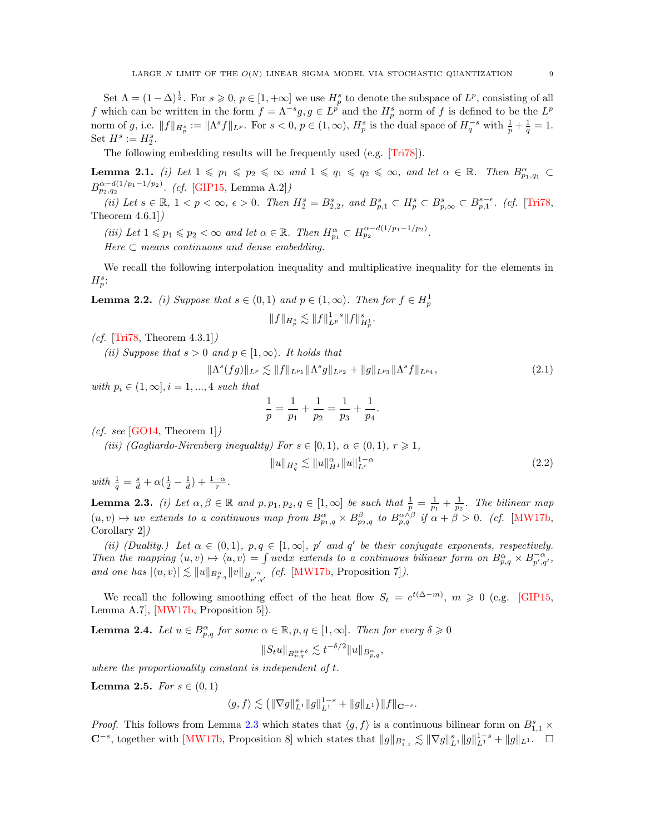Set  $\Lambda = (1 - \Delta)^{\frac{1}{2}}$ . For  $s \geqslant 0, p \in [1, +\infty]$  we use  $H_p^s$  to denote the subspace of  $L^p$ , consisting of all f which can be written in the form  $f = \Lambda^{-s}g, g \in L^{\hat{p}}$  and the  $H_p^s$  norm of f is defined to be the  $L^p$ norm of g, i.e.  $||f||_{H_p^s} := ||\Lambda^s f||_{L^p}$ . For  $s < 0, p \in (1, \infty), H_p^s$  is the dual space of  $H_q^{-s}$  with  $\frac{1}{p} + \frac{1}{q} = 1$ . Set  $H^s := H_2^s$ .

The following embedding results will be frequently used (e.g. [\[Tri78\]](#page-59-15)).

<span id="page-8-5"></span>**Lemma 2.1.** (i) Let  $1 \leq p_1 \leq p_2 \leq \infty$  and  $1 \leq q_1 \leq q_2 \leq \infty$ , and let  $\alpha \in \mathbb{R}$ . Then  $B_{p_1,q_1}^{\alpha} \subset$  $B^{\alpha-d(1/p_1-1/p_2)}_{p_2,q_2}$ . (cf. [\[GIP15,](#page-58-11) Lemma A.2])

(ii) Let  $s \in \mathbb{R}$ ,  $1 < p < \infty$ ,  $\epsilon > 0$ . Then  $H_2^s = B_{2,2}^s$ , and  $B_{p,1}^s \subset H_p^s \subset B_{p,\infty}^s \subset B_{p,1}^{s-\epsilon}$ . (cf. [\[Tri78,](#page-59-15) Theorem 4.6.1])

(iii) Let  $1 \leq p_1 \leq p_2 < \infty$  and let  $\alpha \in \mathbb{R}$ . Then  $H_{p_1}^{\alpha} \subset H_{p_2}^{\alpha-d(1/p_1-1/p_2)}$ .

Here  $\subset$  means continuous and dense embedding.

We recall the following interpolation inequality and multiplicative inequality for the elements in  $H_p^s$ :

<span id="page-8-3"></span>**Lemma 2.2.** (i) Suppose that  $s \in (0,1)$  and  $p \in (1,\infty)$ . Then for  $f \in H_p^1$  $||f||_{H_p^s} \lesssim ||f||_{L^p}^{1-s} ||f||_{H_p^1}^s.$ 

(*cf.* [\[Tri78,](#page-59-15) Theorem  $4.3.1$ ])

(ii) Suppose that  $s > 0$  and  $p \in [1, \infty)$ . It holds that

<span id="page-8-4"></span>
$$
\|\Lambda^s(fg)\|_{L^p} \lesssim \|f\|_{L^{p_1}} \|\Lambda^s g\|_{L^{p_2}} + \|g\|_{L^{p_3}} \|\Lambda^s f\|_{L^{p_4}},\tag{2.1}
$$

with  $p_i \in (1, \infty], i = 1, ..., 4$  such that

$$
\frac{1}{p} = \frac{1}{p_1} + \frac{1}{p_2} = \frac{1}{p_3} + \frac{1}{p_4}.
$$

(*cf. see* [\[GO14,](#page-58-31) Theorem 1])

(iii) (Gagliardo-Nirenberg inequality) For  $s \in [0,1)$ ,  $\alpha \in (0,1)$ ,  $r \geq 1$ ,

<span id="page-8-6"></span>
$$
||u||_{H_q^s} \lesssim ||u||_{H^1}^{\alpha} ||u||_{L^r}^{1-\alpha}
$$
\n(2.2)

with  $\frac{1}{q} = \frac{s}{d} + \alpha(\frac{1}{2} - \frac{1}{d}) + \frac{1-\alpha}{r}$ .

<span id="page-8-0"></span>**Lemma 2.3.** (i) Let  $\alpha, \beta \in \mathbb{R}$  and  $p, p_1, p_2, q \in [1, \infty]$  be such that  $\frac{1}{p} = \frac{1}{p_1} + \frac{1}{p_2}$ . The bilinear map  $(u, v) \mapsto uv$  extends to a continuous map from  $B^{\alpha}_{p_1,q} \times B^{\beta}_{p_2,q}$  to  $B^{\alpha \wedge \beta}_{p,q}$  if  $\alpha + \beta > 0$ . (cf. [\[MW17b,](#page-59-0) Corollary 2])

(ii) (Duality.) Let  $\alpha \in (0,1)$ ,  $p,q \in [1,\infty]$ , p' and q' be their conjugate exponents, respectively. Then the mapping  $(u, v) \mapsto \langle u, v \rangle = \int uv \, dx$  extends to a continuous bilinear form on  $B_{p,q}^{\alpha} \times B_{p',q'}^{-\alpha}$ , and one has  $|\langle u, v \rangle| \lesssim ||u||_{B^{\alpha}_{p,q}} ||v||_{B^{-\alpha}_{p',q'}}$  (cf. [\[MW17b,](#page-59-0) Proposition 7]).

We recall the following smoothing effect of the heat flow  $S_t = e^{t(\Delta-m)}$ ,  $m \geq 0$  (e.g. [\[GIP15,](#page-58-11) Lemma A.7], [\[MW17b,](#page-59-0) Proposition 5]).

<span id="page-8-2"></span>**Lemma 2.4.** Let  $u \in B^{\alpha}_{p,q}$  for some  $\alpha \in \mathbb{R}$ ,  $p, q \in [1, \infty]$ . Then for every  $\delta \geq 0$ 

$$
||S_t u||_{B^{\alpha+\delta}_{p,q}} \lesssim t^{-\delta/2} ||u||_{B^{\alpha}_{p,q}},
$$

where the proportionality constant is independent of t.

<span id="page-8-1"></span>**Lemma 2.5.** For  $s \in (0,1)$ 

$$
\langle g,f\rangle\lesssim \big(\|\nabla g\|_{L^1}^s\|g\|_{L^1}^{1-s}+\|g\|_{L^1}\big)\|f\|_{{\mathbf C}^{-s}}.
$$

*Proof.* This follows from Lemma [2.3](#page-8-0) which states that  $\langle g, f \rangle$  is a continuous bilinear form on  $B_{1,1}^s \times$  $\mathbb{C}^{-s}$ , together with [\[MW17b,](#page-59-0) Proposition 8] which states that  $||g||_{B_{1,1}^s} \lesssim ||\nabla g||_{L^1}^s ||g||_{L^1}^{1-s} + ||g||_{L^1}$ .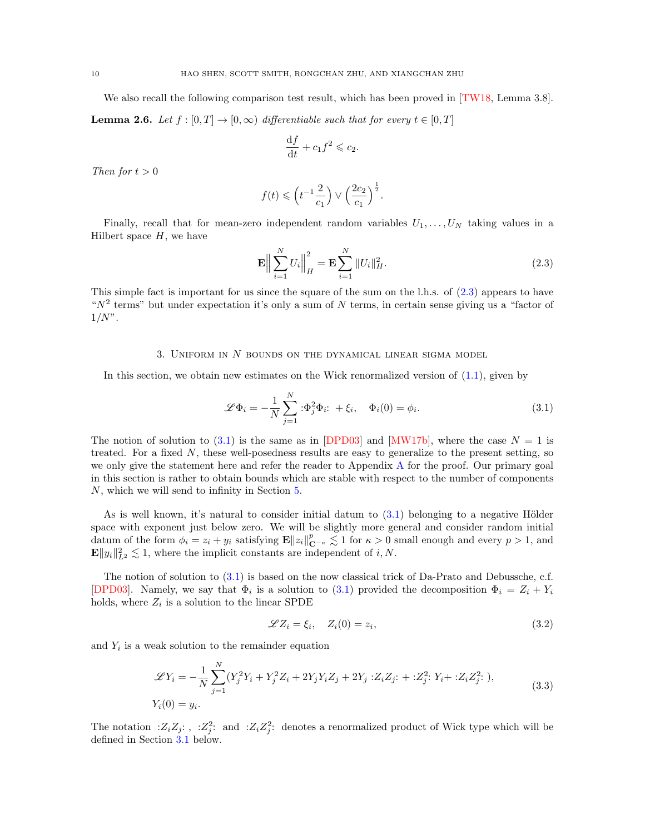We also recall the following comparison test result, which has been proved in [\[TW18,](#page-59-2) Lemma 3.8].

<span id="page-9-5"></span>**Lemma 2.6.** Let  $f : [0, T] \to [0, \infty)$  differentiable such that for every  $t \in [0, T]$ 

$$
\frac{\mathrm{d}f}{\mathrm{d}t} + c_1 f^2 \leqslant c_2.
$$

Then for  $t > 0$ 

$$
f(t) \leqslant \left(t^{-1}\frac{2}{c_1}\right) \vee \left(\frac{2c_2}{c_1}\right)^{\frac{1}{2}}.
$$

Finally, recall that for mean-zero independent random variables  $U_1, \ldots, U_N$  taking values in a Hilbert space  $H$ , we have

<span id="page-9-2"></span>
$$
\mathbf{E}\left\| \sum_{i=1}^{N} U_i \right\|_{H}^{2} = \mathbf{E} \sum_{i=1}^{N} \|U_i\|_{H}^{2}.
$$
\n(2.3)

This simple fact is important for us since the square of the sum on the l.h.s. of [\(2.3\)](#page-9-2) appears to have " $N^2$  terms" but under expectation it's only a sum of N terms, in certain sense giving us a "factor of  $1/N$ ".

#### 3. UNIFORM IN  $N$  bounds on the dynamical linear sigma model

<span id="page-9-0"></span>In this section, we obtain new estimates on the Wick renormalized version of [\(1.1\)](#page-0-1), given by

<span id="page-9-1"></span>
$$
\mathscr{L}\Phi_i = -\frac{1}{N} \sum_{j=1}^N \mathbf{E} \Phi_j^2 \Phi_i \mathbf{E} + \xi_i, \quad \Phi_i(0) = \phi_i.
$$
 (3.1)

The notion of solution to [\(3.1\)](#page-9-1) is the same as in [\[DPD03\]](#page-58-0) and [\[MW17b\]](#page-59-0), where the case  $N = 1$  is treated. For a fixed N, these well-posedness results are easy to generalize to the present setting, so we only give the statement here and refer the reader to Appendix [A](#page-50-0) for the proof. Our primary goal in this section is rather to obtain bounds which are stable with respect to the number of components N, which we will send to infinity in Section [5.](#page-23-0)

As is well known, it's natural to consider initial datum to  $(3.1)$  belonging to a negative Hölder space with exponent just below zero. We will be slightly more general and consider random initial datum of the form  $\phi_i = z_i + y_i$  satisfying  $\mathbf{E} ||z_i||_{\mathbf{C}^{-\kappa}}^p \lesssim 1$  for  $\kappa > 0$  small enough and every  $p > 1$ , and  $\mathbf{E} \|y_i\|_{L^2}^2 \lesssim 1$ , where the implicit constants are independent of i, N.

The notion of solution to [\(3.1\)](#page-9-1) is based on the now classical trick of Da-Prato and Debussche, c.f. [\[DPD03\]](#page-58-0). Namely, we say that  $\Phi_i$  is a solution to [\(3.1\)](#page-9-1) provided the decomposition  $\Phi_i = Z_i + Y_i$ holds, where  $Z_i$  is a solution to the linear SPDE

<span id="page-9-4"></span>
$$
\mathscr{L}Z_i = \xi_i, \quad Z_i(0) = z_i,\tag{3.2}
$$

and  $Y_i$  is a weak solution to the remainder equation

<span id="page-9-3"></span>
$$
\mathcal{L}Y_i = -\frac{1}{N} \sum_{j=1}^{N} (Y_j^2 Y_i + Y_j^2 Z_i + 2Y_j Y_i Z_j + 2Y_j : Z_i Z_j : + : Z_j^2 : Y_i + : Z_i Z_j^2 : ),
$$
  
\n
$$
Y_i(0) = y_i.
$$
\n(3.3)

The notation :  $Z_i Z_j$ : , :  $Z_j^2$ : and :  $Z_i Z_j^2$ : denotes a renormalized product of Wick type which will be defined in Section [3.1](#page-10-0) below.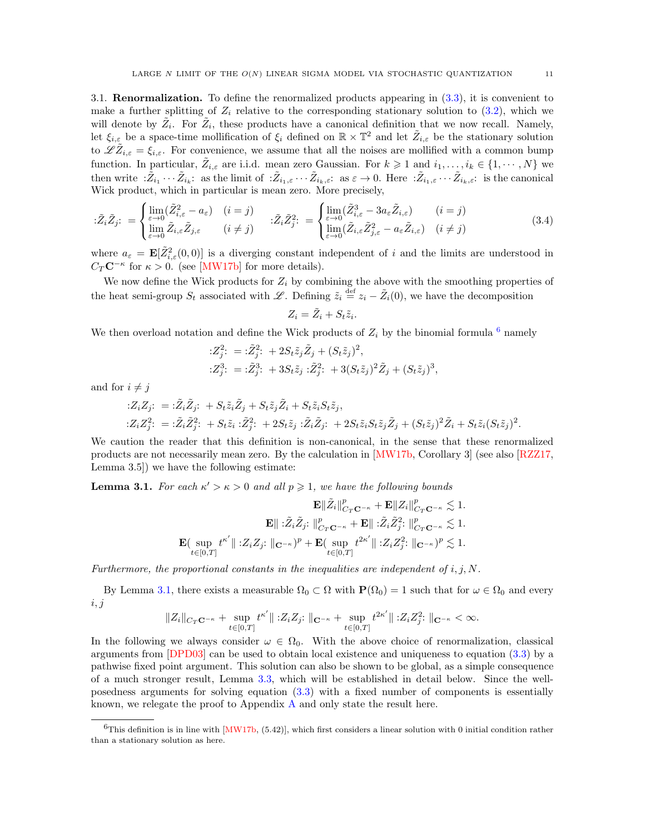<span id="page-10-0"></span>3.1. Renormalization. To define the renormalized products appearing in [\(3.3\)](#page-9-3), it is convenient to make a further splitting of  $Z_i$  relative to the corresponding stationary solution to  $(3.2)$ , which we will denote by  $\tilde{Z}_i$ . For  $\tilde{Z}_i$ , these products have a canonical definition that we now recall. Namely, let  $\xi_{i,\varepsilon}$  be a space-time mollification of  $\xi_i$  defined on  $\mathbb{R}\times\mathbb{T}^2$  and let  $\tilde{Z}_{i,\varepsilon}$  be the stationary solution to  $\mathscr{L}\tilde{Z}_{i,\varepsilon} = \xi_{i,\varepsilon}$ . For convenience, we assume that all the noises are mollified with a common bump function. In particular,  $\tilde{Z}_{i,\varepsilon}$  are i.i.d. mean zero Gaussian. For  $k \geq 1$  and  $i_1,\ldots,i_k \in \{1,\cdots,N\}$  we then write  $: \tilde{Z}_{i_1} \cdots \tilde{Z}_{i_k}:$  as the limit of  $: \tilde{Z}_{i_1,\varepsilon} \cdots \tilde{Z}_{i_k,\varepsilon}:$  as  $\varepsilon \to 0$ . Here  $: \tilde{Z}_{i_1,\varepsilon} \cdots \tilde{Z}_{i_k,\varepsilon}:$  is the canonical Wick product, which in particular is mean zero. More precisely,

$$
\tilde{Z}_{i}\tilde{Z}_{j} := \begin{cases}\n\lim_{\varepsilon \to 0} (\tilde{Z}_{i,\varepsilon}^{2} - a_{\varepsilon}) & (i = j) \\
\lim_{\varepsilon \to 0} \tilde{Z}_{i,\varepsilon} \tilde{Z}_{j,\varepsilon} & (i \neq j)\n\end{cases} \quad : \tilde{Z}_{i}\tilde{Z}_{j}^{2} := \begin{cases}\n\lim_{\varepsilon \to 0} (\tilde{Z}_{i,\varepsilon}^{3} - 3a_{\varepsilon}\tilde{Z}_{i,\varepsilon}) & (i = j) \\
\lim_{\varepsilon \to 0} (\tilde{Z}_{i,\varepsilon} \tilde{Z}_{j,\varepsilon}^{2} - a_{\varepsilon}\tilde{Z}_{i,\varepsilon}) & (i \neq j)\n\end{cases} \tag{3.4}
$$

where  $a_{\varepsilon} = \mathbf{E}[\tilde{Z}_{i,\varepsilon}^2(0,0)]$  is a diverging constant independent of i and the limits are understood in  $C_T \mathbf{C}^{-\kappa}$  for  $\kappa > 0$ . (see [\[MW17b\]](#page-59-0) for more details).

We now define the Wick products for  $Z_i$  by combining the above with the smoothing properties of the heat semi-group  $S_t$  associated with L. Defining  $\tilde{z}_i \stackrel{\text{def}}{=} z_i - \tilde{Z}_i(0)$ , we have the decomposition

<span id="page-10-3"></span>
$$
Z_i = \tilde{Z}_i + S_t \tilde{z}_i.
$$

We then overload notation and define the Wick products of  $Z_i$  by the binomial formula  $^6$  $^6$  namely

$$
:Z_j^2: = \tilde{z}_j^2: +2S_t\tilde{z}_j\tilde{Z}_j + (S_t\tilde{z}_j)^2,
$$
  
\n
$$
:Z_j^3: = \tilde{z}_j^3: +3S_t\tilde{z}_j \tilde{z}_j^2: +3(S_t\tilde{z}_j)^2\tilde{Z}_j + (S_t\tilde{z}_j)^3,
$$

and for  $i \neq j$ 

$$
\begin{aligned}\n&:\mathbf{Z}_i Z_j: \quad = \,:\! \tilde{Z}_i \tilde{Z}_j: \quad + \, S_t \tilde{z}_i \tilde{Z}_j + S_t \tilde{z}_j \tilde{Z}_i + S_t \tilde{z}_i S_t \tilde{z}_j, \\
&:\mathbf{Z}_i Z_j^2: \quad = \,:\! \tilde{Z}_i \tilde{Z}_j^2: \quad + \, S_t \tilde{z}_i : \tilde{Z}_j^2: \quad + \, 2S_t \tilde{z}_j : \tilde{Z}_i \tilde{Z}_j: \quad + \, 2S_t \tilde{z}_i S_t \tilde{z}_j \tilde{Z}_j + (S_t \tilde{z}_j)^2 \tilde{Z}_i + S_t \tilde{z}_i (S_t \tilde{z}_j)^2.\n\end{aligned}
$$

We caution the reader that this definition is non-canonical, in the sense that these renormalized products are not necessarily mean zero. By the calculation in [\[MW17b,](#page-59-0) Corollary 3] (see also [\[RZZ17,](#page-59-1) Lemma 3.5]) we have the following estimate:

<span id="page-10-2"></span>**Lemma 3.1.** For each  $\kappa' > \kappa > 0$  and all  $p \geq 1$ , we have the following bounds

$$
\mathbf{E}\|\tilde{Z}_i\|_{C_T\mathbf{C}^{-\kappa}}^p + \mathbf{E}\|Z_i\|_{C_T\mathbf{C}^{-\kappa}}^p \lesssim 1.
$$
  
\n
$$
\mathbf{E}\|\,:\!\tilde{Z}_i\tilde{Z}_j:\|_{C_T\mathbf{C}^{-\kappa}}^p + \mathbf{E}\|\,:\!\tilde{Z}_i\tilde{Z}_j^2:\|_{C_T\mathbf{C}^{-\kappa}}^p \lesssim 1.
$$
  
\n
$$
\mathbf{E}(\sup_{t\in[0,T]}t^{\kappa'}\|:Z_iZ_j:\|_{\mathbf{C}^{-\kappa}})^p + \mathbf{E}(\sup_{t\in[0,T]}t^{2\kappa'}\|:Z_iZ_j^2:\|_{\mathbf{C}^{-\kappa}})^p \lesssim 1.
$$

Furthermore, the proportional constants in the inequalities are independent of  $i, j, N$ .

By Lemma [3.1,](#page-10-2) there exists a measurable  $\Omega_0 \subset \Omega$  with  $P(\Omega_0) = 1$  such that for  $\omega \in \Omega_0$  and every  $i, j$ 

$$
||Z_i||_{C_T\mathbf{C}^{-\kappa}} + \sup_{t \in [0,T]} t^{\kappa'} || \cdot Z_i Z_j : ||_{\mathbf{C}^{-\kappa}} + \sup_{t \in [0,T]} t^{2\kappa'} || \cdot Z_i Z_j^2 : ||_{\mathbf{C}^{-\kappa}} < \infty.
$$

In the following we always consider  $\omega \in \Omega_0$ . With the above choice of renormalization, classical arguments from [\[DPD03\]](#page-58-0) can be used to obtain local existence and uniqueness to equation [\(3.3\)](#page-9-3) by a pathwise fixed point argument. This solution can also be shown to be global, as a simple consequence of a much stronger result, Lemma [3.3,](#page-11-1) which will be established in detail below. Since the wellposedness arguments for solving equation [\(3.3\)](#page-9-3) with a fixed number of components is essentially known, we relegate the proof to Appendix [A](#page-50-0) and only state the result here.

<span id="page-10-1"></span> $6$ This definition is in line with  $[MW17b, (5.42)]$  $[MW17b, (5.42)]$ , which first considers a linear solution with 0 initial condition rather than a stationary solution as here.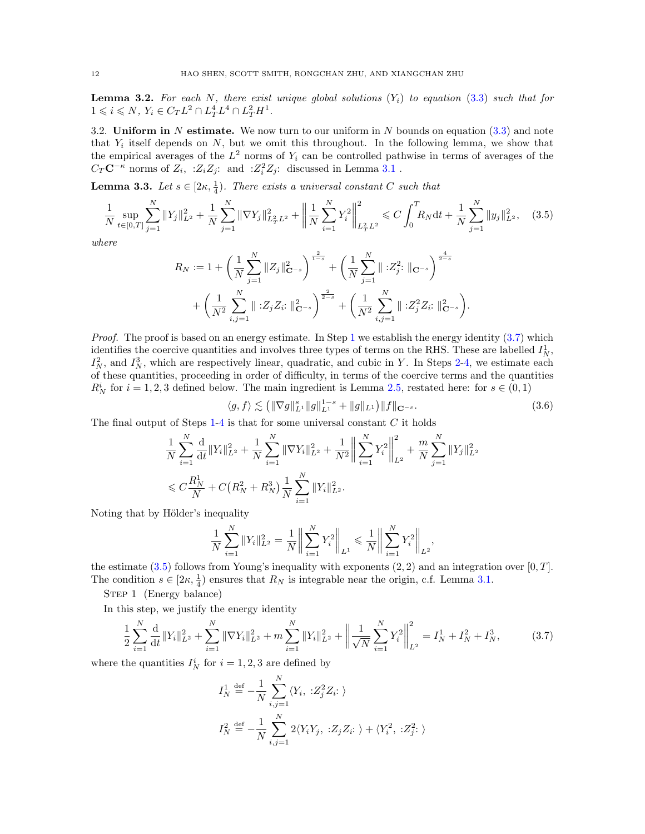<span id="page-11-0"></span>**Lemma 3.2.** For each N, there exist unique global solutions  $(Y_i)$  to equation [\(3.3\)](#page-9-3) such that for  $1 \leqslant i \leqslant N, Y_i \in C_T L^2 \cap L_T^4 L^4 \cap L_T^2 H^1.$ 

<span id="page-11-2"></span>3.2. Uniform in N estimate. We now turn to our uniform in N bounds on equation  $(3.3)$  and note that  $Y_i$  itself depends on  $N$ , but we omit this throughout. In the following lemma, we show that the empirical averages of the  $L^2$  norms of  $Y_i$  can be controlled pathwise in terms of averages of the  $C_T \mathbf{C}^{-\kappa}$  norms of  $Z_i$ , : $Z_i Z_j$ : and : $Z_i^2 Z_j$ : discussed in Lemma [3.1](#page-10-2).

<span id="page-11-1"></span>**Lemma 3.3.** Let  $s \in [2\kappa, \frac{1}{4})$ . There exists a universal constant C such that

$$
\frac{1}{N} \sup_{t \in [0,T]} \sum_{j=1}^{N} \|Y_j\|_{L^2}^2 + \frac{1}{N} \sum_{j=1}^{N} \|\nabla Y_j\|_{L^2_T L^2}^2 + \left\|\frac{1}{N} \sum_{i=1}^{N} Y_i^2\right\|_{L^2_T L^2}^2 \leq C \int_0^T R_N dt + \frac{1}{N} \sum_{j=1}^{N} \|y_j\|_{L^2}^2, \quad (3.5)
$$

where

<span id="page-11-5"></span>
$$
R_N := 1 + \left(\frac{1}{N} \sum_{j=1}^N \|Z_j\|_{\mathbf{C}^{-s}}^2\right)^{\frac{2}{1-s}} + \left(\frac{1}{N} \sum_{j=1}^N \| \cdot Z_j^2 \cdot \|_{\mathbf{C}^{-s}}\right)^{\frac{4}{2-s}} + \left(\frac{1}{N^2} \sum_{i,j=1}^N \| \cdot Z_j^2 Z_i \cdot \|_{\mathbf{C}^{-s}}^2\right) + \left(\frac{1}{N^2} \sum_{i,j=1}^N \| \cdot Z_j^2 Z_i \cdot \|_{\mathbf{C}^{-s}}^2\right).
$$

*Proof.* The proof is based on an energy estimate. In Step [1](#page-11-3) we establish the energy identity  $(3.7)$  which identifies the coercive quantities and involves three types of terms on the RHS. These are labelled  $I_N^1$ ,  $I_N^2$ , and  $I_N^3$ , which are respectively linear, quadratic, and cubic in Y. In Steps [2-](#page-11-4)[4,](#page-13-0) we estimate each of these quantities, proceeding in order of difficulty, in terms of the coercive terms and the quantities  $R_N^i$  for  $i = 1, 2, 3$  defined below. The main ingredient is Lemma [2.5,](#page-8-1) restated here: for  $s \in (0, 1)$ 

<span id="page-11-3"></span>
$$
\langle g, f \rangle \lesssim \left( \|\nabla g\|_{L^1}^s \|g\|_{L^1}^{1-s} + \|g\|_{L^1} \right) \|f\|_{\mathbf{C}^{-s}}.
$$
\n(3.6)

The final output of Steps  $1-4$  $1-4$  is that for some universal constant  $C$  it holds

$$
\frac{1}{N} \sum_{i=1}^{N} \frac{d}{dt} ||Y_i||_{L^2}^2 + \frac{1}{N} \sum_{i=1}^{N} ||\nabla Y_i||_{L^2}^2 + \frac{1}{N^2} \left\| \sum_{i=1}^{N} Y_i^2 \right\|_{L^2}^2 + \frac{m}{N} \sum_{j=1}^{N} ||Y_j||_{L^2}^2
$$
  

$$
\leq C \frac{R_N^1}{N} + C \left( R_N^2 + R_N^3 \right) \frac{1}{N} \sum_{i=1}^{N} ||Y_i||_{L^2}^2.
$$

Noting that by Hölder's inequality

$$
\frac{1}{N}\sum_{i=1}^{N}||Y_i||_{L^2}^2 = \frac{1}{N}\bigg\|\sum_{i=1}^{N}Y_i^2\bigg\|_{L^1} \le \frac{1}{N}\bigg\|\sum_{i=1}^{N}Y_i^2\bigg\|_{L^2},
$$

the estimate  $(3.5)$  follows from Young's inequality with exponents  $(2, 2)$  and an integration over  $[0, T]$ . The condition  $s \in [2\kappa, \frac{1}{4})$  ensures that  $R_N$  is integrable near the origin, c.f. Lemma [3.1.](#page-10-2)

STEP 1 (Energy balance)

In this step, we justify the energy identity

$$
\frac{1}{2} \sum_{i=1}^{N} \frac{d}{dt} \|Y_i\|_{L^2}^2 + \sum_{i=1}^{N} \|\nabla Y_i\|_{L^2}^2 + m \sum_{i=1}^{N} \|Y_i\|_{L^2}^2 + \left\|\frac{1}{\sqrt{N}} \sum_{i=1}^{N} Y_i^2\right\|_{L^2}^2 = I_N^1 + I_N^2 + I_N^3,\tag{3.7}
$$

where the quantities  $I_N^i$  for  $i = 1, 2, 3$  are defined by

<span id="page-11-4"></span>
$$
I_N^1 \stackrel{\text{def}}{=} -\frac{1}{N} \sum_{i,j=1}^N \langle Y_i, \; :Z_j^2 Z_i: \; \rangle
$$
  

$$
I_N^2 \stackrel{\text{def}}{=} -\frac{1}{N} \sum_{i,j=1}^N 2 \langle Y_i Y_j, \; :Z_j Z_i: \; \rangle + \langle Y_i^2, \; :Z_j^2: \; \rangle
$$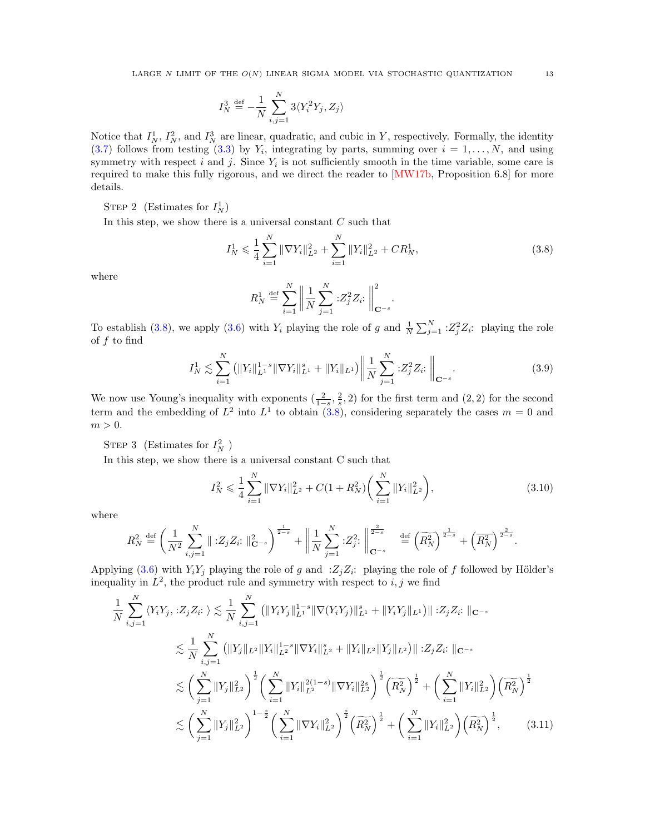$$
I_N^3 \stackrel{\text{def}}{=} -\frac{1}{N}\sum_{i,j=1}^N 3\langle Y_i^2Y_j, Z_j\rangle
$$

Notice that  $I_N^1$ ,  $I_N^2$ , and  $I_N^3$  are linear, quadratic, and cubic in Y, respectively. Formally, the identity  $(3.7)$  follows from testing  $(3.3)$  by  $Y_i$ , integrating by parts, summing over  $i = 1, \ldots, N$ , and using symmetry with respect  $i$  and  $j$ . Since  $Y_i$  is not sufficiently smooth in the time variable, some care is required to make this fully rigorous, and we direct the reader to [\[MW17b,](#page-59-0) Proposition 6.8] for more details.

STEP 2 (Estimates for  $I_N^1$ )

In this step, we show there is a universal constant  $C$  such that

$$
I_N^1 \leqslant \frac{1}{4} \sum_{i=1}^N \|\nabla Y_i\|_{L^2}^2 + \sum_{i=1}^N \|Y_i\|_{L^2}^2 + CR_N^1,
$$
\n(3.8)

where

<span id="page-12-0"></span>
$$
R_N^1 \stackrel{\text{def}}{=} \sum_{i=1}^N \left\| \frac{1}{N} \sum_{j=1}^N : Z_j^2 Z_i : \right\|_{\mathbf{C}^{-s}}^2.
$$

To establish [\(3.8\)](#page-12-0), we apply [\(3.6\)](#page-11-3) with  $Y_i$  playing the role of g and  $\frac{1}{N} \sum_{j=1}^{N} \, :Z_j^2 Z_i$ : playing the role of  $f$  to find

$$
I_N^1 \lesssim \sum_{i=1}^N \left( \|Y_i\|_{L^1}^{1-s} \|\nabla Y_i\|_{L^1}^s + \|Y_i\|_{L^1} \right) \left\| \frac{1}{N} \sum_{j=1}^N :Z_j^2 Z_i : \right\|_{\mathbf{C}^{-s}}.
$$
\n(3.9)

We now use Young's inequality with exponents  $(\frac{2}{1-s}, \frac{2}{s}, 2)$  for the first term and  $(2, 2)$  for the second term and the embedding of  $L^2$  into  $L^1$  to obtain [\(3.8\)](#page-12-0), considering separately the cases  $m = 0$  and  $m > 0$ .

STEP 3 (Estimates for  $I_N^2$ )

In this step, we show there is a universal constant C such that

<span id="page-12-2"></span><span id="page-12-1"></span>
$$
I_N^2 \leqslant \frac{1}{4} \sum_{i=1}^N \|\nabla Y_i\|_{L^2}^2 + C(1 + R_N^2) \bigg(\sum_{i=1}^N \|Y_i\|_{L^2}^2\bigg),\tag{3.10}
$$

where

$$
R_N^2 \stackrel{\text{def}}{=} \left(\frac{1}{N^2} \sum_{i,j=1}^N \| \, :Z_j Z_i : \|_{\mathbf{C}^{-s}}^2\right)^{\frac{1}{2-s}} + \left\|\frac{1}{N} \sum_{j=1}^N \, :Z_j^2 : \right\|_{\mathbf{C}^{-s}}^{\frac{2}{2-s}} \quad \stackrel{\text{def}}{=} \left(\widetilde{R_N^2}\right)^{\frac{1}{2-s}} + \left(\overline{R_N^2}\right)^{\frac{2}{2-s}}.
$$

Applying [\(3.6\)](#page-11-3) with  $Y_i Y_j$  playing the role of g and  $Z_j Z_i$ : playing the role of f followed by Hölder's inequality in  $L^2$ , the product rule and symmetry with respect to  $i, j$  we find

$$
\frac{1}{N} \sum_{i,j=1}^{N} \langle Y_{i} Y_{j}, : Z_{j} Z_{i}: \rangle \lesssim \frac{1}{N} \sum_{i,j=1}^{N} \left( \|Y_{i} Y_{j}\|_{L^{1}}^{1-s} \|\nabla (Y_{i} Y_{j})\|_{L^{1}}^{s} + \|Y_{i} Y_{j}\|_{L^{1}} \right) \| :Z_{j} Z_{i}: \|_{\mathbf{C}^{-s}}
$$
\n
$$
\lesssim \frac{1}{N} \sum_{i,j=1}^{N} \left( \|Y_{j}\|_{L^{2}} \|Y_{i}\|_{L^{2}}^{1-s} \|\nabla Y_{i}\|_{L^{2}}^{s} + \|Y_{i}\|_{L^{2}} \|Y_{j}\|_{L^{2}} \right) \| :Z_{j} Z_{i}: \|_{\mathbf{C}^{-s}}
$$
\n
$$
\lesssim \left( \sum_{j=1}^{N} \|Y_{j}\|_{L^{2}}^{2} \right)^{\frac{1}{2}} \left( \sum_{i=1}^{N} \|Y_{i}\|_{L^{2}}^{2(1-s)} \|\nabla Y_{i}\|_{L^{2}}^{2s} \right)^{\frac{1}{2}} \left( \widetilde{R_{N}^{2}} \right)^{\frac{1}{2}} + \left( \sum_{i=1}^{N} \|Y_{i}\|_{L^{2}}^{2} \right) \left( \widetilde{R_{N}^{2}} \right)^{\frac{1}{2}}
$$
\n
$$
\lesssim \left( \sum_{j=1}^{N} \|Y_{j}\|_{L^{2}}^{2} \right)^{1-\frac{s}{2}} \left( \sum_{i=1}^{N} \|\nabla Y_{i}\|_{L^{2}}^{2} \right)^{\frac{s}{2}} \left( \widetilde{R_{N}^{2}} \right)^{\frac{1}{2}} + \left( \sum_{i=1}^{N} \|Y_{i}\|_{L^{2}}^{2} \right) \left( \widetilde{R_{N}^{2}} \right)^{\frac{1}{2}}, \qquad (3.11)
$$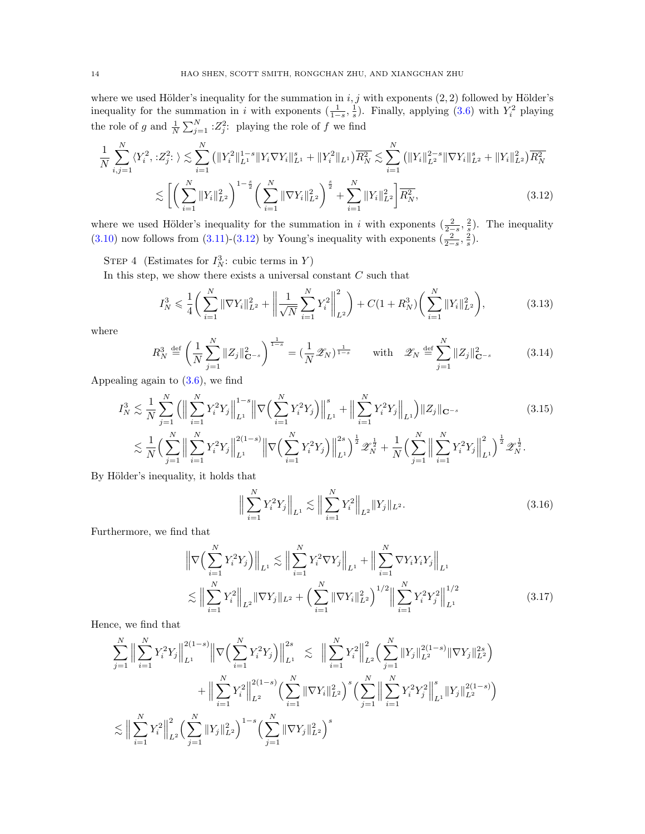where we used Hölder's inequality for the summation in  $i, j$  with exponents  $(2, 2)$  followed by Hölder's inequality for the summation in i with exponents  $(\frac{1}{1-s}, \frac{1}{s})$ . Finally, applying  $(3.6)$  with  $Y_i^2$  playing the role of g and  $\frac{1}{N} \sum_{j=1}^{N} \, :Z_j^2$ : playing the role of f we find

$$
\frac{1}{N} \sum_{i,j=1}^{N} \langle Y_i^2, :Z_j^2: \rangle \lesssim \sum_{i=1}^{N} \left( \|Y_i^2\|_{L^1}^{1-s} \|Y_i \nabla Y_i\|_{L^1}^s + \|Y_i^2\|_{L^1} \right) \overline{R_N^2} \lesssim \sum_{i=1}^{N} \left( \|Y_i\|_{L^2}^{2-s} \|\nabla Y_i\|_{L^2}^s + \|Y_i\|_{L^2}^2 \right) \overline{R_N^2}
$$
\n
$$
\lesssim \left[ \left( \sum_{i=1}^{N} \|Y_i\|_{L^2}^2 \right)^{1-\frac{s}{2}} \left( \sum_{i=1}^{N} \|\nabla Y_i\|_{L^2}^2 \right)^{\frac{s}{2}} + \sum_{i=1}^{N} \|Y_i\|_{L^2}^2 \right) \overline{R_N^2},\tag{3.12}
$$

where we used Hölder's inequality for the summation in i with exponents  $(\frac{2}{2-s}, \frac{2}{s})$ . The inequality [\(3.10\)](#page-12-1) now follows from [\(3.11\)](#page-12-2)-[\(3.12\)](#page-13-0) by Young's inequality with exponents  $(\frac{2}{2-s}, \frac{2}{s})$ .

STEP 4 (Estimates for  $I_N^3$ : cubic terms in Y)

In this step, we show there exists a universal constant  $C$  such that

<span id="page-13-3"></span><span id="page-13-0"></span>
$$
I_N^3 \leqslant \frac{1}{4} \bigg( \sum_{i=1}^N \|\nabla Y_i\|_{L^2}^2 + \bigg( \frac{1}{\sqrt{N}} \sum_{i=1}^N Y_i^2 \bigg)_{L^2}^2 \bigg) + C \big( 1 + R_N^3 \big) \bigg( \sum_{i=1}^N \|Y_i\|_{L^2}^2 \bigg),\tag{3.13}
$$

where

$$
R_N^3 \stackrel{\text{def}}{=} \left(\frac{1}{N} \sum_{j=1}^N \|Z_j\|_{\mathbf{C}^{-s}}^2\right)^{\frac{1}{1-s}} = \left(\frac{1}{N} \mathcal{Z}_N\right)^{\frac{1}{1-s}} \quad \text{with} \quad \mathcal{Z}_N \stackrel{\text{def}}{=} \sum_{j=1}^N \|Z_j\|_{\mathbf{C}^{-s}}^2 \tag{3.14}
$$

Appealing again to  $(3.6)$ , we find

$$
I_N^3 \lesssim \frac{1}{N} \sum_{j=1}^N \left( \Big\| \sum_{i=1}^N Y_i^2 Y_j \Big\|_{L^1}^{1-s} \Big\| \nabla \Big( \sum_{i=1}^N Y_i^2 Y_j \Big) \Big\|_{L^1}^s + \Big\| \sum_{i=1}^N Y_i^2 Y_j \Big\|_{L^1} \right) \|Z_j\|_{\mathbf{C}^{-s}} \tag{3.15}
$$

$$
\lesssim \frac{1}{N} \Big( \sum_{j=1}^N \Big\| \sum_{i=1}^N Y_i^2 Y_j \Big\|_{L^1}^{2(1-s)} \Big\| \nabla \Big( \sum_{i=1}^N Y_i^2 Y_j \Big) \Big\|_{L^1}^{2s} \Big)^{\frac{1}{2}} \mathcal{Z}_N^{\frac{1}{2}} + \frac{1}{N} \Big( \sum_{j=1}^N \Big\| \sum_{i=1}^N Y_i^2 Y_j \Big\|_{L^1}^{2} \Big)^{\frac{1}{2}} \mathcal{Z}_N^{\frac{1}{2}}.
$$

By Hölder's inequality, it holds that

<span id="page-13-4"></span><span id="page-13-2"></span><span id="page-13-1"></span>
$$
\Big\| \sum_{i=1}^{N} Y_i^2 Y_j \Big\|_{L^1} \lesssim \Big\| \sum_{i=1}^{N} Y_i^2 \Big\|_{L^2} \|Y_j\|_{L^2}.
$$
 (3.16)

Furthermore, we find that

$$
\left\| \nabla \left( \sum_{i=1}^{N} Y_i^2 Y_j \right) \right\|_{L^1} \lesssim \left\| \sum_{i=1}^{N} Y_i^2 \nabla Y_j \right\|_{L^1} + \left\| \sum_{i=1}^{N} \nabla Y_i Y_i Y_j \right\|_{L^1}
$$
  

$$
\lesssim \left\| \sum_{i=1}^{N} Y_i^2 \right\|_{L^2} \left\| \nabla Y_j \right\|_{L^2} + \left( \sum_{i=1}^{N} \|\nabla Y_i\|_{L^2}^2 \right)^{1/2} \left\| \sum_{i=1}^{N} Y_i^2 Y_j^2 \right\|_{L^1}^{1/2}
$$
(3.17)

Hence, we find that

$$
\sum_{j=1}^{N} \Big\| \sum_{i=1}^{N} Y_i^2 Y_j \Big\|_{L^1}^{2(1-s)} \Big\| \nabla \Big( \sum_{i=1}^{N} Y_i^2 Y_j \Big) \Big\|_{L^1}^{2s} \lesssim \Big\| \sum_{i=1}^{N} Y_i^2 \Big\|_{L^2}^{2} \Big( \sum_{j=1}^{N} \|Y_j\|_{L^2}^{2(1-s)} \|\nabla Y_j\|_{L^2}^{2s} \Big) \n+ \Big\| \sum_{i=1}^{N} Y_i^2 \Big\|_{L^2}^{2(1-s)} \Big( \sum_{i=1}^{N} \|\nabla Y_i\|_{L^2}^{2} \Big)^s \Big( \sum_{j=1}^{N} \Big\| \sum_{i=1}^{N} Y_i^2 Y_j^2 \Big\|_{L^1}^{s} \|Y_j\|_{L^2}^{2(1-s)} \Big) \n\lesssim \Big\| \sum_{i=1}^{N} Y_i^2 \Big\|_{L^2}^{2} \Big( \sum_{j=1}^{N} \|Y_j\|_{L^2}^{2} \Big)^{1-s} \Big( \sum_{j=1}^{N} \|\nabla Y_j\|_{L^2}^{2} \Big)^s
$$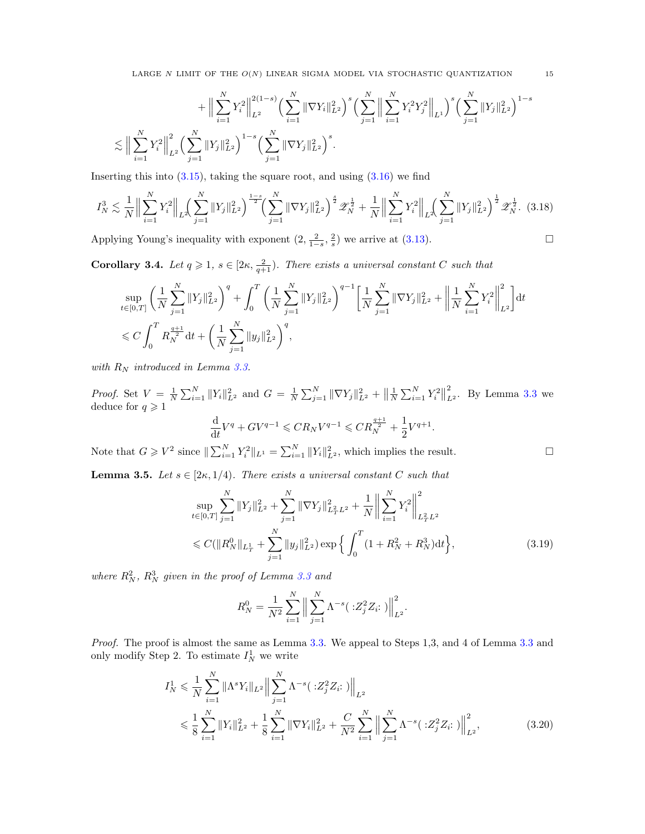LARGE N LIMIT OF THE  $O(N)$  LINEAR SIGMA MODEL VIA STOCHASTIC QUANTIZATION 15

$$
+ \Big\|\sum_{i=1}^N Y_i^2\Big\|_{L^2}^{2(1-s)} \Big(\sum_{i=1}^N \|\nabla Y_i\|_{L^2}^2\Big)^s \Big(\sum_{j=1}^N \Big\|\sum_{i=1}^N Y_i^2 Y_j^2\Big\|_{L^1}\Big)^s \Big(\sum_{j=1}^N \|Y_j\|_{L^2}^2\Big)^{1-s}
$$
  

$$
\lesssim \Big\|\sum_{i=1}^N Y_i^2\Big\|_{L^2}^2 \Big(\sum_{j=1}^N \|Y_j\|_{L^2}^2\Big)^{1-s} \Big(\sum_{j=1}^N \|\nabla Y_j\|_{L^2}^2\Big)^s.
$$

Inserting this into  $(3.15)$ , taking the square root, and using  $(3.16)$  we find

$$
I_N^3 \lesssim \frac{1}{N} \Big\| \sum_{i=1}^N Y_i^2 \Big\|_{L^2} \Big( \sum_{j=1}^N \|Y_j\|_{L^2}^2 \Big)^{\frac{1-s}{2}} \Big( \sum_{j=1}^N \|\nabla Y_j\|_{L^2}^2 \Big)^{\frac{s}{2}} \mathscr{Z}_N^{\frac{1}{2}} + \frac{1}{N} \Big\| \sum_{i=1}^N Y_i^2 \Big\|_{L^2} \Big( \sum_{j=1}^N \|Y_j\|_{L^2}^2 \Big)^{\frac{1}{2}} \mathscr{Z}_N^{\frac{1}{2}}. \tag{3.18}
$$

Applying Young's inequality with exponent  $(2, \frac{2}{1-s}, \frac{2}{s})$  we arrive at  $(3.13)$ .

<span id="page-14-3"></span>**Corollary 3.4.** Let  $q \geq 1$ ,  $s \in [2\kappa, \frac{2}{q+1})$ . There exists a universal constant C such that

$$
\begin{split} &\sup_{t\in[0,T]}\left(\frac{1}{N}\sum_{j=1}^{N}\|Y_j\|_{L^2}^2\right)^{q}+\int_0^T\left(\frac{1}{N}\sum_{j=1}^{N}\|Y_j\|_{L^2}^2\right)^{q-1}\bigg[\frac{1}{N}\sum_{j=1}^{N}\|\nabla Y_j\|_{L^2}^2+\bigg\|\frac{1}{N}\sum_{i=1}^{N}Y_i^2\bigg\|_{L^2}^2\bigg] {\rm d} t\\ &\leqslant C\int_0^T R_N^{\frac{q+1}{2}}{\rm d} t+\bigg(\frac{1}{N}\sum_{j=1}^{N}\|y_j\|_{L^2}^2\bigg)^{q}, \end{split}
$$

with  $R_N$  introduced in Lemma [3.3.](#page-11-1)

*Proof.* Set  $V = \frac{1}{N} \sum_{i=1}^{N} ||Y_i||_{L^2}^2$  and  $G = \frac{1}{N} \sum_{j=1}^{N} ||\nabla Y_j||_{L^2}^2 + ||\frac{1}{N} \sum_{i=1}^{N} Y_i^2||$ 2  $\sum_{L^2}^2$ . By Lemma [3.3](#page-11-1) we deduce for  $q \geq 1$ 

$$
\frac{\mathrm{d}}{\mathrm{d}t}V^{q} + GV^{q-1} \leqslant CR_{N}V^{q-1} \leqslant CR_{N}^{\frac{q+1}{2}} + \frac{1}{2}V^{q+1}.
$$

Note that  $G \geqslant V^2$  since  $\|\sum_{i=1}^N Y_i^2\|_{L^1} = \sum_{i=1}^N \|Y_i\|_{L^2}^2$ , which implies the result.

<span id="page-14-2"></span>**Lemma 3.5.** Let  $s \in [2\kappa, 1/4)$ . There exists a universal constant C such that

$$
\sup_{t \in [0,T]} \sum_{j=1}^{N} \|Y_j\|_{L^2}^2 + \sum_{j=1}^{N} \|\nabla Y_j\|_{L^2_T L^2}^2 + \frac{1}{N} \left\| \sum_{i=1}^{N} Y_i^2 \right\|_{L^2_T L^2}^2
$$
  

$$
\leq C(\|R_N^0\|_{L^1_T} + \sum_{j=1}^{N} \|y_j\|_{L^2}^2) \exp\left\{ \int_0^T (1 + R_N^2 + R_N^3) \mathrm{d}t \right\},\tag{3.19}
$$

where  $R_N^2$ ,  $R_N^3$  given in the proof of Lemma [3.3](#page-11-1) and

<span id="page-14-1"></span><span id="page-14-0"></span>
$$
R_N^0 = \frac{1}{N^2} \sum_{i=1}^N \left\| \sum_{j=1}^N \Lambda^{-s} (\cdot : Z_j^2 Z_i :) \right\|_{L^2}^2.
$$

Proof. The proof is almost the same as Lemma [3.3.](#page-11-1) We appeal to Steps 1,3, and 4 of Lemma [3.3](#page-11-1) and only modify Step 2. To estimate  $I_N^1$  we write

$$
I_N^1 \leq \frac{1}{N} \sum_{i=1}^N \|\Lambda^s Y_i\|_{L^2} \Big\| \sum_{j=1}^N \Lambda^{-s} (\cdot Z_j^2 Z_i :) \Big\|_{L^2}
$$
  

$$
\leq \frac{1}{8} \sum_{i=1}^N \|Y_i\|_{L^2}^2 + \frac{1}{8} \sum_{i=1}^N \|\nabla Y_i\|_{L^2}^2 + \frac{C}{N^2} \sum_{i=1}^N \Big\| \sum_{j=1}^N \Lambda^{-s} (\cdot Z_j^2 Z_i :) \Big\|_{L^2}^2, \tag{3.20}
$$

<span id="page-14-4"></span>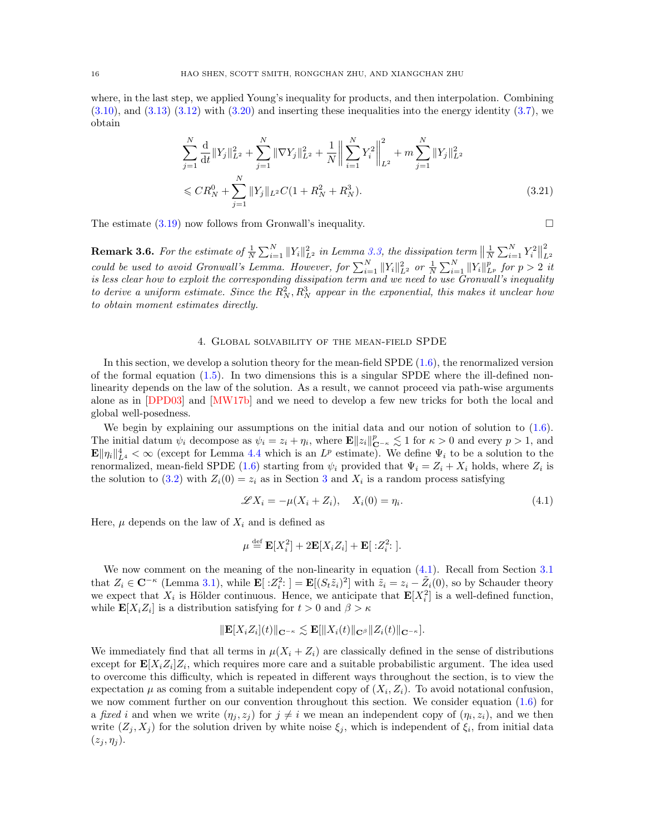where, in the last step, we applied Young's inequality for products, and then interpolation. Combining  $(3.10)$ , and  $(3.13)$   $(3.12)$  with  $(3.20)$  and inserting these inequalities into the energy identity  $(3.7)$ , we obtain

<span id="page-15-3"></span>
$$
\sum_{j=1}^{N} \frac{d}{dt} \|Y_j\|_{L^2}^2 + \sum_{j=1}^{N} \|\nabla Y_j\|_{L^2}^2 + \frac{1}{N} \left\| \sum_{i=1}^{N} Y_i^2 \right\|_{L^2}^2 + m \sum_{j=1}^{N} \|Y_j\|_{L^2}^2
$$
  

$$
\leq C R_N^0 + \sum_{j=1}^{N} \|Y_j\|_{L^2} C (1 + R_N^2 + R_N^3).
$$
 (3.21)

The estimate  $(3.19)$  now follows from Gronwall's inequality.

<span id="page-15-1"></span>**Remark 3.6.** For the estimate of  $\frac{1}{N} \sum_{i=1}^{N} ||Y_i||_{L^2}^2$  in Lemma [3.3,](#page-11-1) the dissipation term  $\left\| \frac{1}{N} \sum_{i=1}^{N} Y_i^2 \right\|$ 2  $L^2$ could be used to avoid Gronwall's Lemma. However, for  $\sum_{i=1}^{N} ||Y_i||_{L^2}^2$  or  $\frac{1}{N} \sum_{i=1}^{N} ||Y_i||_{L^p}^p$  for  $p > 2$  it is less clear how to exploit the corresponding dissipation term and we need to use Gronwall's inequality to derive a uniform estimate. Since the  $R_N^2, R_N^3$  appear in the exponential, this makes it unclear how to obtain moment estimates directly.

### 4. Global solvability of the mean-field SPDE

<span id="page-15-0"></span>In this section, we develop a solution theory for the mean-field SPDE [\(1.6\)](#page-2-0), the renormalized version of the formal equation  $(1.5)$ . In two dimensions this is a singular SPDE where the ill-defined nonlinearity depends on the law of the solution. As a result, we cannot proceed via path-wise arguments alone as in [\[DPD03\]](#page-58-0) and [\[MW17b\]](#page-59-0) and we need to develop a few new tricks for both the local and global well-posedness.

We begin by explaining our assumptions on the initial data and our notion of solution to  $(1.6)$ . The initial datum  $\psi_i$  decompose as  $\psi_i = z_i + \eta_i$ , where  $\mathbf{E} ||z_i||_{\mathbf{C}^{-\kappa}}^p \lesssim 1$  for  $\kappa > 0$  and every  $p > 1$ , and  $\mathbf{E} \|\eta_i\|_{L^4}^4 < \infty$  (except for Lemma [4.4](#page-19-0) which is an  $L^p$  estimate). We define  $\Psi_i$  to be a solution to the renormalized, mean-field SPDE [\(1.6\)](#page-2-0) starting from  $\psi_i$  provided that  $\Psi_i = Z_i + X_i$  holds, where  $Z_i$  is the solution to [\(3.2\)](#page-9-4) with  $Z_i(0) = z_i$  as in Section [3](#page-9-0) and  $X_i$  is a random process satisfying

<span id="page-15-2"></span>
$$
\mathscr{L}X_i = -\mu(X_i + Z_i), \quad X_i(0) = \eta_i. \tag{4.1}
$$

Here,  $\mu$  depends on the law of  $X_i$  and is defined as

$$
\mu \stackrel{\text{def}}{=} \mathbf{E}[X_i^2] + 2\mathbf{E}[X_i Z_i] + \mathbf{E}[X_i^2]
$$

We now comment on the meaning of the non-linearity in equation [\(4.1\)](#page-15-2). Recall from Section [3.1](#page-10-0) that  $Z_i \in \mathbb{C}^{-\kappa}$  (Lemma [3.1\)](#page-10-2), while  $\mathbb{E}[\,:\!Z_i^2\!:\;] = \mathbb{E}[(S_t\tilde{z}_i)^2]$  with  $\tilde{z}_i = z_i - \tilde{Z}_i(0)$ , so by Schauder theory we expect that  $X_i$  is Hölder continuous. Hence, we anticipate that  $\mathbf{E}[X_i^2]$  is a well-defined function, while  $\mathbf{E}[X_i Z_i]$  is a distribution satisfying for  $t > 0$  and  $\beta > \kappa$ 

$$
\|\mathbf{E}[X_iZ_i](t)\|_{\mathbf{C}^{-\kappa}} \lesssim \mathbf{E}[\|X_i(t)\|_{\mathbf{C}^{\beta}}\|Z_i(t)\|_{\mathbf{C}^{-\kappa}}].
$$

We immediately find that all terms in  $\mu(X_i + Z_i)$  are classically defined in the sense of distributions except for  $\mathbf{E}[X_i Z_i] Z_i$ , which requires more care and a suitable probabilistic argument. The idea used to overcome this difficulty, which is repeated in different ways throughout the section, is to view the expectation  $\mu$  as coming from a suitable independent copy of  $(X_i, Z_i)$ . To avoid notational confusion, we now comment further on our convention throughout this section. We consider equation [\(1.6\)](#page-2-0) for a fixed i and when we write  $(\eta_j, z_j)$  for  $j \neq i$  we mean an independent copy of  $(\eta_i, z_i)$ , and we then write  $(Z_j, X_j)$  for the solution driven by white noise  $\xi_j$ , which is independent of  $\xi_i$ , from initial data  $(z_j, \eta_j)$ .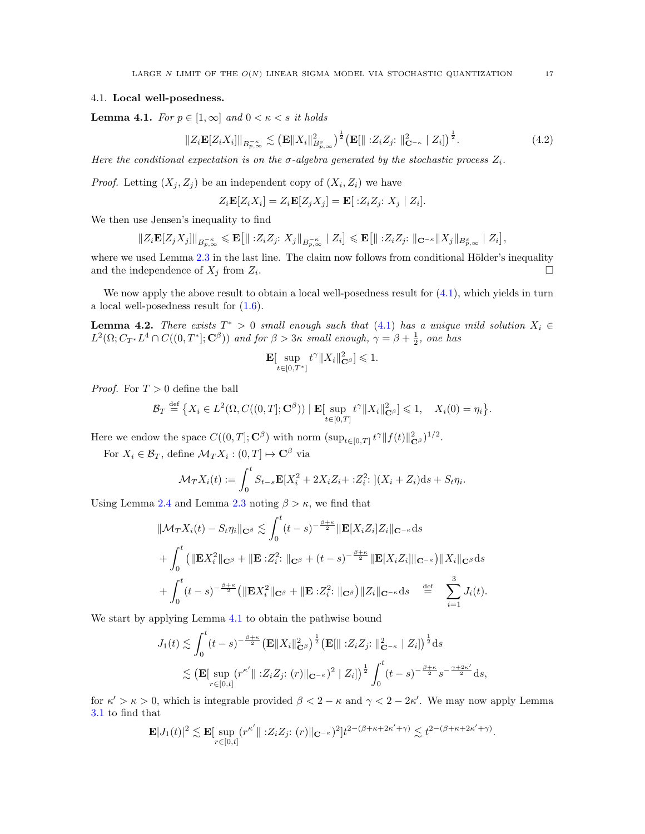## <span id="page-16-1"></span>4.1. Local well-posedness.

<span id="page-16-0"></span>**Lemma 4.1.** For  $p \in [1, \infty]$  and  $0 \leq \kappa \leq s$  it holds

$$
||Z_i \mathbf{E}[Z_i X_i]||_{B_{p,\infty}^{-\kappa}} \lesssim \left(\mathbf{E}||X_i||_{B_{p,\infty}^s}^2\right)^{\frac{1}{2}} \left(\mathbf{E}[\| :Z_i Z_j : \|_{\mathbf{C}^{-\kappa}}^2 | Z_i]\right)^{\frac{1}{2}}.
$$
 (4.2)

Here the conditional expectation is on the  $\sigma$ -algebra generated by the stochastic process  $Z_i$ .

*Proof.* Letting  $(X_j, Z_j)$  be an independent copy of  $(X_i, Z_i)$  we have

$$
Z_i \mathbf{E}[Z_i X_i] = Z_i \mathbf{E}[Z_j X_j] = \mathbf{E}[Z_i Z_j; X_j | Z_i].
$$

We then use Jensen's inequality to find

$$
||Z_i \mathbf{E}[Z_j X_j]||_{B_{p,\infty}^{-\kappa}} \leq \mathbf{E}[||: Z_i Z_j: X_j||_{B_{p,\infty}^{-\kappa}} |Z_i] \leq \mathbf{E}[||: Z_i Z_j: ||_{\mathbf{C}^{-\kappa}} ||X_j||_{B_{p,\infty}^s} |Z_i],
$$

where we used Lemma  $2.3$  in the last line. The claim now follows from conditional Hölder's inequality and the independence of  $X_j$  from  $Z_i$ . .

We now apply the above result to obtain a local well-posedness result for  $(4.1)$ , which yields in turn a local well-posedness result for [\(1.6\)](#page-2-0).

**Lemma 4.2.** There exists  $T^* > 0$  small enough such that [\(4.1\)](#page-15-2) has a unique mild solution  $X_i \in$  $L^2(\Omega; C_{T^*}L^4 \cap C((0,T^*];\mathbf{C}^\beta))$  and for  $\beta > 3\kappa$  small enough,  $\gamma = \beta + \frac{1}{2}$ , one has

$$
\mathbf{E}[\sup_{t\in[0,T^*]}t^{\gamma}\|X_i\|_{\mathbf{C}^{\beta}}^2]\leq 1.
$$

*Proof.* For  $T > 0$  define the ball

$$
\mathcal{B}_T \stackrel{\text{def}}{=} \big\{ X_i \in L^2(\Omega, C((0,T];\mathbf{C}^\beta)) \mid \mathbf{E}[\sup_{t \in [0,T]} t^\gamma \|X_i\|_{\mathbf{C}^\beta}^2] \leq 1, \quad X_i(0) = \eta_i \big\}.
$$

Here we endow the space  $C((0,T];\mathbf{C}^{\beta})$  with norm  $(\sup_{t\in[0,T]}t^{\gamma}\|f(t)\|_{\mathbf{C}^{\beta}}^2)^{1/2}$ .

For  $X_i \in \mathcal{B}_T$ , define  $\mathcal{M}_T X_i : (0,T] \mapsto \mathbf{C}^{\beta}$  via

$$
\mathcal{M}_T X_i(t) := \int_0^t S_{t-s} \mathbf{E}[X_i^2 + 2X_i Z_i + : Z_i^2] \cdot (X_i + Z_i) \, ds + S_t \eta_i.
$$

Using Lemma [2.4](#page-8-2) and Lemma [2.3](#page-8-0) noting  $\beta > \kappa$ , we find that

$$
\|\mathcal{M}_T X_i(t) - S_t \eta_i\|_{\mathbf{C}^{\beta}} \lesssim \int_0^t (t-s)^{-\frac{\beta+\kappa}{2}} \|\mathbf{E}[X_i Z_i] Z_i\|_{\mathbf{C}^{-\kappa}} ds + \int_0^t \left(\|\mathbf{E} X_i^2\|_{\mathbf{C}^{\beta}} + \|\mathbf{E} : Z_i^2: \|_{\mathbf{C}^{\beta}} + (t-s)^{-\frac{\beta+\kappa}{2}} \|\mathbf{E}[X_i Z_i]\|_{\mathbf{C}^{-\kappa}}\right) \|X_i\|_{\mathbf{C}^{\beta}} ds + \int_0^t (t-s)^{-\frac{\beta+\kappa}{2}} \left(\|\mathbf{E} X_i^2\|_{\mathbf{C}^{\beta}} + \|\mathbf{E} : Z_i^2: \|_{\mathbf{C}^{\beta}}\right) \|Z_i\|_{\mathbf{C}^{-\kappa}} ds \stackrel{\text{def}}{=} \sum_{i=1}^3 J_i(t).
$$

We start by applying Lemma [4.1](#page-16-0) to obtain the pathwise bound

$$
J_1(t) \lesssim \int_0^t (t-s)^{-\frac{\beta+\kappa}{2}} \left(\mathbf{E} \|X_i\|_{\mathbf{C}^{\beta}}^2\right)^{\frac{1}{2}} \left(\mathbf{E} [\| :Z_i Z_j : \|_{\mathbf{C}^{-\kappa}}^2 \ | \ Z_i ] \right)^{\frac{1}{2}} ds
$$
  
\$\lesssim \left(\mathbf{E} [\sup\_{r \in [0,t]} (r^{\kappa'} \| :Z\_i Z\_j : (r) \|\_{\mathbf{C}^{-\kappa}})^2 \ | \ Z\_i ] \right)^{\frac{1}{2}} \int\_0^t (t-s)^{-\frac{\beta+\kappa}{2}} s^{-\frac{\gamma+2\kappa'}{2}} ds,

for  $\kappa' > \kappa > 0$ , which is integrable provided  $\beta < 2 - \kappa$  and  $\gamma < 2 - 2\kappa'$ . We may now apply Lemma [3.1](#page-10-2) to find that

<span id="page-16-2"></span>
$$
\mathbf{E}|J_1(t)|^2 \lesssim \mathbf{E}[\sup_{r \in [0,t]} (r^{\kappa'} || 2iZ_j: (r) ||_{\mathbf{C}^{-\kappa}})^2] t^{2-(\beta+\kappa+2\kappa'+\gamma)} \lesssim t^{2-(\beta+\kappa+2\kappa'+\gamma)}.
$$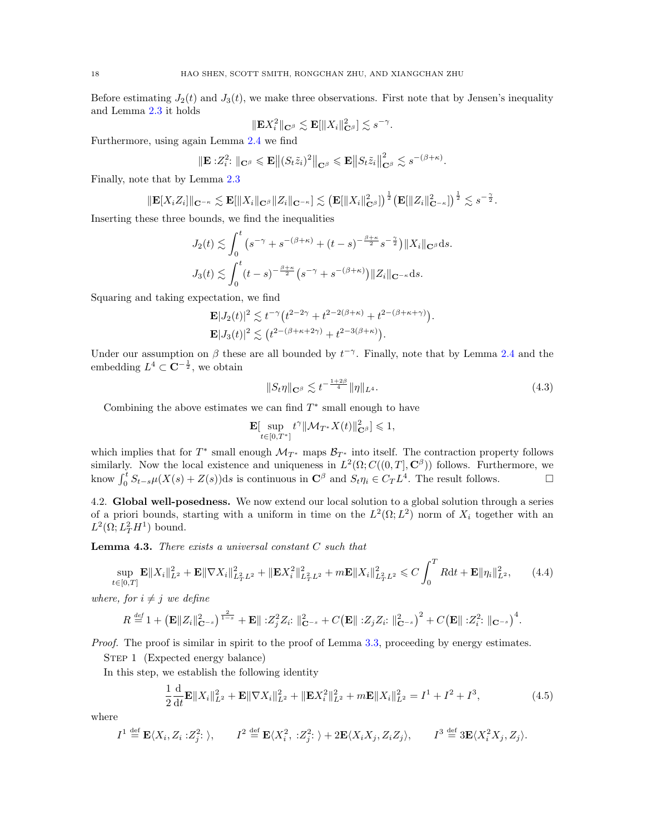Before estimating  $J_2(t)$  and  $J_3(t)$ , we make three observations. First note that by Jensen's inequality and Lemma [2.3](#page-8-0) it holds

$$
\|\mathbf{E} X_i^2\|_{\mathbf{C}^{\beta}} \lesssim \mathbf{E}[\|X_i\|_{\mathbf{C}^{\beta}}^2] \lesssim s^{-\gamma}.
$$

Furthermore, using again Lemma [2.4](#page-8-2) we find

$$
\|\mathbf{E}:Z_i^2\colon\|_{\mathbf{C}^{\beta}}\leqslant \mathbf{E}\big\|(S_t\tilde{z}_i)^2\big\|_{\mathbf{C}^{\beta}}\leqslant \mathbf{E}\big\|S_t\tilde{z}_i\big\|_{\mathbf{C}^{\beta}}^2\lesssim s^{-(\beta+\kappa)}.
$$

Finally, note that by Lemma [2.3](#page-8-0)

$$
\|\mathbf{E}[X_iZ_i]\|_{\mathbf{C}^{-\kappa}} \lesssim \mathbf{E}[\|X_i\|_{\mathbf{C}^{\beta}}\|Z_i\|_{\mathbf{C}^{-\kappa}}] \lesssim \left(\mathbf{E}[\|X_i\|_{\mathbf{C}^{\beta}}^2]\right)^{\frac{1}{2}} \left(\mathbf{E}[\|Z_i\|_{\mathbf{C}^{-\kappa}}^2]\right)^{\frac{1}{2}} \lesssim s^{-\frac{\gamma}{2}}.
$$

Inserting these three bounds, we find the inequalities

$$
J_2(t) \lesssim \int_0^t \left(s^{-\gamma} + s^{-(\beta+\kappa)} + (t-s)^{-\frac{\beta+\kappa}{2}} s^{-\frac{\gamma}{2}}\right) \|X_i\|_{\mathbf{C}^\beta} ds.
$$
  

$$
J_3(t) \lesssim \int_0^t (t-s)^{-\frac{\beta+\kappa}{2}} \left(s^{-\gamma} + s^{-(\beta+\kappa)}\right) \|Z_i\|_{\mathbf{C}^{-\kappa}} ds.
$$

Squaring and taking expectation, we find

$$
\mathbf{E}|J_2(t)|^2 \lesssim t^{-\gamma} \left(t^{2-2\gamma} + t^{2-2(\beta+\kappa)} + t^{2-(\beta+\kappa+\gamma)}\right).
$$
  

$$
\mathbf{E}|J_3(t)|^2 \lesssim \left(t^{2-(\beta+\kappa+2\gamma)} + t^{2-3(\beta+\kappa)}\right).
$$

Under our assumption on  $\beta$  these are all bounded by  $t^{-\gamma}$ . Finally, note that by Lemma [2.4](#page-8-2) and the embedding  $L^4 \subset \mathbf{C}^{-\frac{1}{2}}$ , we obtain

$$
||S_t \eta||_{\mathbf{C}^\beta} \lesssim t^{-\frac{1+2\beta}{4}} \|\eta\|_{L^4}.\tag{4.3}
$$

Combining the above estimates we can find  $T^*$  small enough to have

$$
\mathbf{E}[\sup_{t\in[0,T^*]}t^{\gamma}\|\mathcal{M}_{T^*}X(t)\|_{\mathbf{C}^{\beta}}^2]\leqslant 1,
$$

which implies that for  $T^*$  small enough  $\mathcal{M}_{T^*}$  maps  $\mathcal{B}_{T^*}$  into itself. The contraction property follows similarly. Now the local existence and uniqueness in  $L^2(\Omega; C((0,T], \mathbf{C}^\beta))$  follows. Furthermore, we know  $\int_0^t S_{t-s}\mu(X(s) + Z(s))ds$  is continuous in  $\mathbb{C}^{\beta}$  and  $S_t\eta_i \in C_TL^4$ . The result follows.

<span id="page-17-1"></span>4.2. Global well-posedness. We now extend our local solution to a global solution through a series of a priori bounds, starting with a uniform in time on the  $L^2(\Omega; L^2)$  norm of  $X_i$  together with an  $L^2(\Omega; L^2_T H^1)$  bound.

<span id="page-17-0"></span>**Lemma 4.3.** There exists a universal constant  $C$  such that

$$
\sup_{t \in [0,T]} \mathbf{E} \|X_i\|_{L^2}^2 + \mathbf{E} \|\nabla X_i\|_{L^2_T L^2}^2 + \|\mathbf{E} X_i^2\|_{L^2_T L^2}^2 + m \mathbf{E} \|X_i\|_{L^2_T L^2}^2 \leq C \int_0^T R \mathrm{d} t + \mathbf{E} \|\eta_i\|_{L^2}^2, \tag{4.4}
$$

where, for  $i \neq j$  we define

$$
R \stackrel{\text{def}}{=} 1 + \left(\mathbf{E} \|Z_i\|_{\mathbf{C}^{-s}}^2\right)^{\frac{2}{1-s}} + \mathbf{E} \| :Z_j^2 Z_i : \|_{\mathbf{C}^{-s}}^2 + C \left(\mathbf{E} \| :Z_j Z_i : \|_{\mathbf{C}^{-s}}^2\right)^2 + C \left(\mathbf{E} \| :Z_i^2 : \|_{\mathbf{C}^{-s}}\right)^4.
$$

Proof. The proof is similar in spirit to the proof of Lemma [3.3,](#page-11-1) proceeding by energy estimates.

STEP 1 (Expected energy balance)

In this step, we establish the following identity

<span id="page-17-2"></span>
$$
\frac{1}{2}\frac{\mathrm{d}}{\mathrm{d}t}\mathbf{E}\|X_i\|_{L^2}^2 + \mathbf{E}\|\nabla X_i\|_{L^2}^2 + \|\mathbf{E}X_i^2\|_{L^2}^2 + m\mathbf{E}\|X_i\|_{L^2}^2 = I^1 + I^2 + I^3,\tag{4.5}
$$

where

$$
I^{1} \stackrel{\text{def}}{=} \mathbf{E}\langle X_{i}, Z_{i}: Z_{j}^{2}: \rangle, \qquad I^{2} \stackrel{\text{def}}{=} \mathbf{E}\langle X_{i}^{2}, :Z_{j}^{2}: \rangle + 2\mathbf{E}\langle X_{i}X_{j}, Z_{i}Z_{j} \rangle, \qquad I^{3} \stackrel{\text{def}}{=} 3\mathbf{E}\langle X_{i}^{2}X_{j}, Z_{j} \rangle.
$$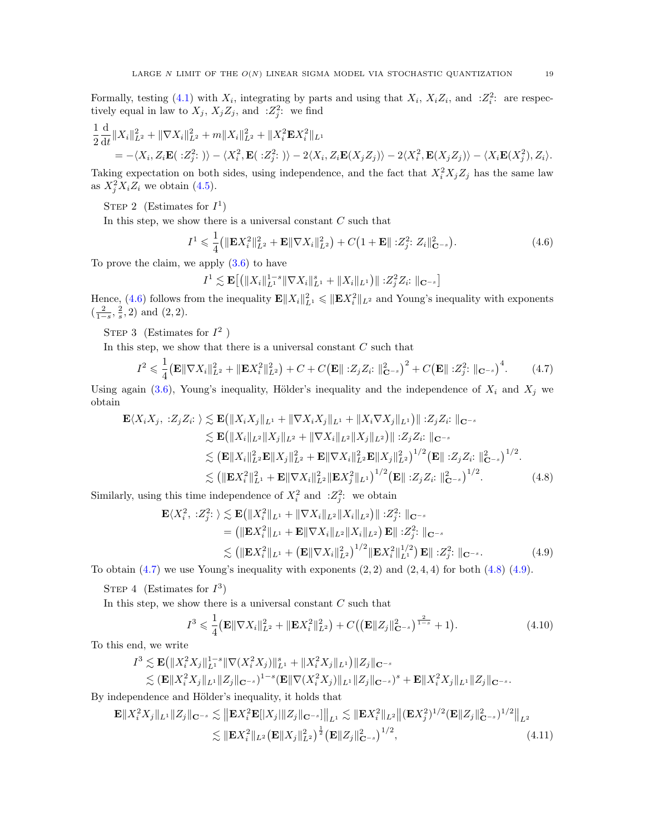Formally, testing [\(4.1\)](#page-15-2) with  $X_i$ , integrating by parts and using that  $X_i$ ,  $X_iZ_i$ , and  $Z_i^2$ : are respectively equal in law to  $X_j$ ,  $X_j Z_j$ , and  $:Z_j^2$ : we find

$$
\frac{1}{2}\frac{\mathrm{d}}{\mathrm{d}t}||X_i||_{L^2}^2 + ||\nabla X_i||_{L^2}^2 + m||X_i||_{L^2}^2 + ||X_i^2 \mathbf{E} X_i^2||_{L^1} \n= -\langle X_i, Z_i \mathbf{E}(.Z_j^2: \rangle\rangle - \langle X_i^2, \mathbf{E}(.Z_j^2: \rangle\rangle - 2\langle X_i, Z_i \mathbf{E}(X_j Z_j) \rangle - 2\langle X_i^2, \mathbf{E}(X_j Z_j) \rangle - \langle X_i \mathbf{E}(X_j^2), Z_i \rangle.
$$

Taking expectation on both sides, using independence, and the fact that  $X_i^2 X_j Z_j$  has the same law as  $X_j^2 X_i Z_i$  we obtain [\(4.5\)](#page-17-2).

STEP 2 (Estimates for  $I^1$ )

In this step, we show there is a universal constant  $C$  such that

<span id="page-18-0"></span>
$$
I^{1} \leqslant \frac{1}{4} \left( \|\mathbf{E} X_{i}^{2}\|_{L^{2}}^{2} + \mathbf{E} \|\nabla X_{i}\|_{L^{2}}^{2} \right) + C \left( 1 + \mathbf{E} \|\, \cdot Z_{j}^{2} \cdot Z_{i}\|_{\mathbf{C}^{-s}}^{2} \right). \tag{4.6}
$$

To prove the claim, we apply [\(3.6\)](#page-11-3) to have

<span id="page-18-1"></span>
$$
I^{1} \lesssim \mathbf{E}\big[\big(\|X_{i}\|_{L^{1}}^{1-s}\|\nabla X_{i}\|_{L^{1}}^{s}+\|X_{i}\|_{L^{1}}\big)\|\;.\mathbf{Z}_{j}^{2}\mathbf{Z}_{i}\;\|_{\mathbf{C}^{-s}}\big]
$$

Hence, [\(4.6\)](#page-18-0) follows from the inequality  $\mathbf{E} ||X_i||_{L^1}^2 \leqslant ||\mathbf{E} X_i^2||_{L^2}$  and Young's inequality with exponents  $\left(\frac{2}{1-s}, \frac{2}{s}, 2\right)$  and  $(2, 2)$ .

STEP 3 (Estimates for  $I^2$ )

In this step, we show that there is a universal constant  $C$  such that

$$
I^{2} \leq \frac{1}{4} \left( \mathbf{E} \|\nabla X_{i}\|_{L^{2}}^{2} + \|\mathbf{E} X_{i}^{2}\|_{L^{2}}^{2} \right) + C + C \left( \mathbf{E} \|\, :Z_{j} Z_{i}: \,\|_{\mathbf{C}^{-s}}^{2} \right)^{2} + C \left( \mathbf{E} \|\, :Z_{j}^{2}: \,\|_{\mathbf{C}^{-s}} \right)^{4}.
$$

Using again [\(3.6\)](#page-11-3), Young's inequality, Hölder's inequality and the independence of  $X_i$  and  $X_j$  we obtain

$$
\mathbf{E}\langle X_i X_j, :Z_j Z_i : \rangle \lesssim \mathbf{E}\left(\|X_i X_j\|_{L^1} + \|\nabla X_i X_j\|_{L^1} + \|X_i \nabla X_j\|_{L^1}\right) \|\; :Z_j Z_i : \; \|_{\mathbf{C}^{-s}}\leq \mathbf{E}\left(\|X_i\|_{L^2} \|X_j\|_{L^2} + \|\nabla X_i\|_{L^2} \|X_j\|_{L^2}\right) \|\; :Z_j Z_i : \; \|_{\mathbf{C}^{-s}}\leq (\mathbf{E}\|X_i\|_{L^2}^2 \mathbf{E}\|X_j\|_{L^2}^2 + \mathbf{E}\|\nabla X_i\|_{L^2}^2 \mathbf{E}\|X_j\|_{L^2}^2)^{1/2} (\mathbf{E}\| \; :Z_j Z_i : \; \|_{\mathbf{C}^{-s}}^2)^{1/2}\leq (\|\mathbf{E}X_i^2\|_{L^1}^2 + \mathbf{E}\|\nabla X_i\|_{L^2}^2 \|\mathbf{E}X_j^2\|_{L^1})^{1/2} (\mathbf{E}\| \; :Z_j Z_i : \; \|_{\mathbf{C}^{-s}}^2)^{1/2}.
$$
\n(4.8)

Similarly, using this time independence of  $X_i^2$  and  $:Z_j^2$ : we obtain

$$
\mathbf{E}\langle X_i^2, :Z_j^2: \rangle \lesssim \mathbf{E}\big(\|X_i^2\|_{L^1} + \|\nabla X_i\|_{L^2}\|X_i\|_{L^2}\big) \| :Z_j^2: \|_{\mathbf{C}^{-s}} = (\|\mathbf{E}X_i^2\|_{L^1} + \mathbf{E}\|\nabla X_i\|_{L^2}\|X_i\|_{L^2}) \mathbf{E}\| :Z_j^2: \|_{\mathbf{C}^{-s}} \lesssim (\|\mathbf{E}X_i^2\|_{L^1} + (\mathbf{E}\|\nabla X_i\|_{L^2}^2)^{1/2}\|\mathbf{E}X_i^2\|_{L^1}^{1/2}) \mathbf{E}\| :Z_j^2: \|_{\mathbf{C}^{-s}}.
$$
 (4.9)

To obtain  $(4.7)$  we use Young's inequality with exponents  $(2, 2)$  and  $(2, 4, 4)$  for both  $(4.8)$   $(4.9)$ .

STEP 4 (Estimates for  $I^3$ )

In this step, we show there is a universal constant  $C$  such that

<span id="page-18-4"></span><span id="page-18-3"></span><span id="page-18-2"></span>
$$
I^3 \leq \frac{1}{4} \left( \mathbf{E} \|\nabla X_i\|_{L^2}^2 + \|\mathbf{E} X_i^2\|_{L^2}^2 \right) + C \left( \left( \mathbf{E} \|Z_j\|_{\mathbf{C}^{-s}}^2 \right)^{\frac{2}{1-s}} + 1 \right). \tag{4.10}
$$

To this end, we write

$$
I^3 \lesssim \mathbf{E} \left( \|X_i^2 X_j\|_{L^1}^{1-s} \|\nabla (X_i^2 X_j)\|_{L^1}^s + \|X_i^2 X_j\|_{L^1} \right) \|Z_j\|_{\mathbf{C}^{-s}} \lesssim (\mathbf{E} \|X_i^2 X_j\|_{L^1} \|Z_j\|_{\mathbf{C}^{-s}})^{1-s} (\mathbf{E} \|\nabla (X_i^2 X_j)\|_{L^1} \|Z_j\|_{\mathbf{C}^{-s}})^s + \mathbf{E} \|X_i^2 X_j\|_{L^1} \|Z_j\|_{\mathbf{C}^{-s}}.
$$

By independence and Hölder's inequality, it holds that

$$
\mathbf{E} \| X_i^2 X_j \|_{L^1} \| Z_j \|_{\mathbf{C}^{-s}} \lesssim \| \mathbf{E} X_i^2 \mathbf{E} [ \| X_j \| \| Z_j \|_{\mathbf{C}^{-s}} ] \|_{L^1} \lesssim \| \mathbf{E} X_i^2 \|_{L^2} \| (\mathbf{E} X_j^2)^{1/2} (\mathbf{E} \| Z_j \|_{\mathbf{C}^{-s}}^2)^{1/2} \|_{L^2}
$$
  

$$
\lesssim \| \mathbf{E} X_i^2 \|_{L^2} (\mathbf{E} \| X_j \|_{L^2}^2)^{\frac{1}{2}} (\mathbf{E} \| Z_j \|_{\mathbf{C}^{-s}}^2)^{1/2}, \tag{4.11}
$$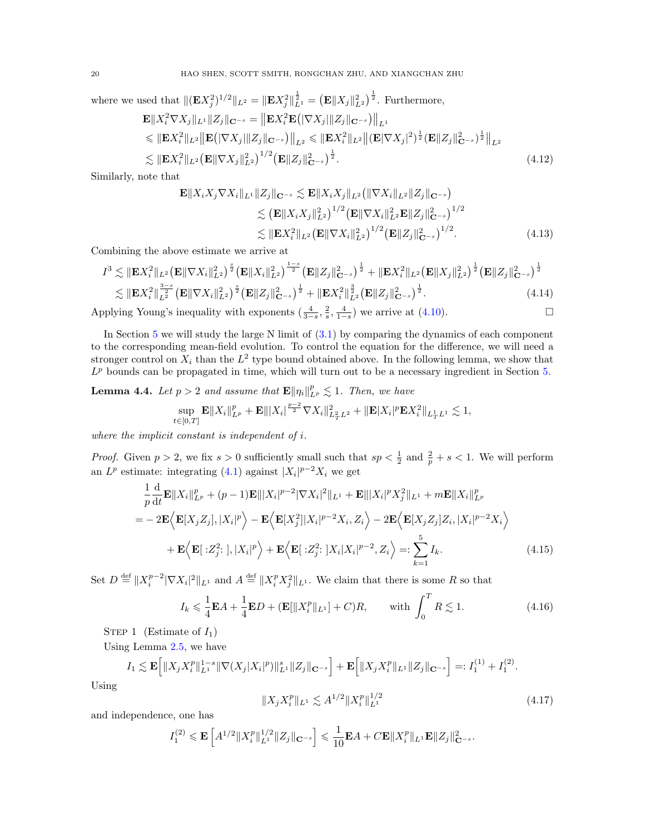where we used that  $\|(\mathbf{E} X_j^2)^{1/2}\|_{L^2} = \|\mathbf{E} X_j^2\|_{L^1}^{\frac{1}{2}} = (\mathbf{E} \| X_j \|_{L^2}^2)^{\frac{1}{2}}$ . Furthermore,

$$
\mathbf{E} \| X_i^2 \nabla X_j \|_{L^1} \| Z_j \|_{\mathbf{C}^{-s}} = \| \mathbf{E} X_i^2 \mathbf{E} \left( \|\nabla X_j\| \| Z_j \|_{\mathbf{C}^{-s}} \right) \right\|_{L^1} \n\leq \| \mathbf{E} X_i^2 \|_{L^2} \| \mathbf{E} \left( \|\nabla X_j\| \| Z_j \|_{\mathbf{C}^{-s}} \right) \right\|_{L^2} \leq \| \mathbf{E} X_i^2 \|_{L^2} \| (\mathbf{E} |\nabla X_j|^2)^{\frac{1}{2}} (\mathbf{E} \| Z_j \|_{\mathbf{C}^{-s}}^2)^{\frac{1}{2}} \Big\|_{L^2} \n\lesssim \| \mathbf{E} X_i^2 \|_{L^2} (\mathbf{E} \|\nabla X_j \|_{L^2}^2)^{1/2} (\mathbf{E} \| Z_j \|_{\mathbf{C}^{-s}}^2)^{\frac{1}{2}}.
$$
\n(4.12)

Similarly, note that

<span id="page-19-4"></span>
$$
\mathbf{E} \| X_i X_j \nabla X_i \|_{L^1} \| Z_j \|_{\mathbf{C}^{-s}} \lesssim \mathbf{E} \| X_i X_j \|_{L^2} \left( \| \nabla X_i \|_{L^2} \| Z_j \|_{\mathbf{C}^{-s}} \right)
$$
  
\n
$$
\lesssim \left( \mathbf{E} \| X_i X_j \|_{L^2}^2 \right)^{1/2} \left( \mathbf{E} \| \nabla X_i \|_{L^2}^2 \mathbf{E} \| Z_j \|_{\mathbf{C}^{-s}}^2 \right)^{1/2}
$$
  
\n
$$
\lesssim \| \mathbf{E} X_i^2 \|_{L^2} \left( \mathbf{E} \| \nabla X_i \|_{L^2}^2 \right)^{1/2} \left( \mathbf{E} \| Z_j \|_{\mathbf{C}^{-s}}^2 \right)^{1/2} . \tag{4.13}
$$

Combining the above estimate we arrive at

$$
I^3 \lesssim \|\mathbf{E}X_i^2\|_{L^2} \left(\mathbf{E} \|\nabla X_i\|_{L^2}^2\right)^{\frac{s}{2}} \left(\mathbf{E} \|X_i\|_{L^2}^2\right)^{\frac{1-s}{2}} \left(\mathbf{E} \|Z_j\|_{\mathbf{C}^{-s}}^2\right)^{\frac{1}{2}} + \|\mathbf{E}X_i^2\|_{L^2} \left(\mathbf{E} \|X_j\|_{L^2}^2\right)^{\frac{1}{2}} \left(\mathbf{E} \|Z_j\|_{\mathbf{C}^{-s}}^2\right)^{\frac{1}{2}} \lesssim \|\mathbf{E}X_i^2\|_{L^2}^{\frac{3-s}{2}} \left(\mathbf{E} \|\nabla X_i\|_{L^2}^2\right)^{\frac{s}{2}} \left(\mathbf{E} \|Z_j\|_{\mathbf{C}^{-s}}^2\right)^{\frac{1}{2}} + \|\mathbf{E}X_i^2\|_{L^2}^{\frac{3}{2}} \left(\mathbf{E} \|Z_j\|_{\mathbf{C}^{-s}}^2\right)^{\frac{1}{2}}.
$$
\n(4.14)

Applying Young's inequality with exponents  $\left(\frac{4}{3-s}, \frac{2}{s}, \frac{4}{1-s}\right)$  we arrive at  $(4.10)$ .

In Section [5](#page-23-0) we will study the large N limit of  $(3.1)$  by comparing the dynamics of each component to the corresponding mean-field evolution. To control the equation for the difference, we will need a stronger control on  $X_i$  than the  $L^2$  type bound obtained above. In the following lemma, we show that  $L^p$  bounds can be propagated in time, which will turn out to be a necessary ingredient in Section [5.](#page-23-0)

<span id="page-19-0"></span>**Lemma 4.4.** Let  $p > 2$  and assume that  $\mathbf{E} \|\eta_i\|_{L^p}^p \lesssim 1$ . Then, we have

$$
\sup_{t\in[0,T]}\mathbf{E}\|X_i\|_{L^p}^p+\mathbf{E}\|X_i|^{\frac{p-2}{2}}\nabla X_i\|_{L^2_TL^2}^2+\|\mathbf{E}|X_i|^p\mathbf{E}X_i^2\|_{L^1_TL^1}\lesssim 1,
$$

where the implicit constant is independent of i.

*Proof.* Given  $p > 2$ , we fix  $s > 0$  sufficiently small such that  $sp < \frac{1}{2}$  and  $\frac{2}{p} + s < 1$ . We will perform an  $L^p$  estimate: integrating [\(4.1\)](#page-15-2) against  $|X_i|^{p-2}X_i$  we get

$$
\frac{1}{p}\frac{\mathrm{d}}{\mathrm{d}t}\mathbf{E}\|X_i\|_{L^p}^p + (p-1)\mathbf{E}\|X_i|^{p-2}|\nabla X_i|^2\|_{L^1} + \mathbf{E}\|X_i|^p X_j^2\|_{L^1} + m\mathbf{E}\|X_i\|_{L^p}^p
$$
\n
$$
= -2\mathbf{E}\left\langle \mathbf{E}[X_j Z_j], |X_i|^p \right\rangle - \mathbf{E}\left\langle \mathbf{E}[X_j^2]|X_i|^{p-2}X_i, Z_i \right\rangle - 2\mathbf{E}\left\langle \mathbf{E}[X_j Z_j]Z_i, |X_i|^{p-2}X_i \right\rangle
$$
\n
$$
+ \mathbf{E}\left\langle \mathbf{E}[\cdot Z_j^2;], |X_i|^p \right\rangle + \mathbf{E}\left\langle \mathbf{E}[\cdot Z_j^2;]X_i|X_i|^{p-2}, Z_i \right\rangle =: \sum_{k=1}^5 I_k. \tag{4.15}
$$

Set  $D \stackrel{\text{def}}{=} ||X_i^{p-2}|\nabla X_i|^2||_{L^1}$  and  $A \stackrel{\text{def}}{=} ||X_i^p X_j^2||_{L^1}$ . We claim that there is some R so that

$$
I_k \leq \frac{1}{4} \mathbf{E} A + \frac{1}{4} \mathbf{E} D + (\mathbf{E} [\|X_i^p\|_{L^1}] + C)R, \quad \text{with } \int_0^T R \lesssim 1.
$$
 (4.16)

STEP 1 (Estimate of  $I_1$ )

Using Lemma [2.5,](#page-8-1) we have

$$
I_1 \lesssim \mathbf{E}\Big[\|X_jX_i^p\|_{L^1}^{1-s}\|\nabla(X_j|X_i|^p)\|_{L^1}^s\|Z_j\|_{\mathbf{C}^{-s}}\Big] + \mathbf{E}\Big[\|X_jX_i^p\|_{L^1}\|Z_j\|_{\mathbf{C}^{-s}}\Big] =: I_1^{(1)} + I_1^{(2)}.
$$

Using

<span id="page-19-3"></span><span id="page-19-2"></span><span id="page-19-1"></span>
$$
||X_j X_i^p||_{L^1} \lesssim A^{1/2} ||X_i^p||_{L^1}^{1/2}
$$
\n(4.17)

and independence, one has

$$
I_1^{(2)} \leqslant \mathbf{E}\left[A^{1/2} \|X_i^p\|_{L^1}^{1/2} \|Z_j\|_{\mathbf{C}^{-s}}\right] \leqslant \frac{1}{10} \mathbf{E} A + C \mathbf{E} \|X_i^p\|_{L^1} \mathbf{E} \|Z_j\|_{\mathbf{C}^{-s}}^2.
$$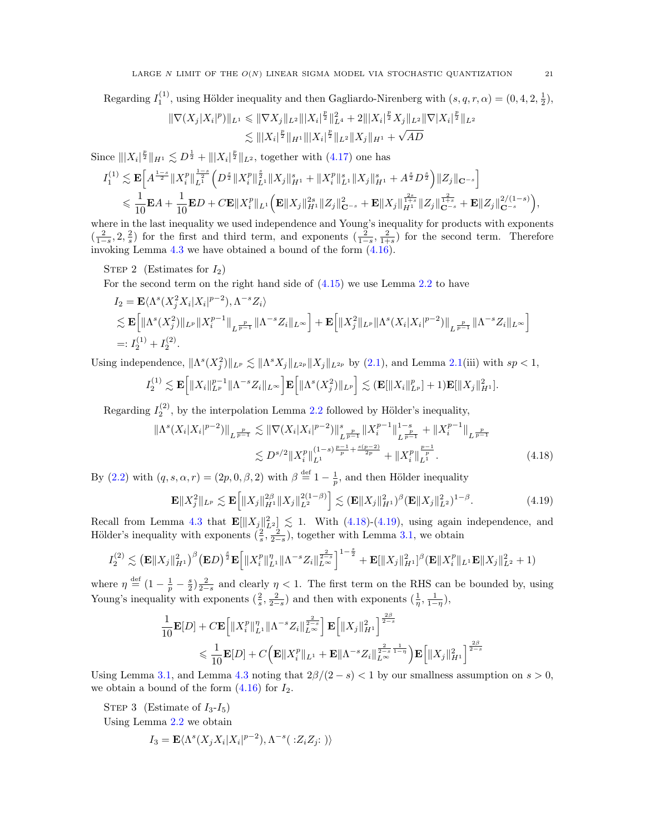Regarding  $I_1^{(1)}$ , using Hölder inequality and then Gagliardo-Nirenberg with  $(s, q, r, \alpha) = (0, 4, 2, \frac{1}{2}),$ 

$$
\begin{aligned} \|\nabla(X_j|X_i|^p)\|_{L^1} &\leqslant \|\nabla X_j\|_{L^2} \||X_i|^{\frac{p}{2}}\|_{L^4}^2 + 2|||X_i|^{\frac{p}{2}}X_j\|_{L^2} \|\nabla |X_i|^{\frac{p}{2}}\|_{L^2} \\ &\lesssim \||X_i|^{\frac{p}{2}}\|_{H^1} \||X_i|^{\frac{p}{2}}\|_{L^2} \|X_j\|_{H^1} + \sqrt{AD} \end{aligned}
$$

Since  $||X_i|^{\frac{p}{2}}||_{H^1} \lesssim D^{\frac{1}{2}} + |||X_i|^{\frac{p}{2}}||_{L^2}$ , together with [\(4.17\)](#page-19-1) one has

$$
\begin{split} I_{1}^{(1)} &\lesssim \mathbf{E}\Big[A^{\frac{1-s}{2}}\|X_{i}^{p}\|_{L^{1}}^{\frac{1-s}{2}}\Big(D^{\frac{s}{2}}\|X_{i}^{p}\|_{L^{1}}^{\frac{s}{2}}\|X_{j}\|_{H^{1}}^{s}+\|X_{i}^{p}\|_{L^{1}}^{s}\|X_{j}\|_{H^{1}}^{s}+A^{\frac{s}{2}}D^{\frac{s}{2}}\Big)\|Z_{j}\|_{\mathbf{C}^{-s}}\Big] \\ &\leqslant \frac{1}{10}\mathbf{E}A+\frac{1}{10}\mathbf{E}D+C\mathbf{E}\|X_{i}^{p}\|_{L^{1}}\Big(\mathbf{E}\|X_{j}\|_{H^{1}}^{2s}\|Z_{j}\|_{\mathbf{C}^{-s}}^{2}+\mathbf{E}\|X_{j}\|_{H^{1}}^{\frac{2s}{1+s}}\|Z_{j}\|_{\mathbf{C}^{-s}}^{\frac{2}{1+s}}+\mathbf{E}\|Z_{j}\|_{\mathbf{C}^{-s}}^{2/(1-s)}\Big),\end{split}
$$

where in the last inequality we used independence and Young's inequality for products with exponents  $\left(\frac{2}{1-s}, 2, \frac{2}{s}\right)$  for the first and third term, and exponents  $\left(\frac{2}{1-s}, \frac{2}{1+s}\right)$  for the second term. Therefore invoking Lemma [4.3](#page-17-0) we have obtained a bound of the form [\(4.16\)](#page-19-2).

STEP 2 (Estimates for  $I_2$ )

For the second term on the right hand side of  $(4.15)$  we use Lemma [2.2](#page-8-3) to have

$$
I_2 = \mathbf{E} \langle \Lambda^s(X_j^2 X_i | X_i |^{p-2}), \Lambda^{-s} Z_i \rangle
$$
  
\$\lesssim \mathbf{E} \Big[ \| \Lambda^s(X\_j^2) \|\_{L^p} \| X\_i^{p-1} \|\_{L^{\frac{p}{p-1}}} \| \Lambda^{-s} Z\_i \|\_{L^\infty} \Big] + \mathbf{E} \Big[ \| X\_j^2 \|\_{L^p} \| \Lambda^s(X\_i | X\_i |^{p-2}) \|\_{L^{\frac{p}{p-1}}} \| \Lambda^{-s} Z\_i \|\_{L^\infty} \Big] \newline =: I\_2^{(1)} + I\_2^{(2)}.

Using independence,  $\|\Lambda^s(X_j^2)\|_{L^p} \lesssim \|\Lambda^s X_j\|_{L^{2p}}\|X_j\|_{L^{2p}}$  by [\(2.1\)](#page-8-4), and Lemma [2.1\(](#page-8-5)iii) with  $sp < 1$ ,

$$
I_2^{(1)} \lesssim \mathbf{E}\Big[\|X_i\|_{L^p}^{p-1}\|\Lambda^{-s}Z_i\|_{L^\infty}\Big] \mathbf{E}\Big[\|\Lambda^s(X_j^2)\|_{L^p}\Big] \lesssim (\mathbf{E}[\|X_i\|_{L^p}^p]+1)\mathbf{E}[\|X_j\|_{H^1}^2].
$$

Regarding  $I_2^{(2)}$ , by the interpolation Lemma [2.2](#page-8-3) followed by Hölder's inequality,

$$
\|\Lambda^{s}(X_{i}|X_{i}|^{p-2})\|_{L^{\frac{p}{p-1}}} \lesssim \|\nabla(X_{i}|X_{i}|^{p-2})\|_{L^{\frac{p}{p-1}}}^{s} \|X_{i}^{p-1}\|_{L^{\frac{p}{p-1}}}^{1-s} + \|X_{i}^{p-1}\|_{L^{\frac{p}{p-1}}}^{1-s}
$$

$$
\lesssim D^{s/2} \|X_{i}^{p}\|_{L^{1}}^{(1-s)\frac{p-1}{p} + \frac{s(p-2)}{2p}} + \|X_{i}^{p}\|_{L^{\frac{p}{p}}}^{1-s} . \tag{4.18}
$$

By [\(2.2\)](#page-8-6) with  $(q, s, \alpha, r) = (2p, 0, \beta, 2)$  with  $\beta \stackrel{\text{def}}{=} 1 - \frac{1}{p}$ , and then Hölder inequality

<span id="page-20-1"></span><span id="page-20-0"></span>
$$
\mathbf{E} \|X_j^2\|_{L^p} \lesssim \mathbf{E} \Big[ \|X_j\|_{H^1}^{2\beta} \|X_j\|_{L^2}^{2(1-\beta)} \Big] \lesssim (\mathbf{E} \|X_j\|_{H^1}^2)^{\beta} (\mathbf{E} \|X_j\|_{L^2}^2)^{1-\beta}.
$$
 (4.19)

Recall from Lemma [4.3](#page-17-0) that  $\mathbf{E}[\|X_j\|_{L^2}^2] \lesssim 1$ . With [\(4.18\)](#page-20-0)-[\(4.19\)](#page-20-1), using again independence, and Hölder's inequality with exponents  $(\frac{2}{s}, \frac{2}{2-s})$ , together with Lemma [3.1,](#page-10-2) we obtain

$$
I_2^{(2)} \lesssim \left(\mathbf{E} \|X_j\|_{H^1}^2\right)^\beta \left(\mathbf{E} D\right)^{\frac{s}{2}} \mathbf{E} \Big[\|X_i^p\|_{L^1}^\eta \|\Lambda^{-s} Z_i\|_{L^\infty}^{\frac{2}{2-s}}\Big]^{1-\frac{s}{2}} + \mathbf{E} [\|X_j\|_{H^1}^2]^\beta \left(\mathbf{E} \|X_i^p\|_{L^1} \mathbf{E} \|X_j\|_{L^2}^2 + 1\right)
$$

where  $\eta \stackrel{\text{def}}{=} (1 - \frac{1}{p} - \frac{s}{2}) \frac{2}{2-s}$  and clearly  $\eta < 1$ . The first term on the RHS can be bounded by, using Young's inequality with exponents  $(\frac{2}{s}, \frac{2}{2-s})$  and then with exponents  $(\frac{1}{\eta}, \frac{1}{1-\eta})$ ,

$$
\frac{1}{10}\mathbf{E}[D] + C\mathbf{E}\left[\|X_i^p\|_{L^1}^{\eta}\|\Lambda^{-s}Z_i\|_{L^{\infty}}^{\frac{2}{2-s}}\right]\mathbf{E}\left[\|X_j\|_{H^1}^2\right]^{\frac{2\beta}{2-s}}\\ \leqslant \frac{1}{10}\mathbf{E}[D] + C\Big(\mathbf{E}\|X_i^p\|_{L^1} + \mathbf{E}\|\Lambda^{-s}Z_i\|_{L^{\infty}}^{\frac{2}{2-s}\frac{1}{1-\eta}}\Big)\mathbf{E}\Big[\|X_j\|_{H^1}^2\Big]^{\frac{2\beta}{2-s}}\end{aligned}
$$

Using Lemma [3.1,](#page-10-2) and Lemma [4.3](#page-17-0) noting that  $2\beta/(2-s) < 1$  by our smallness assumption on  $s > 0$ , we obtain a bound of the form  $(4.16)$  for  $I_2$ .

STEP 3 (Estimate of  $I_3-I_5$ )

Using Lemma [2.2](#page-8-3) we obtain

$$
I_3 = \mathbf{E} \langle \Lambda^s(X_j X_i | X_i |^{p-2}), \Lambda^{-s}(\cdot : Z_i Z_j; \cdot) \rangle
$$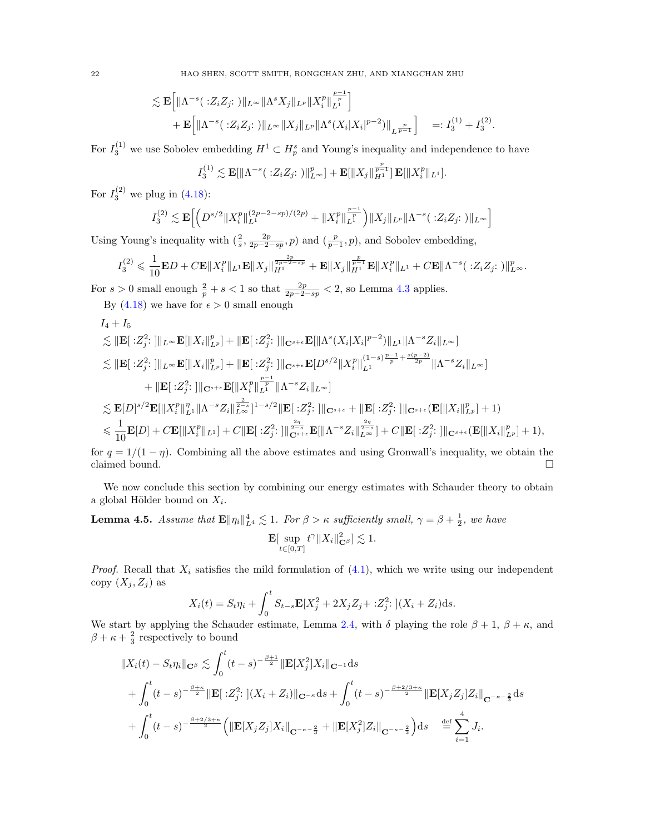$$
\lesssim \mathbf{E}\Big[\|\Lambda^{-s}(\cdot Z_i Z_j:\cdot\|_{L^\infty}\|\Lambda^s X_j\|_{L^p}\|X_i^p\|_{L^1}^{\frac{p-1}{p}}\Big] \n+ \mathbf{E}\Big[\|\Lambda^{-s}(\cdot Z_i Z_j:\cdot\|_{L^\infty}\|X_j\|_{L^p}\|\Lambda^s(X_i|X_i|^{p-2})\|_{L^{\frac{p}{p-1}}}\Big] =: I_3^{(1)} + I_3^{(2)}.
$$

For  $I_3^{(1)}$  we use Sobolev embedding  $H^1 \subset H_p^s$  and Young's inequality and independence to have

$$
I_3^{(1)} \lesssim \mathbf{E}[\|\Lambda^{-s}(\cdot; Z_i Z_j; \cdot)\|_{L^{\infty}}^p] + \mathbf{E}[\|X_j\|_{H^1}^{\frac{p}{p-1}}] \mathbf{E}[\|X_i^p\|_{L^1}].
$$

For  $I_3^{(2)}$  we plug in [\(4.18\)](#page-20-0):

$$
I_3^{(2)} \lesssim \mathbf{E} \Big[ \Big( D^{s/2} \| X_i^p \|_{L^1}^{(2p-2-sp)/(2p)} + \| X_i^p \|_{L^1}^{\frac{p-1}{p}} \Big) \| X_j \|_{L^p} \| \Lambda^{-s} (\; : Z_i Z_j; \; ) \|_{L^\infty} \Big]
$$

Using Young's inequality with  $(\frac{2}{s}, \frac{2p}{2p-2-sp}, p)$  and  $(\frac{p}{p-1}, p)$ , and Sobolev embedding,

$$
I_3^{(2)} \leqslant \frac{1}{10} \mathbf{E} D + C \mathbf{E} \|X_i^p\|_{L^1} \mathbf{E} \|X_j\|_{H^1}^{\frac{2p}{2p-2-sp}} + \mathbf{E} \|X_j\|_{H^1}^{\frac{p}{p-1}} \mathbf{E} \|X_i^p\|_{L^1} + C \mathbf{E} \|\Lambda^{-s}(\cdot; Z_i Z_j; \cdot)\|_{L^\infty}^p.
$$

For  $s > 0$  small enough  $\frac{2}{p} + s < 1$  so that  $\frac{2p}{2p-2-sp} < 2$ , so Lemma [4.3](#page-17-0) applies.

By [\(4.18\)](#page-20-0) we have for  $\epsilon > 0$  small enough

$$
I_{4} + I_{5}
$$
\n
$$
\lesssim ||\mathbf{E}|| \leq |Z_{j}^{2}:|||_{L^{\infty}} \mathbf{E}[||X_{i}||_{L^{p}}^{p}] + ||\mathbf{E}|| \leq |Z_{j}^{2}:|||_{\mathbf{C}^{s+\epsilon}} \mathbf{E}[||\Lambda^{s}(X_{i}|X_{i}|^{p-2})||_{L^{1}}||\Lambda^{-s}Z_{i}||_{L^{\infty}}]
$$
\n
$$
\lesssim ||\mathbf{E}|| \leq |Z_{j}^{2}:|||_{L^{\infty}} \mathbf{E}[||X_{i}||_{L^{p}}^{p}] + ||\mathbf{E}|| \leq |Z_{j}^{2}:|||_{\mathbf{C}^{s+\epsilon}} \mathbf{E}[D^{s/2}||X_{i}^{p}||_{L^{1}}^{(1-s)\frac{p-1}{p} + \frac{s(p-2)}{2p}}||\Lambda^{-s}Z_{i}||_{L^{\infty}}]
$$
\n
$$
+ ||\mathbf{E}|| \leq |Z_{j}^{2}:|||_{\mathbf{C}^{s+\epsilon}} \mathbf{E}[||X_{i}^{p}||_{L^{1}}^{p}||\Lambda^{-s}Z_{i}||_{L^{\infty}}]
$$
\n
$$
\lesssim \mathbf{E}[D]^{s/2}\mathbf{E}[||X_{i}^{p}||_{L^{1}}^{n}||\Lambda^{-s}Z_{i}||_{L^{\infty}}^{\frac{2}{2-s}}]^{1-s/2} ||\mathbf{E}|| \leq |Z_{j}^{2}:|||_{\mathbf{C}^{s+\epsilon}} + ||\mathbf{E}|| \leq |Z_{j}^{2}:|||_{\mathbf{C}^{s+\epsilon}} (\mathbf{E}[||X_{i}||_{L^{p}}^{p}] + 1)
$$
\n
$$
\leq \frac{1}{10}\mathbf{E}[D] + C\mathbf{E}[||X_{i}^{p}||_{L^{1}}] + C||\mathbf{E}|| \leq |Z_{j}^{2}:|||_{\mathbf{C}^{s+\epsilon}}^{\frac{2q}{2-s}} \mathbf{E}[||\Lambda^{-s}Z_{i}||_{L^{\infty}}^{\frac{2q}{2-s}}] + C||\mathbf{E}|| \leq |Z_{j}^{2}:|||_{\mathbf{C}^{s+\epsilon}} (\mathbf{E}[||X_{i}||_{L^{p}}^{p}] +
$$

for  $q = 1/(1 - \eta)$ . Combining all the above estimates and using Gronwall's inequality, we obtain the claimed bound.  $\hfill \square$ 

We now conclude this section by combining our energy estimates with Schauder theory to obtain a global Hölder bound on  $X_i$ .

### <span id="page-21-0"></span>**Lemma 4.5.** Assume that  $\mathbf{E} \|\eta_i\|_{L^4}^4 \lesssim 1$ . For  $\beta > \kappa$  sufficiently small,  $\gamma = \beta + \frac{1}{2}$ , we have  ${\bf E}[\,\,\sup$  $t \in [0,T]$  $t^{\gamma} \|X_i\|_{{\bf C}^{\beta}}^2] \lesssim 1.$

*Proof.* Recall that  $X_i$  satisfies the mild formulation of  $(4.1)$ , which we write using our independent copy  $(X_i, Z_i)$  as

$$
X_i(t) = S_t \eta_i + \int_0^t S_{t-s} \mathbf{E}[X_j^2 + 2X_j Z_j + : Z_j^2] \left[ (X_i + Z_i) \mathrm{d} s \right].
$$

We start by applying the Schauder estimate, Lemma [2.4,](#page-8-2) with  $\delta$  playing the role  $\beta + 1$ ,  $\beta + \kappa$ , and  $\beta + \kappa + \frac{2}{3}$  respectively to bound

$$
||X_i(t) - S_t \eta_i||_{\mathbf{C}^{\beta}} \lesssim \int_0^t (t-s)^{-\frac{\beta+1}{2}} ||\mathbf{E}[X_j^2] X_i||_{\mathbf{C}^{-1}} ds + \int_0^t (t-s)^{-\frac{\beta+\kappa}{2}} ||\mathbf{E}[:Z_j^2:](X_i + Z_i)||_{\mathbf{C}^{-\kappa}} ds + \int_0^t (t-s)^{-\frac{\beta+2/3+\kappa}{2}} ||\mathbf{E}[X_j Z_j] Z_i||_{\mathbf{C}^{-\kappa-\frac{2}{3}}} ds + \int_0^t (t-s)^{-\frac{\beta+2/3+\kappa}{2}} \Big( ||\mathbf{E}[X_j Z_j] X_i||_{\mathbf{C}^{-\kappa-\frac{2}{3}}} + ||\mathbf{E}[X_j^2] Z_i||_{\mathbf{C}^{-\kappa-\frac{2}{3}}} \Big) ds \stackrel{\text{def}}{=} \sum_{i=1}^4 J_i.
$$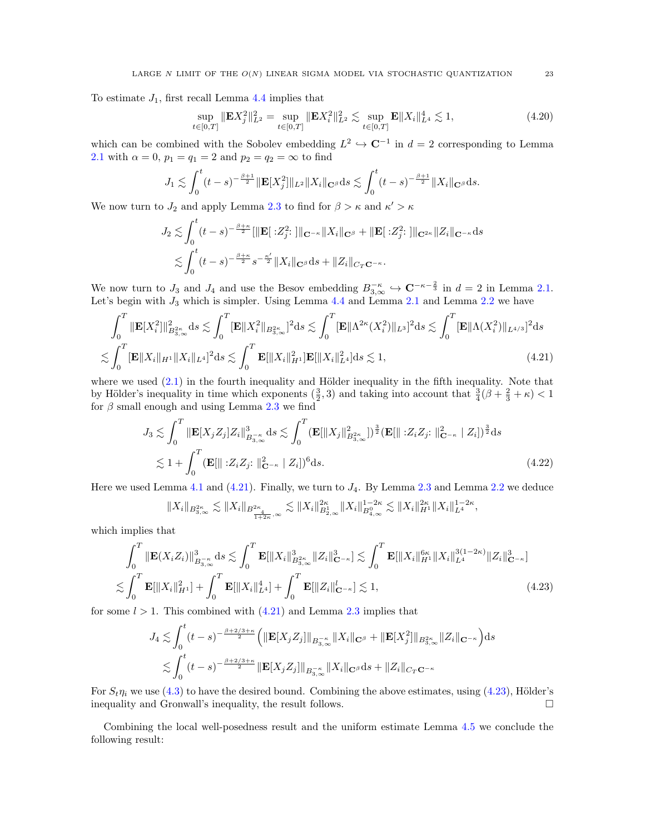To estimate  $J_1$ , first recall Lemma [4.4](#page-19-0) implies that

$$
\sup_{t \in [0,T]} \|\mathbf{E} X_j^2\|_{L^2}^2 = \sup_{t \in [0,T]} \|\mathbf{E} X_i^2\|_{L^2}^2 \lesssim \sup_{t \in [0,T]} \mathbf{E} \|X_i\|_{L^4}^4 \lesssim 1,
$$
\n(4.20)

which can be combined with the Sobolev embedding  $L^2 \hookrightarrow \mathbb{C}^{-1}$  in  $d = 2$  corresponding to Lemma [2.1](#page-8-5) with  $\alpha = 0$ ,  $p_1 = q_1 = 2$  and  $p_2 = q_2 = \infty$  to find

$$
J_1 \lesssim \int_0^t (t-s)^{-\frac{\beta+1}{2}} \|\mathbf{E}[X_j^2]\|_{L^2} \|X_i\|_{\mathbf{C}^{\beta}} ds \lesssim \int_0^t (t-s)^{-\frac{\beta+1}{2}} \|X_i\|_{\mathbf{C}^{\beta}} ds.
$$

We now turn to  $J_2$  and apply Lemma [2.3](#page-8-0) to find for  $\beta > \kappa$  and  $\kappa' > \kappa$ 

<span id="page-22-0"></span>
$$
J_2 \lesssim \int_0^t (t-s)^{-\frac{\beta+\kappa}{2}} [\|\mathbf{E}[:Z_j^2:]\|_{\mathbf{C}^{-\kappa}} \|X_i\|_{\mathbf{C}^{\beta}} + \|\mathbf{E}[:Z_j^2:]\|_{\mathbf{C}^{2\kappa}} \|Z_i\|_{\mathbf{C}^{-\kappa}} ds
$$
  

$$
\lesssim \int_0^t (t-s)^{-\frac{\beta+\kappa}{2}} s^{-\frac{\kappa'}{2}} \|X_i\|_{\mathbf{C}^{\beta}} ds + \|Z_i\|_{C_T \mathbf{C}^{-\kappa}}.
$$

We now turn to  $J_3$  and  $J_4$  and use the Besov embedding  $B_{3,\infty}^{-\kappa} \hookrightarrow \mathbb{C}^{-\kappa-\frac{2}{3}}$  in  $d=2$  in Lemma [2.1.](#page-8-5) Let's begin with  $J_3$  which is simpler. Using Lemma [4.4](#page-19-0) and Lemma [2.1](#page-8-5) and Lemma [2.2](#page-8-3) we have

$$
\int_0^T \|\mathbf{E}[X_i^2]\|_{B_{3,\infty}^{2\kappa}}^2 ds \lesssim \int_0^T \|\mathbf{E}\|X_i^2\|_{B_{3,\infty}^{2\kappa}}^2]^2 ds \lesssim \int_0^T \|\mathbf{E}\|\Lambda^{2\kappa}(X_i^2)\|_{L^3}^2 ds \lesssim \int_0^T \|\mathbf{E}\|\Lambda(X_i^2)\|_{L^{4/3}}^2]^2 ds
$$
  

$$
\lesssim \int_0^T \|\mathbf{E}\|X_i\|_{H^1} \|X_i\|_{L^4}^2 ds \lesssim \int_0^T \mathbf{E}[\|X_i\|_{H^1}^2] \mathbf{E}[\|X_i\|_{L^4}^2] ds \lesssim 1,
$$
 (4.21)

where we used  $(2.1)$  in the fourth inequality and Hölder inequality in the fifth inequality. Note that by Hölder's inequality in time which exponents  $(\frac{3}{2},3)$  and taking into account that  $\frac{3}{4}(\beta+\frac{2}{3}+\kappa) < 1$ for  $\beta$  small enough and using Lemma [2.3](#page-8-0) we find

$$
J_3 \lesssim \int_0^T \|\mathbf{E}[X_j Z_j] Z_i\|_{B_{3,\infty}^{-\kappa}}^3 ds \lesssim \int_0^T (\mathbf{E}[\|X_j\|_{B_{3,\infty}^{2\kappa}}^2])^{\frac{3}{2}} (\mathbf{E}[\|Z_i Z_j : \|_{\mathbf{C}^{-\kappa}}^2 | Z_i])^{\frac{3}{2}} ds
$$
  

$$
\lesssim 1 + \int_0^T (\mathbf{E}[\|Z_i Z_j : \|_{\mathbf{C}^{-\kappa}}^2 | Z_i])^6 ds. \tag{4.22}
$$

Here we used Lemma [4.1](#page-16-0) and  $(4.21)$ . Finally, we turn to  $J_4$ . By Lemma [2.3](#page-8-0) and Lemma [2.2](#page-8-3) we deduce

<span id="page-22-1"></span>
$$
||X_i||_{B^{2\kappa}_{3,\infty}} \lesssim ||X_i||_{B^{2\kappa}_{\frac{4}{1+2\kappa},\infty}} \lesssim ||X_i||_{B^1_{2,\infty}}^{2\kappa} ||X_i||_{B^0_{4,\infty}}^{1-2\kappa} \lesssim ||X_i||_{H^1}^{2\kappa} ||X_i||_{L^4}^{1-2\kappa},
$$

which implies that

$$
\int_0^T \|\mathbf{E}(X_i Z_i)\|_{B_{3,\infty}^{-\kappa}}^3 ds \lesssim \int_0^T \mathbf{E}[\|X_i\|_{B_{3,\infty}^{2\kappa}}^3 \|Z_i\|_{\mathbf{C}^{-\kappa}}^3] \lesssim \int_0^T \mathbf{E}[\|X_i\|_{H^1}^{6\kappa} \|X_i\|_{L^4}^{3(1-2\kappa)} \|Z_i\|_{\mathbf{C}^{-\kappa}}^3]
$$
  

$$
\lesssim \int_0^T \mathbf{E}[\|X_i\|_{H^1}^2] + \int_0^T \mathbf{E}[\|X_i\|_{L^4}^4] + \int_0^T \mathbf{E}[\|Z_i\|_{\mathbf{C}^{-\kappa}}^2] \lesssim 1,
$$
 (4.23)

for some  $l > 1$ . This combined with  $(4.21)$  and Lemma [2.3](#page-8-0) implies that

$$
J_4 \lesssim \int_0^t (t-s)^{-\frac{\beta+2/3+\kappa}{2}} \Big( \|\mathbf{E}[X_j Z_j] \|_{B_{3,\infty}^{-\kappa}} \|X_i\|_{\mathbf{C}^{\beta}} + \|\mathbf{E}[X_j^2] \|_{B_{3,\infty}^{2\kappa}} \|Z_i\|_{\mathbf{C}^{-\kappa}} \Big) ds
$$
  

$$
\lesssim \int_0^t (t-s)^{-\frac{\beta+2/3+\kappa}{2}} \|\mathbf{E}[X_j Z_j] \|_{B_{3,\infty}^{-\kappa}} \|X_i\|_{\mathbf{C}^{\beta}} ds + \|Z_i\|_{C_T \mathbf{C}^{-\kappa}}
$$

For  $S_t \eta_i$  we use [\(4.3\)](#page-16-2) to have the desired bound. Combining the above estimates, using [\(4.23\)](#page-22-1), Hölder's inequality and Gronwall's inequality, the result follows.

Combining the local well-posedness result and the uniform estimate Lemma [4.5](#page-21-0) we conclude the following result: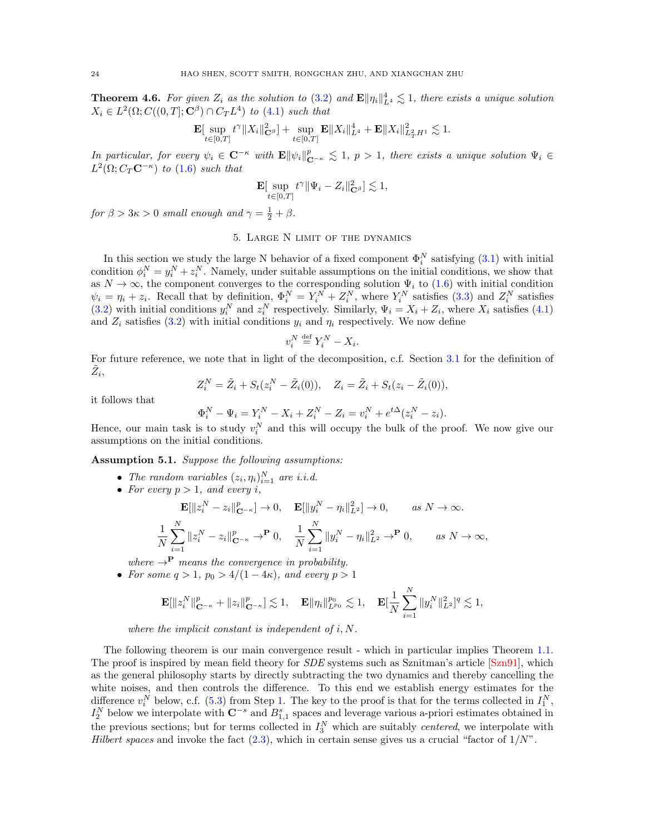<span id="page-23-3"></span>**Theorem 4.6.** For given  $Z_i$  as the solution to [\(3.2\)](#page-9-4) and  $\mathbf{E} \|\eta_i\|_{L^4}^4 \lesssim 1$ , there exists a unique solution  $X_i \in L^2(\Omega; C((0,T]; \mathbf{C}^\beta) \cap C_T L^4)$  to [\(4.1\)](#page-15-2) such that

$$
\mathbf{E}[\sup_{t\in[0,T]}t^{\gamma}\|X_i\|_{\mathbf{C}^{\beta}}^2] + \sup_{t\in[0,T]}\mathbf{E}\|X_i\|_{L^4}^4 + \mathbf{E}\|X_i\|_{L^2_TH^1}^2 \lesssim 1.
$$

In particular, for every  $\psi_i \in \mathbb{C}^{-\kappa}$  with  $\mathbf{E} \|\psi_i\|_{\mathbb{C}^{-\kappa}}^p \lesssim 1$ ,  $p > 1$ , there exists a unique solution  $\Psi_i \in$  $L^2(\Omega; C_T \mathbf{C}^{-\kappa})$  to [\(1.6\)](#page-2-0) such that

$$
\mathbf{E}[\sup_{t\in[0,T]}t^{\gamma}\|\Psi_i-Z_i\|_{\mathbf{C}^{\beta}}^2]\lesssim 1,
$$

<span id="page-23-0"></span>for  $\beta > 3\kappa > 0$  small enough and  $\gamma = \frac{1}{2} + \beta$ .

# 5. Large N limit of the dynamics

In this section we study the large N behavior of a fixed component  $\Phi_i^N$  satisfying  $(3.1)$  with initial condition  $\phi_i^N = y_i^N + z_i^N$ . Namely, under suitable assumptions on the initial conditions, we show that condition  $\varphi_i = y_i + z_i$ . Namely, under suitable assumptions on the initial conditions, we show that as  $N \to \infty$ , the component converges to the corresponding solution  $\Psi_i$  to [\(1.6\)](#page-2-0) with initial condition  $\psi_i = \eta_i + z_i$ . Recall that by definition,  $\Phi_i^N = Y_i^N + Z_i^N$ , where  $Y_i^N$  satisfies [\(3.3\)](#page-9-3) and  $Z_i^N$  satisfies [\(3.2\)](#page-9-4) with initial conditions  $y_i^N$  and  $z_i^N$  respectively. Similarly,  $\Psi_i = X_i + Z_i$ , where  $X_i$  satisfies [\(4.1\)](#page-15-2) and  $Z_i$  satisfies [\(3.2\)](#page-9-4) with initial conditions  $y_i$  and  $\eta_i$  respectively. We now define

<span id="page-23-2"></span>
$$
v_i^N \stackrel{\text{def}}{=} Y_i^N - X_i.
$$

For future reference, we note that in light of the decomposition, c.f. Section [3.1](#page-10-0) for the definition of  $\tilde{Z}_i$ 

$$
Z_i^N = \tilde{Z}_i + S_t(z_i^N - \tilde{Z}_i(0)), \quad Z_i = \tilde{Z}_i + S_t(z_i - \tilde{Z}_i(0)),
$$

it follows that

$$
\Phi_i^N - \Psi_i = Y_i^N - X_i + Z_i^N - Z_i = v_i^N + e^{t\Delta} (z_i^N - z_i).
$$

Hence, our main task is to study  $v_i^N$  and this will occupy the bulk of the proof. We now give our assumptions on the initial conditions.

<span id="page-23-1"></span>Assumption 5.1. Suppose the following assumptions:

- The random variables  $(z_i, \eta_i)_{i=1}^N$  are i.i.d.
- For every  $p > 1$ , and every i,

$$
\mathbf{E}[\|z_i^N - z_i\|_{\mathbf{C}^{-\kappa}}^p] \to 0, \quad \mathbf{E}[\|y_i^N - \eta_i\|_{L^2}^2] \to 0, \qquad as \ N \to \infty.
$$
  

$$
\frac{1}{N} \sum_{i=1}^N \|z_i^N - z_i\|_{\mathbf{C}^{-\kappa}}^p \to^{\mathbf{P}} 0, \quad \frac{1}{N} \sum_{i=1}^N \|y_i^N - \eta_i\|_{L^2}^2 \to^{\mathbf{P}} 0, \qquad as \ N \to \infty,
$$

where  $\rightarrow^{\mathbf{P}}$  means the convergence in probability.

• For some  $q > 1$ ,  $p_0 > 4/(1-4\kappa)$ , and every  $p > 1$ 

$$
\mathbf{E}[\|z_i^N\|_{\mathbf{C}^{-\kappa}}^p + \|z_i\|_{\mathbf{C}^{-\kappa}}^p] \lesssim 1, \quad \mathbf{E}\|\eta_i\|_{L^{p_0}}^{p_0} \lesssim 1, \quad \mathbf{E}[\frac{1}{N}\sum_{i=1}^N \|y_i^N\|_{L^2}^2]^q \lesssim 1,
$$

where the implicit constant is independent of  $i, N$ .

The following theorem is our main convergence result - which in particular implies Theorem [1.1.](#page-1-2) The proof is inspired by mean field theory for *SDE* systems such as Sznitman's article [\[Szn91\]](#page-59-13), which as the general philosophy starts by directly subtracting the two dynamics and thereby cancelling the white noises, and then controls the difference. To this end we establish energy estimates for the difference  $v_i^N$  below, c.f. [\(5.3\)](#page-24-1) from Step [1.](#page-24-2) The key to the proof is that for the terms collected in  $I_1^N$ ,  $I_2^N$  below we interpolate with  $\mathbb{C}^{-s}$  and  $B_{1,1}^s$  spaces and leverage various a-priori estimates obtained in the previous sections; but for terms collected in  $I_3^N$  which are suitably *centered*, we interpolate with Hilbert spaces and invoke the fact  $(2.3)$ , which in certain sense gives us a crucial "factor of  $1/N$ ".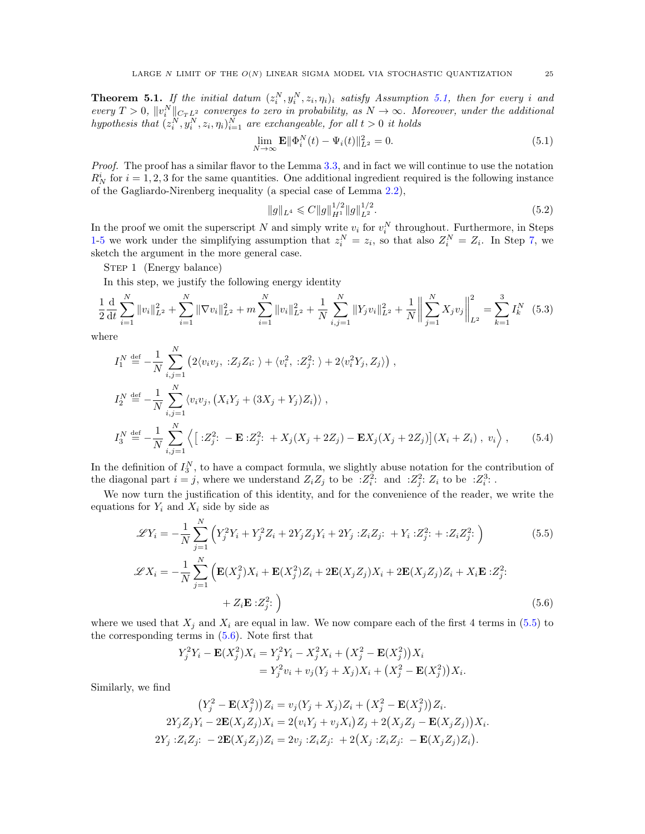<span id="page-24-0"></span>**Theorem 5.1.** If the initial datum  $(z_i^N, y_i^N, z_i, \eta_i)_i$  satisfy Assumption [5.1,](#page-23-1) then for every i and every  $T > 0$ ,  $||v_i^N||_{C_TL^2}$  converges to zero in probability, as  $N \to \infty$ . Moreover, under the additional hypothesis that  $(z_i^N, y_i^N, z_i, \eta_i)_{i=1}^N$  are exchangeable, for all  $t > 0$  it holds

$$
\lim_{N \to \infty} \mathbf{E} \|\Phi_i^N(t) - \Psi_i(t)\|_{L^2}^2 = 0.
$$
\n(5.1)

Proof. The proof has a similar flavor to the Lemma [3.3,](#page-11-1) and in fact we will continue to use the notation  $R_N^i$  for  $i = 1, 2, 3$  for the same quantities. One additional ingredient required is the following instance of the Gagliardo-Nirenberg inequality (a special case of Lemma [2.2\)](#page-8-3),

<span id="page-24-2"></span><span id="page-24-1"></span>
$$
||g||_{L^{4}} \leqslant C||g||_{H^{1}}^{1/2}||g||_{L^{2}}^{1/2}.
$$
\n
$$
(5.2)
$$

In the proof we omit the superscript N and simply write  $v_i$  for  $v_i^N$  throughout. Furthermore, in Steps [1](#page-24-2)[-5](#page-30-0) we work under the simplifying assumption that  $z_i^N = z_i$ , so that also  $Z_i^N = Z_i$ . In Step [7,](#page-32-0) we sketch the argument in the more general case.

STEP 1 (Energy balance)

In this step, we justify the following energy identity

$$
\frac{1}{2}\frac{d}{dt}\sum_{i=1}^{N}||v_i||_{L^2}^2 + \sum_{i=1}^{N}||\nabla v_i||_{L^2}^2 + m\sum_{i=1}^{N}||v_i||_{L^2}^2 + \frac{1}{N}\sum_{i,j=1}^{N}||Y_jv_i||_{L^2}^2 + \frac{1}{N}\left\|\sum_{j=1}^{N}X_jv_j\right\|_{L^2}^2 = \sum_{k=1}^{3}I_k^N
$$
(5.3)

where

$$
I_1^N \stackrel{\text{def}}{=} -\frac{1}{N} \sum_{i,j=1}^N \left( 2 \langle v_i v_j, \, : Z_j Z_i : \, \rangle + \langle v_i^2, \, : Z_j^2 : \, \rangle + 2 \langle v_i^2 Y_j, Z_j \rangle \right),
$$
  
\n
$$
I_2^N \stackrel{\text{def}}{=} -\frac{1}{N} \sum_{i,j=1}^N \langle v_i v_j, \left( X_i Y_j + (3X_j + Y_j) Z_i \right) \rangle,
$$
  
\n
$$
I_3^N \stackrel{\text{def}}{=} -\frac{1}{N} \sum_{i,j=1}^N \left\langle \left[ : Z_j^2 : -\mathbf{E} : Z_j^2 : +X_j (X_j + 2Z_j) - \mathbf{E} X_j (X_j + 2Z_j) \right] (X_i + Z_i), \, v_i \right\rangle,
$$
\n(5.4)

In the definition of  $I_3^N$ , to have a compact formula, we slightly abuse notation for the contribution of the diagonal part  $i = j$ , where we understand  $Z_i Z_j$  to be  $Z_i^2$ : and  $Z_j^2$ :  $Z_i$  to be  $Z_i^3$ : .

We now turn the justification of this identity, and for the convenience of the reader, we write the equations for  $Y_i$  and  $X_i$  side by side as

$$
\mathcal{L}Y_i = -\frac{1}{N} \sum_{j=1}^{N} \left( Y_j^2 Y_i + Y_j^2 Z_i + 2Y_j Z_j Y_i + 2Y_j : Z_i Z_j : + Y_i : Z_j^2 : + : Z_i Z_j^2 : \right) \tag{5.5}
$$

$$
\mathscr{L}X_i = -\frac{1}{N} \sum_{j=1}^{N} \left( \mathbf{E}(X_j^2) X_i + \mathbf{E}(X_j^2) Z_i + 2 \mathbf{E}(X_j Z_j) X_i + 2 \mathbf{E}(X_j Z_j) Z_i + X_i \mathbf{E} : Z_j^2; \right. \\ \left. + Z_i \mathbf{E} : Z_j^2; \right)
$$
\n(5.6)

where we used that  $X_i$  and  $X_i$  are equal in law. We now compare each of the first 4 terms in [\(5.5\)](#page-24-3) to the corresponding terms in [\(5.6\)](#page-24-4). Note first that

<span id="page-24-4"></span><span id="page-24-3"></span>
$$
Y_j^2 Y_i - \mathbf{E}(X_j^2) X_i = Y_j^2 Y_i - X_j^2 X_i + (X_j^2 - \mathbf{E}(X_j^2)) X_i
$$
  
=  $Y_j^2 v_i + v_j (Y_j + X_j) X_i + (X_j^2 - \mathbf{E}(X_j^2)) X_i.$ 

Similarly, we find

$$
(Y_j^2 - \mathbf{E}(X_j^2))Z_i = v_j(Y_j + X_j)Z_i + (X_j^2 - \mathbf{E}(X_j^2))Z_i.
$$
  
\n
$$
2Y_j Z_j Y_i - 2\mathbf{E}(X_j Z_j)X_i = 2(v_i Y_j + v_j X_i)Z_j + 2(X_j Z_j - \mathbf{E}(X_j Z_j))X_i.
$$
  
\n
$$
2Y_j : Z_i Z_j: -2\mathbf{E}(X_j Z_j)Z_i = 2v_j : Z_i Z_j: +2(X_j : Z_i Z_j: -\mathbf{E}(X_j Z_j)Z_i).
$$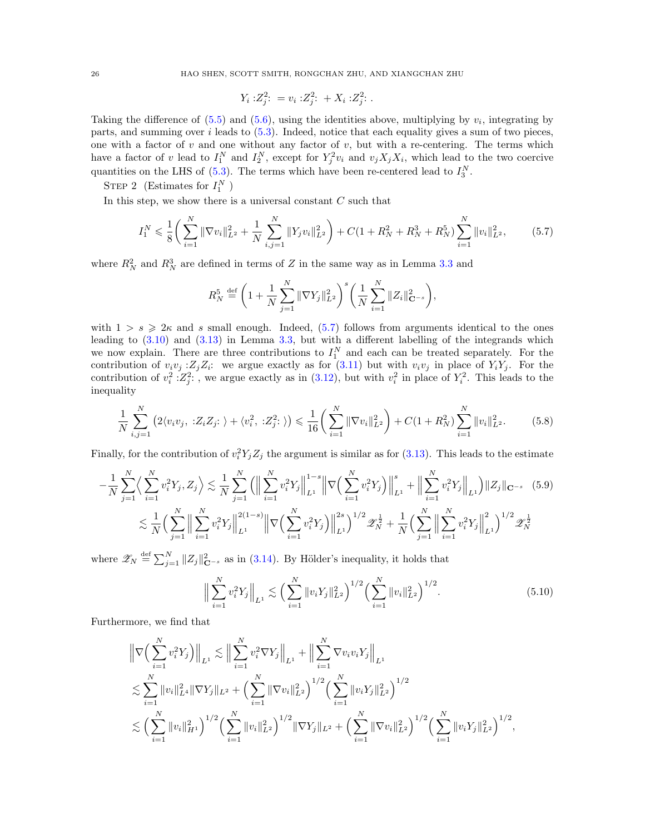26 HAO SHEN, SCOTT SMITH, RONGCHAN ZHU, AND XIANGCHAN ZHU

<span id="page-25-0"></span>
$$
Y_i : Z_j^2 : = v_i : Z_j^2 : + X_i : Z_j^2 : .
$$

Taking the difference of  $(5.5)$  and  $(5.6)$ , using the identities above, multiplying by  $v_i$ , integrating by parts, and summing over  $i$  leads to  $(5.3)$ . Indeed, notice that each equality gives a sum of two pieces, one with a factor of v and one without any factor of v, but with a re-centering. The terms which have a factor of v lead to  $I_1^N$  and  $I_2^N$ , except for  $Y_j^2v_i$  and  $v_jX_jX_i$ , which lead to the two coercive quantities on the LHS of  $(5.3)$ . The terms which have been re-centered lead to  $I_3^N$ .

STEP 2 (Estimates for  $I_1^N$ )

In this step, we show there is a universal constant  $C$  such that

$$
I_1^N \leq \frac{1}{8} \left( \sum_{i=1}^N \|\nabla v_i\|_{L^2}^2 + \frac{1}{N} \sum_{i,j=1}^N \|Y_j v_i\|_{L^2}^2 \right) + C \left( 1 + R_N^2 + R_N^3 + R_N^5 \right) \sum_{i=1}^N \|v_i\|_{L^2}^2, \tag{5.7}
$$

where  $R_N^2$  and  $R_N^3$  are defined in terms of Z in the same way as in Lemma [3.3](#page-11-1) and

<span id="page-25-3"></span>
$$
R_N^5 \stackrel{\text{def}}{=} \left(1 + \frac{1}{N} \sum_{j=1}^N \|\nabla Y_j\|_{L^2}^2\right)^s \left(\frac{1}{N} \sum_{i=1}^N \|Z_i\|_{\mathbf{C}^{-s}}^2\right),
$$

with  $1 > s \geqslant 2\kappa$  and s small enough. Indeed,  $(5.7)$  follows from arguments identical to the ones leading to [\(3.10\)](#page-12-1) and [\(3.13\)](#page-13-3) in Lemma [3.3,](#page-11-1) but with a different labelling of the integrands which we now explain. There are three contributions to  $I_1^N$  and each can be treated separately. For the contribution of  $v_i v_j : Z_j Z_i$ : we argue exactly as for [\(3.11\)](#page-12-2) but with  $v_i v_j$  in place of  $Y_i Y_j$ . For the contribution of  $v_i^2$  :  $Z_j^2$ :, we argue exactly as in [\(3.12\)](#page-13-0), but with  $v_i^2$  in place of  $Y_i^2$ . This leads to the inequality

$$
\frac{1}{N} \sum_{i,j=1}^{N} \left( 2 \langle v_i v_j, \, : Z_i Z_j : \, \rangle + \langle v_i^2, \, : Z_j^2 : \, \rangle \right) \leq \frac{1}{16} \left( \sum_{i=1}^{N} \|\nabla v_i\|_{L^2}^2 \right) + C \left( 1 + R_N^2 \right) \sum_{i=1}^{N} \|v_i\|_{L^2}^2. \tag{5.8}
$$

Finally, for the contribution of  $v_i^2 Y_j Z_j$  the argument is similar as for [\(3.13\)](#page-13-3). This leads to the estimate

$$
-\frac{1}{N}\sum_{j=1}^{N}\left\langle \sum_{i=1}^{N}v_{i}^{2}Y_{j},Z_{j}\right\rangle \lesssim \frac{1}{N}\sum_{j=1}^{N}\left(\Big\|\sum_{i=1}^{N}v_{i}^{2}Y_{j}\Big\|_{L^{1}}^{1-s}\Big\|\nabla\Big(\sum_{i=1}^{N}v_{i}^{2}Y_{j}\Big)\Big\|_{L^{1}}^{s}+\Big\|\sum_{i=1}^{N}v_{i}^{2}Y_{j}\Big\|_{L^{1}}\right)\|Z_{j}\|_{\mathbf{C}^{-s}} \quad (5.9)
$$

$$
\lesssim \frac{1}{N}\Big(\sum_{j=1}^{N}\Big\|\sum_{i=1}^{N}v_{i}^{2}Y_{j}\Big\|_{L^{1}}^{2(1-s)}\Big\|\nabla\Big(\sum_{i=1}^{N}v_{i}^{2}Y_{j}\Big)\Big\|_{L^{1}}^{2s}\Big)^{1/2}\mathscr{Z}_{N}^{\frac{1}{2}} + \frac{1}{N}\Big(\sum_{j=1}^{N}\Big\|\sum_{i=1}^{N}v_{i}^{2}Y_{j}\Big\|_{L^{1}}^{2}\Big)^{1/2}\mathscr{Z}_{N}^{\frac{1}{2}}
$$

where  $\mathscr{Z}_N \stackrel{\text{def}}{=} \sum_{j=1}^N \|Z_j\|_{\mathbf{C}^{-s}}^2$  as in [\(3.14\)](#page-13-4). By Hölder's inequality, it holds that

<span id="page-25-2"></span><span id="page-25-1"></span>
$$
\Big\| \sum_{i=1}^{N} v_i^2 Y_j \Big\|_{L^1} \lesssim \Big( \sum_{i=1}^{N} \|v_i Y_j\|_{L^2}^2 \Big)^{1/2} \Big( \sum_{i=1}^{N} \|v_i\|_{L^2}^2 \Big)^{1/2} . \tag{5.10}
$$

Furthermore, we find that

$$
\|\nabla \Big(\sum_{i=1}^N v_i^2 Y_j\Big)\|_{L^1} \lesssim \Big\|\sum_{i=1}^N v_i^2 \nabla Y_j\Big\|_{L^1} + \Big\|\sum_{i=1}^N \nabla v_i v_i Y_j\Big\|_{L^1}
$$
  

$$
\lesssim \sum_{i=1}^N \|v_i\|_{L^4}^2 \|\nabla Y_j\|_{L^2} + \Big(\sum_{i=1}^N \|\nabla v_i\|_{L^2}^2\Big)^{1/2} \Big(\sum_{i=1}^N \|v_i Y_j\|_{L^2}^2\Big)^{1/2}
$$
  

$$
\lesssim \Big(\sum_{i=1}^N \|v_i\|_{H^1}^2\Big)^{1/2} \Big(\sum_{i=1}^N \|v_i\|_{L^2}^2\Big)^{1/2} \|\nabla Y_j\|_{L^2} + \Big(\sum_{i=1}^N \|\nabla v_i\|_{L^2}^2\Big)^{1/2} \Big(\sum_{i=1}^N \|v_i Y_j\|_{L^2}^2\Big)^{1/2},
$$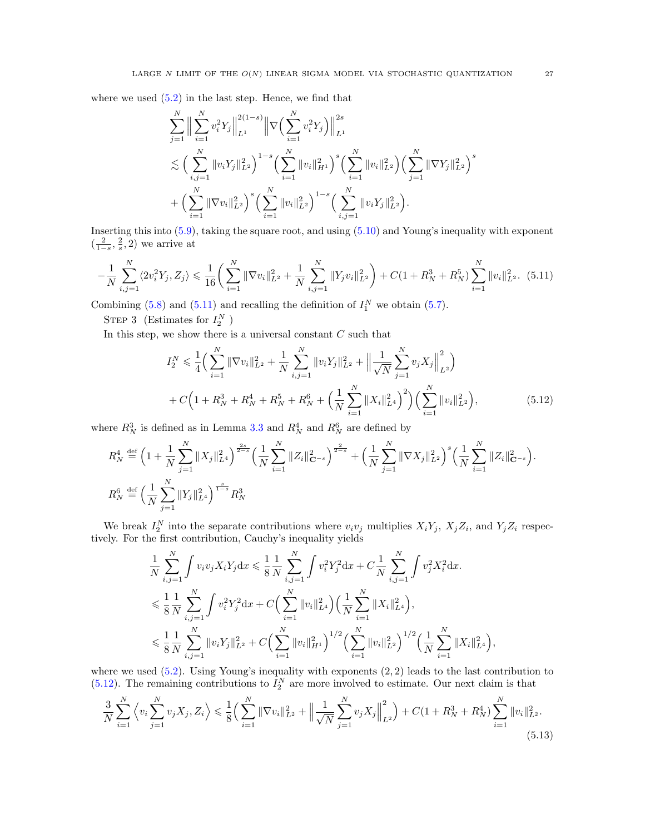where we used  $(5.2)$  in the last step. Hence, we find that

$$
\sum_{j=1}^{N} \Big\| \sum_{i=1}^{N} v_i^2 Y_j \Big\|_{L^1}^{2(1-s)} \Big\| \nabla \Big( \sum_{i=1}^{N} v_i^2 Y_j \Big) \Big\|_{L^1}^{2s} \n\lesssim \Big( \sum_{i,j=1}^{N} \|v_i Y_j\|_{L^2}^2 \Big)^{1-s} \Big( \sum_{i=1}^{N} \|v_i\|_{H^1}^2 \Big)^s \Big( \sum_{i=1}^{N} \|v_i\|_{L^2}^2 \Big) \Big( \sum_{j=1}^{N} \|\nabla Y_j\|_{L^2}^2 \Big)^s \n+ \Big( \sum_{i=1}^{N} \|\nabla v_i\|_{L^2}^2 \Big)^s \Big( \sum_{i=1}^{N} \|v_i\|_{L^2}^2 \Big)^{1-s} \Big( \sum_{i,j=1}^{N} \|v_i Y_j\|_{L^2}^2 \Big).
$$

Inserting this into [\(5.9\)](#page-25-1), taking the square root, and using [\(5.10\)](#page-25-2) and Young's inequality with exponent  $\left(\frac{2}{1-s},\frac{2}{s},2\right)$  we arrive at

$$
-\frac{1}{N}\sum_{i,j=1}^{N}\langle 2v_i^2Y_j, Z_j \rangle \leq \frac{1}{16} \left( \sum_{i=1}^{N} \|\nabla v_i\|_{L^2}^2 + \frac{1}{N}\sum_{i,j=1}^{N} \|Y_j v_i\|_{L^2}^2 \right) + C\left(1 + R_N^3 + R_N^5\right) \sum_{i=1}^{N} \|v_i\|_{L^2}^2. \tag{5.11}
$$

Combining [\(5.8\)](#page-25-3) and [\(5.11\)](#page-26-0) and recalling the definition of  $I_1^N$  we obtain [\(5.7\)](#page-25-0).

STEP 3 (Estimates for  $I_2^N$ )

In this step, we show there is a universal constant  $C$  such that

<span id="page-26-0"></span>
$$
I_2^N \leq \frac{1}{4} \Big( \sum_{i=1}^N \|\nabla v_i\|_{L^2}^2 + \frac{1}{N} \sum_{i,j=1}^N \|v_i Y_j\|_{L^2}^2 + \Big\|\frac{1}{\sqrt{N}} \sum_{j=1}^N v_j X_j\Big\|_{L^2}^2 \Big) + C \Big( 1 + R_N^3 + R_N^4 + R_N^5 + R_N^6 + \Big(\frac{1}{N} \sum_{i=1}^N \|X_i\|_{L^4}^2\Big)^2 \Big) \Big( \sum_{i=1}^N \|v_i\|_{L^2}^2 \Big),
$$
(5.12)

where  $R_N^3$  is defined as in Lemma [3.3](#page-11-1) and  $R_N^4$  and  $R_N^6$  are defined by

$$
R_N^4 \stackrel{\text{def}}{=} \left(1 + \frac{1}{N} \sum_{j=1}^N \|X_j\|_{L^4}^2\right)^{\frac{2s}{2-s}} \left(\frac{1}{N} \sum_{i=1}^N \|Z_i\|_{\mathbf{C}^{-s}}^2\right)^{\frac{2}{2-s}} + \left(\frac{1}{N} \sum_{j=1}^N \|\nabla X_j\|_{L^2}^2\right)^s \left(\frac{1}{N} \sum_{i=1}^N \|Z_i\|_{\mathbf{C}^{-s}}^2\right).
$$
  

$$
R_N^6 \stackrel{\text{def}}{=} \left(\frac{1}{N} \sum_{j=1}^N \|Y_j\|_{L^4}^2\right)^{\frac{s}{1-s}} R_N^3
$$

We break  $I_2^N$  into the separate contributions where  $v_i v_j$  multiplies  $X_i Y_j$ ,  $X_j Z_i$ , and  $Y_j Z_i$  respectively. For the first contribution, Cauchy's inequality yields

$$
\frac{1}{N} \sum_{i,j=1}^{N} \int v_i v_j X_i Y_j dx \leq \frac{1}{8} \frac{1}{N} \sum_{i,j=1}^{N} \int v_i^2 Y_j^2 dx + C \frac{1}{N} \sum_{i,j=1}^{N} \int v_j^2 X_i^2 dx.
$$
  

$$
\leq \frac{1}{8} \frac{1}{N} \sum_{i,j=1}^{N} \int v_i^2 Y_j^2 dx + C \Big( \sum_{i=1}^{N} ||v_i||_{L^4}^2 \Big) \Big( \frac{1}{N} \sum_{i=1}^{N} ||X_i||_{L^4}^2 \Big),
$$
  

$$
\leq \frac{1}{8} \frac{1}{N} \sum_{i,j=1}^{N} ||v_i Y_j||_{L^2}^2 + C \Big( \sum_{i=1}^{N} ||v_i||_{H^1}^2 \Big)^{1/2} \Big( \sum_{i=1}^{N} ||v_i||_{L^2}^2 \Big)^{1/2} \Big( \frac{1}{N} \sum_{i=1}^{N} ||X_i||_{L^4}^2 \Big)
$$

where we used  $(5.2)$ . Using Young's inequality with exponents  $(2, 2)$  leads to the last contribution to  $(5.12)$ . The remaining contributions to  $I_2^N$  are more involved to estimate. Our next claim is that

$$
\frac{3}{N} \sum_{i=1}^{N} \left\langle v_i \sum_{j=1}^{N} v_j X_j, Z_i \right\rangle \leq \frac{1}{8} \left( \sum_{i=1}^{N} \|\nabla v_i\|_{L^2}^2 + \left\|\frac{1}{\sqrt{N}} \sum_{j=1}^{N} v_j X_j\right\|_{L^2}^2 \right) + C\left(1 + R_N^3 + R_N^4\right) \sum_{i=1}^{N} \|v_i\|_{L^2}^2.
$$
\n(5.13)

<span id="page-26-2"></span><span id="page-26-1"></span>,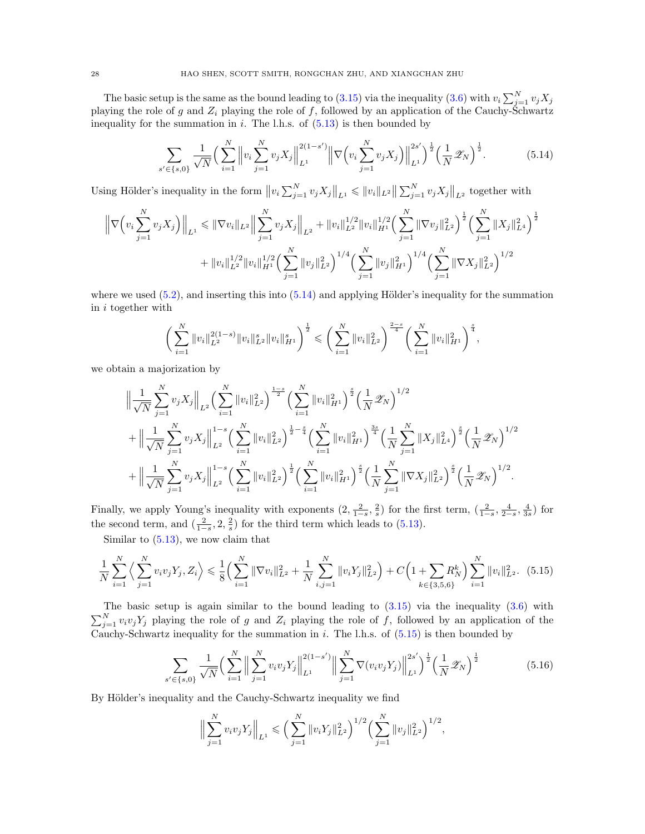The basic setup is the same as the bound leading to [\(3.15\)](#page-13-1) via the inequality [\(3.6\)](#page-11-3) with  $v_i \sum_{j=1}^{N} v_j X_j$ playing the role of g and  $Z_i$  playing the role of f, followed by an application of the Cauchy-Schwartz inequality for the summation in i. The l.h.s. of  $(5.13)$  is then bounded by

<span id="page-27-0"></span>
$$
\sum_{s' \in \{s,0\}} \frac{1}{\sqrt{N}} \Big( \sum_{i=1}^N \left\| v_i \sum_{j=1}^N v_j X_j \right\|_{L^1}^{2(1-s')} \left\| \nabla \Big( v_i \sum_{j=1}^N v_j X_j \Big) \right\|_{L^1}^{2s'} \Big)^{\frac{1}{2}} \Big( \frac{1}{N} \mathcal{Z}_N \Big)^{\frac{1}{2}}.
$$
 (5.14)

Using Hölder's inequality in the form  $||v_i \sum_{j=1}^N v_j X_j||_{L^1} \le ||v_i||_{L^2} ||\sum_{j=1}^N v_j X_j||_{L^2}$  together with

$$
\left\| \nabla \left( v_i \sum_{j=1}^N v_j X_j \right) \right\|_{L^1} \leq \|\nabla v_i\|_{L^2} \left\| \sum_{j=1}^N v_j X_j \right\|_{L^2} + \|v_i\|_{L^2}^{1/2} \|v_i\|_{H^1}^{1/2} \left( \sum_{j=1}^N \|\nabla v_j\|_{L^2}^2 \right)^{\frac{1}{2}} \left( \sum_{j=1}^N \|X_j\|_{L^4}^2 \right)^{\frac{1}{2}}
$$

$$
+ \|v_i\|_{L^2}^{1/2} \|v_i\|_{H^1}^{1/2} \left( \sum_{j=1}^N \|v_j\|_{L^2}^2 \right)^{1/4} \left( \sum_{j=1}^N \|v_j\|_{H^1}^2 \right)^{1/4} \left( \sum_{j=1}^N \|\nabla X_j\|_{L^2}^2 \right)^{1/2}
$$

where we used  $(5.2)$ , and inserting this into  $(5.14)$  and applying Hölder's inequality for the summation in i together with

$$
\bigg(\sum_{i=1}^N\|v_i\|_{L^2}^{2(1-s)}\|v_i\|_{L^2}^s\|v_i\|_{H^1}^s\bigg)^{\frac{1}{2}}\leqslant\bigg(\sum_{i=1}^N\|v_i\|_{L^2}^2\bigg)^{\frac{2-s}{4}}\bigg(\sum_{i=1}^N\|v_i\|_{H^1}^2\bigg)^{\frac{s}{4}},
$$

we obtain a majorization by

$$
\begin{split}\n&\left\|\frac{1}{\sqrt{N}}\sum_{j=1}^{N}v_{j}X_{j}\right\|_{L^{2}}\left(\sum_{i=1}^{N}\|v_{i}\|_{L^{2}}^{2}\right)^{\frac{1-s}{2}}\left(\sum_{i=1}^{N}\|v_{i}\|_{H^{1}}^{2}\right)^{\frac{s}{2}}\left(\frac{1}{N}\mathscr{Z}_{N}\right)^{1/2} \\
&+ \left\|\frac{1}{\sqrt{N}}\sum_{j=1}^{N}v_{j}X_{j}\right\|_{L^{2}}^{1-s}\left(\sum_{i=1}^{N}\|v_{i}\|_{L^{2}}^{2}\right)^{\frac{1}{2}-\frac{s}{4}}\left(\sum_{i=1}^{N}\|v_{i}\|_{H^{1}}^{2}\right)^{\frac{3s}{4}}\left(\frac{1}{N}\sum_{j=1}^{N}\|X_{j}\|_{L^{4}}^{2}\right)^{\frac{s}{2}}\left(\frac{1}{N}\mathscr{Z}_{N}\right)^{1/2} \\
&+ \left\|\frac{1}{\sqrt{N}}\sum_{j=1}^{N}v_{j}X_{j}\right\|_{L^{2}}^{1-s}\left(\sum_{i=1}^{N}\|v_{i}\|_{L^{2}}^{2}\right)^{\frac{1}{2}}\left(\sum_{i=1}^{N}\|v_{i}\|_{H^{1}}^{2}\right)^{\frac{s}{2}}\left(\frac{1}{N}\sum_{j=1}^{N}\|\nabla X_{j}\|_{L^{2}}^{2}\right)^{\frac{s}{2}}\left(\frac{1}{N}\mathscr{Z}_{N}\right)^{1/2}.\n\end{split}
$$

Finally, we apply Young's inequality with exponents  $(2, \frac{2}{1-s}, \frac{2}{s})$  for the first term,  $(\frac{2}{1-s}, \frac{4}{2-s}, \frac{4}{3s})$  for the second term, and  $\left(\frac{2}{1-s}, 2, \frac{2}{s}\right)$  for the third term which leads to [\(5.13\)](#page-26-2).

Similar to [\(5.13\)](#page-26-2), we now claim that

$$
\frac{1}{N} \sum_{i=1}^{N} \left\langle \sum_{j=1}^{N} v_i v_j Y_j, Z_i \right\rangle \leq \frac{1}{8} \left( \sum_{i=1}^{N} \|\nabla v_i\|_{L^2}^2 + \frac{1}{N} \sum_{i,j=1}^{N} \|v_i Y_j\|_{L^2}^2 \right) + C \left( 1 + \sum_{k \in \{3, 5, 6\}} R_N^k \right) \sum_{i=1}^{N} \|v_i\|_{L^2}^2. \tag{5.15}
$$

The basic setup is again similar to the bound leading to  $(3.15)$  via the inequality  $(3.6)$  with  $\sum_{j=1}^{N} v_i v_j Y_j$  playing the role of g and  $Z_i$  playing the role of f, followed by an application of the Cauchy-Schwartz inequality for the summation in i. The l.h.s. of  $(5.15)$  is then bounded by

$$
\sum_{s' \in \{s,0\}} \frac{1}{\sqrt{N}} \Big( \sum_{i=1}^N \Big\| \sum_{j=1}^N v_i v_j Y_j \Big\|_{L^1}^{2(1-s')} \Big\| \sum_{j=1}^N \nabla(v_i v_j Y_j) \Big\|_{L^1}^{2s'} \Big)^{\frac{1}{2}} \Big( \frac{1}{N} \mathscr{Z}_N \Big)^{\frac{1}{2}} \tag{5.16}
$$

By Hölder's inequality and the Cauchy-Schwartz inequality we find

<span id="page-27-3"></span><span id="page-27-2"></span><span id="page-27-1"></span>
$$
\Big\|\sum_{j=1}^N v_i v_j Y_j\Big\|_{L^1} \leqslant \Big(\sum_{j=1}^N \|v_i Y_j\|_{L^2}^2\Big)^{1/2} \Big(\sum_{j=1}^N \|v_j\|_{L^2}^2\Big)^{1/2},
$$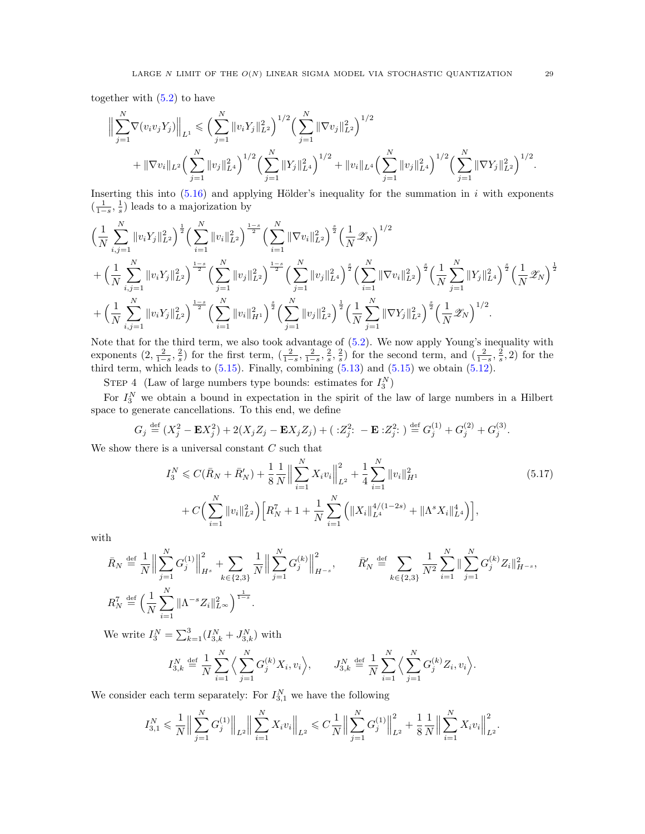together with  $(5.2)$  to have

$$
\Big\|\sum_{j=1}^N \nabla(v_i v_j Y_j)\Big\|_{L^1} \leqslant \Big(\sum_{j=1}^N \|v_i Y_j\|_{L^2}^2\Big)^{1/2} \Big(\sum_{j=1}^N \|\nabla v_j\|_{L^2}^2\Big)^{1/2} + \|\nabla v_i\|_{L^2} \Big(\sum_{j=1}^N \|v_j\|_{L^4}^2\Big)^{1/2} \Big(\sum_{j=1}^N \|Y_j\|_{L^4}^2\Big)^{1/2} + \|v_i\|_{L^4} \Big(\sum_{j=1}^N \|v_j\|_{L^4}^2\Big)^{1/2} \Big(\sum_{j=1}^N \|\nabla Y_j\|_{L^2}^2\Big)^{1/2}.
$$

Inserting this into  $(5.16)$  and applying Hölder's inequality for the summation in i with exponents  $\left(\frac{1}{1-s},\frac{1}{s}\right)$  leads to a majorization by

$$
\begin{split}\label{eq:4.13} &\Big(\frac{1}{N}\sum_{i,j=1}^N\|v_iY_j\|_{L^2}^2\Big)^{\frac{1}{2}}\Big(\sum_{i=1}^N\|v_i\|_{L^2}^2\Big)^{\frac{1-s}{2}}\Big(\sum_{i=1}^N\|\nabla v_i\|_{L^2}^2\Big)^{\frac{s}{2}}\Big(\frac{1}{N}\mathscr{Z}_N\Big)^{1/2}\\&+\Big(\frac{1}{N}\sum_{i,j=1}^N\|v_iY_j\|_{L^2}^2\Big)^{\frac{1-s}{2}}\Big(\sum_{j=1}^N\|v_j\|_{L^2}^2\Big)^{\frac{1-s}{2}}\Big(\sum_{j=1}^N\|v_j\|_{L^4}^2\Big)^{\frac{s}{2}}\Big(\sum_{i=1}^N\|\nabla v_i\|_{L^2}^2\Big)^{\frac{s}{2}}\Big(\frac{1}{N}\sum_{i=1}^N\|Y_j\|_{L^4}^2\Big)^{\frac{s}{2}}\Big(\frac{1}{N}\mathscr{Z}_N\Big)^{\frac{s}{2}}\\&+\Big(\frac{1}{N}\sum_{i,j=1}^N\|v_iY_j\|_{L^2}^2\Big)^{\frac{1-s}{2}}\Big(\sum_{i=1}^N\|v_i\|_{H^1}^2\Big)^{\frac{s}{2}}\Big(\sum_{j=1}^N\|v_j\|_{L^2}^2\Big)^{\frac{1}{2}}\Big(\frac{1}{N}\sum_{j=1}^N\|\nabla Y_j\|_{L^2}^2\Big)^{\frac{s}{2}}\Big(\frac{1}{N}\mathscr{Z}_N\Big)^{1/2}.\end{split}
$$

Note that for the third term, we also took advantage of [\(5.2\)](#page-24-2). We now apply Young's inequality with exponents  $(2, \frac{2}{1-s}, \frac{2}{s})$  for the first term,  $(\frac{2}{1-s}, \frac{2}{1-s}, \frac{2}{s}, \frac{2}{s})$  for the second term, and  $(\frac{2}{1-s}, \frac{2}{s}, 2)$  for the third term, which leads to  $(5.15)$ . Finally, combining  $(5.13)$  and  $(5.15)$  we obtain  $(5.12)$ .

STEP 4 (Law of large numbers type bounds: estimates for  $I_3^N$ )

For  $I_3^N$  we obtain a bound in expectation in the spirit of the law of large numbers in a Hilbert space to generate cancellations. To this end, we define

$$
G_j \stackrel{\text{def}}{=} (X_j^2 - \mathbf{E}X_j^2) + 2(X_j Z_j - \mathbf{E}X_j Z_j) + ( :Z_j^2 : -\mathbf{E} : Z_j^2 : ) \stackrel{\text{def}}{=} G_j^{(1)} + G_j^{(2)} + G_j^{(3)}
$$

We show there is a universal constant  $C$  such that

$$
I_3^N \leqslant C(\bar{R}_N + \bar{R}'_N) + \frac{1}{8} \frac{1}{N} \Big\| \sum_{i=1}^N X_i v_i \Big\|_{L^2}^2 + \frac{1}{4} \sum_{i=1}^N \|v_i\|_{H^1}^2 + C \Big( \sum_{i=1}^N \|v_i\|_{L^2}^2 \Big) \Big[ R_N^7 + 1 + \frac{1}{N} \sum_{i=1}^N \Big( \|X_i\|_{L^4}^{4/(1-2s)} + \|\Lambda^s X_i\|_{L^4}^4 \Big) \Big], \tag{5.17}
$$

with

$$
\bar{R}_{N} \stackrel{\text{def}}{=} \frac{1}{N} \Big\| \sum_{j=1}^{N} G_{j}^{(1)} \Big\|_{H^{s}}^{2} + \sum_{k \in \{2,3\}} \frac{1}{N} \Big\| \sum_{j=1}^{N} G_{j}^{(k)} \Big\|_{H^{-s}}^{2}, \qquad \bar{R}_{N}' \stackrel{\text{def}}{=} \sum_{k \in \{2,3\}} \frac{1}{N^{2}} \sum_{i=1}^{N} \Big\| \sum_{j=1}^{N} G_{j}^{(k)} Z_{i} \Big\|_{H^{-s}}^{2},
$$
\n
$$
R_{N}^{7} \stackrel{\text{def}}{=} \Big( \frac{1}{N} \sum_{i=1}^{N} \|\Lambda^{-s} Z_{i}\|_{L^{\infty}}^{2} \Big)^{\frac{1}{1-s}}.
$$

We write  $I_3^N = \sum_{k=1}^3 (I_{3,k}^N + J_{3,k}^N)$  with

$$
I_{3,k}^N \stackrel{\text{def}}{=} \frac{1}{N} \sum_{i=1}^N \Big\langle \sum_{j=1}^N G_j^{(k)} X_i, v_i \Big\rangle, \qquad J_{3,k}^N \stackrel{\text{def}}{=} \frac{1}{N} \sum_{i=1}^N \Big\langle \sum_{j=1}^N G_j^{(k)} Z_i, v_i \Big\rangle.
$$

We consider each term separately: For  $I_{3,1}^N$  we have the following

$$
I_{3,1}^N\leqslant \frac{1}{N}\Big\|\sum_{j=1}^NG_j^{(1)}\Big\|_{L^2}\Big\|\sum_{i=1}^NX_iv_i\Big\|_{L^2}\leqslant C\frac{1}{N}\Big\|\sum_{j=1}^NG_j^{(1)}\Big\|_{L^2}^2+\frac{1}{8}\frac{1}{N}\Big\|\sum_{i=1}^NX_iv_i\Big\|_{L^2}^2.
$$

.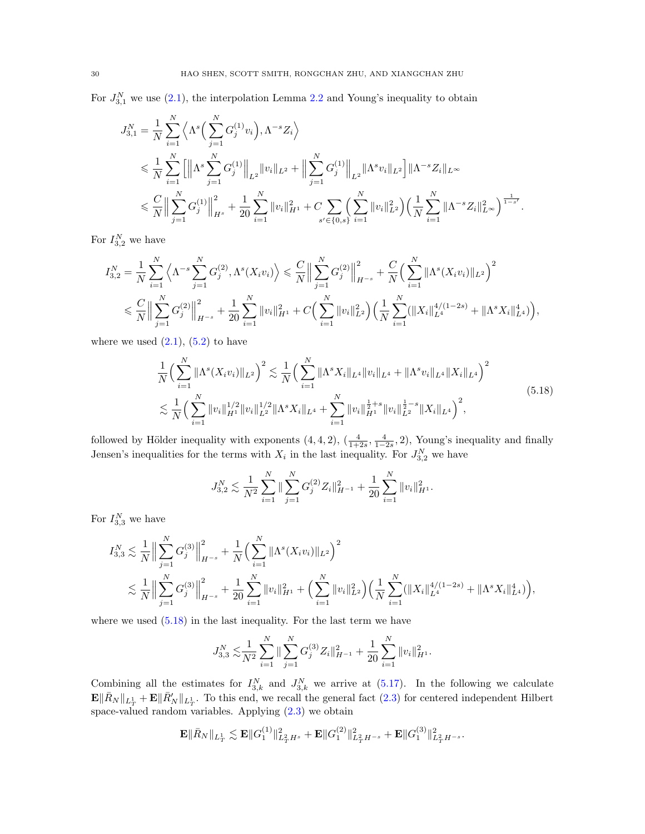For  $J_{3,1}^N$  we use [\(2.1\)](#page-8-4), the interpolation Lemma [2.2](#page-8-3) and Young's inequality to obtain

$$
J_{3,1}^N = \frac{1}{N} \sum_{i=1}^N \left\langle \Lambda^s \Big( \sum_{j=1}^N G_j^{(1)} v_i \Big), \Lambda^{-s} Z_i \right\rangle
$$
  
\$\leqslant \frac{1}{N} \sum\_{i=1}^N \left[ \left\| \Lambda^s \sum\_{j=1}^N G\_j^{(1)} \right\|\_{L^2} \|v\_i\|\_{L^2} + \left\| \sum\_{j=1}^N G\_j^{(1)} \right\|\_{L^2} \|\Lambda^s v\_i\|\_{L^2} \right] \|\Lambda^{-s} Z\_i\|\_{L^\infty}\$  
\$\leqslant \frac{C}{N} \left\| \sum\_{j=1}^N G\_j^{(1)} \right\|\_{H^s}^2 + \frac{1}{20} \sum\_{i=1}^N \|v\_i\|\_{H^1}^2 + C \sum\_{s' \in \{0, s\}} \left( \sum\_{i=1}^N \|v\_i\|\_{L^2}^2 \right) \left( \frac{1}{N} \sum\_{i=1}^N \|\Lambda^{-s} Z\_i\|\_{L^\infty}^2 \right)^{\frac{1}{1-s'}}\$.

For  $I_{3,2}^N$  we have

$$
I_{3,2}^{N} = \frac{1}{N} \sum_{i=1}^{N} \left\langle \Lambda^{-s} \sum_{j=1}^{N} G_{j}^{(2)}, \Lambda^{s}(X_{i}v_{i}) \right\rangle \leq \frac{C}{N} \Big\| \sum_{j=1}^{N} G_{j}^{(2)} \Big\|_{H^{-s}}^{2} + \frac{C}{N} \Big( \sum_{i=1}^{N} \|\Lambda^{s}(X_{i}v_{i})\|_{L^{2}} \Big)^{2} \leq \frac{C}{N} \Big\| \sum_{j=1}^{N} G_{j}^{(2)} \Big\|_{H^{-s}}^{2} + \frac{1}{20} \sum_{i=1}^{N} \|v_{i}\|_{H^{1}}^{2} + C \Big( \sum_{i=1}^{N} \|v_{i}\|_{L^{2}}^{2} \Big) \Big( \frac{1}{N} \sum_{i=1}^{N} (\|X_{i}\|_{L^{4}}^{4/(1-2s)} + \|\Lambda^{s} X_{i}\|_{L^{4}}^{4}) \Big),
$$

where we used  $(2.1)$ ,  $(5.2)$  to have

<span id="page-29-0"></span>
$$
\frac{1}{N} \Big( \sum_{i=1}^{N} \|\Lambda^s(X_i v_i)\|_{L^2} \Big)^2 \lesssim \frac{1}{N} \Big( \sum_{i=1}^{N} \|\Lambda^s X_i\|_{L^4} \|v_i\|_{L^4} + \|\Lambda^s v_i\|_{L^4} \|X_i\|_{L^4} \Big)^2 \lesssim \frac{1}{N} \Big( \sum_{i=1}^{N} \|v_i\|_{H^1}^{1/2} \|v_i\|_{L^2}^{1/2} \|\Lambda^s X_i\|_{L^4} + \sum_{i=1}^{N} \|v_i\|_{H^1}^{\frac{1}{2}+s} \|v_i\|_{L^2}^{\frac{1}{2}-s} \|X_i\|_{L^4} \Big)^2,
$$
\n
$$
(5.18)
$$

followed by Hölder inequality with exponents  $(4, 4, 2)$ ,  $(\frac{4}{1+2s}, \frac{4}{1-2s}, 2)$ , Young's inequality and finally Jensen's inequalities for the terms with  $X_i$  in the last inequality. For  $J_{3,2}^N$  we have

$$
J_{3,2}^N \lesssim \frac{1}{N^2} \sum_{i=1}^N \|\sum_{j=1}^N G_j^{(2)} Z_i\|_{H^{-1}}^2 + \frac{1}{20} \sum_{i=1}^N \|v_i\|_{H^1}^2.
$$

For  $I_{3,3}^N$  we have

$$
I_{3,3}^N \lesssim \frac{1}{N} \Big\| \sum_{j=1}^N G_j^{(3)} \Big\|_{H^{-s}}^2 + \frac{1}{N} \Big( \sum_{i=1}^N \|\Lambda^s(X_i v_i)\|_{L^2} \Big)^2
$$
  

$$
\lesssim \frac{1}{N} \Big\| \sum_{j=1}^N G_j^{(3)} \Big\|_{H^{-s}}^2 + \frac{1}{20} \sum_{i=1}^N \|v_i\|_{H^1}^2 + \Big( \sum_{i=1}^N \|v_i\|_{L^2}^2 \Big) \Big( \frac{1}{N} \sum_{i=1}^N (\|X_i\|_{L^4}^{4/(1-2s)} + \|\Lambda^s X_i\|_{L^4}^4) \Big),
$$

where we used  $(5.18)$  in the last inequality. For the last term we have

$$
J_{3,3}^N \lesssim \frac{1}{N^2} \sum_{i=1}^N \| \sum_{j=1}^N G_j^{(3)} Z_i \|_{H^{-1}}^2 + \frac{1}{20} \sum_{i=1}^N \| v_i \|_{H^1}^2.
$$

Combining all the estimates for  $I_{3,k}^N$  and  $J_{3,k}^N$  we arrive at [\(5.17\)](#page-27-3). In the following we calculate  $\mathbf{E} \|\bar{R}_{N}\|_{L^{1}_{T}} + \mathbf{E} \|\bar{R}'_{N}\|_{L^{1}_{T}}$ . To this end, we recall the general fact [\(2.3\)](#page-9-2) for centered independent Hilbert space-valued random variables. Applying  $(2.3)$  we obtain

$$
\mathbf{E} \|\bar{R}_N\|_{L^1_T} \lesssim \mathbf{E} \|G_1^{(1)}\|_{L^2_T H^s}^2 + \mathbf{E} \|G_1^{(2)}\|_{L^2_T H^{-s}}^2 + \mathbf{E} \|G_1^{(3)}\|_{L^2_T H^{-s}}^2.
$$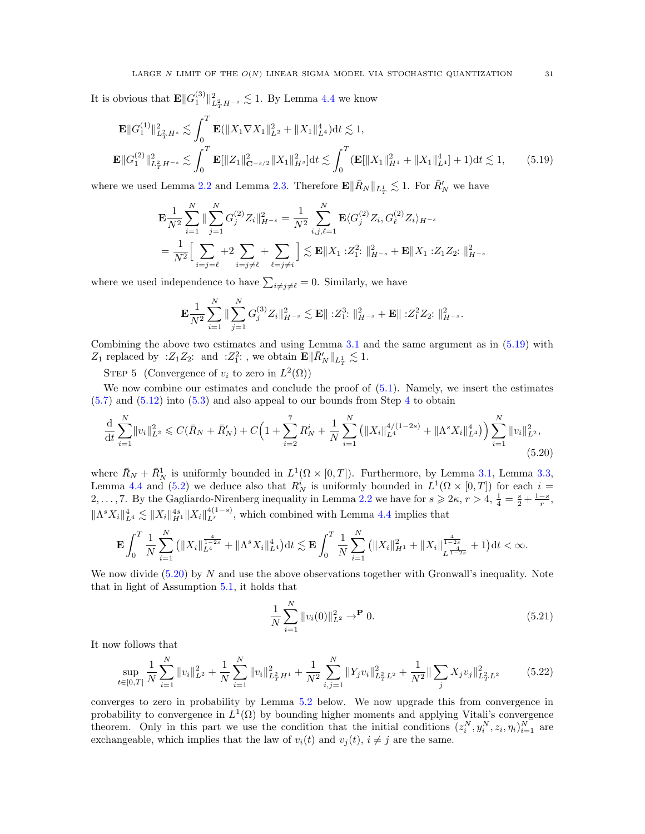It is obvious that  $\mathbf{E} || G_1^{(3)} ||_{L^2_T H^{-s}}^2 \lesssim 1$ . By Lemma [4.4](#page-19-0) we know

$$
\mathbf{E}||G_1^{(1)}||_{L_T^2 H^s}^2 \lesssim \int_0^T \mathbf{E}(||X_1 \nabla X_1||_{L^2}^2 + ||X_1||_{L^4}^4) dt \lesssim 1,
$$
  

$$
\mathbf{E}||G_1^{(2)}||_{L_T^2 H^{-s}}^2 \lesssim \int_0^T \mathbf{E}||Z_1||_{\mathbf{C}^{-s/2}}^2 ||X_1||_{H^s}^2 dt \lesssim \int_0^T (\mathbf{E}[||X_1||_{H^1}^2 + ||X_1||_{L^4}^4] + 1) dt \lesssim 1,
$$
(5.19)

where we used Lemma [2.2](#page-8-3) and Lemma [2.3.](#page-8-0) Therefore  $\mathbf{E} \|\bar{R}_N\|_{L^1_T} \lesssim 1$ . For  $\bar{R}'_N$  we have

<span id="page-30-0"></span>
$$
\mathbf{E} \frac{1}{N^2} \sum_{i=1}^N \|\sum_{j=1}^N G_j^{(2)} Z_i\|_{H^{-s}}^2 = \frac{1}{N^2} \sum_{i,j,\ell=1}^N \mathbf{E} \langle G_j^{(2)} Z_i, G_\ell^{(2)} Z_i \rangle_{H^{-s}} \n= \frac{1}{N^2} \Big[ \sum_{i=j=\ell}^N \left( \sum_{j=\ell}^N \sum_{j=\ell}^N \sum_{j=\ell}^N \sum_{j=\ell}^N \sum_{j=\ell}^N \sum_{j=\ell}^N \sum_{j=\ell}^N \sum_{j=\ell}^N \sum_{j=\ell}^N \sum_{j=\ell}^N \sum_{j=\ell}^N \sum_{j=\ell}^N \sum_{j=\ell}^N \sum_{j=\ell}^N \sum_{j=\ell}^N \sum_{j=\ell}^N \sum_{j=\ell}^N \sum_{j=\ell}^N \sum_{j=\ell}^N \sum_{j=\ell}^N \sum_{j=\ell}^N \sum_{j=\ell}^N \sum_{j=\ell}^N \sum_{j=\ell}^N \sum_{j=\ell}^N \sum_{j=\ell}^N \sum_{j=\ell}^N \sum_{j=\ell}^N \sum_{j=\ell}^N \sum_{j=\ell}^N \sum_{j=\ell}^N \sum_{j=\ell}^N \sum_{j=\ell}^N \sum_{j=\ell}^N \sum_{j=\ell}^N \sum_{j=\ell}^N \sum_{j=\ell}^N \sum_{j=\ell}^N \sum_{j=\ell}^N \sum_{j=\ell}^N \sum_{j=\ell}^N \sum_{j=\ell}^N \sum_{j=\ell}^N \sum_{j=\ell}^N \sum_{j=\ell}^N \sum_{j=\ell}^N \sum_{j=\ell}^N \sum_{j=\ell}^N \sum_{j=\ell}^N \sum_{j=\ell}^N \sum_{j=\ell}^N \sum_{j=\ell}^N \sum_{j=\ell}^N \sum_{j=\ell}^N \sum_{j=\ell}^N \sum_{j=\ell}^N \sum_{j=\ell}^N \sum_{j=\ell}^N \sum_{j=\ell}^N \sum_{j=\ell}^N \sum_{j=\ell}^N \sum_{j=\ell}^N \sum_{j=\ell}^N \sum_{j=\ell}^N \sum_{j=\ell}^N \sum_{j=\ell}^N \sum_{j=\ell}^N \sum_{j=\ell}^N \sum_{j=\ell}^N \sum_{
$$

where we used independence to have  $\sum_{i \neq j \neq \ell}$  = 0. Similarly, we have

$$
\mathbf{E}\frac{1}{N^2}\sum_{i=1}^N \|\sum_{j=1}^N G_j^{(3)} Z_i\|_{H^{-s}}^2 \lesssim \mathbf{E} \|\; : Z_1^3 \cdot \|_{H^{-s}}^2 + \mathbf{E} \|\; : Z_1^2 Z_2 \cdot \|_{H^{-s}}^2.
$$

Combining the above two estimates and using Lemma [3.1](#page-10-2) and the same argument as in [\(5.19\)](#page-30-0) with  $Z_1$  replaced by : $Z_1 Z_2$ : and : $Z_1^2$ :, we obtain  $\mathbf{E} \|\bar{R}'_{N}\|_{L^1_T} \lesssim 1$ .

STEP 5 (Convergence of  $v_i$  to zero in  $L^2(\Omega)$ )

We now combine our estimates and conclude the proof of  $(5.1)$ . Namely, we insert the estimates  $(5.7)$  and  $(5.12)$  into  $(5.3)$  and also appeal to our bounds from Step [4](#page-27-3) to obtain

$$
\frac{\mathrm{d}}{\mathrm{d}t} \sum_{i=1}^{N} \|v_i\|_{L^2}^2 \leqslant C(\bar{R}_N + \bar{R}'_N) + C \Big( 1 + \sum_{i=2}^{7} R_N^i + \frac{1}{N} \sum_{i=1}^{N} \left( \|X_i\|_{L^4}^{4/(1-2s)} + \|\Lambda^s X_i\|_{L^4}^4 \right) \Big) \sum_{i=1}^{N} \|v_i\|_{L^2}^2,
$$
\n(5.20)

where  $\bar{R}_N + \bar{R}_N^1$  is uniformly bounded in  $L^1(\Omega \times [0,T])$ . Furthermore, by Lemma [3.1,](#page-10-2) Lemma [3.3,](#page-11-1) Lemma [4.4](#page-19-0) and [\(5.2\)](#page-24-2) we deduce also that  $R_N^i$  is uniformly bounded in  $L^1(\Omega \times [0,T])$  for each  $i =$ 2,..., 7. By the Gagliardo-Nirenberg inequality in Lemma [2.2](#page-8-3) we have for  $s \geq 2\kappa$ ,  $r > 4$ ,  $\frac{1}{4} = \frac{s}{2} + \frac{1-s}{r}$ ,  $\|\Lambda^s X_i\|_{L^4}^4 \lesssim \|X_i\|_{H^1}^{4(s)} \|X_i\|_{L^r}^{4(1-s)}$ , which combined with Lemma [4.4](#page-19-0) implies that

$$
\mathbf{E} \int_0^T \frac{1}{N} \sum_{i=1}^N (||X_i||_{L^4}^{\frac{4}{1-2s}} + ||\Lambda^s X_i||_{L^4}^4) dt \lesssim \mathbf{E} \int_0^T \frac{1}{N} \sum_{i=1}^N (||X_i||_{H^1}^2 + ||X_i||_{L^{\frac{4}{1-2s}}}^{\frac{4}{1-2s}} + 1) dt < \infty.
$$

We now divide  $(5.20)$  by N and use the above observations together with Gronwall's inequality. Note that in light of Assumption [5.1,](#page-23-1) it holds that

<span id="page-30-2"></span><span id="page-30-1"></span>
$$
\frac{1}{N} \sum_{i=1}^{N} ||v_i(0)||_{L^2}^2 \to^{\mathbf{P}} 0.
$$
\n(5.21)

It now follows that

$$
\sup_{t \in [0,T]} \frac{1}{N} \sum_{i=1}^{N} \|v_i\|_{L^2}^2 + \frac{1}{N} \sum_{i=1}^{N} \|v_i\|_{L^2_T H^1}^2 + \frac{1}{N^2} \sum_{i,j=1}^{N} \|Y_j v_i\|_{L^2_T L^2}^2 + \frac{1}{N^2} \|\sum_j X_j v_j\|_{L^2_T L^2}^2 \tag{5.22}
$$

converges to zero in probability by Lemma [5.2](#page-33-1) below. We now upgrade this from convergence in probability to convergence in  $L^1(\Omega)$  by bounding higher moments and applying Vitali's convergence theorem. Only in this part we use the condition that the initial conditions  $(z_i^N, y_i^N, z_i, \eta_i)_{i=1}^N$  are exchangeable, which implies that the law of  $v_i(t)$  and  $v_j(t)$ ,  $i \neq j$  are the same.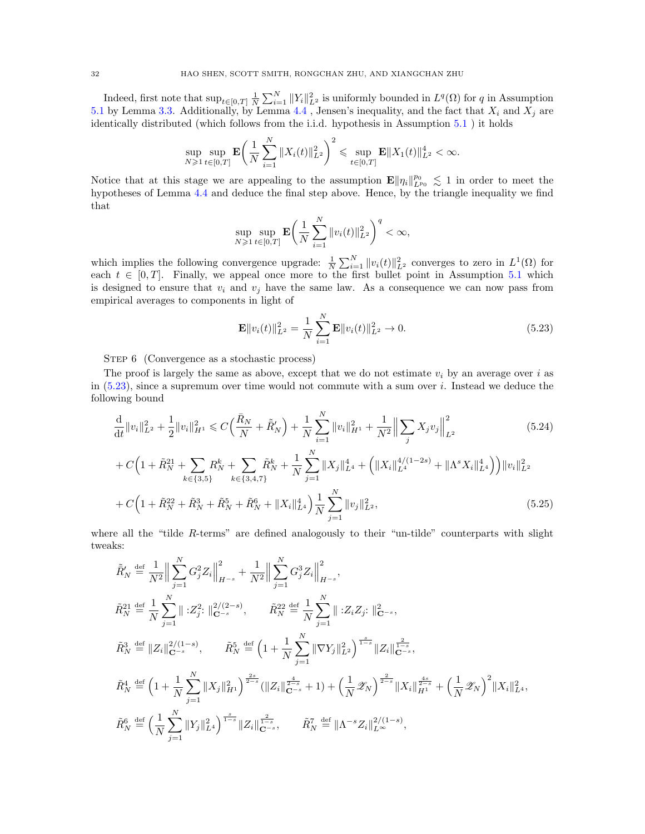Indeed, first note that  $\sup_{t\in[0,T]}\frac{1}{N}\sum_{i=1}^N||Y_i||^2_{L^2}$  is uniformly bounded in  $L^q(\Omega)$  for q in Assumption [5.1](#page-23-1) by Lemma [3.3.](#page-11-1) Additionally, by Lemma [4.4](#page-19-0), Jensen's inequality, and the fact that  $X_i$  and  $X_j$  are identically distributed (which follows from the i.i.d. hypothesis in Assumption [5.1](#page-23-1) ) it holds

$$
\sup_{N\geq 1}\sup_{t\in[0,T]}\mathbf{E}\bigg(\frac{1}{N}\sum_{i=1}^N\|X_i(t)\|_{L^2}^2\bigg)^2\leqslant \sup_{t\in[0,T]}\mathbf{E}\|X_1(t)\|_{L^2}^4<\infty.
$$

Notice that at this stage we are appealing to the assumption  $\mathbf{E} \|\eta_i\|_{L^{p_0}}^{p_0} \lesssim 1$  in order to meet the hypotheses of Lemma [4.4](#page-19-0) and deduce the final step above. Hence, by the triangle inequality we find that

$$
\sup_{N \geq 1} \sup_{t \in [0,T]} \mathbf{E} \bigg( \frac{1}{N} \sum_{i=1}^N \|v_i(t)\|_{L^2}^2 \bigg)^q < \infty,
$$

which implies the following convergence upgrade:  $\frac{1}{N}\sum_{i=1}^{N}||v_i(t)||_{L^2}^2$  converges to zero in  $L^1(\Omega)$  for each  $t \in [0, T]$ . Finally, we appeal once more to the first bullet point in Assumption [5.1](#page-23-1) which is designed to ensure that  $v_i$  and  $v_j$  have the same law. As a consequence we can now pass from empirical averages to components in light of

<span id="page-31-2"></span><span id="page-31-1"></span><span id="page-31-0"></span>
$$
\mathbf{E}||v_i(t)||_{L^2}^2 = \frac{1}{N} \sum_{i=1}^N \mathbf{E}||v_i(t)||_{L^2}^2 \to 0.
$$
 (5.23)

STEP 6 (Convergence as a stochastic process)

The proof is largely the same as above, except that we do not estimate  $v_i$  by an average over i as in [\(5.23\)](#page-31-0), since a supremum over time would not commute with a sum over i. Instead we deduce the following bound

$$
\frac{\mathrm{d}}{\mathrm{d}t} \|v_i\|_{L^2}^2 + \frac{1}{2} \|v_i\|_{H^1}^2 \leq C \Big(\frac{\bar{R}_N}{N} + \tilde{R}'_N\Big) + \frac{1}{N} \sum_{i=1}^N \|v_i\|_{H^1}^2 + \frac{1}{N^2} \Big\| \sum_j X_j v_j \Big\|_{L^2}^2
$$
\n
$$
+ C \Big( 1 + \tilde{R}_N^{21} + \sum_{k \in \{3,5\}} R_N^k + \sum_{k \in \{3,4,7\}} \tilde{R}_N^k + \frac{1}{N} \sum_{j=1}^N \|X_j\|_{L^4}^4 + \Big( \|X_i\|_{L^4}^{4/(1-2s)} + \|\Lambda^s X_i\|_{L^4}^4 \Big) \Big) \|v_i\|_{L^2}^2
$$
\n
$$
+ C \Big( 1 + \tilde{R}_N^{22} + \tilde{R}_N^3 + \tilde{R}_N^5 + \tilde{R}_N^6 + \|X_i\|_{L^4}^4 \Big) \frac{1}{N} \sum_{j=1}^N \|v_j\|_{L^2}^2,
$$
\n
$$
(5.25)
$$

where all the "tilde R-terms" are defined analogously to their "un-tilde" counterparts with slight tweaks:

$$
\tilde{R}'_{N} \stackrel{\text{def}}{=} \frac{1}{N^{2}} \Big\| \sum_{j=1}^{N} G_{j}^{2} Z_{i} \Big\|_{H^{-s}}^{2} + \frac{1}{N^{2}} \Big\| \sum_{j=1}^{N} G_{j}^{3} Z_{i} \Big\|_{H^{-s}}^{2},
$$
\n
$$
\tilde{R}_{N}^{21} \stackrel{\text{def}}{=} \frac{1}{N} \sum_{j=1}^{N} \Big\| :Z_{j}^{2}: \Big\|_{\mathbf{C}^{-s}}^{2/2-s}, \qquad \tilde{R}_{N}^{22} \stackrel{\text{def}}{=} \frac{1}{N} \sum_{j=1}^{N} \Big\| :Z_{i} Z_{j}: \Big\|_{\mathbf{C}^{-s}}^{2},
$$
\n
$$
\tilde{R}_{N}^{3} \stackrel{\text{def}}{=} \Big\| Z_{i} \Big\|_{\mathbf{C}^{-s}}^{2/1-s}, \qquad \tilde{R}_{N}^{5} \stackrel{\text{def}}{=} \Big( 1 + \frac{1}{N} \sum_{j=1}^{N} \|\nabla Y_{j}\|_{L^{2}}^{2} \Big)^{\frac{s}{1-s}} \|Z_{i}\|_{\mathbf{C}^{-s}}^{\frac{2}{1-s}},
$$
\n
$$
\tilde{R}_{N}^{4} \stackrel{\text{def}}{=} \Big( 1 + \frac{1}{N} \sum_{j=1}^{N} \|X_{j}\|_{H^{1}}^{2} \Big)^{\frac{2s}{2-s}} (\|Z_{i}\|_{\mathbf{C}^{-s}}^{\frac{4}{2-s}} + 1) + \Big( \frac{1}{N} \mathcal{Z}_{N} \Big)^{\frac{2}{2-s}} \|X_{i}\|_{H^{1}}^{\frac{4s}{2-s}} + \Big( \frac{1}{N} \mathcal{Z}_{N} \Big)^{2} \|X_{i}\|_{L^{4}}^{2},
$$
\n
$$
\tilde{R}_{N}^{6} \stackrel{\text{def}}{=} \Big( \frac{1}{N} \sum_{j=1}^{N} \|Y_{j}\|_{L^{4}}^{2} \Big)^{\frac{s}{1-s}} \|Z_{i}\|_{\mathbf{C}^{-s}}^{\frac{2}{1-s}}, \qquad \tilde{R}_{N}^{7} \stackrel{\text{def}}{=} \|\Lambda^{-s} Z_{i}\|_{L^{\in
$$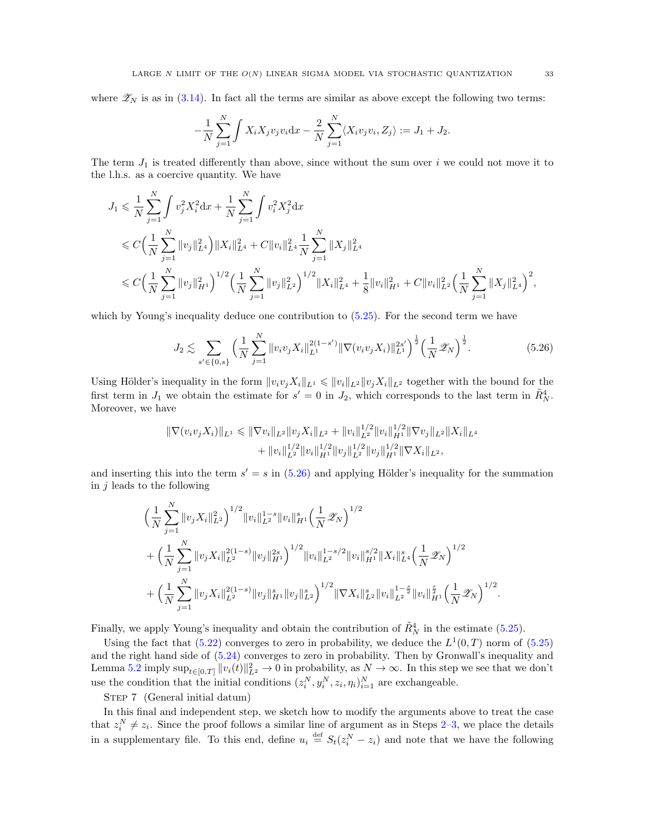where  $\mathscr{Z}_N$  is as in [\(3.14\)](#page-13-4). In fact all the terms are similar as above except the following two terms:

$$
-\frac{1}{N}\sum_{j=1}^{N} \int X_{i}X_{j}v_{j}v_{i}dx - \frac{2}{N}\sum_{j=1}^{N} \langle X_{i}v_{j}v_{i}, Z_{j} \rangle := J_{1} + J_{2}.
$$

The term  $J_1$  is treated differently than above, since without the sum over i we could not move it to the l.h.s. as a coercive quantity. We have

$$
J_1 \leq \frac{1}{N} \sum_{j=1}^N \int v_j^2 X_i^2 dx + \frac{1}{N} \sum_{j=1}^N \int v_i^2 X_j^2 dx
$$
  
\n
$$
\leq C \Big( \frac{1}{N} \sum_{j=1}^N \|v_j\|_{L^4}^2 \Big) \|X_i\|_{L^4}^2 + C \|v_i\|_{L^4}^2 \frac{1}{N} \sum_{j=1}^N \|X_j\|_{L^4}^2
$$
  
\n
$$
\leq C \Big( \frac{1}{N} \sum_{j=1}^N \|v_j\|_{H^1}^2 \Big)^{1/2} \Big( \frac{1}{N} \sum_{j=1}^N \|v_j\|_{L^2}^2 \Big)^{1/2} \|X_i\|_{L^4}^2 + \frac{1}{8} \|v_i\|_{H^1}^2 + C \|v_i\|_{L^2}^2 \Big( \frac{1}{N} \sum_{j=1}^N \|X_j\|_{L^4}^2 \Big)^2,
$$

which by Young's inequality deduce one contribution to  $(5.25)$ . For the second term we have

$$
J_2 \lesssim \sum_{s' \in \{0,s\}} \left(\frac{1}{N} \sum_{j=1}^N \|v_i v_j X_i\|_{L^1}^{2(1-s')} \|\nabla(v_i v_j X_i)\|_{L^1}^{2s'}\right)^{\frac{1}{2}} \left(\frac{1}{N} \mathscr{Z}_N\right)^{\frac{1}{2}}.
$$
 (5.26)

Using Hölder's inequality in the form  $||v_i v_j X_i||_{L^1} \leq ||v_i||_{L^2} ||v_j X_i||_{L^2}$  together with the bound for the first term in  $J_1$  we obtain the estimate for  $s' = 0$  in  $J_2$ , which corresponds to the last term in  $\tilde{R}_{N}^4$ . Moreover, we have

$$
\begin{aligned} \|\nabla(v_i v_j X_i)\|_{L^1} &\leq \|\nabla v_i\|_{L^2} \|v_j X_i\|_{L^2} + \|v_i\|_{L^2}^{1/2} \|v_i\|_{H^1}^{1/2} \|\nabla v_j\|_{L^2} \|X_i\|_{L^4} \\ &+ \|v_i\|_{L^2}^{1/2} \|v_i\|_{H^1}^{1/2} \|v_j\|_{L^2}^{1/2} \|v_j\|_{H^1}^{1/2} \|\nabla X_i\|_{L^2}, \end{aligned}
$$

and inserting this into the term  $s' = s$  in [\(5.26\)](#page-32-0) and applying Hölder's inequality for the summation in  $j$  leads to the following

$$
\begin{split}\n&\Big(\frac{1}{N}\sum_{j=1}^{N}\|v_{j}X_{i}\|_{L^{2}}^{2}\Big)^{1/2}\|v_{i}\|_{L^{2}}^{1-s}\|v_{i}\|_{H^{1}}^{s}\Big(\frac{1}{N}\mathscr{Z}_{N}\Big)^{1/2} \\
&+\Big(\frac{1}{N}\sum_{j=1}^{N}\|v_{j}X_{i}\|_{L^{2}}^{2(1-s)}\|v_{j}\|_{H^{1}}^{2s}\Big)^{1/2}\|v_{i}\|_{L^{2}}^{1-s/2}\|v_{i}\|_{H^{1}}^{s/2}\|X_{i}\|_{L^{4}}^{s}\Big(\frac{1}{N}\mathscr{Z}_{N}\Big)^{1/2} \\
&+\Big(\frac{1}{N}\sum_{j=1}^{N}\|v_{j}X_{i}\|_{L^{2}}^{2(1-s)}\|v_{j}\|_{H^{1}}^{s}\|v_{j}\|_{L^{2}}^{s}\Big)^{1/2}\|\nabla X_{i}\|_{L^{2}}^{s}\|v_{i}\|_{L^{2}}^{1-s}\|v_{i}\|_{H^{1}}^{\frac{s}{2}}\Big(\frac{1}{N}\mathscr{Z}_{N}\Big)^{1/2}\n\end{split}
$$

Finally, we apply Young's inequality and obtain the contribution of  $\tilde{R}^4_N$  in the estimate [\(5.25\)](#page-31-1).

Using the fact that  $(5.22)$  converges to zero in probability, we deduce the  $L^1(0,T)$  norm of  $(5.25)$ and the right hand side of [\(5.24\)](#page-31-2) converges to zero in probability. Then by Gronwall's inequality and Lemma [5.2](#page-33-1) imply  $\sup_{t\in[0,T]}||v_i(t)||_{L^2}^2\to 0$  in probability, as  $N\to\infty$ . In this step we see that we don't use the condition that the initial conditions  $(z_i^N, y_i^N, z_i, \eta_i)_{i=1}^N$  are exchangeable.

STEP 7 (General initial datum)

In this final and independent step, we sketch how to modify the arguments above to treat the case that  $z_i^N \neq z_i$ . Since the proof follows a similar line of argument as in Steps [2–](#page-24-4)[3,](#page-26-0) we place the details in a supplementary file. To this end, define  $u_i \stackrel{\text{def}}{=} S_t(z_i^N - z_i)$  and note that we have the following

<span id="page-32-0"></span>.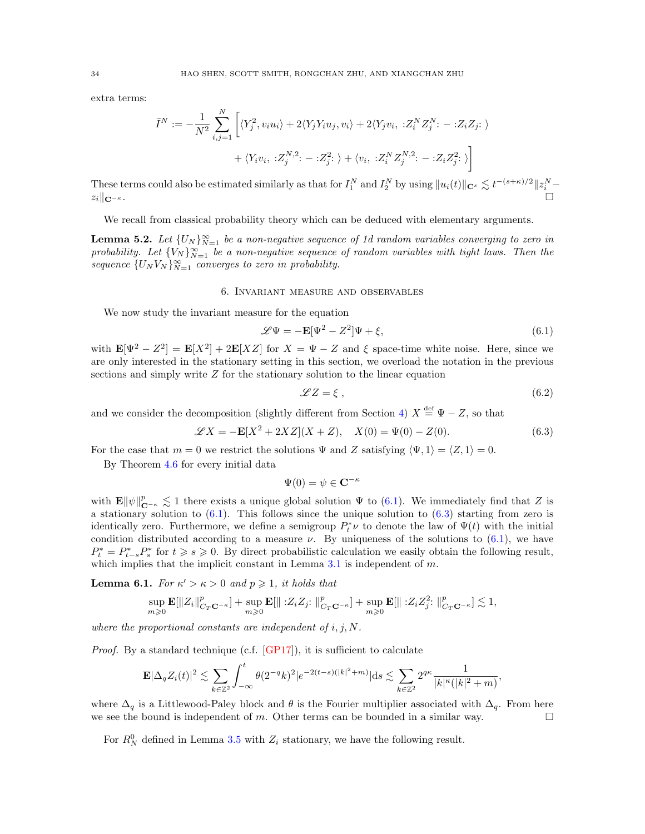extra terms:

$$
\bar{I}^N := -\frac{1}{N^2} \sum_{i,j=1}^N \left[ \langle Y_j^2, v_i u_i \rangle + 2 \langle Y_j Y_i u_j, v_i \rangle + 2 \langle Y_j v_i, \; : Z_i^N Z_j^N : - : Z_i Z_j : \rangle \right. \\ \left. + \langle Y_i v_i, \; : Z_j^{N,2} : - : Z_j^2 : \; \rangle + \langle v_i, \; : Z_i^N Z_j^{N,2} : - : Z_i Z_j^2 : \; \rangle \right]
$$

These terms could also be estimated similarly as that for  $I_1^N$  and  $I_2^N$  by using  $||u_i(t)||_{\mathbf{C}^s} \lesssim t^{-(s+\kappa)/2} ||z_i^N - z_i||$  $z_i\Vert_{\mathbf{C}^{-\kappa}}$ .

We recall from classical probability theory which can be deduced with elementary arguments.

<span id="page-33-1"></span>**Lemma 5.2.** Let  $\{U_N\}_{N=1}^{\infty}$  be a non-negative sequence of 1d random variables converging to zero in probability. Let  ${V_N}_{N=1}^{\infty}$  be a non-negative sequence of random variables with tight laws. Then the sequence  $\{U_N V_N\}_{N=1}^{\infty}$  converges to zero in probability.

#### 6. Invariant measure and observables

<span id="page-33-0"></span>We now study the invariant measure for the equation

<span id="page-33-2"></span>
$$
\mathcal{L}\Psi = -\mathbf{E}[\Psi^2 - Z^2]\Psi + \xi,\tag{6.1}
$$

with  $\mathbf{E}[\Psi^2 - Z^2] = \mathbf{E}[X^2] + 2\mathbf{E}[XZ]$  for  $X = \Psi - Z$  and  $\xi$  space-time white noise. Here, since we are only interested in the stationary setting in this section, we overload the notation in the previous sections and simply write Z for the stationary solution to the linear equation

<span id="page-33-5"></span>
$$
\mathscr{L}Z = \xi \,,\tag{6.2}
$$

and we consider the decomposition (slightly different from Section [4\)](#page-15-0)  $X \stackrel{\text{def}}{=} \Psi - Z$ , so that

<span id="page-33-3"></span>
$$
\mathcal{L}X = -\mathbf{E}[X^2 + 2XZ](X + Z), \quad X(0) = \Psi(0) - Z(0). \tag{6.3}
$$

For the case that  $m = 0$  we restrict the solutions  $\Psi$  and Z satisfying  $\langle \Psi, 1 \rangle = \langle Z, 1 \rangle = 0$ .

By Theorem [4.6](#page-23-3) for every initial data

$$
\Psi(0) = \psi \in \mathbf{C}^{-\kappa}
$$

with  $\mathbf{E} \|\psi\|_{\mathbf{C}^{-\kappa}}^p \lesssim 1$  there exists a unique global solution  $\Psi$  to [\(6.1\)](#page-33-2). We immediately find that Z is a stationary solution to  $(6.1)$ . This follows since the unique solution to  $(6.3)$  starting from zero is identically zero. Furthermore, we define a semigroup  $P_t^* \nu$  to denote the law of  $\Psi(t)$  with the initial condition distributed according to a measure  $\nu$ . By uniqueness of the solutions to [\(6.1\)](#page-33-2), we have  $P_t^* = P_{t-s}^* P_s^*$  for  $t \ge s \ge 0$ . By direct probabilistic calculation we easily obtain the following result, which implies that the implicit constant in Lemma  $3.1$  is independent of  $m$ .

<span id="page-33-4"></span>**Lemma 6.1.** For  $\kappa' > \kappa > 0$  and  $p \ge 1$ , it holds that

$$
\sup_{m\geqslant 0}\mathbf{E}[\|Z_i\|_{C_T\mathbf{C}^{-\kappa}}^p]+\sup_{m\geqslant 0}\mathbf{E}[\| :Z_iZ_j:\|_{C_T\mathbf{C}^{-\kappa}}^p]+\sup_{m\geqslant 0}\mathbf{E}[\| :Z_iZ_j^2:\|_{C_T\mathbf{C}^{-\kappa}}^p]\lesssim 1,
$$

where the proportional constants are independent of  $i, j, N$ .

*Proof.* By a standard technique (c.f.  $[GP17]$ ), it is sufficient to calculate

$$
\mathbf{E}|\Delta_q Z_i(t)|^2 \lesssim \sum_{k \in \mathbb{Z}^2} \int_{-\infty}^t \theta(2^{-q}k)^2 |e^{-2(t-s)(|k|^2+m)}| \mathrm{d} s \lesssim \sum_{k \in \mathbb{Z}^2} 2^{q\kappa} \frac{1}{|k|^{\kappa} (|k|^2 + m)},
$$

where  $\Delta_q$  is a Littlewood-Paley block and  $\theta$  is the Fourier multiplier associated with  $\Delta_q$ . From here we see the bound is independent of  $m$ . Other terms can be bounded in a similar way.

For  $R_N^0$  defined in Lemma [3.5](#page-14-2) with  $Z_i$  stationary, we have the following result.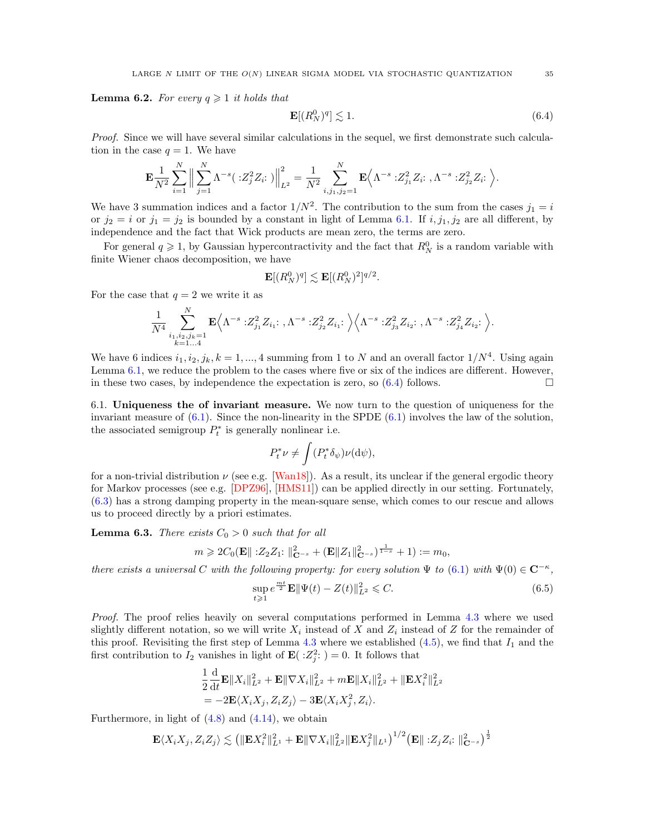**Lemma 6.2.** For every  $q \geq 1$  it holds that

$$
\mathbf{E}[(R_N^0)^q] \lesssim 1. \tag{6.4}
$$

Proof. Since we will have several similar calculations in the sequel, we first demonstrate such calculation in the case  $q = 1$ . We have

$$
\mathbf{E}\frac{1}{N^2}\sum_{i=1}^N\Big\|\sum_{j=1}^N\Lambda^{-s}(\cdot:Z_j^2Z_i:\cdot)\Big\|_{L^2}^2=\frac{1}{N^2}\sum_{i,j_1,j_2=1}^N\mathbf{E}\Big\langle\Lambda^{-s}\cdot:Z_{j_1}^2Z_i:\cdot,\Lambda^{-s}\cdot:Z_{j_2}^2Z_i:\Big\rangle.
$$

We have 3 summation indices and a factor  $1/N^2$ . The contribution to the sum from the cases  $j_1 = i$ or  $j_2 = i$  or  $j_1 = j_2$  is bounded by a constant in light of Lemma [6.1.](#page-33-4) If  $i, j_1, j_2$  are all different, by independence and the fact that Wick products are mean zero, the terms are zero.

For general  $q \geq 1$ , by Gaussian hypercontractivity and the fact that  $R_N^0$  is a random variable with finite Wiener chaos decomposition, we have

$$
\mathbf{E}[(R_N^0)^q] \lesssim \mathbf{E}[(R_N^0)^2]^{q/2}.
$$

For the case that  $q = 2$  we write it as

$$
\frac{1}{N^4} \sum_{\substack{i_1, i_2, j_k = 1 \\ k=1...4}}^N \mathbf{E} \Big\langle \Lambda^{-s} : Z_{j_1}^2 Z_{i_1} : \, , \Lambda^{-s} : Z_{j_2}^2 Z_{i_1} : \, \Big\rangle \Big\langle \Lambda^{-s} : Z_{j_3}^2 Z_{i_2} : \, , \Lambda^{-s} : Z_{j_4}^2 Z_{i_2} : \, \Big\rangle.
$$

We have 6 indices  $i_1, i_2, j_k, k = 1, ..., 4$  summing from 1 to N and an overall factor  $1/N^4$ . Using again Lemma [6.1,](#page-33-4) we reduce the problem to the cases where five or six of the indices are different. However, in these two cases, by independence the expectation is zero, so  $(6.4)$  follows.

<span id="page-34-0"></span>6.1. Uniqueness the of invariant measure. We now turn to the question of uniqueness for the invariant measure of  $(6.1)$ . Since the non-linearity in the SPDE  $(6.1)$  involves the law of the solution, the associated semigroup  $P_t^*$  is generally nonlinear i.e.

$$
P_t^* \nu \neq \int (P_t^* \delta_{\psi}) \nu(\mathrm{d}\psi),
$$

for a non-trivial distribution  $\nu$  (see e.g. [\[Wan18\]](#page-59-16)). As a result, its unclear if the general ergodic theory for Markov processes (see e.g. [\[DPZ96\]](#page-58-8), [\[HMS11\]](#page-58-9)) can be applied directly in our setting. Fortunately, [\(6.3\)](#page-33-3) has a strong damping property in the mean-square sense, which comes to our rescue and allows us to proceed directly by a priori estimates.

<span id="page-34-3"></span>**Lemma 6.3.** There exists  $C_0 > 0$  such that for all

$$
m \geq 2C_0(\mathbf{E} || 22Z_1 : ||_{\mathbf{C}^{-s}}^2 + (\mathbf{E} ||Z_1||_{\mathbf{C}^{-s}}^2)^{\frac{1}{1-s}} + 1) := m_0,
$$

there exists a universal C with the following property: for every solution  $\Psi$  to [\(6.1\)](#page-33-2) with  $\Psi(0) \in \mathbb{C}^{-\kappa}$ ,

<span id="page-34-2"></span>
$$
\sup_{t \geq 1} e^{\frac{mt}{2}} \mathbf{E} \|\Psi(t) - Z(t)\|_{L^2}^2 \leq C.
$$
\n(6.5)

Proof. The proof relies heavily on several computations performed in Lemma [4.3](#page-17-0) where we used slightly different notation, so we will write  $X_i$  instead of X and  $Z_i$  instead of Z for the remainder of this proof. Revisiting the first step of Lemma [4.3](#page-17-0) where we established  $(4.5)$ , we find that  $I_1$  and the first contribution to  $I_2$  vanishes in light of  $\mathbf{E}(|:Z_j^2; ) = 0$ . It follows that

$$
\frac{1}{2}\frac{\mathrm{d}}{\mathrm{d}t}\mathbf{E}||X_i||_{L^2}^2 + \mathbf{E}||\nabla X_i||_{L^2}^2 + m\mathbf{E}||X_i||_{L^2}^2 + ||\mathbf{E}X_i^2||_{L^2}^2
$$
  
= -2 $\mathbf{E}\langle X_i X_j, Z_i Z_j \rangle - 3\mathbf{E}\langle X_i X_j^2, Z_i \rangle.$ 

Furthermore, in light of  $(4.8)$  and  $(4.14)$ , we obtain

$$
\mathbf{E}\langle X_iX_j,Z_iZ_j\rangle\lesssim \left(\|\mathbf{E}X_i^2\|_{L^1}^2+\mathbf{E}\|\nabla X_i\|_{L^2}^2\|\mathbf{E}X_j^2\|_{L^1}\right)^{1/2}\left(\mathbf{E}\|\;:Z_jZ_i;\;\|_{\mathbf{C}^{-s}}^2\right)^{\frac{1}{2}}
$$

<span id="page-34-1"></span>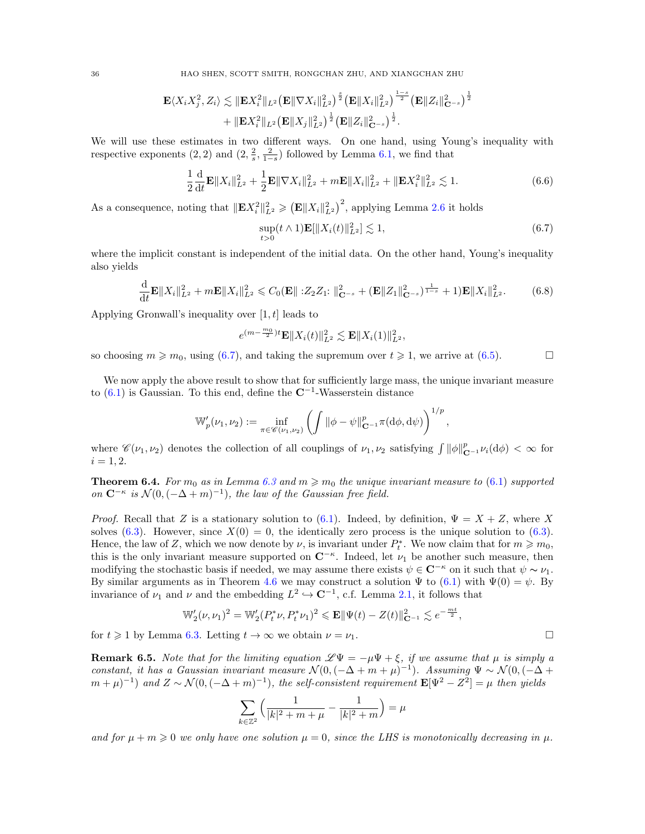36 HAO SHEN, SCOTT SMITH, RONGCHAN ZHU, AND XIANGCHAN ZHU

$$
\mathbf{E}\langle X_iX_j^2,Z_i\rangle\lesssim \|\mathbf{E}X_i^2\|_{L^2}\big(\mathbf{E}\|\nabla X_i\|_{L^2}^2\big)^{\frac{s}{2}}\big(\mathbf{E}\|X_i\|_{L^2}^2\big)^{\frac{1-s}{2}}\big(\mathbf{E}\|Z_i\|_{\mathbf{C}^{-s}}^2\big)^{\frac{1}{2}}\\+\|\mathbf{E}X_i^2\|_{L^2}\big(\mathbf{E}\|X_j\|_{L^2}^2\big)^{\frac{1}{2}}\big(\mathbf{E}\|Z_i\|_{\mathbf{C}^{-s}}^2\big)^{\frac{1}{2}}.
$$

We will use these estimates in two different ways. On one hand, using Young's inequality with respective exponents  $(2, 2)$  and  $(2, \frac{2}{s}, \frac{2}{1-s})$  followed by Lemma [6.1,](#page-33-4) we find that

$$
\frac{1}{2}\frac{\mathrm{d}}{\mathrm{d}t}\mathbf{E}\|X_i\|_{L^2}^2 + \frac{1}{2}\mathbf{E}\|\nabla X_i\|_{L^2}^2 + m\mathbf{E}\|X_i\|_{L^2}^2 + \|\mathbf{E}X_i^2\|_{L^2}^2 \lesssim 1. \tag{6.6}
$$

As a consequence, noting that  $\|\mathbf{E} X_i^2\|_{L^2}^2 \geqslant (\mathbf{E} \|X_i\|_{L^2}^2)^2$ , applying Lemma [2.6](#page-9-5) it holds

$$
\sup_{t>0} (t \wedge 1) \mathbf{E}[\|X_i(t)\|_{L^2}^2] \lesssim 1,
$$
\n(6.7)

<span id="page-35-1"></span>,

where the implicit constant is independent of the initial data. On the other hand, Young's inequality also yields

$$
\frac{\mathrm{d}}{\mathrm{d}t} \mathbf{E} \|X_i\|_{L^2}^2 + m \mathbf{E} \|X_i\|_{L^2}^2 \leq C_0(\mathbf{E} \| : Z_2 Z_1 : \|_{\mathbf{C}^{-s}}^2 + (\mathbf{E} \|Z_1\|_{\mathbf{C}^{-s}}^2)^{\frac{1}{1-s}} + 1) \mathbf{E} \|X_i\|_{L^2}^2. \tag{6.8}
$$

Applying Gronwall's inequality over  $[1, t]$  leads to

<span id="page-35-2"></span>
$$
e^{(m-\frac{m_0}{2})t}\mathbf{E}||X_i(t)||_{L^2}^2 \lesssim \mathbf{E}||X_i(1)||_{L^2}^2,
$$

so choosing  $m \geq m_0$ , using [\(6.7\)](#page-35-1), and taking the supremum over  $t \geq 1$ , we arrive at [\(6.5\)](#page-34-2).

We now apply the above result to show that for sufficiently large mass, the unique invariant measure to  $(6.1)$  is Gaussian. To this end, define the  $\mathbb{C}^{-1}$ -Wasserstein distance

$$
\mathbb{W}'_p(\nu_1, \nu_2) := \inf_{\pi \in \mathscr{C}(\nu_1, \nu_2)} \left( \int \|\phi - \psi\|_{\mathbf{C}^{-1}}^p \pi(\mathrm{d}\phi, \mathrm{d}\psi) \right)^{1/p}
$$

where  $\mathscr{C}(\nu_1, \nu_2)$  denotes the collection of all couplings of  $\nu_1, \nu_2$  satisfying  $\int ||\phi||^p_{\mathbf{C}^{-1}} \nu_i(d\phi) < \infty$  for  $i = 1, 2.$ 

<span id="page-35-0"></span>**Theorem 6.4.** For  $m_0$  as in Lemma [6.3](#page-34-3) and  $m \geq m_0$  the unique invariant measure to [\(6.1\)](#page-33-2) supported on  $\mathbb{C}^{-\kappa}$  is  $\mathcal{N}(0, (-\Delta+m)^{-1})$ , the law of the Gaussian free field.

*Proof.* Recall that Z is a stationary solution to [\(6.1\)](#page-33-2). Indeed, by definition,  $\Psi = X + Z$ , where X solves [\(6.3\)](#page-33-3). However, since  $X(0) = 0$ , the identically zero process is the unique solution to (6.3). Hence, the law of Z, which we now denote by  $\nu$ , is invariant under  $P_t^*$ . We now claim that for  $m \geq m_0$ , this is the only invariant measure supported on  $\mathbb{C}^{-\kappa}$ . Indeed, let  $\nu_1$  be another such measure, then modifying the stochastic basis if needed, we may assume there exists  $\psi \in \mathbb{C}^{-\kappa}$  on it such that  $\psi \sim \nu_1$ . By similar arguments as in Theorem [4.6](#page-23-3) we may construct a solution  $\Psi$  to [\(6.1\)](#page-33-2) with  $\Psi(0) = \psi$ . By invariance of  $\nu_1$  and  $\nu$  and the embedding  $L^2 \hookrightarrow \mathbb{C}^{-1}$ , c.f. Lemma [2.1,](#page-8-5) it follows that

$$
\mathbb{W}'_2(\nu,\nu_1)^2 = \mathbb{W}'_2(P_t^*\nu,P_t^*\nu_1)^2 \leqslant \mathbf{E} \|\Psi(t) - Z(t)\|_{\mathbf{C}^{-1}}^2 \lesssim e^{-\frac{mt}{2}},
$$

for  $t \ge 1$  by Lemma [6.3.](#page-34-3) Letting  $t \to \infty$  we obtain  $\nu = \nu_1$ .

**Remark 6.5.** Note that for the limiting equation  $\mathscr{L}\Psi = -\mu\Psi + \xi$ , if we assume that  $\mu$  is simply a constant, it has a Gaussian invariant measure  $\mathcal{N}(0, (-\Delta + m + \mu)^{-1})$ . Assuming  $\Psi \sim \mathcal{N}(0, (-\Delta + m + \mu)^{-1})$  $(m+\mu)^{-1}$  and  $Z \sim \mathcal{N}(0, (-\Delta+m)^{-1})$ , the self-consistent requirement  $\mathbf{E}[\Psi^2 - Z^2] = \mu$  then yields

$$
\sum_{k\in\mathbb{Z}^2}\Big(\frac{1}{|k|^2+m+\mu}-\frac{1}{|k|^2+m}\Big)=\mu
$$

and for  $\mu + m \geqslant 0$  we only have one solution  $\mu = 0$ , since the LHS is monotonically decreasing in  $\mu$ .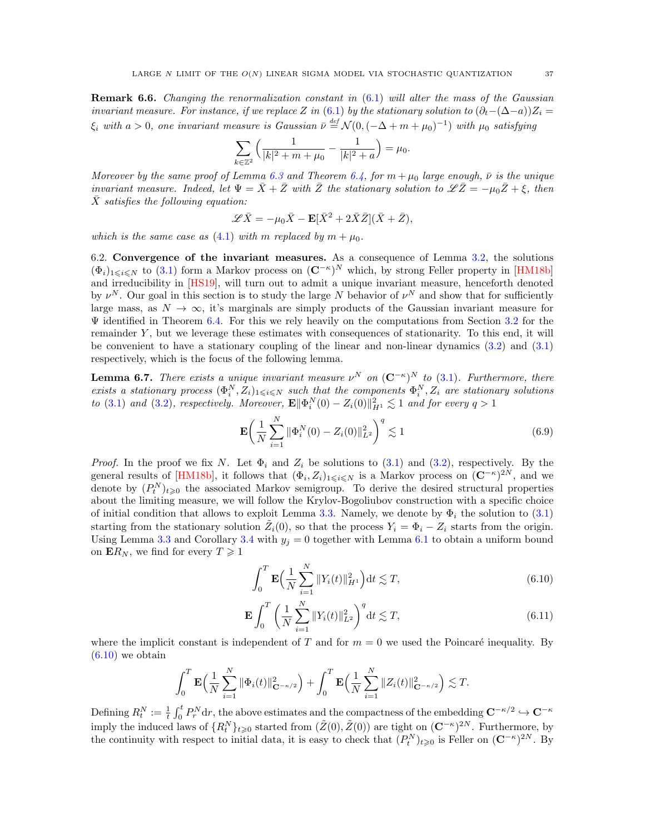<span id="page-36-4"></span>**Remark 6.6.** Changing the renormalization constant in  $(6.1)$  will alter the mass of the Gaussian invariant measure. For instance, if we replace Z in [\(6.1\)](#page-33-2) by the stationary solution to  $(\partial_t-(\Delta-a))Z_i =$  $\xi_i$  with  $a > 0$ , one invariant measure is Gaussian  $\bar{\nu} \stackrel{def}{=} \mathcal{N}(0, (-\Delta + m + \mu_0)^{-1})$  with  $\mu_0$  satisfying

$$
\sum_{k \in \mathbb{Z}^2} \left( \frac{1}{|k|^2 + m + \mu_0} - \frac{1}{|k|^2 + a} \right) = \mu_0.
$$

Moreover by the same proof of Lemma [6.3](#page-34-3) and Theorem [6.4,](#page-35-0) for  $m + \mu_0$  large enough,  $\bar{\nu}$  is the unique invariant measure. Indeed, let  $\Psi = \bar{X} + \bar{Z}$  with  $\bar{Z}$  the stationary solution to  $\mathscr{L}\bar{Z} = -\mu_0\bar{Z} + \xi$ , then  $\bar{X}$  satisfies the following equation:

$$
\mathscr{L}\bar{X}=-\mu_0\bar{X}-\mathbf{E}[\bar{X}^2+2\bar{X}\bar{Z}](\bar{X}+\bar{Z}),
$$

which is the same case as [\(4.1\)](#page-15-2) with m replaced by  $m + \mu_0$ .

<span id="page-36-0"></span>6.2. Convergence of the invariant measures. As a consequence of Lemma [3.2,](#page-11-0) the solutions  $(\Phi_i)_{1\leqslant i\leqslant N}$  to [\(3.1\)](#page-9-1) form a Markov process on  $({\bf C}^{-\kappa})^N$  which, by strong Feller property in [\[HM18b\]](#page-58-4) and irreducibility in [\[HS19\]](#page-58-5), will turn out to admit a unique invariant measure, henceforth denoted by  $\nu^N$ . Our goal in this section is to study the large N behavior of  $\nu^N$  and show that for sufficiently large mass, as  $N \to \infty$ , it's marginals are simply products of the Gaussian invariant measure for  $\Psi$  identified in Theorem [6.4.](#page-35-0) For this we rely heavily on the computations from Section [3.2](#page-11-2) for the remainder Y , but we leverage these estimates with consequences of stationarity. To this end, it will be convenient to have a stationary coupling of the linear and non-linear dynamics [\(3.2\)](#page-9-4) and [\(3.1\)](#page-9-1) respectively, which is the focus of the following lemma.

<span id="page-36-3"></span>**Lemma 6.7.** There exists a unique invariant measure  $\nu^N$  on  $(C^{-\kappa})^N$  to [\(3.1\)](#page-9-1). Furthermore, there exists a stationary process  $(\Phi_i^N, Z_i)_{1\leq i\leq N}$  such that the components  $\Phi_i^N, Z_i$  are stationary solutions to [\(3.1\)](#page-9-1) and [\(3.2\)](#page-9-4), respectively. Moreover,  $\mathbf{E} \|\Phi_i^N(0) - Z_i(0)\|_{H^1}^2 \lesssim 1$  and for every  $q > 1$ 

$$
\mathbf{E}\left(\frac{1}{N}\sum_{i=1}^{N}\|\Phi_i^N(0) - Z_i(0)\|_{L^2}^2\right)^q \lesssim 1\tag{6.9}
$$

*Proof.* In the proof we fix N. Let  $\Phi_i$  and  $Z_i$  be solutions to [\(3.1\)](#page-9-1) and [\(3.2\)](#page-9-4), respectively. By the general results of [\[HM18b\]](#page-58-4), it follows that  $(\Phi_i, Z_i)_{1\leq i\leq N}$  is a Markov process on  $({\bf C}^{-\kappa})^{2N}$ , and we denote by  $(P_t^N)_{t\geqslant0}$  the associated Markov semigroup. To derive the desired structural properties about the limiting measure, we will follow the Krylov-Bogoliubov construction with a specific choice of initial condition that allows to exploit Lemma [3.3.](#page-11-1) Namely, we denote by  $\Phi_i$  the solution to [\(3.1\)](#page-9-1) starting from the stationary solution  $\tilde{Z}_i(0)$ , so that the process  $Y_i = \Phi_i - Z_i$  starts from the origin. Using Lemma [3.3](#page-11-1) and Corollary [3.4](#page-14-3) with  $y_i = 0$  together with Lemma [6.1](#page-33-4) to obtain a uniform bound on  $\mathbf{E}R_N$ , we find for every  $T \geq 1$ 

<span id="page-36-2"></span><span id="page-36-1"></span>
$$
\int_0^T \mathbf{E} \Big( \frac{1}{N} \sum_{i=1}^N \|Y_i(t)\|_{H^1}^2 \Big) dt \lesssim T,
$$
\n(6.10)

$$
\mathbf{E} \int_0^T \left( \frac{1}{N} \sum_{i=1}^N \|Y_i(t)\|_{L^2}^2 \right)^q dt \lesssim T,
$$
\n(6.11)

where the implicit constant is independent of T and for  $m = 0$  we used the Poincaré inequality. By  $(6.10)$  we obtain

$$
\int_0^T \mathbf{E} \Big( \frac{1}{N} \sum_{i=1}^N \|\Phi_i(t)\|_{\mathbf{C}^{-\kappa/2}}^2 \Big) + \int_0^T \mathbf{E} \Big( \frac{1}{N} \sum_{i=1}^N \|Z_i(t)\|_{\mathbf{C}^{-\kappa/2}}^2 \Big) \lesssim T.
$$

Defining  $R_t^N := \frac{1}{t} \int_0^t P_r^N dr$ , the above estimates and the compactness of the embedding  $\mathbf{C}^{-\kappa/2} \hookrightarrow \mathbf{C}^{-\kappa}$ imply the induced laws of  $\{R_t^N\}_{t\geqslant0}$  started from  $(\tilde{Z}(0), \tilde{Z}(0))$  are tight on  $({\bf C}^{-\kappa})^{2N}$ . Furthermore, by the continuity with respect to initial data, it is easy to check that  $(P_t^N)_{t\geqslant0}$  is Feller on  $(\mathbf{C}^{-\kappa})^{2N}$ . By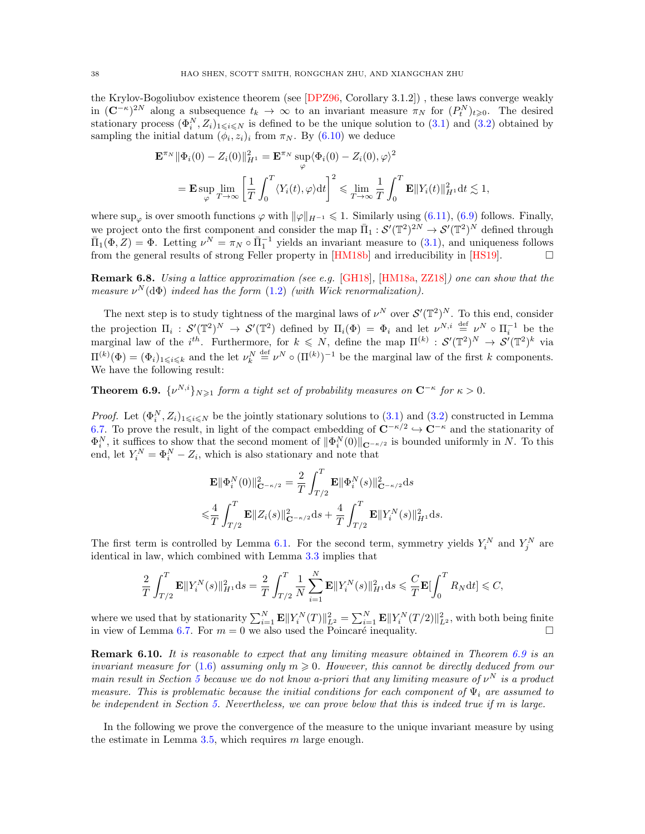the Krylov-Bogoliubov existence theorem (see [\[DPZ96,](#page-58-8) Corollary 3.1.2]) , these laws converge weakly in  $(\mathbb{C}^{-\kappa})^{2N}$  along a subsequence  $t_k \to \infty$  to an invariant measure  $\pi_N$  for  $(P_t^N)_{t\geqslant0}$ . The desired stationary process  $(\Phi_i^N, Z_i)_{1 \leq i \leq N}$  is defined to be the unique solution to  $(3.1)$  and  $(3.2)$  obtained by sampling the initial datum  $(\phi_i, z_i)_i$  from  $\pi_N$ . By  $(6.10)$  we deduce

$$
\mathbf{E}^{\pi_N} \|\Phi_i(0) - Z_i(0)\|_{H^1}^2 = \mathbf{E}^{\pi_N} \sup_{\varphi} \langle \Phi_i(0) - Z_i(0), \varphi \rangle^2
$$
  
=  $\mathbf{E} \sup_{\varphi} \lim_{T \to \infty} \left[ \frac{1}{T} \int_0^T \langle Y_i(t), \varphi \rangle dt \right]^2 \le \lim_{T \to \infty} \frac{1}{T} \int_0^T \mathbf{E} \|Y_i(t)\|_{H^1}^2 dt \lesssim 1,$ 

where sup<sub> $\varphi$ </sub> is over smooth functions  $\varphi$  with  $\|\varphi\|_{H^{-1}} \leq 1$ . Similarly using [\(6.11\)](#page-36-2), [\(6.9\)](#page-35-2) follows. Finally, we project onto the first component and consider the map  $\bar{\Pi}_1: \mathcal{S}'(\mathbb{T}^2)^{2N} \to \mathcal{S}'(\mathbb{T}^2)^N$  defined through  $\bar{\Pi}_1(\Phi, Z) = \Phi$ . Letting  $\nu^N = \pi_N \circ \bar{\Pi}_1^{-1}$  yields an invariant measure to [\(3.1\)](#page-9-1), and uniqueness follows from the general results of strong Feller property in  $[HM18b]$  and irreducibility in  $[HS19]$ .

Remark 6.8. Using a lattice approximation (see e.g. [\[GH18\]](#page-58-3), [\[HM18a,](#page-58-2) [ZZ18\]](#page-59-3)) one can show that the measure  $\nu^N(\mathrm{d}\Phi)$  indeed has the form  $(1.2)$  (with Wick renormalization).

The next step is to study tightness of the marginal laws of  $\nu^N$  over  $\mathcal{S}'(\mathbb{T}^2)^N$ . To this end, consider the projection  $\Pi_i: S'(\mathbb{T}^2)^N \to S'(\mathbb{T}^2)$  defined by  $\Pi_i(\Phi) = \Phi_i$  and let  $\nu^{N,i} \stackrel{\text{def}}{=} \nu^N \circ \Pi_i^{-1}$  be the marginal law of the  $i^{th}$ . Furthermore, for  $k \leq N$ , define the map  $\Pi^{(k)} : \mathcal{S}'(\mathbb{T}^2)^N \to \mathcal{S}'(\mathbb{T}^2)^k$  via  $\Pi^{(k)}(\Phi) = (\Phi_i)_{1 \leq i \leq k}$  and the let  $\nu_k^N \stackrel{\text{def}}{=} \nu^N \circ (\Pi^{(k)})^{-1}$  be the marginal law of the first k components. We have the following result:

<span id="page-37-0"></span>**Theorem 6.9.**  $\{v^{N,i}\}_{N\geq 1}$  form a tight set of probability measures on  $C^{-\kappa}$  for  $\kappa > 0$ .

*Proof.* Let  $(\Phi_i^N, Z_i)_{1 \leq i \leq N}$  be the jointly stationary solutions to  $(3.1)$  and  $(3.2)$  constructed in Lemma [6.7.](#page-36-3) To prove the result, in light of the compact embedding of  $\mathbb{C}^{-\kappa/2} \hookrightarrow \mathbb{C}^{-\kappa}$  and the stationarity of  $\Phi_i^N$ , it suffices to show that the second moment of  $\|\Phi_i^N(0)\|_{\mathbf{C}^{-\kappa/2}}$  is bounded uniformly in N. To this end, let  $Y_i^N = \Phi_i^N - Z_i$ , which is also stationary and note that

$$
\mathbf{E} \|\Phi_i^N(0)\|_{\mathbf{C}^{-\kappa/2}}^2 = \frac{2}{T} \int_{T/2}^T \mathbf{E} \|\Phi_i^N(s)\|_{\mathbf{C}^{-\kappa/2}}^2 ds
$$
  

$$
\leq \frac{4}{T} \int_{T/2}^T \mathbf{E} \|Z_i(s)\|_{\mathbf{C}^{-\kappa/2}}^2 ds + \frac{4}{T} \int_{T/2}^T \mathbf{E} \|Y_i^N(s)\|_{H^1}^2 ds.
$$

The first term is controlled by Lemma [6.1.](#page-33-4) For the second term, symmetry yields  $Y_i^N$  and  $Y_j^N$  are identical in law, which combined with Lemma [3.3](#page-11-1) implies that

$$
\frac{2}{T}\int_{T/2}^T \mathbf{E} ||Y_i^N(s)||_{H^1}^2 \mathrm{d}s = \frac{2}{T}\int_{T/2}^T \frac{1}{N}\sum_{i=1}^N \mathbf{E} ||Y_i^N(s)||_{H^1}^2 \mathrm{d}s \leqslant \frac{C}{T}\mathbf{E}[\int_0^T R_N \mathrm{d}t] \leqslant C,
$$

where we used that by stationarity  $\sum_{i=1}^{N} \mathbf{E} ||Y_i^N(T)||_{L^2}^2 = \sum_{i=1}^{N} \mathbf{E} ||Y_i^N(T/2)||_{L^2}^2$ , with both being finite in view of Lemma [6.7.](#page-36-3) For  $m = 0$  we also used the Poincaré inequality.

**Remark 6.10.** It is reasonable to expect that any limiting measure obtained in Theorem [6.9](#page-37-0) is an invariant measure for [\(1.6\)](#page-2-0) assuming only  $m \geq 0$ . However, this cannot be directly deduced from our main result in Section [5](#page-23-0) because we do not know a-priori that any limiting measure of  $\nu^N$  is a product measure. This is problematic because the initial conditions for each component of  $\Psi_i$  are assumed to be independent in Section [5.](#page-23-0) Nevertheless, we can prove below that this is indeed true if m is large.

In the following we prove the convergence of the measure to the unique invariant measure by using the estimate in Lemma  $3.5$ , which requires m large enough.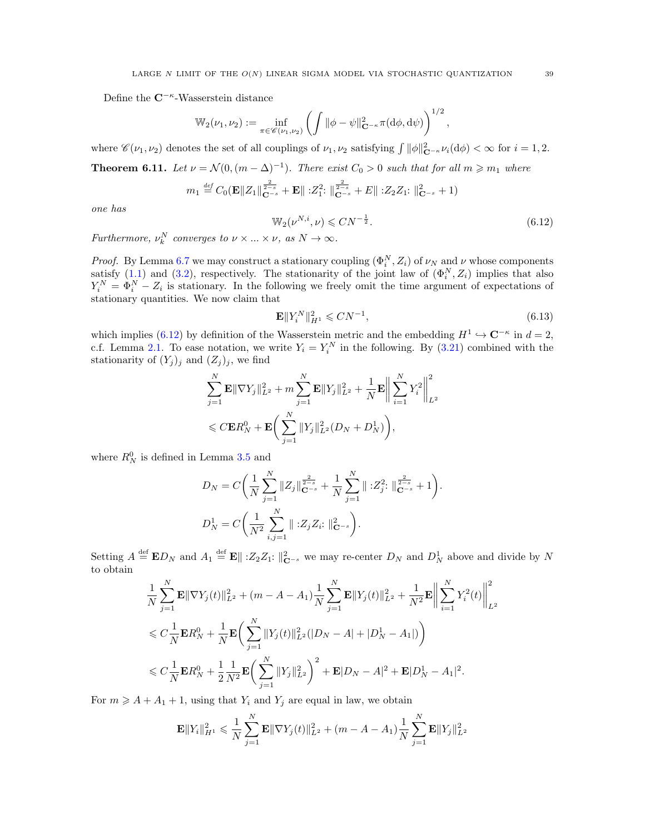Define the  $\mathbb{C}^{-\kappa}$ -Wasserstein distance

$$
\mathbb{W}_{2}(\nu_1, \nu_2) := \inf_{\pi \in \mathscr{C}(\nu_1, \nu_2)} \left( \int \|\phi - \psi\|_{\mathbf{C}^{-\kappa}}^2 \pi(\mathrm{d}\phi, \mathrm{d}\psi) \right)^{1/2}
$$

where  $\mathscr{C}(\nu_1, \nu_2)$  denotes the set of all couplings of  $\nu_1, \nu_2$  satisfying  $\int ||\phi||^2_{\mathbf{C}^{-\kappa}} \nu_i(\mathrm{d}\phi) < \infty$  for  $i = 1, 2$ .

<span id="page-38-0"></span>**Theorem 6.11.** Let  $\nu = \mathcal{N}(0, (m - \Delta)^{-1})$ . There exist  $C_0 > 0$  such that for all  $m \geq m_1$  where

$$
m_1 \stackrel{\text{def}}{=} C_0(\mathbf{E} ||Z_1||_{\mathbf{C}^{-s}}^{\frac{2}{2-s}} + \mathbf{E} ||:Z_1^2: ||_{\mathbf{C}^{-s}}^{\frac{2}{2-s}} + E ||:Z_2Z_1: ||_{\mathbf{C}^{-s}}^2 + 1)
$$

one has

<span id="page-38-1"></span>
$$
\mathbb{W}_2(\nu^{N,i}, \nu) \leq C N^{-\frac{1}{2}}.
$$
\n(6.12)

,

Furthermore,  $\nu_k^N$  converges to  $\nu \times ... \times \nu$ , as  $N \to \infty$ .

*Proof.* By Lemma [6.7](#page-36-3) we may construct a stationary coupling  $(\Phi_i^N, Z_i)$  of  $\nu_N$  and  $\nu$  whose components satisfy  $(1.1)$  and  $(3.2)$ , respectively. The stationarity of the joint law of  $(\Phi_i^N, Z_i)$  implies that also  $Y_i^N = \Phi_i^N - Z_i$  is stationary. In the following we freely omit the time argument of expectations of stationary quantities. We now claim that

<span id="page-38-2"></span>
$$
\mathbf{E} \|Y_i^N\|_{H^1}^2 \leqslant CN^{-1},\tag{6.13}
$$

which implies [\(6.12\)](#page-38-1) by definition of the Wasserstein metric and the embedding  $H^1 \hookrightarrow \mathbb{C}^{-\kappa}$  in  $d = 2$ , c.f. Lemma [2.1.](#page-8-5) To ease notation, we write  $Y_i = Y_i^N$  in the following. By [\(3.21\)](#page-15-3) combined with the stationarity of  $(Y_j)_j$  and  $(Z_j)_j$ , we find

$$
\sum_{j=1}^{N} \mathbf{E} \|\nabla Y_j\|_{L^2}^2 + m \sum_{j=1}^{N} \mathbf{E} \|Y_j\|_{L^2}^2 + \frac{1}{N} \mathbf{E} \bigg\| \sum_{i=1}^{N} Y_i^2 \bigg\|_{L^2}^2
$$
  
\$\leqslant C \mathbf{E} R\_N^0 + \mathbf{E} \bigg(\sum\_{j=1}^{N} \|Y\_j\|\_{L^2}^2 (D\_N + D\_N^1)\bigg),

where  $R_N^0$  is defined in Lemma [3.5](#page-14-2) and

$$
D_N = C \bigg( \frac{1}{N} \sum_{j=1}^N \|Z_j\|_{\mathbf{C}^{-s}}^{\frac{2}{2-s}} + \frac{1}{N} \sum_{j=1}^N \| :Z_j^2: \|_{\mathbf{C}^{-s}}^{\frac{2}{2-s}} + 1 \bigg).
$$
  

$$
D_N^1 = C \bigg( \frac{1}{N^2} \sum_{i,j=1}^N \| :Z_j Z_i: \|_{\mathbf{C}^{-s}}^2 \bigg).
$$

Setting  $A \stackrel{\text{def}}{=} \mathbf{E} D_N$  and  $A_1 \stackrel{\text{def}}{=} \mathbf{E} || 2 \cdot Z_2 Z_1$ :  $||_{\mathbf{C}^{-s}}^2$  we may re-center  $D_N$  and  $D_N^1$  above and divide by N to obtain

$$
\begin{split} & \frac{1}{N} \sum_{j=1}^{N} \mathbf{E} \|\nabla Y_j(t)\|_{L^2}^2 + (m - A - A_1) \frac{1}{N} \sum_{j=1}^{N} \mathbf{E} \|Y_j(t)\|_{L^2}^2 + \frac{1}{N^2} \mathbf{E} \Big\| \sum_{i=1}^{N} Y_i^2(t) \Big\|_{L^2}^2 \\ & \leqslant C \frac{1}{N} \mathbf{E} R_N^0 + \frac{1}{N} \mathbf{E} \bigg( \sum_{j=1}^{N} \|Y_j(t)\|_{L^2}^2 (|D_N - A| + |D_N^1 - A_1|) \bigg) \\ & \leqslant C \frac{1}{N} \mathbf{E} R_N^0 + \frac{1}{2} \frac{1}{N^2} \mathbf{E} \bigg( \sum_{j=1}^{N} \|Y_j\|_{L^2}^2 \bigg)^2 + \mathbf{E} |D_N - A|^2 + \mathbf{E} |D_N^1 - A_1|^2. \end{split}
$$

For  $m \geq A + A_1 + 1$ , using that  $Y_i$  and  $Y_j$  are equal in law, we obtain

$$
\mathbf{E} ||Y_i||_{H^1}^2 \leq \frac{1}{N} \sum_{j=1}^N \mathbf{E} ||\nabla Y_j(t)||_{L^2}^2 + (m - A - A_1) \frac{1}{N} \sum_{j=1}^N \mathbf{E} ||Y_j||_{L^2}^2
$$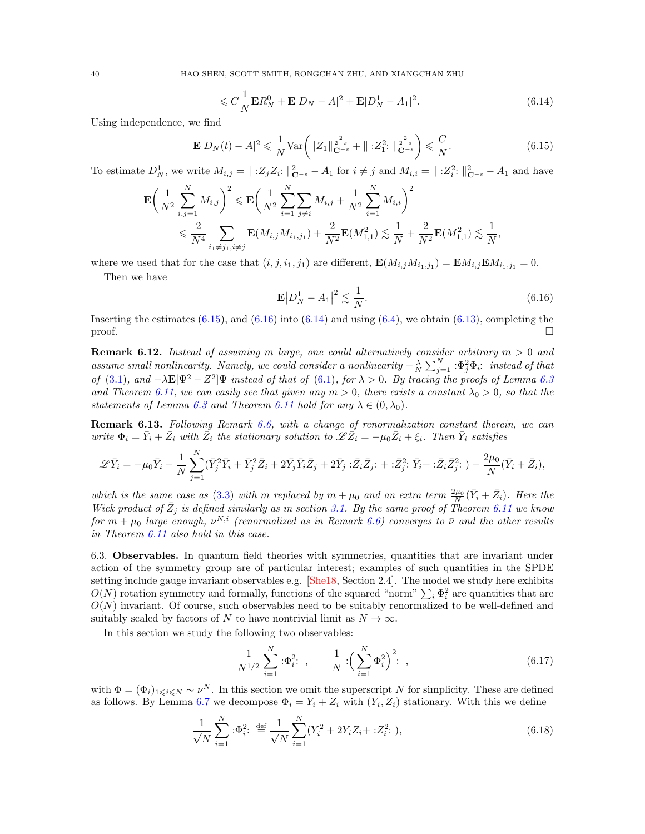40 HAO SHEN, SCOTT SMITH, RONGCHAN ZHU, AND XIANGCHAN ZHU

<span id="page-39-4"></span>
$$
\leqslant C\frac{1}{N}\mathbf{E}R_N^0 + \mathbf{E}|D_N - A|^2 + \mathbf{E}|D_N^1 - A_1|^2. \tag{6.14}
$$

Using independence, we find

<span id="page-39-2"></span>
$$
\mathbf{E}|D_N(t) - A|^2 \leq \frac{1}{N} \text{Var}\left(\|Z_1\|_{\mathbf{C}^{-s}}^{\frac{2}{2-s}} + \|\; :Z_1^2: \|\mathbf{C}^{\frac{2}{2-s}}_{\mathbf{C}^{-s}}\right) \leq \frac{C}{N}.\tag{6.15}
$$

To estimate  $D_N^1$ , we write  $M_{i,j} = ||\; : Z_j Z_i : ||_{\mathbf{C}^{-s}}^2 - A_1$  for  $i \neq j$  and  $M_{i,i} = ||: Z_i^2 : ||_{\mathbf{C}^{-s}}^2 - A_1$  and have

$$
\mathbf{E}\left(\frac{1}{N^2}\sum_{i,j=1}^N M_{i,j}\right)^2 \leqslant \mathbf{E}\left(\frac{1}{N^2}\sum_{i=1}^N\sum_{j\neq i}M_{i,j} + \frac{1}{N^2}\sum_{i=1}^N M_{i,i}\right)^2
$$
  

$$
\leqslant \frac{2}{N^4}\sum_{i_1\neq j_1, i\neq j} \mathbf{E}(M_{i,j}M_{i_1,j_1}) + \frac{2}{N^2}\mathbf{E}(M_{1,1}^2) \lesssim \frac{1}{N} + \frac{2}{N^2}\mathbf{E}(M_{1,1}^2) \lesssim \frac{1}{N},
$$

where we used that for the case that  $(i, j, i_1, j_1)$  are different,  $\mathbf{E}(M_{i,j}M_{i_1,j_1}) = \mathbf{E}M_{i,j}\mathbf{E}M_{i_1,j_1} = 0$ .

Then we have

<span id="page-39-3"></span>
$$
\mathbf{E}|D_N^1 - A_1|^2 \lesssim \frac{1}{N}.\tag{6.16}
$$

Inserting the estimates  $(6.15)$ , and  $(6.16)$  into  $(6.14)$  and using  $(6.4)$ , we obtain  $(6.13)$ , completing the  $\Box$ 

<span id="page-39-0"></span>**Remark 6.12.** Instead of assuming m large, one could alternatively consider arbitrary  $m > 0$  and assume small nonlinearity. Namely, we could consider a nonlinearity  $-\frac{\lambda}{N}\sum_{j=1}^N:\Phi_j^2\Phi_i$ : instead of that of [\(3.1\)](#page-9-1), and  $-\lambda \mathbf{E}[\Psi^2 - Z^2] \Psi$  instead of that of [\(6.1\)](#page-33-2), for  $\lambda > 0$ . By tracing the proofs of Lemma [6.3](#page-34-3) and Theorem [6.11,](#page-38-0) we can easily see that given any  $m > 0$ , there exists a constant  $\lambda_0 > 0$ , so that the statements of Lemma [6.3](#page-34-3) and Theorem [6.11](#page-38-0) hold for any  $\lambda \in (0, \lambda_0)$ .

Remark 6.13. Following Remark [6.6,](#page-36-4) with a change of renormalization constant therein, we can write  $\Phi_i = \bar{Y}_i + \bar{Z}_i$  with  $\bar{Z}_i$  the stationary solution to  $\mathscr{L}\bar{Z}_i = -\mu_0\bar{Z}_i + \xi_i$ . Then  $\bar{Y}_i$  satisfies

$$
\mathscr{L}\bar{Y}_i = -\mu_0 \bar{Y}_i - \frac{1}{N} \sum_{j=1}^N (\bar{Y}_j^2 \bar{Y}_i + \bar{Y}_j^2 \bar{Z}_i + 2\bar{Y}_j \bar{Y}_i \bar{Z}_j + 2\bar{Y}_j : \bar{Z}_i \bar{Z}_j : + : \bar{Z}_j^2 : \bar{Y}_i + : \bar{Z}_i \bar{Z}_j^2 :) - \frac{2\mu_0}{N} (\bar{Y}_i + \bar{Z}_i),
$$

which is the same case as [\(3.3\)](#page-9-3) with m replaced by  $m + \mu_0$  and an extra term  $\frac{2\mu_0}{N}(\bar{Y}_i + \bar{Z}_i)$ . Here the Wick product of  $\bar{Z}_j$  is defined similarly as in section [3.1.](#page-10-0) By the same proof of Theorem [6.11](#page-38-0) we know for  $m+\mu_0$  large enough,  $\nu^{N,i}$  (renormalized as in Remark [6.6\)](#page-36-4) converges to  $\bar{\nu}$  and the other results in Theorem [6.11](#page-38-0) also hold in this case.

<span id="page-39-1"></span>6.3. Observables. In quantum field theories with symmetries, quantities that are invariant under action of the symmetry group are of particular interest; examples of such quantities in the SPDE setting include gauge invariant observables e.g. [\[She18,](#page-59-5) Section 2.4]. The model we study here exhibits  $O(N)$  rotation symmetry and formally, functions of the squared "norm"  $\sum_i \Phi_i^2$  are quantities that are  $O(N)$  invariant. Of course, such observables need to be suitably renormalized to be well-defined and suitably scaled by factors of N to have nontrivial limit as  $N \to \infty$ .

In this section we study the following two observables:

<span id="page-39-6"></span><span id="page-39-5"></span>
$$
\frac{1}{N^{1/2}} \sum_{i=1}^{N} \, : \Phi_i^2: \quad , \qquad \frac{1}{N} \, : \left( \sum_{i=1}^{N} \Phi_i^2 \right)^2: \quad , \tag{6.17}
$$

with  $\Phi = (\Phi_i)_{1 \leq i \leq N} \sim \nu^N$ . In this section we omit the superscript N for simplicity. These are defined as follows. By Lemma [6.7](#page-36-3) we decompose  $\Phi_i = Y_i + Z_i$  with  $(Y_i, Z_i)$  stationary. With this we define

$$
\frac{1}{\sqrt{N}} \sum_{i=1}^{N} :\Phi_i^2: \stackrel{\text{def}}{=} \frac{1}{\sqrt{N}} \sum_{i=1}^{N} (Y_i^2 + 2Y_i Z_i + :Z_i^2: ),
$$
\n(6.18)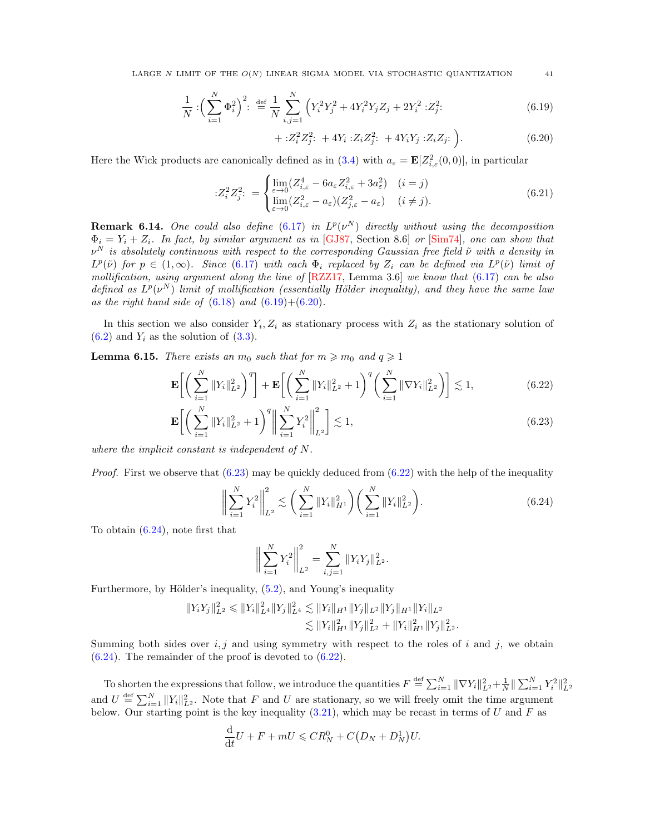LARGE N LIMIT OF THE  $O(N)$  LINEAR SIGMA MODEL VIA STOCHASTIC QUANTIZATION  $41$ 

$$
\frac{1}{N} : \left(\sum_{i=1}^{N} \Phi_i^2\right)^2 : \stackrel{\text{def}}{=} \frac{1}{N} \sum_{i,j=1}^{N} \left(Y_i^2 Y_j^2 + 4Y_i^2 Y_j Z_j + 2Y_i^2 : Z_j^2: \right) \tag{6.19}
$$

 $+ :Z_i^2 Z_j^2: +4Y_i :Z_i Z_j^2: +4Y_i Y_j :Z_i Z_j:$  $(6.20)$ 

Here the Wick products are canonically defined as in [\(3.4\)](#page-10-3) with  $a_{\varepsilon} = \mathbf{E}[Z_{i,\varepsilon}^2(0,0)]$ , in particular

$$
:Z_i^2 Z_j^2: = \begin{cases} \lim_{\varepsilon \to 0} (Z_{i,\varepsilon}^4 - 6a_{\varepsilon} Z_{i,\varepsilon}^2 + 3a_{\varepsilon}^2) & (i = j) \\ \lim_{\varepsilon \to 0} (Z_{i,\varepsilon}^2 - a_{\varepsilon}) (Z_{j,\varepsilon}^2 - a_{\varepsilon}) & (i \neq j). \end{cases} \tag{6.21}
$$

**Remark 6.14.** One could also define  $(6.17)$  in  $L^p(\nu^N)$  directly without using the decomposition  $\Phi_i = Y_i + Z_i$ . In fact, by similar argument as in [\[GJ87,](#page-58-33) Section 8.6] or [\[Sim74\]](#page-59-17), one can show that  $\nu^N$  is absolutely continuous with respect to the corresponding Gaussian free field  $\tilde{\nu}$  with a density in  $L^p(\tilde{\nu})$  for  $p \in (1,\infty)$ . Since [\(6.17\)](#page-39-5) with each  $\Phi_i$  replaced by  $Z_i$  can be defined via  $L^p(\tilde{\nu})$  limit of mollification, using argument along the line of  $[{\rm RZZ17}, {\rm Lemma 3.6}]$  we know that  $(6.17)$  can be also defined as  $L^p(\nu^N)$  limit of mollification (essentially Hölder inequality), and they have the same law as the right hand side of  $(6.18)$  and  $(6.19)+(6.20)$  $(6.19)+(6.20)$  $(6.19)+(6.20)$ .

In this section we also consider  $Y_i, Z_i$  as stationary process with  $Z_i$  as the stationary solution of  $(6.2)$  and  $Y_i$  as the solution of  $(3.3)$ .

<span id="page-40-6"></span>**Lemma 6.15.** There exists an  $m_0$  such that for  $m \geq m_0$  and  $q \geq 1$ 

$$
\mathbf{E}\bigg[\bigg(\sum_{i=1}^{N}||Y_i||_{L^2}^2\bigg)^{q}\bigg] + \mathbf{E}\bigg[\bigg(\sum_{i=1}^{N}||Y_i||_{L^2}^2 + 1\bigg)^{q}\bigg(\sum_{i=1}^{N}||\nabla Y_i||_{L^2}^2\bigg)\bigg] \lesssim 1,
$$
\n(6.22)

$$
\mathbf{E}\bigg[\bigg(\sum_{i=1}^{N}||Y_i||_{L^2}^2+1\bigg)^q\bigg\|\sum_{i=1}^{N}Y_i^2\bigg\|_{L^2}^2\bigg] \lesssim 1,
$$
\n(6.23)

where the implicit constant is independent of N.

*Proof.* First we observe that  $(6.23)$  may be quickly deduced from  $(6.22)$  with the help of the inequality

<span id="page-40-4"></span>
$$
\left\| \sum_{i=1}^{N} Y_i^2 \right\|_{L^2}^2 \lesssim \left( \sum_{i=1}^{N} \|Y_i\|_{H^1}^2 \right) \left( \sum_{i=1}^{N} \|Y_i\|_{L^2}^2 \right). \tag{6.24}
$$

To obtain [\(6.24\)](#page-40-4), note first that

<span id="page-40-5"></span><span id="page-40-2"></span>
$$
\bigg\|\sum_{i=1}^N Y_i^2\bigg\|_{L^2}^2 = \sum_{i,j=1}^N \|Y_i Y_j\|_{L^2}^2.
$$

Furthermore, by Hölder's inequality,  $(5.2)$ , and Young's inequality

$$
||Y_i Y_j||_{L^2}^2 \le ||Y_i||_{L^4}^2 ||Y_j||_{L^4}^2 \lesssim ||Y_i||_{H^1} ||Y_j||_{L^2} ||Y_j||_{H^1} ||Y_i||_{L^2}
$$
  

$$
\lesssim ||Y_i||_{H^1}^2 ||Y_j||_{L^2}^2 + ||Y_i||_{H^1}^2 ||Y_j||_{L^2}^2.
$$

Summing both sides over  $i, j$  and using symmetry with respect to the roles of i and j, we obtain [\(6.24\)](#page-40-4). The remainder of the proof is devoted to [\(6.22\)](#page-40-3).

To shorten the expressions that follow, we introduce the quantities  $F \stackrel{\text{def}}{=} \sum_{i=1}^{N} ||\nabla Y_i||_{L^2}^2 + \frac{1}{N} ||\sum_{i=1}^{N} Y_i^2||_{L^2}^2$ and  $U \stackrel{\text{def}}{=} \sum_{i=1}^{N} ||Y_i||_{L^2}^2$ . Note that F and U are stationary, so we will freely omit the time argument below. Our starting point is the key inequality [\(3.21\)](#page-15-3), which may be recast in terms of U and F as

$$
\frac{\mathrm{d}}{\mathrm{d}t}U + F + mU \leqslant CR_N^0 + C\big(D_N + D_N^1\big)U.
$$

<span id="page-40-7"></span><span id="page-40-3"></span><span id="page-40-1"></span><span id="page-40-0"></span>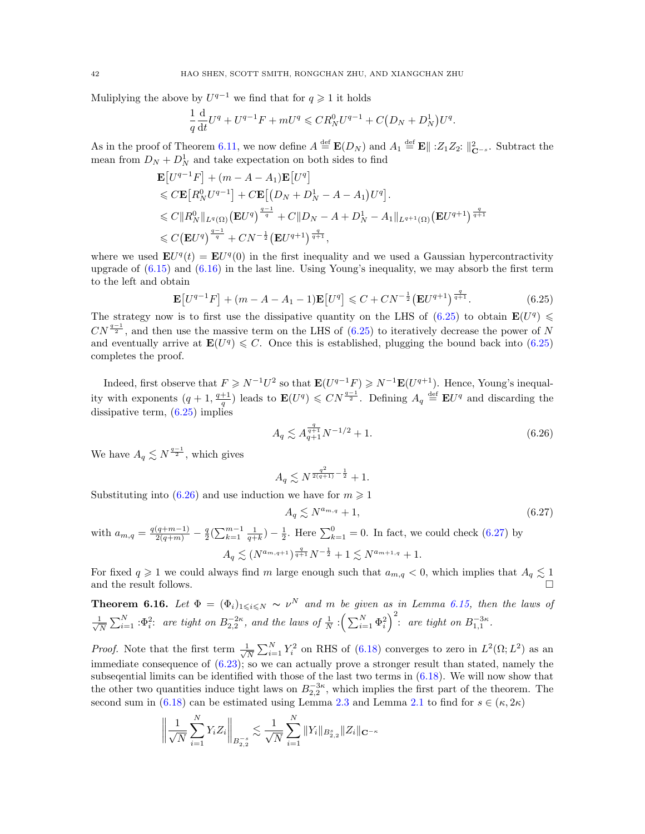Muliplying the above by  $U^{q-1}$  we find that for  $q \geq 1$  it holds

$$
\frac{1}{q}\frac{d}{dt}U^{q} + U^{q-1}F + mU^{q} \leqslant CR_{N}^{0}U^{q-1} + C(D_{N} + D_{N}^{1})U^{q}.
$$

As in the proof of Theorem [6.11,](#page-38-0) we now define  $A \stackrel{\text{def}}{=} \mathbf{E}(D_N)$  and  $A_1 \stackrel{\text{def}}{=} \mathbf{E} \parallel :Z_1 Z_2: \parallel_{\mathbf{C}^{-s}}^2$ . Subtract the mean from  $D_N + D_N^1$  and take expectation on both sides to find

$$
\mathbf{E}[U^{q-1}F] + (m - A - A_1)\mathbf{E}[U^q]
$$
  
\n
$$
\leq C \mathbf{E}[R_N^0 U^{q-1}] + C \mathbf{E}[(D_N + D_N^1 - A - A_1)U^q].
$$
  
\n
$$
\leq C \|R_N^0\|_{L^q(\Omega)} (\mathbf{E}U^q)^{\frac{q-1}{q}} + C \|D_N - A + D_N^1 - A_1\|_{L^{q+1}(\Omega)} (\mathbf{E}U^{q+1})^{\frac{q}{q+1}}
$$
  
\n
$$
\leq C (\mathbf{E}U^q)^{\frac{q-1}{q}} + CN^{-\frac{1}{2}} (\mathbf{E}U^{q+1})^{\frac{q}{q+1}},
$$

where we used  $\mathbf{E}U^{q}(t) = \mathbf{E}U^{q}(0)$  in the first inequality and we used a Gaussian hypercontractivity upgrade of  $(6.15)$  and  $(6.16)$  in the last line. Using Young's inequality, we may absorb the first term to the left and obtain

$$
\mathbf{E}[U^{q-1}F] + (m - A - A_1 - 1)\mathbf{E}[U^q] \leq C + CN^{-\frac{1}{2}}(\mathbf{E}U^{q+1})^{\frac{q}{q+1}}.
$$
 (6.25)

The strategy now is to first use the dissipative quantity on the LHS of  $(6.25)$  to obtain  $\mathbf{E}(U^q) \leq$  $CN^{\frac{q-1}{2}}$ , and then use the massive term on the LHS of [\(6.25\)](#page-40-5) to iteratively decrease the power of N and eventually arrive at  $\mathbf{E}(U^q) \leq C$ . Once this is established, plugging the bound back into [\(6.25\)](#page-40-5) completes the proof.

Indeed, first observe that  $F \geq N^{-1}U^2$  so that  $\mathbf{E}(U^{q-1}F) \geq N^{-1}\mathbf{E}(U^{q+1})$ . Hence, Young's inequality with exponents  $(q+1, \frac{q+1}{q})$  leads to  $\mathbf{E}(U^q) \leqslant CN^{\frac{q-1}{2}}$ . Defining  $A_q \stackrel{\text{def}}{=} \mathbf{E}U^q$  and discarding the dissipative term,  $(6.25)$  implies

$$
A_q \lesssim A_{q+1}^{\frac{q}{q+1}} N^{-1/2} + 1. \tag{6.26}
$$

We have  $A_q \lesssim N^{\frac{q-1}{2}}$ , which gives

<span id="page-41-0"></span>
$$
A_q \lesssim N^{\frac{q^2}{2(q+1)} - \frac{1}{2}} + 1.
$$

Substituting into  $(6.26)$  and use induction we have for  $m \ge 1$ 

<span id="page-41-1"></span>
$$
A_q \lesssim N^{a_{m,q}} + 1,\tag{6.27}
$$

with  $a_{m,q} = \frac{q(q+m-1)}{2(q+m)} - \frac{q}{2}(\sum_{k=1}^{m-1} \frac{1}{q+k}) - \frac{1}{2}$ . Here  $\sum_{k=1}^{0} = 0$ . In fact, we could check [\(6.27\)](#page-41-1) by q

$$
A_q \lesssim (N^{a_{m,q+1}})^{\frac{q}{q+1}} N^{-\frac{1}{2}} + 1 \lesssim N^{a_{m+1,q}} + 1.
$$

For fixed  $q \geq 1$  we could always find m large enough such that  $a_{m,q} < 0$ , which implies that  $A_q \lesssim 1$ and the result follows.

<span id="page-41-2"></span>**Theorem 6.16.** Let  $\Phi = (\Phi_i)_{1 \leq i \leq N} \sim \nu^N$  and m be given as in Lemma [6.15,](#page-40-6) then the laws of  $\frac{1}{2}$  $\frac{1}{N}\sum_{i=1}^N \cdot \Phi_i^2$ : are tight on  $B_{2,2}^{-2\kappa}$ , and the laws of  $\frac{1}{N}\cdot \left(\sum_{i=1}^N \Phi_i^2\right)^2$ : are tight on  $B_{1,1}^{-3\kappa}$ .

*Proof.* Note that the first term  $\frac{1}{\sqrt{2}}$  $\frac{1}{N} \sum_{i=1}^{N} Y_i^2$  on RHS of [\(6.18\)](#page-39-6) converges to zero in  $L^2(\Omega; L^2)$  as an immediate consequence of  $(6.23)$ ; so we can actually prove a stronger result than stated, namely the subseqential limits can be identified with those of the last two terms in [\(6.18\)](#page-39-6). We will now show that the other two quantities induce tight laws on  $B_{2,2}^{-3\kappa}$ , which implies the first part of the theorem. The second sum in [\(6.18\)](#page-39-6) can be estimated using Lemma [2.3](#page-8-0) and Lemma [2.1](#page-8-5) to find for  $s \in (\kappa, 2\kappa)$ 

$$
\left\| \frac{1}{\sqrt{N}} \sum_{i=1}^{N} Y_i Z_i \right\|_{B_{2,2}^{-s}} \lesssim \frac{1}{\sqrt{N}} \sum_{i=1}^{N} \|Y_i\|_{B_{2,2}^s} \|Z_i\|_{\mathbf{C}^{-\kappa}}
$$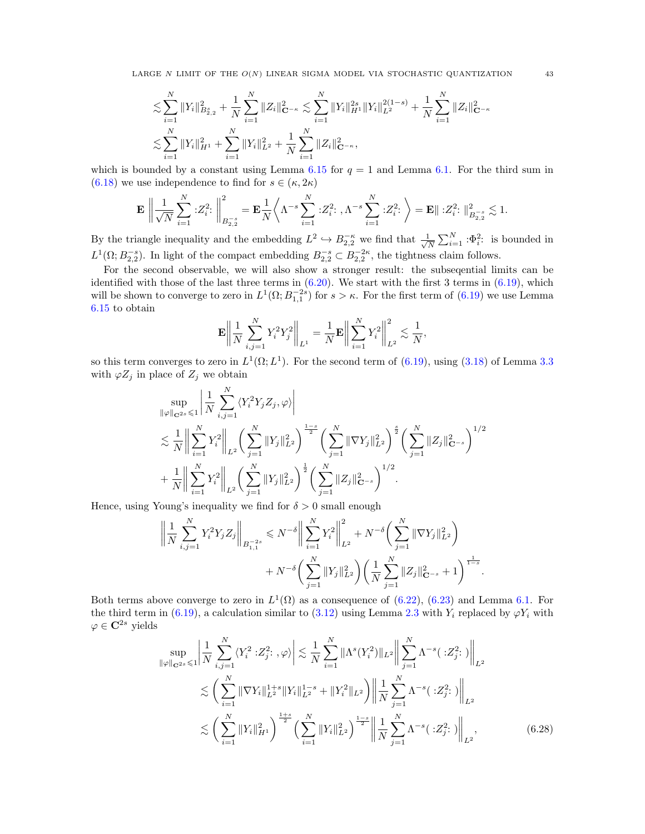$$
\begin{split}\n&\lesssim \sum_{i=1}^{N} \|Y_i\|_{B_{2,2}^s}^2 + \frac{1}{N} \sum_{i=1}^{N} \|Z_i\|_{\mathbf{C}^{-\kappa}}^2 \lesssim \sum_{i=1}^{N} \|Y_i\|_{H^1}^{2s} \|Y_i\|_{L^2}^{2(1-s)} + \frac{1}{N} \sum_{i=1}^{N} \|Z_i\|_{\mathbf{C}^{-\kappa}}^2 \\
&\lesssim \sum_{i=1}^{N} \|Y_i\|_{H^1}^2 + \sum_{i=1}^{N} \|Y_i\|_{L^2}^2 + \frac{1}{N} \sum_{i=1}^{N} \|Z_i\|_{\mathbf{C}^{-\kappa}}^2,\n\end{split}
$$

which is bounded by a constant using Lemma [6.15](#page-40-6) for  $q = 1$  and Lemma [6.1.](#page-33-4) For the third sum in [\(6.18\)](#page-39-6) we use independence to find for  $s \in (\kappa, 2\kappa)$ 

$$
\mathbf{E}\,\left\|\frac{1}{\sqrt{N}}\sum_{i=1}^N:Z_i^2:\right\|_{B^{-s}_{2,2}}^2=\mathbf{E}\frac{1}{N}\bigg\langle\Lambda^{-s}\sum_{i=1}^N:Z_i^2:\,,\Lambda^{-s}\sum_{i=1}^N:Z_i^2:\,\bigg\rangle=\mathbf{E}\|\,:Z_i^2:\,\big\|_{B^{-s}_{2,2}}^2\lesssim 1.
$$

By the triangle inequality and the embedding  $L^2 \hookrightarrow B_{2,2}^{-\kappa}$  we find that  $\frac{1}{\sqrt{\kappa}}$  $\frac{1}{N} \sum_{i=1}^{N} \,:\!\Phi_i^2$ : is bounded in  $L^1(\Omega; B_{2,2}^{-s})$ . In light of the compact embedding  $B_{2,2}^{-s} \subset B_{2,2}^{-2\kappa}$ , the tightness claim follows.

For the second observable, we will also show a stronger result: the subseqential limits can be identified with those of the last three terms in  $(6.20)$ . We start with the first 3 terms in  $(6.19)$ , which will be shown to converge to zero in  $L^1(\Omega; B_{1,1}^{-2s})$  for  $s > \kappa$ . For the first term of  $(6.19)$  we use Lemma [6.15](#page-40-6) to obtain

$$
\mathbf{E}\bigg\|\frac{1}{N}\sum_{i,j=1}^{N}Y_i^2Y_j^2\bigg\|_{L^1} = \frac{1}{N}\mathbf{E}\bigg\|\sum_{i=1}^{N}Y_i^2\bigg\|_{L^2}^2 \lesssim \frac{1}{N},
$$

so this term converges to zero in  $L^1(\Omega; L^1)$ . For the second term of  $(6.19)$ , using  $(3.18)$  of Lemma [3.3](#page-11-1) with  $\varphi Z_i$  in place of  $Z_i$  we obtain

$$
\sup_{\|\varphi\|_{\mathbf{C}^{2s}}\leqslant 1} \left| \frac{1}{N} \sum_{i,j=1}^{N} \langle Y_i^2 Y_j Z_j, \varphi \rangle \right|
$$
  

$$
\lesssim \frac{1}{N} \left\| \sum_{i=1}^{N} Y_i^2 \right\|_{L^2} \left( \sum_{j=1}^{N} \|Y_j\|_{L^2}^2 \right)^{\frac{1-s}{2}} \left( \sum_{j=1}^{N} \|\nabla Y_j\|_{L^2}^2 \right)^{\frac{s}{2}} \left( \sum_{j=1}^{N} \|Z_j\|_{\mathbf{C}^{-s}}^2 \right)^{1/2}
$$
  
+ 
$$
\frac{1}{N} \left\| \sum_{i=1}^{N} Y_i^2 \right\|_{L^2} \left( \sum_{j=1}^{N} \|Y_j\|_{L^2}^2 \right)^{\frac{1}{2}} \left( \sum_{j=1}^{N} \|Z_j\|_{\mathbf{C}^{-s}}^2 \right)^{1/2}.
$$

Hence, using Young's inequality we find for  $\delta > 0$  small enough

$$
\left\| \frac{1}{N} \sum_{i,j=1}^{N} Y_i^2 Y_j Z_j \right\|_{B_{1,1}^{-2s}} \leq N^{-\delta} \left\| \sum_{i=1}^{N} Y_i^2 \right\|_{L^2}^2 + N^{-\delta} \left( \sum_{j=1}^{N} \|\nabla Y_j\|_{L^2}^2 \right) + N^{-\delta} \left( \sum_{j=1}^{N} \|Y_j\|_{L^2}^2 \right) \left( \frac{1}{N} \sum_{j=1}^{N} \|Z_j\|_{\mathbf{C}^{-s}}^2 + 1 \right)^{\frac{1}{1-s}}
$$

Both terms above converge to zero in  $L^1(\Omega)$  as a consequence of [\(6.22\)](#page-40-3), [\(6.23\)](#page-40-2) and Lemma [6.1.](#page-33-4) For the third term in [\(6.19\)](#page-40-0), a calculation similar to [\(3.12\)](#page-13-0) using Lemma [2.3](#page-8-0) with  $Y_i$  replaced by  $\varphi Y_i$  with  $\varphi \in \mathbf{C}^{2s}$  yields

$$
\sup_{\|\varphi\|_{\mathbf{C}^{2s}} \leq 1} \left| \frac{1}{N} \sum_{i,j=1}^{N} \langle Y_i^2 : Z_j^2 : , \varphi \rangle \right| \lesssim \frac{1}{N} \sum_{i=1}^{N} \|\Lambda^s(Y_i^2)\|_{L^2} \left\| \sum_{j=1}^{N} \Lambda^{-s} (\cdot Z_j^2 :) \right\|_{L^2}
$$
  

$$
\lesssim \left( \sum_{i=1}^{N} \|\nabla Y_i\|_{L^2}^{1+s} \|Y_i\|_{L^2}^{1-s} + \|Y_i^2\|_{L^2} \right) \left\| \frac{1}{N} \sum_{j=1}^{N} \Lambda^{-s} (\cdot Z_j^2 :) \right\|_{L^2}
$$
  

$$
\lesssim \left( \sum_{i=1}^{N} \|Y_i\|_{H^1}^2 \right)^{\frac{1+s}{2}} \left( \sum_{i=1}^{N} \|Y_i\|_{L^2}^2 \right)^{\frac{1-s}{2}} \left\| \frac{1}{N} \sum_{j=1}^{N} \Lambda^{-s} (\cdot Z_j^2 :) \right\|_{L^2}, \tag{6.28}
$$

<span id="page-42-0"></span>.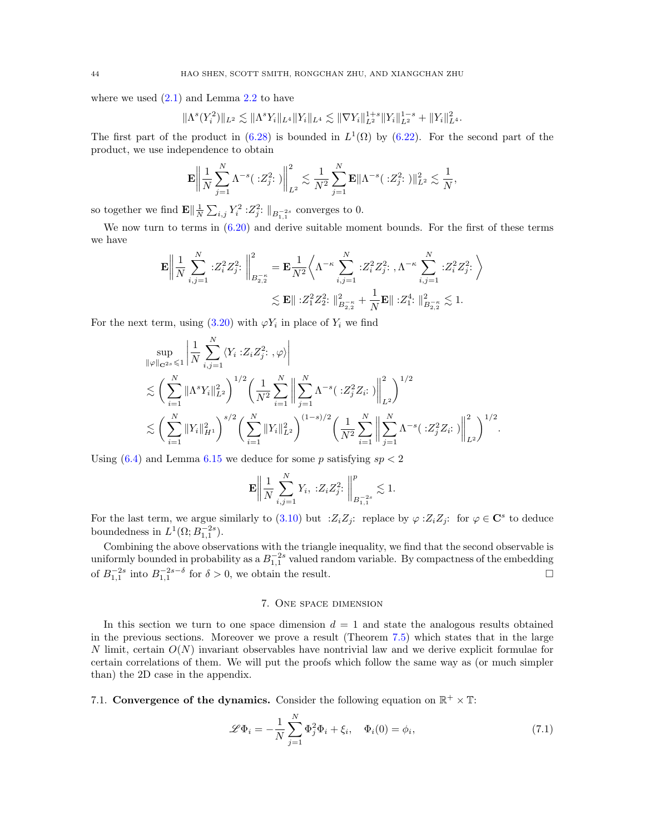where we used  $(2.1)$  and Lemma [2.2](#page-8-3) to have

$$
\|\Lambda^s(Y_i^2)\|_{L^2}\lesssim \|\Lambda^sY_i\|_{L^4}\|Y_i\|_{L^4}\lesssim \|\nabla Y_i\|_{L^2}^{1+s}\|Y_i\|_{L^2}^{1-s}+\|Y_i\|_{L^4}^2.
$$

The first part of the product in  $(6.28)$  is bounded in  $L^1(\Omega)$  by  $(6.22)$ . For the second part of the product, we use independence to obtain

$$
\mathbf{E} \left\| \frac{1}{N} \sum_{j=1}^{N} \Lambda^{-s} (\cdot z_j^2 :) \right\|_{L^2}^2 \lesssim \frac{1}{N^2} \sum_{j=1}^{N} \mathbf{E} \|\Lambda^{-s} (\cdot z_j^2 :) \|_{L^2}^2 \lesssim \frac{1}{N},
$$

so together we find  $\mathbf{E} \Vert \frac{1}{N} \sum_{i,j} Y_i^2 : Z_j^2 : \Vert_{B^{-2s}_{1,1}}$  converges to 0.

We now turn to terms in  $(6.20)$  and derive suitable moment bounds. For the first of these terms we have

$$
\mathbf{E} \left\| \frac{1}{N} \sum_{i,j=1}^{N} :Z_i^2 Z_j^2 : \left\| \sum_{B_{2,2}^{-\kappa}}^2 = \mathbf{E} \frac{1}{N^2} \left\langle \Lambda^{-\kappa} \sum_{i,j=1}^{N} :Z_i^2 Z_j^2 : \Lambda^{-\kappa} \sum_{i,j=1}^{N} :Z_i^2 Z_j^2 : \right\rangle \right\}
$$
  

$$
\lesssim \mathbf{E} \| :Z_1^2 Z_2^2 : \|_{B_{2,2}^{-\kappa}}^2 + \frac{1}{N} \mathbf{E} \| :Z_1^4 : \|_{B_{2,2}^{-\kappa}}^2 \lesssim 1.
$$

For the next term, using  $(3.20)$  with  $\varphi Y_i$  in place of  $Y_i$  we find

$$
\sup_{\|\varphi\|_{\mathbf{C}^{2s}} \leq 1} \left| \frac{1}{N} \sum_{i,j=1}^{N} \langle Y_i : Z_i Z_j^2 : , \varphi \rangle \right|
$$
  

$$
\lesssim \left( \sum_{i=1}^{N} \|\Lambda^s Y_i\|_{L^2}^2 \right)^{1/2} \left( \frac{1}{N^2} \sum_{i=1}^{N} \left\| \sum_{j=1}^{N} \Lambda^{-s} \left( : Z_j^2 Z_i : \right) \right\|_{L^2}^2 \right)^{1/2}
$$
  

$$
\lesssim \left( \sum_{i=1}^{N} \|Y_i\|_{H^1}^2 \right)^{s/2} \left( \sum_{i=1}^{N} \|Y_i\|_{L^2}^2 \right)^{(1-s)/2} \left( \frac{1}{N^2} \sum_{i=1}^{N} \left\| \sum_{j=1}^{N} \Lambda^{-s} \left( : Z_j^2 Z_i : \right) \right\|_{L^2}^2 \right)^{1/2}
$$

Using  $(6.4)$  and Lemma [6.15](#page-40-6) we deduce for some p satisfying  $sp < 2$ 

$$
\mathbf{E} \bigg\| \frac{1}{N} \sum_{i,j=1}^{N} Y_i, \; :Z_i Z_j^2 : \; \bigg\|_{B_{1,1}^{-2s}}^p \lesssim 1.
$$

For the last term, we argue similarly to [\(3.10\)](#page-12-1) but  $:Z_iZ_j$ : replace by  $\varphi :Z_iZ_j$ : for  $\varphi \in \mathbb{C}^s$  to deduce boundedness in  $L^1(\Omega; B_{1,1}^{-2s})$ .

Combining the above observations with the triangle inequality, we find that the second observable is uniformly bounded in probability as a  $B_{1,1}^{-2s}$  valued random variable. By compactness of the embedding of  $B_{1,1}^{-2s}$  into  $B_{1,1}^{-2s-\delta}$  for  $\delta > 0$ , we obtain the result.

### 7. One space dimension

<span id="page-43-0"></span>In this section we turn to one space dimension  $d = 1$  and state the analogous results obtained in the previous sections. Moreover we prove a result (Theorem [7.5\)](#page-46-0) which states that in the large N limit, certain  $O(N)$  invariant observables have nontrivial law and we derive explicit formulae for certain correlations of them. We will put the proofs which follow the same way as (or much simpler than) the 2D case in the appendix.

<span id="page-43-1"></span>7.1. Convergence of the dynamics. Consider the following equation on  $\mathbb{R}^+ \times \mathbb{T}$ :

<span id="page-43-2"></span>
$$
\mathscr{L}\Phi_i = -\frac{1}{N} \sum_{j=1}^N \Phi_j^2 \Phi_i + \xi_i, \quad \Phi_i(0) = \phi_i,
$$
\n(7.1)

.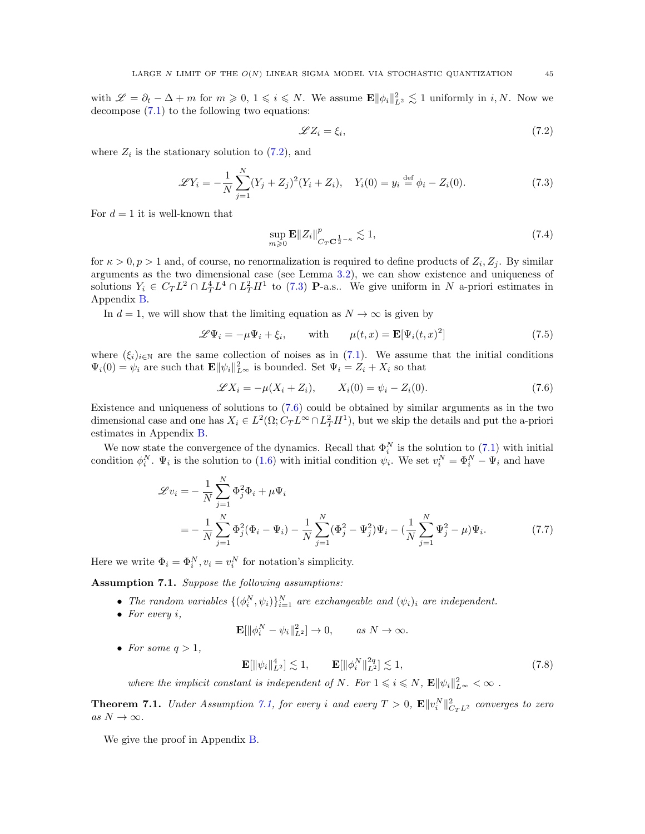with  $\mathscr{L} = \partial_t - \Delta + m$  for  $m \geqslant 0, 1 \leqslant i \leqslant N$ . We assume  $\mathbf{E} ||\phi_i||_{L^2}^2 \leqslant 1$  uniformly in *i*, *N*. Now we decompose [\(7.1\)](#page-43-2) to the following two equations:

<span id="page-44-6"></span><span id="page-44-1"></span>
$$
\mathscr{L}Z_i = \xi_i,\tag{7.2}
$$

where  $Z_i$  is the stationary solution to  $(7.2)$ , and

<span id="page-44-2"></span>
$$
\mathcal{L}Y_i = -\frac{1}{N} \sum_{j=1}^{N} (Y_j + Z_j)^2 (Y_i + Z_i), \quad Y_i(0) = y_i \stackrel{\text{def}}{=} \phi_i - Z_i(0). \tag{7.3}
$$

For  $d = 1$  it is well-known that

<span id="page-44-5"></span>
$$
\sup_{m\geqslant 0} \mathbf{E} \|Z_i\|_{C_T \mathbf{C}^{\frac{1}{2}-\kappa}}^p \lesssim 1,
$$
\n(7.4)

for  $\kappa > 0, p > 1$  and, of course, no renormalization is required to define products of  $Z_i, Z_j$ . By similar arguments as the two dimensional case (see Lemma [3.2\)](#page-11-0), we can show existence and uniqueness of solutions  $Y_i \in C_T L^2 \cap L^4_T L^4 \cap L^2_T H^1$  to [\(7.3\)](#page-44-2) **P**-a.s.. We give uniform in N a-priori estimates in Appendix [B.](#page-51-0)

In  $d = 1$ , we will show that the limiting equation as  $N \to \infty$  is given by

$$
\mathscr{L}\Psi_i = -\mu\Psi_i + \xi_i, \quad \text{with} \quad \mu(t,x) = \mathbf{E}[\Psi_i(t,x)^2]
$$
\n(7.5)

where  $(\xi_i)_{i\in\mathbb{N}}$  are the same collection of noises as in [\(7.1\)](#page-43-2). We assume that the initial conditions  $\Psi_i(0) = \psi_i$  are such that  $\mathbf{E} \|\psi_i\|_{L^{\infty}}^2$  is bounded. Set  $\Psi_i = Z_i + X_i$  so that

<span id="page-44-3"></span>
$$
\mathscr{L}X_i = -\mu(X_i + Z_i), \qquad X_i(0) = \psi_i - Z_i(0). \tag{7.6}
$$

Existence and uniqueness of solutions to [\(7.6\)](#page-44-3) could be obtained by similar arguments as in the two dimensional case and one has  $X_i \in L^2(\Omega; C_T L^\infty \cap L^2_T H^1)$ , but we skip the details and put the a-priori estimates in Appendix [B.](#page-51-0)

We now state the convergence of the dynamics. Recall that  $\Phi_i^N$  is the solution to [\(7.1\)](#page-43-2) with initial condition  $\phi_i^N$ .  $\Psi_i$  is the solution to [\(1.6\)](#page-2-0) with initial condition  $\psi_i$ . We set  $v_i^N = \Phi_i^N - \Psi_i$  and have

$$
\mathcal{L}v_i = -\frac{1}{N} \sum_{j=1}^{N} \Phi_j^2 \Phi_i + \mu \Psi_i
$$
  
= 
$$
-\frac{1}{N} \sum_{j=1}^{N} \Phi_j^2 (\Phi_i - \Psi_i) - \frac{1}{N} \sum_{j=1}^{N} (\Phi_j^2 - \Psi_j^2) \Psi_i - (\frac{1}{N} \sum_{j=1}^{N} \Psi_j^2 - \mu) \Psi_i.
$$
 (7.7)

Here we write  $\Phi_i = \Phi_i^N, v_i = v_i^N$  for notation's simplicity.

<span id="page-44-4"></span>Assumption 7.1. Suppose the following assumptions:

- The random variables  $\{(\phi_i^N, \psi_i)\}_{i=1}^N$  are exchangeable and  $(\psi_i)_i$  are independent.
- For every  $i$ ,

<span id="page-44-7"></span>
$$
\mathbf{E}[\|\phi_i^N - \psi_i\|_{L^2}^2] \to 0, \quad \text{as } N \to \infty.
$$

• For some  $q > 1$ ,

<span id="page-44-8"></span> $\mathbf{E}[\|\psi_i\|_{L^2}^4] \lesssim 1, \qquad \mathbf{E}[\|\phi_i^N\|_{L^2}^{2q}] \lesssim 1,$ (7.8)

where the implicit constant is independent of N. For  $1 \leq i \leq N$ ,  $\mathbf{E} \|\psi_i\|_{L^{\infty}}^2 < \infty$ .

<span id="page-44-0"></span>**Theorem 7.1.** Under Assumption [7.1,](#page-44-4) for every i and every  $T > 0$ ,  $\mathbf{E} \|v_i^N\|_{C_TL^2}^2$  converges to zero as  $N \to \infty$ .

We give the proof in Appendix [B.](#page-51-0)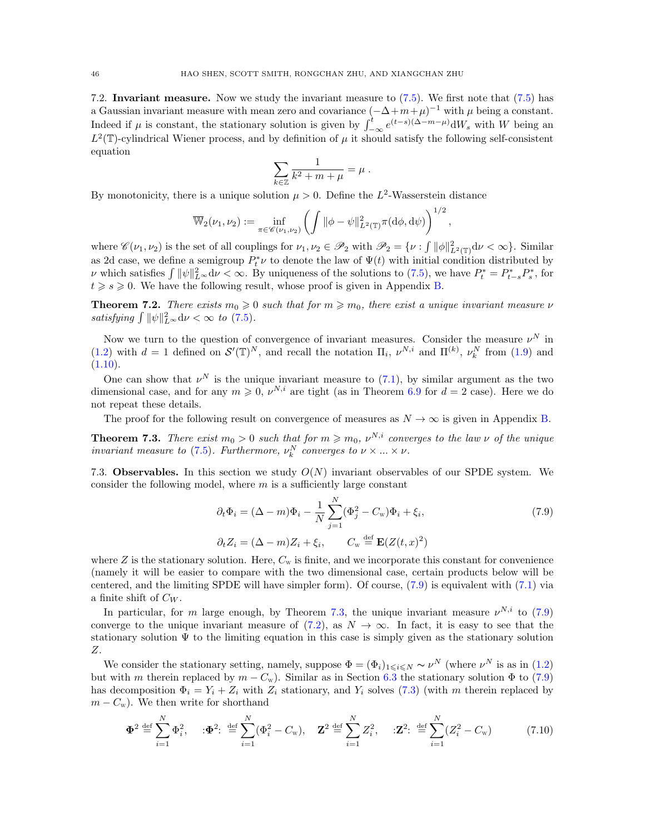<span id="page-45-2"></span>7.2. Invariant measure. Now we study the invariant measure to [\(7.5\)](#page-44-5). We first note that [\(7.5\)](#page-44-5) has a Gaussian invariant measure with mean zero and covariance  $(-\Delta+m+\mu)^{-1}$  with  $\mu$  being a constant. Indeed if  $\mu$  is constant, the stationary solution is given by  $\int_{-\infty}^{t} e^{(t-s)(\Delta-m-\mu)} dW_s$  with W being an  $L^2(\mathbb{T})$ -cylindrical Wiener process, and by definition of  $\mu$  it should satisfy the following self-consistent equation

$$
\sum_{k\in\mathbb{Z}}\frac{1}{k^2+m+\mu}=\mu.
$$

By monotonicity, there is a unique solution  $\mu > 0$ . Define the L<sup>2</sup>-Wasserstein distance

$$
\overline{\mathbb{W}}_2(\nu_1,\nu_2):=\inf_{\pi\in\mathscr{C}(\nu_1,\nu_2)}\left(\int\|\phi-\psi\|_{L^2(\mathbb{T})}^2\pi(\mathrm{d}\phi,\mathrm{d}\psi)\right)^{1/2},\,
$$

where  $\mathscr{C}(\nu_1, \nu_2)$  is the set of all couplings for  $\nu_1, \nu_2 \in \mathscr{P}_2$  with  $\mathscr{P}_2 = \{ \nu : \int ||\phi||^2_{L^2(\mathbb{T})} d\nu < \infty \}$ . Similar as 2d case, we define a semigroup  $P_t^* \nu$  to denote the law of  $\Psi(t)$  with initial condition distributed by v which satisfies  $\int \|\psi\|_{L^{\infty}}^2 d\nu < \infty$ . By uniqueness of the solutions to [\(7.5\)](#page-44-5), we have  $P_t^* = P_{t-s}^* P_s^*$ , for  $t \geqslant s \geqslant 0$ . We have the following result, whose proof is given in Appendix [B.](#page-51-0)

<span id="page-45-5"></span>**Theorem 7.2.** There exists  $m_0 \geq 0$  such that for  $m \geq m_0$ , there exist a unique invariant measure  $\nu$ satisfying  $\int ||\psi||_{L^{\infty}}^2 d\nu < \infty$  to [\(7.5\)](#page-44-5).

Now we turn to the question of convergence of invariant measures. Consider the measure  $\nu^N$  in [\(1.2\)](#page-1-1) with  $d = 1$  defined on  $\mathcal{S}'(\mathbb{T})^N$ , and recall the notation  $\Pi_i$ ,  $\nu^{N,i}$  and  $\Pi^{(k)}$ ,  $\nu_k^N$  from [\(1.9\)](#page-3-2) and  $(1.10).$  $(1.10).$ 

One can show that  $\nu^N$  is the unique invariant measure to [\(7.1\)](#page-43-2), by similar argument as the two dimensional case, and for any  $m \geq 0$ ,  $\nu^{N,i}$  are tight (as in Theorem [6.9](#page-37-0) for  $d = 2$  case). Here we do not repeat these details.

The proof for the following result on convergence of measures as  $N \to \infty$  is given in Appendix [B.](#page-51-0)

<span id="page-45-4"></span>**Theorem 7.3.** There exist  $m_0 > 0$  such that for  $m \geq m_0$ ,  $\nu^{N,i}$  converges to the law  $\nu$  of the unique invariant measure to [\(7.5\)](#page-44-5). Furthermore,  $\nu_k^N$  converges to  $\nu \times ... \times \nu$ .

<span id="page-45-3"></span>7.3. Observables. In this section we study  $O(N)$  invariant observables of our SPDE system. We consider the following model, where  $m$  is a sufficiently large constant

<span id="page-45-1"></span><span id="page-45-0"></span>
$$
\partial_t \Phi_i = (\Delta - m)\Phi_i - \frac{1}{N} \sum_{j=1}^N (\Phi_j^2 - C_w)\Phi_i + \xi_i,
$$
  
\n
$$
\partial_t Z_i = (\Delta - m)Z_i + \xi_i, \qquad C_w \stackrel{\text{def}}{=} \mathbf{E}(Z(t, x)^2)
$$
\n(7.9)

where  $Z$  is the stationary solution. Here,  $C_w$  is finite, and we incorporate this constant for convenience (namely it will be easier to compare with the two dimensional case, certain products below will be centered, and the limiting SPDE will have simpler form). Of course, [\(7.9\)](#page-45-0) is equivalent with [\(7.1\)](#page-43-2) via a finite shift of  $C_W$ .

In particular, for m large enough, by Theorem [7.3,](#page-45-4) the unique invariant measure  $\nu^{N,i}$  to [\(7.9\)](#page-45-0) converge to the unique invariant measure of [\(7.2\)](#page-44-1), as  $N \to \infty$ . In fact, it is easy to see that the stationary solution  $\Psi$  to the limiting equation in this case is simply given as the stationary solution Z.

We consider the stationary setting, namely, suppose  $\Phi = (\Phi_i)_{1 \leq i \leq N} \sim \nu^N$  (where  $\nu^N$  is as in [\(1.2\)](#page-1-1) but with m therein replaced by  $m - C_w$ ). Similar as in Section [6.3](#page-39-1) the stationary solution  $\Phi$  to [\(7.9\)](#page-45-0) has decomposition  $\Phi_i = Y_i + Z_i$  with  $Z_i$  stationary, and  $Y_i$  solves [\(7.3\)](#page-44-2) (with m therein replaced by  $m - C_w$ ). We then write for shorthand

$$
\Phi^2 \stackrel{\text{def}}{=} \sum_{i=1}^N \Phi_i^2, \quad : \Phi^2 : \stackrel{\text{def}}{=} \sum_{i=1}^N (\Phi_i^2 - C_w), \quad \mathbf{Z}^2 \stackrel{\text{def}}{=} \sum_{i=1}^N Z_i^2, \quad : \mathbf{Z}^2 : \stackrel{\text{def}}{=} \sum_{i=1}^N (Z_i^2 - C_w) \tag{7.10}
$$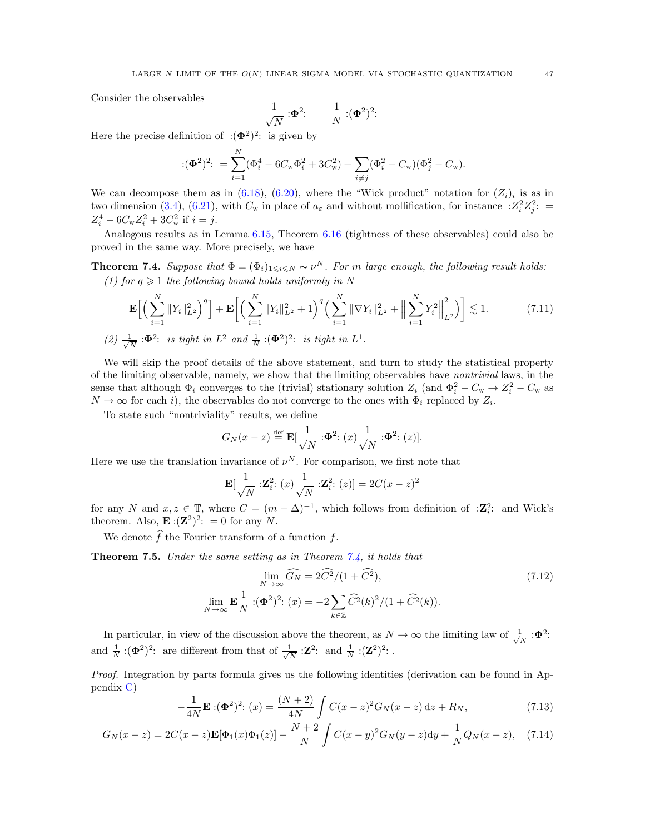Consider the observables

$$
\frac{1}{\sqrt{N}}:\!\!\Phi^2\!\!:\qquad \frac{1}{N}:(\!\!\Phi^2)^2\!\!:
$$

Here the precise definition of  $:(\Phi^2)^2$ : is given by

$$
:(\Phi^2)^2: \ = \sum_{i=1}^N (\Phi_i^4 - 6C_{\rm w}\Phi_i^2 + 3C_{\rm w}^2) + \sum_{i \neq j} (\Phi_i^2 - C_{\rm w})(\Phi_j^2 - C_{\rm w}).
$$

We can decompose them as in  $(6.18)$ ,  $(6.20)$ , where the "Wick product" notation for  $(Z_i)_i$  is as in two dimension [\(3.4\)](#page-10-3), [\(6.21\)](#page-40-7), with  $C_w$  in place of  $a_\varepsilon$  and without mollification, for instance  $Z_i^2 Z_j^2$ :  $Z_i^4 - 6C_{\rm w}Z_i^2 + 3C_{\rm w}^2$  if  $i = j$ .

Analogous results as in Lemma [6.15,](#page-40-6) Theorem [6.16](#page-41-2) (tightness of these observables) could also be proved in the same way. More precisely, we have

<span id="page-46-1"></span>**Theorem 7.4.** Suppose that  $\Phi = (\Phi_i)_{1 \leq i \leq N} \sim \nu^N$ . For m large enough, the following result holds: (1) for  $q \geq 1$  the following bound holds uniformly in N

$$
\mathbf{E}\Big[\Big(\sum_{i=1}^N \|Y_i\|_{L^2}^2\Big)^q\Big] + \mathbf{E}\Big[\Big(\sum_{i=1}^N \|Y_i\|_{L^2}^2 + 1\Big)^q \Big(\sum_{i=1}^N \|\nabla Y_i\|_{L^2}^2 + \Big\|\sum_{i=1}^N Y_i^2\Big\|_{L^2}^2\Big)\Big] \lesssim 1. \tag{7.11}
$$

 $(2) \frac{1}{\sqrt{2}}$  $\frac{1}{N}$  : $\Phi^2$ : is tight in  $L^2$  and  $\frac{1}{N}$  : $(\Phi^2)^2$ : is tight in  $L^1$ .

We will skip the proof details of the above statement, and turn to study the statistical property of the limiting observable, namely, we show that the limiting observables have nontrivial laws, in the sense that although  $\Phi_i$  converges to the (trivial) stationary solution  $Z_i$  (and  $\Phi_i^2 - C_w \to Z_i^2 - C_w$  as  $N \to \infty$  for each *i*), the observables do not converge to the ones with  $\Phi_i$  replaced by  $Z_i$ .

To state such "nontriviality" results, we define

$$
G_N(x-z) \stackrel{\text{def}}{=} \mathbf{E}[\frac{1}{\sqrt{N}} : \mathbf{\Phi}^2 : (x) \frac{1}{\sqrt{N}} : \mathbf{\Phi}^2 : (z)].
$$

Here we use the translation invariance of  $\nu^N$ . For comparison, we first note that

<span id="page-46-3"></span>
$$
\mathbf{E}[\frac{1}{\sqrt{N}}:\mathbf{Z}_{i}^{2}:(x)\frac{1}{\sqrt{N}}:\mathbf{Z}_{i}^{2}:(z)]=2C(x-z)^{2}
$$

for any N and  $x, z \in \mathbb{T}$ , where  $C = (m - \Delta)^{-1}$ , which follows from definition of : $\mathbb{Z}_i^2$ : and Wick's theorem. Also,  $\mathbf{E}:(\mathbf{Z}^2)^2$ : = 0 for any N.

We denote  $\widehat{f}$  the Fourier transform of a function f.

<span id="page-46-0"></span>Theorem 7.5. Under the same setting as in Theorem [7.4,](#page-46-1) it holds that

<span id="page-46-5"></span>
$$
\lim_{N \to \infty} \widehat{G_N} = 2\widehat{C^2}/(1+\widehat{C^2}),\tag{7.12}
$$
\n
$$
\lim_{N \to \infty} \mathbf{E} \frac{1}{N} : (\mathbf{\Phi}^2)^2 : (x) = -2 \sum_{k \in \mathbb{Z}} \widehat{C^2}(k)^2 / (1+\widehat{C^2}(k)).
$$

In particular, in view of the discussion above the theorem, as  $N \to \infty$  the limiting law of  $\frac{1}{\sqrt{2}}$  $\frac{1}{\overline{N}}$  : $\pmb{\Phi}^2$ : and  $\frac{1}{N}$  :( $\Phi^2$ )<sup>2</sup>: are different from that of  $\frac{1}{\sqrt{N}}$  $\frac{1}{\overline{N}}$  :**Z**<sup>2</sup>: and  $\frac{1}{\overline{N}}$  :**(Z**<sup>2</sup>)<sup>2</sup>: .

Proof. Integration by parts formula gives us the following identities (derivation can be found in Appendix [C\)](#page-56-0)

<span id="page-46-2"></span>
$$
-\frac{1}{4N}\mathbf{E}:(\Phi^2)^2:(x) = \frac{(N+2)}{4N}\int C(x-z)^2G_N(x-z)\,\mathrm{d}z + R_N,\tag{7.13}
$$

$$
G_N(x-z) = 2C(x-z)\mathbf{E}[\Phi_1(x)\Phi_1(z)] - \frac{N+2}{N} \int C(x-y)^2 G_N(y-z) dy + \frac{1}{N} Q_N(x-z), \quad (7.14)
$$

<span id="page-46-4"></span>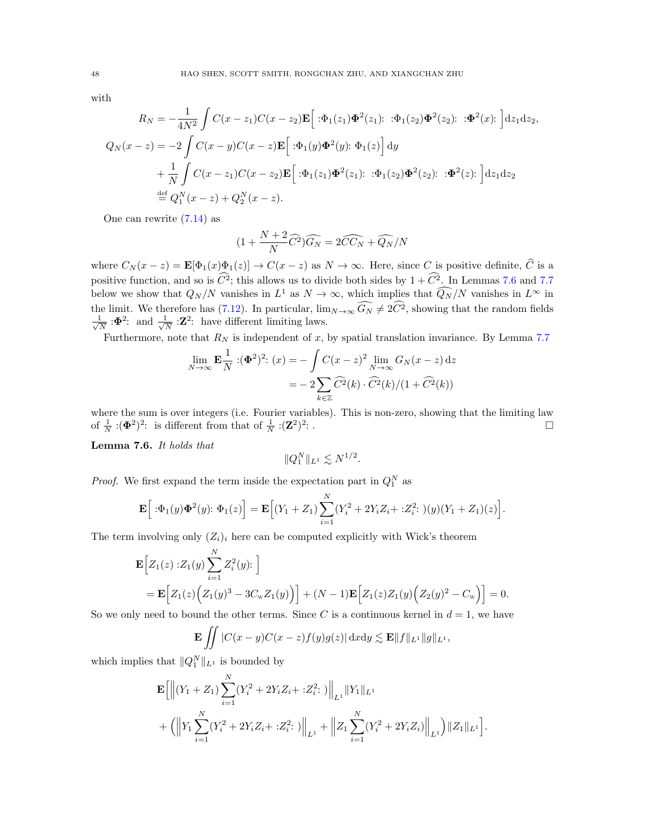$$
_{\rm with}
$$

$$
R_N = -\frac{1}{4N^2} \int C(x - z_1)C(x - z_2) \mathbf{E} \Big[ : \Phi_1(z_1) \Phi^2(z_1) : : \Phi_1(z_2) \Phi^2(z_2) : : \Phi^2(x) : \Big] dz_1 dz_2,
$$
  
\n
$$
Q_N(x - z) = -2 \int C(x - y)C(x - z) \mathbf{E} \Big[ : \Phi_1(y) \Phi^2(y) : \Phi_1(z) \Big] dy
$$
  
\n
$$
+ \frac{1}{N} \int C(x - z_1)C(x - z_2) \mathbf{E} \Big[ : \Phi_1(z_1) \Phi^2(z_1) : : \Phi_1(z_2) \Phi^2(z_2) : : \Phi^2(z) : \Big] dz_1 dz_2
$$
  
\n
$$
\stackrel{\text{def}}{=} Q_1^N(x - z) + Q_2^N(x - z).
$$

One can rewrite [\(7.14\)](#page-46-2) as

$$
(1 + \frac{N + 2}{N}\widehat{C}^2)\widehat{G_N} = 2\widehat{CC_N} + \widehat{Q_N}/N
$$

where  $C_N(x-z) = \mathbf{E}[\Phi_1(x)\Phi_1(z)] \to C(x-z)$  as  $N \to \infty$ . Here, since C is positive definite,  $\widehat{C}$  is a positive function, and so is  $\widehat{C}^2$ ; this allows us to divide both sides by  $1 + \widehat{C}^2$ . In Lemmas [7.6](#page-47-0) and [7.7](#page-49-0) below we show that  $Q_N/N$  vanishes in  $L^1$  as  $N \to \infty$ , which implies that  $\widehat{Q_N}/N$  vanishes in  $L^{\infty}$  in the limit. We therefore has [\(7.12\)](#page-46-3). In particular,  $\lim_{N\to\infty} \widehat{G}_N \neq 2\widehat{C}^2$ , showing that the random fields  $\frac{1}{2}$  $\frac{1}{\overline{N}}$  : $\Phi^2$ : and  $\frac{1}{\sqrt{N}}$  $\frac{1}{N}$  :**Z**<sup>2</sup>: have different limiting laws.

Furthermore, note that  $R_N$  is independent of x, by spatial translation invariance. By Lemma [7.7](#page-49-0)

$$
\lim_{N \to \infty} \mathbf{E} \frac{1}{N} : (\Phi^2)^2 : (x) = -\int C(x - z)^2 \lim_{N \to \infty} G_N(x - z) dz
$$

$$
= -2 \sum_{k \in \mathbb{Z}} \widehat{C}^2(k) \cdot \widehat{C}^2(k) / (1 + \widehat{C}^2(k))
$$

where the sum is over integers (i.e. Fourier variables). This is non-zero, showing that the limiting law of  $\frac{1}{N}$  :( $\Phi^2$ )<sup>2</sup>: is different from that of  $\frac{1}{N}$  :( $\mathbf{Z}^2$ )<sup>2</sup> : .

<span id="page-47-0"></span>Lemma 7.6. It holds that

$$
||Q_1^N||_{L^1} \lesssim N^{1/2}.
$$

*Proof.* We first expand the term inside the expectation part in  $Q_1^N$  as

$$
\mathbf{E}\Big[ : \Phi_1(y)\Phi^2(y): \Phi_1(z)\Big] = \mathbf{E}\Big[(Y_1+Z_1)\sum_{i=1}^N (Y_i^2+2Y_iZ_i+:Z_i^2:)(y)(Y_1+Z_1)(z)\Big].
$$

The term involving only  $(Z_i)_i$  here can be computed explicitly with Wick's theorem

$$
\mathbf{E}\Big[Z_1(z):Z_1(y)\sum_{i=1}^N Z_i^2(y): \Big]
$$
  
=  $\mathbf{E}\Big[Z_1(z)\Big(Z_1(y)^3 - 3C_w Z_1(y)\Big)\Big] + (N-1)\mathbf{E}\Big[Z_1(z)Z_1(y)\Big(Z_2(y)^2 - C_w\Big)\Big] = 0.$ 

So we only need to bound the other terms. Since C is a continuous kernel in  $d = 1$ , we have

$$
\mathbf{E} \iint |C(x-y)C(x-z)f(y)g(z)| \, \mathrm{d}x \mathrm{d}y \lesssim \mathbf{E} ||f||_{L^1} ||g||_{L^1},
$$

which implies that  $||Q_1^N||_{L^1}$  is bounded by

$$
\mathbf{E}\Big[\Big\|\big(Y_1+Z_1\big)\sum_{i=1}^N (Y_i^2+2Y_iZ_i+:Z_i^2:\big)\Big\|_{L^1}\|Y_1\|_{L^1} \n+\Big(\Big\|Y_1\sum_{i=1}^N (Y_i^2+2Y_iZ_i+:Z_i^2:\big)\Big\|_{L^1}+\Big\|Z_1\sum_{i=1}^N (Y_i^2+2Y_iZ_i)\Big\|_{L^1}\Big)\|Z_1\|_{L^1}\Big].
$$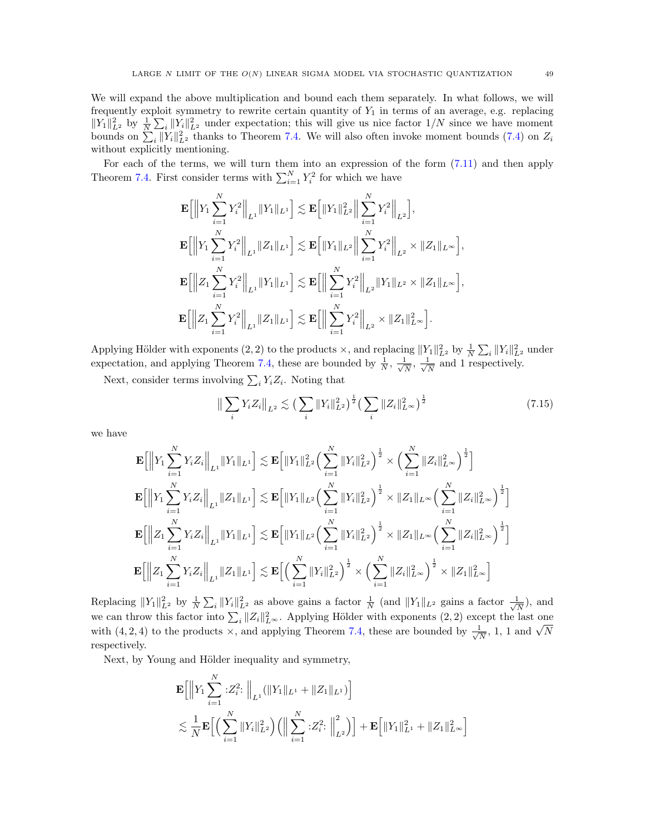We will expand the above multiplication and bound each them separately. In what follows, we will frequently exploit symmetry to rewrite certain quantity of  $Y_1$  in terms of an average, e.g. replacing  $||Y_1||_{L^2}^2$  by  $\frac{1}{N}\sum_i ||Y_i||_{L^2}^2$  under expectation; this will give us nice factor  $1/N$  since we have moment bounds on  $\sum_i ||Y_i||_{L^2}^2$  thanks to Theorem [7.4.](#page-46-1) We will also often invoke moment bounds [\(7.4\)](#page-44-6) on  $Z_i$ without explicitly mentioning.

For each of the terms, we will turn them into an expression of the form [\(7.11\)](#page-46-4) and then apply Theorem [7.4.](#page-46-1) First consider terms with  $\sum_{i=1}^{N} Y_i^2$  for which we have

$$
\mathbf{E}\Big[\Big\|Y_1\sum_{i=1}^NY_i^2\Big\|_{L^1}\|Y_1\|_{L^1}\Big]\lesssim \mathbf{E}\Big[\|Y_1\|_{L^2}^2\Big\|\sum_{i=1}^NY_i^2\Big\|_{L^2}\Big],
$$
\n
$$
\mathbf{E}\Big[\Big\|Y_1\sum_{i=1}^NY_i^2\Big\|_{L^1}\|Z_1\|_{L^1}\Big]\lesssim \mathbf{E}\Big[\|Y_1\|_{L^2}\Big\|\sum_{i=1}^NY_i^2\Big\|_{L^2}\times\|Z_1\|_{L^\infty}\Big],
$$
\n
$$
\mathbf{E}\Big[\Big\|Z_1\sum_{i=1}^NY_i^2\Big\|_{L^1}\|Y_1\|_{L^1}\Big]\lesssim \mathbf{E}\Big[\Big\|\sum_{i=1}^NY_i^2\Big\|_{L^2}\|Y_1\|_{L^2}\times\|Z_1\|_{L^\infty}\Big],
$$
\n
$$
\mathbf{E}\Big[\Big\|Z_1\sum_{i=1}^NY_i^2\Big\|_{L^1}\|Z_1\|_{L^1}\Big]\lesssim \mathbf{E}\Big[\Big\|\sum_{i=1}^NY_i^2\Big\|_{L^2}\|Y_1\|_{L^2}\times\|Z_1\|_{L^\infty}\Big],
$$

Applying Hölder with exponents  $(2, 2)$  to the products  $\times$ , and replacing  $||Y_1||_{L^2}^2$  by  $\frac{1}{N} \sum_i ||Y_i||_{L^2}^2$  under expectation, and applying Theorem [7.4,](#page-46-1) these are bounded by  $\frac{1}{N}$ ,  $\frac{1}{\sqrt{N}}$  $\frac{1}{N}, \frac{1}{\sqrt{l}}$  $\frac{1}{N}$  and 1 respectively.

Next, consider terms involving  $\sum_i Y_i Z_i$ . Noting that

<span id="page-48-0"></span>
$$
\left\| \sum_{i} Y_{i} Z_{i} \right\|_{L^{2}} \lesssim \left( \sum_{i} \|Y_{i}\|_{L^{2}}^{2} \right)^{\frac{1}{2}} \left( \sum_{i} \|Z_{i}\|_{L^{\infty}}^{2} \right)^{\frac{1}{2}}
$$
\n(7.15)

we have

$$
\mathbf{E}\Big[\Big\|Y_1\sum_{i=1}^NY_iZ_i\Big\|_{L^1}\|Y_1\|_{L^1}\Big]\lesssim \mathbf{E}\Big[\|Y_1\|_{L^2}^2\Big(\sum_{i=1}^N\|Y_i\|_{L^2}^2\Big)^{\frac{1}{2}}\times \Big(\sum_{i=1}^N\|Z_i\|_{L^\infty}^2\Big)^{\frac{1}{2}}\Big]
$$
\n
$$
\mathbf{E}\Big[\Big\|Y_1\sum_{i=1}^NY_iZ_i\Big\|_{L^1}\|Z_1\|_{L^1}\Big]\lesssim \mathbf{E}\Big[\|Y_1\|_{L^2}\Big(\sum_{i=1}^N\|Y_i\|_{L^2}^2\Big)^{\frac{1}{2}}\times\|Z_1\|_{L^\infty}\Big(\sum_{i=1}^N\|Z_i\|_{L^\infty}^2\Big)^{\frac{1}{2}}\Big]
$$
\n
$$
\mathbf{E}\Big[\Big\|Z_1\sum_{i=1}^NY_iZ_i\Big\|_{L^1}\|Y_1\|_{L^1}\Big]\lesssim \mathbf{E}\Big[\|Y_1\|_{L^2}\Big(\sum_{i=1}^N\|Y_i\|_{L^2}^2\Big)^{\frac{1}{2}}\times\|Z_1\|_{L^\infty}\Big(\sum_{i=1}^N\|Z_i\|_{L^\infty}^2\Big)^{\frac{1}{2}}\Big]
$$
\n
$$
\mathbf{E}\Big[\Big\|Z_1\sum_{i=1}^NY_iZ_i\Big\|_{L^1}\|Z_1\|_{L^1}\Big]\lesssim \mathbf{E}\Big[\Big(\sum_{i=1}^N\|Y_i\|_{L^2}^2\Big)^{\frac{1}{2}}\times\Big(\sum_{i=1}^N\|Z_i\|_{L^\infty}^2\Big)^{\frac{1}{2}}\times\|Z_1\|_{L^\infty}^2\Big)^{\frac{1}{2}}\times\|Z_1\|_{L^\infty}^2\Big]
$$

Replacing  $||Y_1||_{L^2}^2$  by  $\frac{1}{N}\sum_i ||Y_i||_{L^2}^2$  as above gains a factor  $\frac{1}{N}$  (and  $||Y_1||_{L^2}$  gains a factor  $\frac{1}{\sqrt{N}}$  $\frac{1}{N}$ ), and we can throw this factor into  $\sum_i ||Z_i||_{L^{\infty}}^2$ . Applying Hölder with exponents  $(2, 2)$  except the last one with (4, 2, 4) to the products  $\times$ , and applying Theorem [7.4,](#page-46-1) these are bounded by  $\frac{1}{\sqrt{2}}$ Equation the rase one<br> $\frac{1}{\overline{N}}$ , 1, 1 and  $\sqrt{N}$ respectively.

Next, by Young and Hölder inequality and symmetry,

$$
\mathbf{E}\Big[\Big\|Y_1\sum_{i=1}^N\,:\!Z_i^2:\Big\|_{L^1}(\|Y_1\|_{L^1}+\|Z_1\|_{L^1})\Big] \n\lesssim \frac{1}{N}\mathbf{E}\Big[\Big(\sum_{i=1}^N\|Y_i\|_{L^2}^2\Big)\Big(\Big\|\sum_{i=1}^N\,:\!Z_i^2:\,\Big\|_{L^2}^2\Big)\Big] + \mathbf{E}\Big[\|Y_1\|_{L^1}^2+\|Z_1\|_{L^\infty}^2\Big]
$$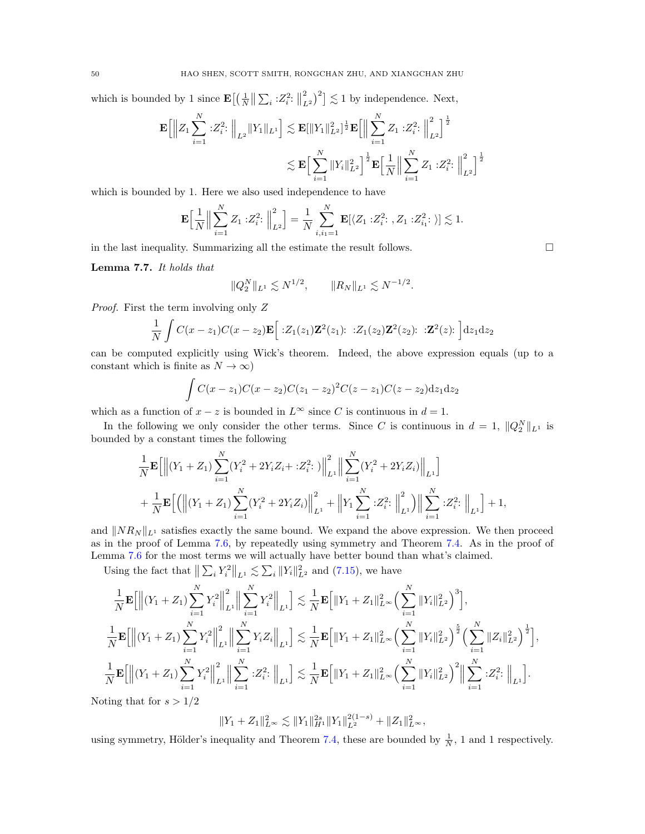which is bounded by 1 since  $\mathbf{E}\left[\left(\frac{1}{N}\right)\|\sum_i : Z_i^2 : \right]$ 2  $\binom{2}{L^2}^2$   $\lesssim$  1 by independence. Next,

$$
\mathbf{E}\Big[\Big\|Z_1\sum_{i=1}^N\,:\!Z_i^2:\Big\|_{L^2}\|Y_1\|_{L^1}\Big]\lesssim \mathbf{E}[\|Y_1\|_{L^2}^2]^{\frac{1}{2}}\mathbf{E}\Big[\Big\|\sum_{i=1}^N Z_1\,:Z_i^2:\Big\|_{L^2}^2\Big]^{\frac{1}{2}}\\ \lesssim \mathbf{E}\Big[\sum_{i=1}^N\|Y_i\|_{L^2}^2\Big]^{\frac{1}{2}}\mathbf{E}\Big[\frac{1}{N}\Big\|\sum_{i=1}^N Z_1\,:Z_i^2:\Big\|_{L^2}^2\Big]^{\frac{1}{2}}
$$

which is bounded by 1. Here we also used independence to have

$$
\mathbf{E}\Big[\frac{1}{N}\Big\|\sum_{i=1}^N Z_1 : Z_i^2 : \Big\|_{L^2}^2\Big] = \frac{1}{N} \sum_{i,i_1=1}^N \mathbf{E}[\langle Z_1 : Z_i^2 : Z_1 : Z_{i_1}^2 : \rangle] \lesssim 1.
$$

in the last inequality. Summarizing all the estimate the result follows.  $\Box$ 

<span id="page-49-0"></span>Lemma 7.7. It holds that

$$
||Q_2^N||_{L^1} \lesssim N^{1/2}, \qquad ||R_N||_{L^1} \lesssim N^{-1/2}.
$$

Proof. First the term involving only Z

$$
\frac{1}{N}\int C(x-z_1)C(x-z_2)\mathbf{E}\Big[\cdot Z_1(z_1)\mathbf{Z}^2(z_1):\cdot Z_1(z_2)\mathbf{Z}^2(z_2):\cdot \mathbf{Z}^2(z)\cdot\Big]dz_1dz_2
$$

can be computed explicitly using Wick's theorem. Indeed, the above expression equals (up to a constant which is finite as  $N \to \infty$ )

$$
\int C(x-z_1)C(x-z_2)C(z_1-z_2)^2C(z-z_1)C(z-z_2)dz_1dz_2
$$

which as a function of  $x - z$  is bounded in  $L^{\infty}$  since C is continuous in  $d = 1$ .

In the following we only consider the other terms. Since C is continuous in  $d = 1$ ,  $||Q_2^N||_{L^1}$  is bounded by a constant times the following

$$
\frac{1}{N} \mathbf{E} \Big[ \Big\| (Y_1 + Z_1) \sum_{i=1}^N (Y_i^2 + 2Y_i Z_i + : Z_i^2: \big) \Big\|_{L^1}^2 \Big\| \sum_{i=1}^N (Y_i^2 + 2Y_i Z_i) \Big\|_{L^1} \Big] \n+ \frac{1}{N} \mathbf{E} \Big[ \Big( \Big\| (Y_1 + Z_1) \sum_{i=1}^N (Y_i^2 + 2Y_i Z_i) \Big\|_{L^1}^2 + \Big\| Y_1 \sum_{i=1}^N : Z_i^2: \Big\|_{L^1}^2 \Big) \Big\| \sum_{i=1}^N : Z_i^2: \Big\|_{L^1} \Big] + 1,
$$

and  $||NR_N||_{L^1}$  satisfies exactly the same bound. We expand the above expression. We then proceed as in the proof of Lemma [7.6,](#page-47-0) by repeatedly using symmetry and Theorem [7.4.](#page-46-1) As in the proof of Lemma [7.6](#page-47-0) for the most terms we will actually have better bound than what's claimed.

Using the fact that  $\left\| \sum_{i} Y_i^2 \right\|_{L^1} \lesssim \sum_{i} \|Y_i\|_{L^2}^2$  and [\(7.15\)](#page-48-0), we have

$$
\frac{1}{N}\mathbf{E}\Big[\Big\|\big(Y_1+Z_1\big)\sum_{i=1}^N Y_i^2\Big\|_{L^1}^2\Big\|\sum_{i=1}^N Y_i^2\Big\|_{L^1}\Big]\lesssim \frac{1}{N}\mathbf{E}\Big[\|Y_1+Z_1\|_{L^\infty}^2\Big(\sum_{i=1}^N\|Y_i\|_{L^2}^2\Big)^3\Big],
$$
\n
$$
\frac{1}{N}\mathbf{E}\Big[\Big\|\big(Y_1+Z_1\big)\sum_{i=1}^N Y_i^2\Big\|_{L^1}^2\Big\|\sum_{i=1}^N Y_iZ_i\Big\|_{L^1}\Big]\lesssim \frac{1}{N}\mathbf{E}\Big[\|Y_1+Z_1\|_{L^\infty}^2\Big(\sum_{i=1}^N\|Y_i\|_{L^2}^2\Big)^{\frac{5}{2}}\Big(\sum_{i=1}^N\|Z_i\|_{L^2}^2\Big)^{\frac{1}{2}}\Big],
$$
\n
$$
\frac{1}{N}\mathbf{E}\Big[\Big\|\big(Y_1+Z_1\big)\sum_{i=1}^N Y_i^2\Big\|_{L^1}^2\Big\|\sum_{i=1}^N:Z_i^2:\Big\|_{L^1}\Big]\lesssim \frac{1}{N}\mathbf{E}\Big[\|Y_1+Z_1\|_{L^\infty}^2\Big(\sum_{i=1}^N\|Y_i\|_{L^2}^2\Big)^2\Big\|\sum_{i=1}^N:Z_i^2:\Big\|_{L^1}\Big].
$$
\nii. d.e.,  $\sum_{i=1}^N 2^{(i)}\sum_{i=1}^N 2^{(i)}\sum_{i=1}^N 2^{(i)}\sum_{i=1}^N 2^{(i)}\sum_{i=1}^N 2^{(i)}\sum_{i=1}^N 2^{(i)}\sum_{i=1}^N 2^{(i)}\sum_{i=1}^N 2^{(i)}\sum_{i=1}^N 2^{(i)}\sum_{i=1}^N 2^{(i)}\sum_{i=1}^N 2^{(i)}\sum_{i=1}^N 2^{(i)}\sum_{i=1}^N 2^{(i)}\sum_{i=1}^N 2^{(i)}\sum_{i=1}^N 2^{(i)}\sum_{$ 

Noting that for  $s > 1/2$ 

$$
||Y_1 + Z_1||_{L^{\infty}}^2 \lesssim ||Y_1||_{H^1}^{2s} ||Y_1||_{L^2}^{2(1-s)} + ||Z_1||_{L^{\infty}}^2,
$$

using symmetry, Hölder's inequality and Theorem [7.4,](#page-46-1) these are bounded by  $\frac{1}{N}$ , 1 and 1 respectively.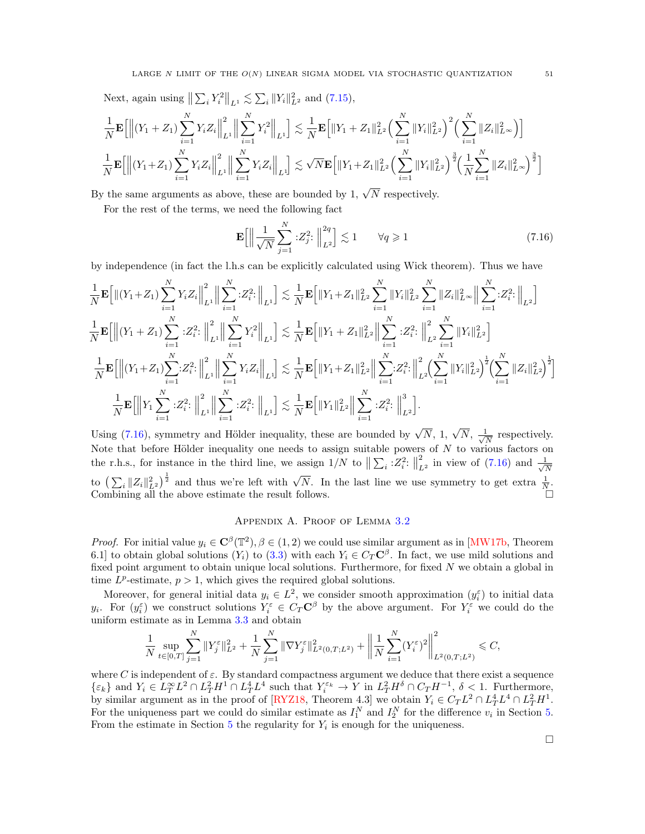Next, again using  $\left\| \sum_{i} Y_i^2 \right\|_{L^1} \lesssim \sum_{i} \|Y_i\|_{L^2}^2$  and  $(7.15)$ ,

$$
\frac{1}{N}\mathbf{E}\Big[\Big\|\big(Y_1+Z_1\big)\sum_{i=1}^N Y_iZ_i\Big\|_{L^1}^2\Big\|\sum_{i=1}^N Y_i^2\Big\|_{L^1}\Big]\lesssim \frac{1}{N}\mathbf{E}\Big[\|Y_1+Z_1\|_{L^2}^2\Big(\sum_{i=1}^N\|Y_i\|_{L^2}^2\Big)^2\Big(\sum_{i=1}^N\|Z_i\|_{L^\infty}^2\Big)\Big]
$$
  

$$
\frac{1}{N}\mathbf{E}\Big[\Big\|\big(Y_1+Z_1\big)\sum_{i=1}^N Y_iZ_i\Big\|_{L^1}\Big\|\sum_{i=1}^N Y_iZ_i\Big\|_{L^1}\Big]\lesssim \sqrt{N}\mathbf{E}\Big[\|Y_1+Z_1\|_{L^2}^2\Big(\sum_{i=1}^N\|Y_i\|_{L^2}^2\Big)^{\frac{3}{2}}\Big(\frac{1}{N}\sum_{i=1}^N\|Z_i\|_{L^\infty}^2\Big)^{\frac{3}{2}}\Big]
$$

By the same arguments as above, these are bounded by 1,  $\sqrt{N}$  respectively.

For the rest of the terms, we need the following fact

$$
\mathbf{E}\left[\left\|\frac{1}{\sqrt{N}}\sum_{j=1}^{N}\cdot Z_j^2\colon\right\|_{L^2}^{2q}\right] \lesssim 1 \qquad \forall q \geqslant 1 \tag{7.16}
$$

by independence (in fact the l.h.s can be explicitly calculated using Wick theorem). Thus we have

$$
\frac{1}{N}\mathbf{E}\Big[\|(Y_1+Z_1)\sum_{i=1}^N Y_iZ_i\Big\|_{L^1}^2\Big\|\sum_{i=1}^N:Z_i^2:\Big\|_{L^1}\Big]\lesssim\frac{1}{N}\mathbf{E}\Big[\|Y_1+Z_1\|_{L^2}^2\sum_{i=1}^N\|Y_i\|_{L^2}^2\sum_{i=1}^N\|Z_i\|_{L^\infty}^2\Big\|\sum_{i=1}^N:Z_i^2:\Big\|_{L^2}\Big]
$$
\n
$$
\frac{1}{N}\mathbf{E}\Big[\Big\|(Y_1+Z_1)\sum_{i=1}^N:Z_i^2:\Big\|_{L^1}^2\Big\|\sum_{i=1}^N Y_i^2\Big\|_{L^1}\Big]\lesssim\frac{1}{N}\mathbf{E}\Big[\|Y_1+Z_1\|_{L^2}^2\Big\|\sum_{i=1}^N:Z_i^2:\Big\|_{L^2}^2\sum_{i=1}^N\|Y_i\|_{L^2}^2\Big]
$$
\n
$$
\frac{1}{N}\mathbf{E}\Big[\Big\|(Y_1+Z_1)\sum_{i=1}^N:Z_i^2:\Big\|_{L^1}^2\Big\|\sum_{i=1}^N Y_iZ_i\Big\|_{L^1}\Big]\lesssim\frac{1}{N}\mathbf{E}\Big[\|Y_1+Z_1\|_{L^2}^2\Big\|\sum_{i=1}^N:Z_i^2:\Big\|_{L^2}^2\Big(\sum_{i=1}^N\|Y_i\|_{L^2}^2\Big)^{\frac{1}{2}}\Big(\sum_{i=1}^N\|Z_i\|_{L^2}^2\Big)^{\frac{1}{2}}\Big]
$$
\n
$$
\frac{1}{N}\mathbf{E}\Big[\Big\|Y_1\sum_{i=1}^N:Z_i^2:\Big\|_{L^1}^2\Big\|\sum_{i=1}^N:Z_i^2:\Big\|_{L^1}\Big]\lesssim\frac{1}{N}\mathbf{E}\Big[\|Y_1\|_{L^2}^2\Big\|\sum_{i=1}^N:Z_i^2:\Big\|_{L^2}^3\Big].
$$

Using [\(7.16\)](#page-50-1), symmetry and Hölder inequality, these are bounded by  $\sqrt{N}$ , 1,  $\sqrt{N}$ ,  $\frac{1}{\sqrt{N}}$  $\frac{1}{\overline{N}}$  respectively. Note that before Hölder inequality one needs to assign suitable powers of  $N$  to various factors on the r.h.s., for instance in the third line, we assign  $1/N$  to  $\|\sum_i 2_i^2$ :  $\|$ 2  $\frac{2}{L^2}$  in view of [\(7.16\)](#page-50-1) and  $\frac{1}{\sqrt{L}}$ N to  $\left(\sum_i \|Z_i\|_{L^2}^2\right)^{\frac{1}{2}}$  and thus we're left with  $\sqrt{N}$ . In the last line we use symmetry to get extra  $\frac{1}{N}$ . Combining all the above estimate the result follows.

# Appendix A. Proof of Lemma [3.2](#page-11-0)

<span id="page-50-0"></span>*Proof.* For initial value  $y_i \in \mathbb{C}^{\beta}(\mathbb{T}^2), \beta \in (1, 2)$  we could use similar argument as in [\[MW17b,](#page-59-0) Theorem 6.1] to obtain global solutions  $(Y_i)$  to  $(3.3)$  with each  $Y_i \in C_T \mathbb{C}^\beta$ . In fact, we use mild solutions and fixed point argument to obtain unique local solutions. Furthermore, for fixed N we obtain a global in time  $L^p$ -estimate,  $p > 1$ , which gives the required global solutions.

Moreover, for general initial data  $y_i \in L^2$ , we consider smooth approximation  $(y_i^{\varepsilon})$  to initial data  $y_i$ . For  $(y_i^{\varepsilon})$  we construct solutions  $Y_i^{\varepsilon} \in C_T \mathbb{C}^{\beta}$  by the above argument. For  $Y_i^{\varepsilon}$  we could do the uniform estimate as in Lemma [3.3](#page-11-1) and obtain

$$
\frac{1}{N}\sup_{t\in[0,T]}\sum_{j=1}^N\|Y_j^\varepsilon\|_{L^2}^2+\frac{1}{N}\sum_{j=1}^N\|\nabla Y_j^\varepsilon\|_{L^2(0,T;L^2)}^2+\bigg\|\frac{1}{N}\sum_{i=1}^N(Y_i^\varepsilon)^2\bigg\|_{L^2(0,T;L^2)}^2\leqslant C,
$$

where C is independent of  $\varepsilon$ . By standard compactness argument we deduce that there exist a sequence  $\{\varepsilon_k\}$  and  $Y_i \in L_T^{\infty}L^2 \cap L_T^2H^1 \cap L_T^4L^4$  such that  $Y_i^{\varepsilon_k} \to Y$  in  $L_T^2H^{\delta} \cap C_TH^{-1}$ ,  $\delta < 1$ . Furthermore, by similar argument as in the proof of [\[RYZ18,](#page-59-18) Theorem 4.3] we obtain  $Y_i \in C_T L^2 \cap L_T^4 L^4 \cap L_T^2 H^1$ . For the uniqueness part we could do similar estimate as  $I_1^N$  and  $I_2^N$  for the difference  $v_i$  in Section [5.](#page-23-0) From the estimate in Section  $5$  the regularity for  $Y_i$  is enough for the uniqueness.

<span id="page-50-1"></span>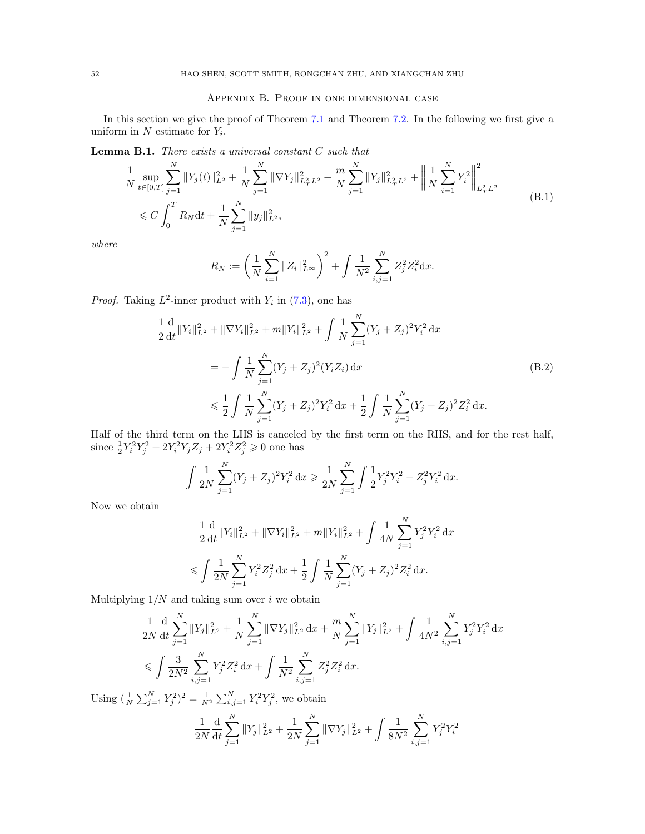# Appendix B. Proof in one dimensional case

<span id="page-51-0"></span>In this section we give the proof of Theorem [7.1](#page-44-0) and Theorem [7.2.](#page-45-5) In the following we first give a uniform in  $N$  estimate for  $Y_i$ .

**Lemma B.1.** There exists a universal constant  $C$  such that

<span id="page-51-1"></span>
$$
\frac{1}{N} \sup_{t \in [0,T]} \sum_{j=1}^{N} \|Y_j(t)\|_{L^2}^2 + \frac{1}{N} \sum_{j=1}^{N} \|\nabla Y_j\|_{L^2_T L^2}^2 + \frac{m}{N} \sum_{j=1}^{N} \|Y_j\|_{L^2_T L^2}^2 + \left\|\frac{1}{N} \sum_{i=1}^{N} Y_i^2\right\|_{L^2_T L^2}^2
$$
\n
$$
\leq C \int_0^T R_N dt + \frac{1}{N} \sum_{j=1}^{N} \|y_j\|_{L^2}^2,
$$
\n(B.1)

where

<span id="page-51-2"></span>
$$
R_N := \left(\frac{1}{N} \sum_{i=1}^N \|Z_i\|_{L^\infty}^2\right)^2 + \int \frac{1}{N^2} \sum_{i,j=1}^N Z_j^2 Z_i^2 dx.
$$

*Proof.* Taking  $L^2$ -inner product with  $Y_i$  in [\(7.3\)](#page-44-2), one has

1

$$
\frac{1}{2} \frac{d}{dt} ||Y_i||_{L^2}^2 + ||\nabla Y_i||_{L^2}^2 + m||Y_i||_{L^2}^2 + \int \frac{1}{N} \sum_{j=1}^N (Y_j + Z_j)^2 Y_i^2 dx
$$
\n
$$
= -\int \frac{1}{N} \sum_{j=1}^N (Y_j + Z_j)^2 (Y_i Z_i) dx
$$
\n
$$
\leq \frac{1}{2} \int \frac{1}{N} \sum_{j=1}^N (Y_j + Z_j)^2 Y_i^2 dx + \frac{1}{2} \int \frac{1}{N} \sum_{j=1}^N (Y_j + Z_j)^2 Z_i^2 dx.
$$
\n(B.2)

Half of the third term on the LHS is canceled by the first term on the RHS, and for the rest half, since  $\frac{1}{2}Y_i^2Y_j^2 + 2Y_i^2Y_jZ_j + 2Y_i^2Z_j^2 \geq 0$  one has

$$
\int \frac{1}{2N} \sum_{j=1}^{N} (Y_j + Z_j)^2 Y_i^2 dx \geq \frac{1}{2N} \sum_{j=1}^{N} \int \frac{1}{2} Y_j^2 Y_i^2 - Z_j^2 Y_i^2 dx.
$$

Now we obtain

$$
\frac{1}{2} \frac{d}{dt} \|Y_i\|_{L^2}^2 + \|\nabla Y_i\|_{L^2}^2 + m \|Y_i\|_{L^2}^2 + \int \frac{1}{4N} \sum_{j=1}^N Y_j^2 Y_i^2 dx
$$
  

$$
\leqslant \int \frac{1}{2N} \sum_{j=1}^N Y_i^2 Z_j^2 dx + \frac{1}{2} \int \frac{1}{N} \sum_{j=1}^N (Y_j + Z_j)^2 Z_i^2 dx.
$$

Multiplying  $1/N$  and taking sum over i we obtain

$$
\frac{1}{2N} \frac{d}{dt} \sum_{j=1}^{N} \|Y_j\|_{L^2}^2 + \frac{1}{N} \sum_{j=1}^{N} \|\nabla Y_j\|_{L^2}^2 dx + \frac{m}{N} \sum_{j=1}^{N} \|Y_j\|_{L^2}^2 + \int \frac{1}{4N^2} \sum_{i,j=1}^{N} Y_j^2 Y_i^2 dx
$$
  

$$
\leqslant \int \frac{3}{2N^2} \sum_{i,j=1}^{N} Y_j^2 Z_i^2 dx + \int \frac{1}{N^2} \sum_{i,j=1}^{N} Z_j^2 Z_i^2 dx.
$$

Using  $(\frac{1}{N} \sum_{j=1}^{N} Y_j^2)^2 = \frac{1}{N^2} \sum_{i,j=1}^{N} Y_i^2 Y_j^2$ , we obtain

$$
\frac{1}{2N} \frac{d}{dt} \sum_{j=1}^{N} ||Y_j||_{L^2}^2 + \frac{1}{2N} \sum_{j=1}^{N} ||\nabla Y_j||_{L^2}^2 + \int \frac{1}{8N^2} \sum_{i,j=1}^{N} Y_j^2 Y_i^2
$$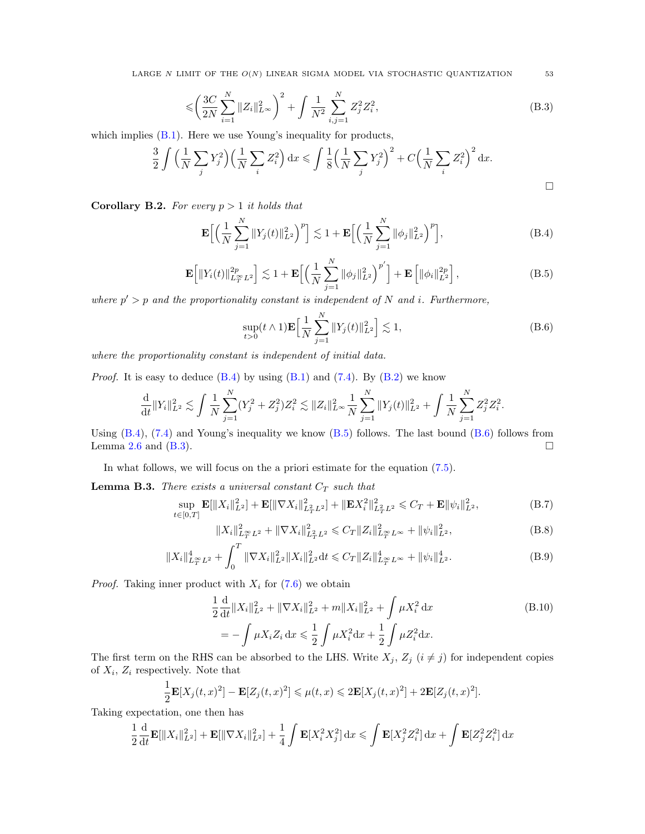LARGE N LIMIT OF THE  $O(N)$  LINEAR SIGMA MODEL VIA STOCHASTIC QUANTIZATION 53

$$
\leqslant \left(\frac{3C}{2N}\sum_{i=1}^{N}||Z_i||_{L^{\infty}}^2\right)^2 + \int \frac{1}{N^2} \sum_{i,j=1}^{N} Z_j^2 Z_i^2,
$$
\n(B.3)

which implies  $(B.1)$ . Here we use Young's inequality for products,

$$
\frac{3}{2}\int \left(\frac{1}{N}\sum_{j}Y_j^2\right)\left(\frac{1}{N}\sum_{i}Z_i^2\right)dx \leqslant \int \frac{1}{8}\left(\frac{1}{N}\sum_{j}Y_j^2\right)^2 + C\left(\frac{1}{N}\sum_{i}Z_i^2\right)^2 dx.
$$

**Corollary B.2.** For every  $p > 1$  it holds that

<span id="page-52-0"></span>
$$
\mathbf{E}\Big[\Big(\frac{1}{N}\sum_{j=1}^{N}||Y_j(t)||_{L^2}^2\Big)^p\Big] \lesssim 1 + \mathbf{E}\Big[\Big(\frac{1}{N}\sum_{j=1}^{N}||\phi_j||_{L^2}^2\Big)^p\Big],\tag{B.4}
$$

<span id="page-52-1"></span>
$$
\mathbf{E}\Big[\|Y_i(t)\|_{L_T^{\infty}L^2}^{2p}\Big] \lesssim 1 + \mathbf{E}\Big[\Big(\frac{1}{N}\sum_{j=1}^N \|\phi_j\|_{L^2}^2\Big)^{p'}\Big] + \mathbf{E}\left[\|\phi_i\|_{L^2}^{2p}\right],\tag{B.5}
$$

where  $p' > p$  and the proportionality constant is independent of N and i. Furthermore,

$$
\sup_{t>0} (t \wedge 1) \mathbf{E} \Big[ \frac{1}{N} \sum_{j=1}^{N} \|Y_j(t)\|_{L^2}^2 \Big] \lesssim 1,
$$
\n(B.6)

where the proportionality constant is independent of initial data.

*Proof.* It is easy to deduce  $(B.4)$  by using  $(B.1)$  and  $(7.4)$ . By  $(B.2)$  we know

$$
\frac{\mathrm{d}}{\mathrm{d}t} \|Y_i\|_{L^2}^2 \lesssim \int \frac{1}{N} \sum_{j=1}^N (Y_j^2 + Z_j^2) Z_i^2 \lesssim \|Z_i\|_{L^\infty}^2 \frac{1}{N} \sum_{j=1}^N \|Y_j(t)\|_{L^2}^2 + \int \frac{1}{N} \sum_{j=1}^N Z_j^2 Z_i^2.
$$

Using  $(B.4)$ ,  $(7.4)$  and Young's inequality we know  $(B.5)$  follows. The last bound  $(B.6)$  follows from Lemma [2.6](#page-9-5) and [\(B.3\)](#page-52-3).  $\Box$ 

In what follows, we will focus on the a priori estimate for the equation [\(7.5\)](#page-44-5).

**Lemma B.3.** There exists a universal constant  $C_T$  such that

$$
\sup_{t \in [0,T]} \mathbf{E}[\|X_i\|_{L^2}^2] + \mathbf{E}[\|\nabla X_i\|_{L^2_T L^2}^2] + \|\mathbf{E} X_i^2\|_{L^2_T L^2}^2 \leq C_T + \mathbf{E} \|\psi_i\|_{L^2}^2, \tag{B.7}
$$

<span id="page-52-7"></span><span id="page-52-6"></span><span id="page-52-4"></span>
$$
||X_i||_{L_T^{\infty}L^2}^2 + ||\nabla X_i||_{L_T^2L^2}^2 \leqslant C_T ||Z_i||_{L_T^{\infty}L^{\infty}}^2 + ||\psi_i||_{L^2}^2,
$$
\n(B.8)

$$
||X_i||_{L_T^{\infty}L^2}^2 + \int_0^T ||\nabla X_i||_{L^2}^2 ||X_i||_{L^2}^2 dt \leq C_T ||Z_i||_{L_T^{\infty}L^{\infty}}^4 + ||\psi_i||_{L^2}^4.
$$
 (B.9)

*Proof.* Taking inner product with  $X_i$  for [\(7.6\)](#page-44-3) we obtain

<span id="page-52-5"></span>
$$
\frac{1}{2}\frac{d}{dt}\|X_i\|_{L^2}^2 + \|\nabla X_i\|_{L^2}^2 + m\|X_i\|_{L^2}^2 + \int \mu X_i^2 dx
$$
\n
$$
= -\int \mu X_i Z_i dx \le \frac{1}{2} \int \mu X_i^2 dx + \frac{1}{2} \int \mu Z_i^2 dx.
$$
\n(B.10)

The first term on the RHS can be absorbed to the LHS. Write  $X_j$ ,  $Z_j$   $(i \neq j)$  for independent copies of  $X_i$ ,  $Z_i$  respectively. Note that

$$
\frac{1}{2}\mathbf{E}[X_j(t,x)^2] - \mathbf{E}[Z_j(t,x)^2] \leq \mu(t,x) \leq 2\mathbf{E}[X_j(t,x)^2] + 2\mathbf{E}[Z_j(t,x)^2].
$$

Taking expectation, one then has

$$
\frac{1}{2}\frac{\mathrm{d}}{\mathrm{d}t}\mathbf{E}[\|X_i\|_{L^2}^2] + \mathbf{E}[\|\nabla X_i\|_{L^2}^2] + \frac{1}{4}\int \mathbf{E}[X_i^2 X_j^2] \,\mathrm{d}x \le \int \mathbf{E}[X_j^2 Z_i^2] \,\mathrm{d}x + \int \mathbf{E}[Z_j^2 Z_i^2] \,\mathrm{d}x
$$

<span id="page-52-3"></span><span id="page-52-2"></span>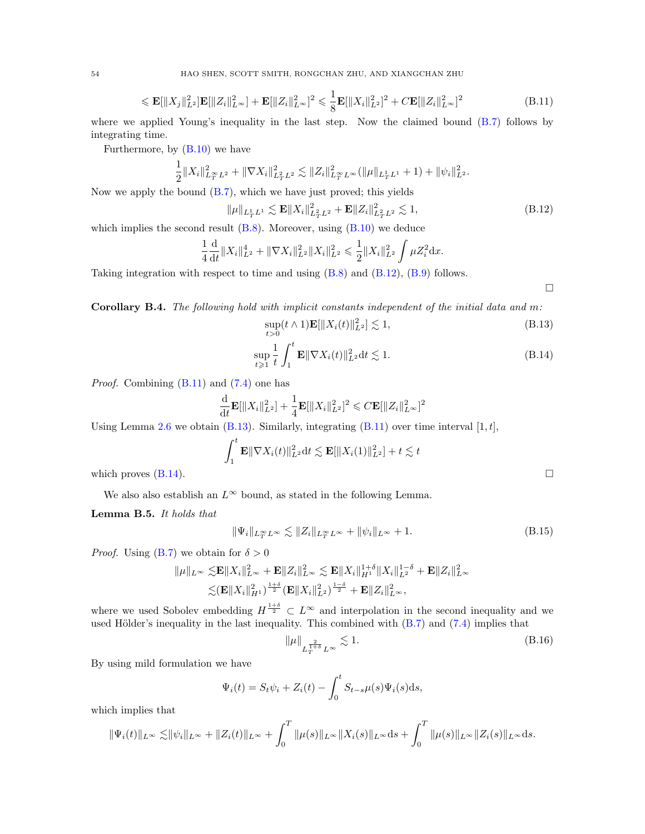$$
\leqslant \mathbf{E}[\|X_j\|_{L^2}^2]\mathbf{E}[\|Z_i\|_{L^{\infty}}^2] + \mathbf{E}[\|Z_i\|_{L^{\infty}}^2]^2 \leqslant \frac{1}{8}\mathbf{E}[\|X_i\|_{L^2}^2]^2 + C\mathbf{E}[\|Z_i\|_{L^{\infty}}^2]^2
$$
\n(B.11)

where we applied Young's inequality in the last step. Now the claimed bound [\(B.7\)](#page-52-4) follows by integrating time.

Furthermore, by [\(B.10\)](#page-52-5) we have

$$
\frac{1}{2}||X_i||_{L_T^{\infty}L^2}^2 + ||\nabla X_i||_{L_T^2L^2}^2 \lesssim ||Z_i||_{L_T^{\infty}L^{\infty}}^2(||\mu||_{L_T^1L^1} + 1) + ||\psi_i||_{L^2}^2.
$$

Now we apply the bound [\(B.7\)](#page-52-4), which we have just proved; this yields

$$
\|\mu\|_{L^1_T L^1} \lesssim \mathbf{E} \|X_i\|_{L^2_T L^2}^2 + \mathbf{E} \|Z_i\|_{L^2_T L^2}^2 \lesssim 1,
$$
\n(B.12)

which implies the second result  $(B.8)$ . Moreover, using  $(B.10)$  we deduce

$$
\frac{1}{4}\frac{\mathrm{d}}{\mathrm{d}t} \|X_i\|_{L^2}^4 + \|\nabla X_i\|_{L^2}^2 \|X_i\|_{L^2}^2 \leq \frac{1}{2} \|X_i\|_{L^2}^2 \int \mu Z_i^2 \mathrm{d}x.
$$

Taking integration with respect to time and using [\(B.8\)](#page-52-6) and [\(B.12\)](#page-53-0), [\(B.9\)](#page-52-7) follows.

<span id="page-53-3"></span><span id="page-53-2"></span><span id="page-53-1"></span><span id="page-53-0"></span> $\Box$ 

<span id="page-53-5"></span>Corollary B.4. The following hold with implicit constants independent of the initial data and m:

$$
\sup_{t>0} (t \wedge 1) \mathbf{E}[\|X_i(t)\|_{L^2}^2] \lesssim 1,
$$
\n(B.13)

$$
\sup_{t \geq 1} \frac{1}{t} \int_{1}^{t} \mathbf{E} \|\nabla X_{i}(t)\|_{L^{2}}^{2} \, \mathrm{d}t \lesssim 1. \tag{B.14}
$$

Proof. Combining [\(B.11\)](#page-53-1) and [\(7.4\)](#page-44-6) one has

$$
\frac{\mathrm{d}}{\mathrm{d}t} \mathbf{E}[\|X_i\|_{L^2}^2] + \frac{1}{4} \mathbf{E}[\|X_i\|_{L^2}^2]^2 \leqslant C \mathbf{E}[\|Z_i\|_{L^\infty}^2]^2
$$

Using Lemma [2.6](#page-9-5) we obtain [\(B.13\)](#page-53-2). Similarly, integrating [\(B.11\)](#page-53-1) over time interval  $[1, t]$ ,

$$
\int_1^t \mathbf{E} \|\nabla X_i(t)\|_{L^2}^2 dt \lesssim \mathbf{E}[\|X_i(1)\|_{L^2}^2] + t \lesssim t
$$
  
which proves (B.14).

We also also establish an  $L^{\infty}$  bound, as stated in the following Lemma.

Lemma B.5. It holds that

$$
\|\Psi_i\|_{L_T^{\infty}L^{\infty}} \lesssim \|Z_i\|_{L_T^{\infty}L^{\infty}} + \|\psi_i\|_{L^{\infty}} + 1.
$$
\n(B.15)

*Proof.* Using [\(B.7\)](#page-52-4) we obtain for  $\delta > 0$ 

$$
\|\mu\|_{L^{\infty}} \lesssim \mathbf{E} \|X_i\|_{L^{\infty}}^2 + \mathbf{E} \|Z_i\|_{L^{\infty}}^2 \lesssim \mathbf{E} \|X_i\|_{H^1}^{1+\delta} \|X_i\|_{L^2}^{1-\delta} + \mathbf{E} \|Z_i\|_{L^{\infty}}^2
$$
  

$$
\lesssim (\mathbf{E} \|X_i\|_{H^1}^2)^{\frac{1+\delta}{2}} (\mathbf{E} \|X_i\|_{L^2}^2)^{\frac{1-\delta}{2}} + \mathbf{E} \|Z_i\|_{L^{\infty}}^2,
$$

where we used Sobolev embedding  $H^{\frac{1+\delta}{2}} \subset L^{\infty}$  and interpolation in the second inequality and we used Hölder's inequality in the last inequality. This combined with  $(B.7)$  and  $(7.4)$  implies that

<span id="page-53-4"></span>
$$
\|\mu\|_{L_T^{\frac{2}{1+\delta}}L^\infty} \lesssim 1. \tag{B.16}
$$

By using mild formulation we have

$$
\Psi_i(t) = S_t \psi_i + Z_i(t) - \int_0^t S_{t-s} \mu(s) \Psi_i(s) \mathrm{d}s,
$$

which implies that

$$
\|\Psi_i(t)\|_{L^{\infty}} \lesssim \|\psi_i\|_{L^{\infty}} + \|Z_i(t)\|_{L^{\infty}} + \int_0^T \|\mu(s)\|_{L^{\infty}} \|X_i(s)\|_{L^{\infty}} ds + \int_0^T \|\mu(s)\|_{L^{\infty}} \|Z_i(s)\|_{L^{\infty}} ds.
$$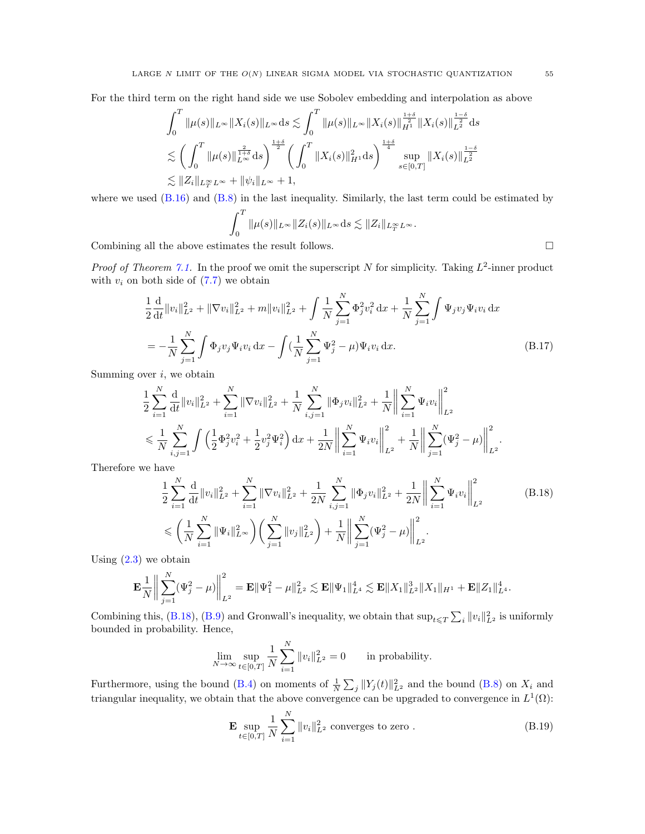For the third term on the right hand side we use Sobolev embedding and interpolation as above

$$
\int_0^T \|\mu(s)\|_{L^\infty} \|X_i(s)\|_{L^\infty} ds \lesssim \int_0^T \|\mu(s)\|_{L^\infty} \|X_i(s)\|_{H^1}^{\frac{1+\delta}{2}} \|X_i(s)\|_{L^2}^{\frac{1-\delta}{2}} ds
$$
  

$$
\lesssim \left(\int_0^T \|\mu(s)\|_{L^\infty}^{\frac{2}{1+\delta}} ds\right)^{\frac{1+\delta}{2}} \left(\int_0^T \|X_i(s)\|_{H^1}^2 ds\right)^{\frac{1+\delta}{4}} \sup_{s \in [0,T]} \|X_i(s)\|_{L^2}^{\frac{1-\delta}{2}}
$$
  

$$
\lesssim \|Z_i\|_{L^\infty_T L^\infty} + \|\psi_i\|_{L^\infty} + 1,
$$

where we used  $(B.16)$  and  $(B.8)$  in the last inequality. Similarly, the last term could be estimated by

<span id="page-54-1"></span>
$$
\int_0^T \|\mu(s)\|_{L^\infty} \|Z_i(s)\|_{L^\infty} ds \lesssim \|Z_i\|_{L^\infty_T L^\infty}.
$$

Combining all the above estimates the result follows.  $\Box$ 

*Proof of Theorem [7.1.](#page-44-0)* In the proof we omit the superscript N for simplicity. Taking  $L^2$ -inner product with  $v_i$  on both side of  $(7.7)$  we obtain

$$
\frac{1}{2} \frac{d}{dt} ||v_i||_{L^2}^2 + ||\nabla v_i||_{L^2}^2 + m ||v_i||_{L^2}^2 + \int \frac{1}{N} \sum_{j=1}^N \Phi_j^2 v_i^2 dx + \frac{1}{N} \sum_{j=1}^N \int \Psi_j v_j \Psi_i v_i dx
$$
\n
$$
= -\frac{1}{N} \sum_{j=1}^N \int \Phi_j v_j \Psi_i v_i dx - \int (\frac{1}{N} \sum_{j=1}^N \Psi_j^2 - \mu) \Psi_i v_i dx.
$$
\n(B.17)

Summing over  $i$ , we obtain

$$
\begin{split} &\frac{1}{2}\sum_{i=1}^N\frac{\mathrm{d}}{\mathrm{d}t}\|v_i\|_{L^2}^2+\sum_{i=1}^N\|\nabla v_i\|_{L^2}^2+\frac{1}{N}\sum_{i,j=1}^N\|\Phi_j v_i\|_{L^2}^2+\frac{1}{N}\bigg\|\sum_{i=1}^N\Psi_i v_i\bigg\|_{L^2}^2\\ &\leqslant \frac{1}{N}\sum_{i,j=1}^N\int\Big(\frac{1}{2}\Phi_j^2v_i^2+\frac{1}{2}v_j^2\Psi_i^2\Big)\,\mathrm{d}x+\frac{1}{2N}\bigg\|\sum_{i=1}^N\Psi_i v_i\bigg\|_{L^2}^2+\frac{1}{N}\bigg\|\sum_{j=1}^N(\Psi_j^2-\mu)\bigg\|_{L^2}^2. \end{split}
$$

Therefore we have

$$
\frac{1}{2} \sum_{i=1}^{N} \frac{d}{dt} ||v_i||_{L^2}^2 + \sum_{i=1}^{N} ||\nabla v_i||_{L^2}^2 + \frac{1}{2N} \sum_{i,j=1}^{N} ||\Phi_j v_i||_{L^2}^2 + \frac{1}{2N} \left\| \sum_{i=1}^{N} \Psi_i v_i \right\|_{L^2}^2
$$
\n
$$
\leqslant \left( \frac{1}{N} \sum_{i=1}^{N} ||\Psi_i||_{L^{\infty}}^2 \right) \left( \sum_{j=1}^{N} ||v_j||_{L^2}^2 \right) + \frac{1}{N} \left\| \sum_{j=1}^{N} (\Psi_j^2 - \mu) \right\|_{L^2}^2.
$$
\n(B.18)

Using  $(2.3)$  we obtain

$$
\mathbf{E}\frac{1}{N}\bigg\|\sum_{j=1}^N(\Psi_j^2-\mu)\bigg\|_{L^2}^2=\mathbf{E}\|\Psi_1^2-\mu\|_{L^2}^2\lesssim \mathbf{E}\|\Psi_1\|_{L^4}^4\lesssim \mathbf{E}\|X_1\|_{L^2}^3\|X_1\|_{H^1}+\mathbf{E}\|Z_1\|_{L^4}^4.
$$

Combining this, [\(B.18\)](#page-54-0), [\(B.9\)](#page-52-7) and Gronwall's inequality, we obtain that  $\sup_{t\leq T}\sum_i||v_i||^2_{L^2}$  is uniformly bounded in probability. Hence,

<span id="page-54-0"></span>
$$
\lim_{N \to \infty} \sup_{t \in [0,T]} \frac{1}{N} \sum_{i=1}^N \|v_i\|_{L^2}^2 = 0 \quad \text{in probability.}
$$

Furthermore, using the bound [\(B.4\)](#page-52-0) on moments of  $\frac{1}{N} \sum_j ||Y_j(t)||_{L^2}^2$  and the bound [\(B.8\)](#page-52-6) on  $X_i$  and triangular inequality, we obtain that the above convergence can be upgraded to convergence in  $L^1(\Omega)$ :

<span id="page-54-2"></span>
$$
\mathbf{E} \sup_{t \in [0,T]} \frac{1}{N} \sum_{i=1}^{N} \|v_i\|_{L^2}^2 \text{ converges to zero }.
$$
 (B.19)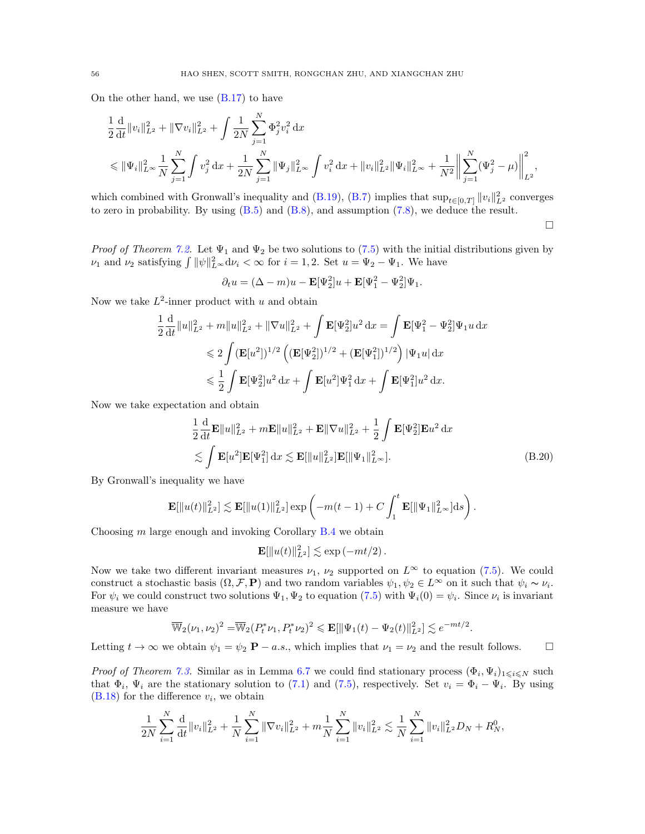On the other hand, we use  $(B.17)$  to have

$$
\begin{split} &\frac{1}{2}\frac{\mathrm{d}}{\mathrm{d}t}\|v_i\|_{L^2}^2+\|\nabla v_i\|_{L^2}^2+\int\frac{1}{2N}\sum_{j=1}^N\Phi_j^2v_i^2\,\mathrm{d}x\\ &\leqslant \|\Psi_i\|_{L^\infty}^2\frac{1}{N}\sum_{j=1}^N\int v_j^2\,\mathrm{d}x+\frac{1}{2N}\sum_{j=1}^N\|\Psi_j\|_{L^\infty}^2\int v_i^2\,\mathrm{d}x+\|v_i\|_{L^2}^2\|\Psi_i\|_{L^\infty}^2+\frac{1}{N^2}\bigg\|\sum_{j=1}^N(\Psi_j^2-\mu)\bigg\|_{L^2}^2, \end{split}
$$

which combined with Gronwall's inequality and [\(B.19\)](#page-54-2), [\(B.7\)](#page-52-4) implies that  $\sup_{t\in[0,T]}\|v_i\|_{L^2}^2$  converges to zero in probability. By using [\(B.5\)](#page-52-1) and [\(B.8\)](#page-52-6), and assumption [\(7.8\)](#page-44-8), we deduce the result.

 $\Box$ 

*Proof of Theorem [7.2.](#page-45-5)* Let  $\Psi_1$  and  $\Psi_2$  be two solutions to [\(7.5\)](#page-44-5) with the initial distributions given by  $\nu_1$  and  $\nu_2$  satisfying  $\int ||\psi||_{L^{\infty}}^2 d\nu_i < \infty$  for  $i = 1, 2$ . Set  $u = \Psi_2 - \Psi_1$ . We have

$$
\partial_t u = (\Delta - m)u - \mathbf{E}[\Psi_2^2]u + \mathbf{E}[\Psi_1^2 - \Psi_2^2]\Psi_1.
$$

Now we take  $L^2$ -inner product with u and obtain

$$
\frac{1}{2} \frac{d}{dt} ||u||_{L^2}^2 + m ||u||_{L^2}^2 + ||\nabla u||_{L^2}^2 + \int \mathbf{E}[\Psi_2^2] u^2 dx = \int \mathbf{E}[\Psi_1^2 - \Psi_2^2] \Psi_1 u dx
$$
  
\n
$$
\leq 2 \int (\mathbf{E}[u^2])^{1/2} \left( (\mathbf{E}[\Psi_2^2])^{1/2} + (\mathbf{E}[\Psi_1^2])^{1/2} \right) |\Psi_1 u| dx
$$
  
\n
$$
\leq \frac{1}{2} \int \mathbf{E}[\Psi_2^2] u^2 dx + \int \mathbf{E}[u^2] \Psi_1^2 dx + \int \mathbf{E}[\Psi_1^2] u^2 dx.
$$

Now we take expectation and obtain

$$
\frac{1}{2}\frac{\mathrm{d}}{\mathrm{d}t}\mathbf{E}\|u\|_{L^2}^2 + m\mathbf{E}\|u\|_{L^2}^2 + \mathbf{E}\|\nabla u\|_{L^2}^2 + \frac{1}{2}\int \mathbf{E}[\Psi_2^2]\mathbf{E}u^2 \,\mathrm{d}x
$$
\n
$$
\lesssim \int \mathbf{E}[u^2]\mathbf{E}[\Psi_1^2]\,\mathrm{d}x \lesssim \mathbf{E}[\|u\|_{L^2}^2]\mathbf{E}[\|\Psi_1\|_{L^\infty}^2].
$$
\n(B.20)

By Gronwall's inequality we have

$$
\mathbf{E}[\|u(t)\|_{L^2}^2] \lesssim \mathbf{E}[\|u(1)\|_{L^2}^2] \exp\left(-m(t-1) + C \int_1^t \mathbf{E}[\|\Psi_1\|_{L^\infty}^2] ds\right).
$$

Choosing  $m$  large enough and invoking Corollary  $B.4$  we obtain

$$
\mathbf{E}[\|u(t)\|_{L^2}^2] \lesssim \exp\left(-mt/2\right).
$$

Now we take two different invariant measures  $\nu_1$ ,  $\nu_2$  supported on  $L^{\infty}$  to equation [\(7.5\)](#page-44-5). We could construct a stochastic basis  $(\Omega, \mathcal{F}, \mathbf{P})$  and two random variables  $\psi_1, \psi_2 \in L^{\infty}$  on it such that  $\psi_i \sim \nu_i$ . For  $\psi_i$  we could construct two solutions  $\Psi_1, \Psi_2$  to equation [\(7.5\)](#page-44-5) with  $\Psi_i(0) = \psi_i$ . Since  $\nu_i$  is invariant measure we have

$$
\overline{\mathbb{W}}_2(\nu_1,\nu_2)^2 = \overline{\mathbb{W}}_2(P_t^*\nu_1,P_t^*\nu_2)^2 \leqslant \mathbf{E}[\|\Psi_1(t)-\Psi_2(t)\|_{L^2}^2] \lesssim e^{-mt/2}.
$$

Letting  $t \to \infty$  we obtain  $\psi_1 = \psi_2 \mathbf{P} - a.s.$ , which implies that  $\nu_1 = \nu_2$  and the result follows.

*Proof of Theorem [7.3.](#page-45-4)* Similar as in Lemma [6.7](#page-36-3) we could find stationary process  $(\Phi_i, \Psi_i)_{1 \leq i \leq N}$  such that  $\Phi_i$ ,  $\Psi_i$  are the stationary solution to [\(7.1\)](#page-43-2) and [\(7.5\)](#page-44-5), respectively. Set  $v_i = \Phi_i - \Psi_i$ . By using  $(B.18)$  for the difference  $v_i$ , we obtain

$$
\frac{1}{2N} \sum_{i=1}^N \frac{d}{dt} ||v_i||_{L^2}^2 + \frac{1}{N} \sum_{i=1}^N ||\nabla v_i||_{L^2}^2 + m \frac{1}{N} \sum_{i=1}^N ||v_i||_{L^2}^2 \lesssim \frac{1}{N} \sum_{i=1}^N ||v_i||_{L^2}^2 D_N + R_N^0,
$$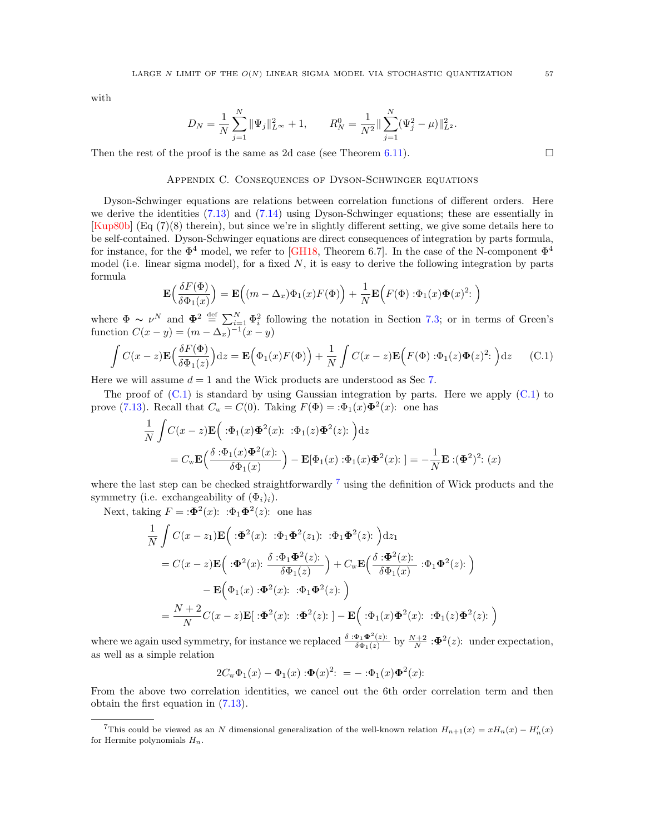with

$$
D_N = \frac{1}{N} \sum_{j=1}^N \|\Psi_j\|_{L^\infty}^2 + 1, \qquad R_N^0 = \frac{1}{N^2} \|\sum_{j=1}^N (\Psi_j^2 - \mu)\|_{L^2}^2.
$$

<span id="page-56-0"></span>Then the rest of the proof is the same as 2d case (see Theorem [6.11\)](#page-38-0).  $\Box$ 

## Appendix C. Consequences of Dyson-Schwinger equations

Dyson-Schwinger equations are relations between correlation functions of different orders. Here we derive the identities [\(7.13\)](#page-46-5) and [\(7.14\)](#page-46-2) using Dyson-Schwinger equations; these are essentially in [\[Kup80b\]](#page-58-6) (Eq (7)(8) therein), but since we're in slightly different setting, we give some details here to be self-contained. Dyson-Schwinger equations are direct consequences of integration by parts formula, for instance, for the  $\Phi^4$  model, we refer to [\[GH18,](#page-58-3) Theorem 6.7]. In the case of the N-component  $\Phi^4$ model (i.e. linear sigma model), for a fixed  $N$ , it is easy to derive the following integration by parts formula

$$
\mathbf{E}\Big(\frac{\delta F(\Phi)}{\delta \Phi_1(x)}\Big) = \mathbf{E}\Big((m - \Delta_x)\Phi_1(x)F(\Phi)\Big) + \frac{1}{N}\mathbf{E}\Big(F(\Phi) : \Phi_1(x)\Phi(x)^2: \Big)
$$

where  $\Phi \sim \nu^N$  and  $\Phi^2 \stackrel{\text{def}}{=} \sum_{i=1}^N \Phi_i^2$  following the notation in Section [7.3;](#page-45-3) or in terms of Green's function  $C(x - y) = (m - \Delta_x)^{-1}(x - y)$ 

<span id="page-56-1"></span>
$$
\int C(x-z)\mathbf{E}\Big(\frac{\delta F(\Phi)}{\delta \Phi_1(z)}\Big)dz = \mathbf{E}\Big(\Phi_1(x)F(\Phi)\Big) + \frac{1}{N}\int C(x-z)\mathbf{E}\Big(F(\Phi) : \Phi_1(z)\Phi(z)^2: \Big)dz \tag{C.1}
$$

Here we will assume  $d = 1$  and the Wick products are understood as Sec [7.](#page-43-0)

The proof of  $(C.1)$  is standard by using Gaussian integration by parts. Here we apply  $(C.1)$  to prove [\(7.13\)](#page-46-5). Recall that  $C_w = C(0)$ . Taking  $F(\Phi) = \mathcal{B}_1(x)\Phi^2(x)$ : one has

$$
\frac{1}{N} \int C(x-z) \mathbf{E} \Big( \cdot \Phi_1(x) \Phi^2(x) : \cdot \Phi_1(z) \Phi^2(z) : \Big) dz
$$
\n
$$
= C_{\mathbf{W}} \mathbf{E} \Big( \frac{\delta \cdot \Phi_1(x) \Phi^2(x) :}{\delta \Phi_1(x)} \Big) - \mathbf{E} [\Phi_1(x) \cdot \Phi_1(x) \Phi^2(x) : \Big] = -\frac{1}{N} \mathbf{E} \cdot (\Phi^2)^2 : (x)
$$

where the last step can be checked straightforwardly <sup>[7](#page-56-2)</sup> using the definition of Wick products and the symmetry (i.e. exchangeability of  $(\Phi_i)_i$ ).

Next, taking  $F = \mathbf{B}^2(x)$ :  $\Phi_1 \mathbf{\Phi}^2(z)$ : one has

$$
\frac{1}{N} \int C(x - z_1) \mathbf{E} \Big( : \Phi^2(x) : : \Phi_1 \Phi^2(z_1) : : \Phi_1 \Phi^2(z) : \Big) dz_1
$$
\n
$$
= C(x - z) \mathbf{E} \Big( : \Phi^2(x) : \frac{\delta : \Phi_1 \Phi^2(z) :}{\delta \Phi_1(z)} \Big) + C_w \mathbf{E} \Big( \frac{\delta : \Phi^2(x) :}{\delta \Phi_1(x)} : \Phi_1 \Phi^2(z) : \Big)
$$
\n
$$
- \mathbf{E} \Big( \Phi_1(x) : \Phi^2(x) : : \Phi_1 \Phi^2(z) : \Big)
$$
\n
$$
= \frac{N + 2}{N} C(x - z) \mathbf{E} \Big[ : \Phi^2(x) : : \Phi^2(z) : \Big] - \mathbf{E} \Big( : \Phi_1(x) \Phi^2(x) : : \Phi_1(z) \Phi^2(z) : \Big)
$$

where we again used symmetry, for instance we replaced  $\frac{\delta : \Phi_1 \Phi^2(z)}{\delta \Phi_1(z)}$  $\frac{\Phi_1 \Phi^2(z)}{\delta \Phi_1(z)}$  by  $\frac{N+2}{N}$  :  $\Phi^2(z)$ : under expectation, as well as a simple relation

$$
2C_{w}\Phi_{1}(x) - \Phi_{1}(x) : \Phi(x)^{2}: = - : \Phi_{1}(x)\Phi^{2}(x):
$$

From the above two correlation identities, we cancel out the 6th order correlation term and then obtain the first equation in [\(7.13\)](#page-46-5).

<span id="page-56-2"></span><sup>&</sup>lt;sup>7</sup>This could be viewed as an N dimensional generalization of the well-known relation  $H_{n+1}(x) = xH_n(x) - H'_n(x)$ for Hermite polynomials  $H_n$ .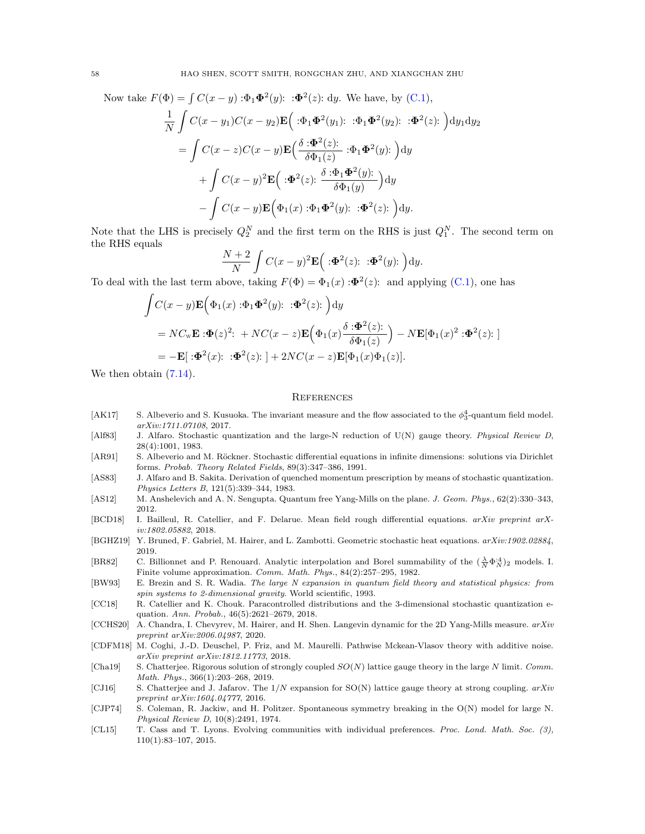Now take  $F(\Phi) = \int C(x - y) \cdot \Phi_1 \Phi^2(y)$ :  $\Phi^2(z)$ : dy. We have, by [\(C.1\)](#page-56-1),

$$
\frac{1}{N} \int C(x - y_1)C(x - y_2) \mathbf{E} \Big( : \Phi_1 \Phi^2(y_1) : : \Phi_1 \Phi^2(y_2) : : \Phi^2(z) : \Big) dy_1 dy_2
$$
\n
$$
= \int C(x - z)C(x - y) \mathbf{E} \Big( \frac{\delta \cdot \Phi^2(z)}{\delta \Phi_1(z)} : \Phi_1 \Phi^2(y) : \Big) dy
$$
\n
$$
+ \int C(x - y)^2 \mathbf{E} \Big( : \Phi^2(z) : \frac{\delta \cdot \Phi_1 \Phi^2(y)}{\delta \Phi_1(y)} \Big) dy
$$
\n
$$
- \int C(x - y) \mathbf{E} \Big( \Phi_1(x) : \Phi_1 \Phi^2(y) : : \Phi^2(z) : \Big) dy.
$$

Note that the LHS is precisely  $Q_2^N$  and the first term on the RHS is just  $Q_1^N$ . The second term on the RHS equals

$$
\frac{N+2}{N}\int C(x-y)^2\mathbf{E}\Big(\mathbf{p}^2(z)\mathbf{p}^2(y)\mathbf{p}\Big)\mathrm{d}y.
$$

To deal with the last term above, taking  $F(\Phi) = \Phi_1(x) : \Phi^2(z)$ : and applying [\(C.1\)](#page-56-1), one has

$$
\int C(x - y) \mathbf{E} \Big( \Phi_1(x) : \Phi_1 \Phi^2(y) : : \Phi^2(z) : \Big) dy
$$
  
= NC\_w \mathbf{E} : \Phi(z)^2 : + NC(x - z) \mathbf{E} \Big( \Phi\_1(x) \frac{\delta : \Phi^2(z)}{\delta \Phi\_1(z)} \Big) - N \mathbf{E} [\Phi\_1(x)^2 : \Phi^2(z) : \Big]   
= -\mathbf{E} [\cdot \Phi^2(x) : : \Phi^2(z) : \Big] + 2NC(x - z) \mathbf{E} [\Phi\_1(x) \Phi\_1(z)].

We then obtain  $(7.14)$ .

#### <span id="page-57-0"></span>**REFERENCES**

- <span id="page-57-3"></span>[AK17] S. Albeverio and S. Kusuoka. The invariant measure and the flow associated to the  $\phi_3^4$ -quantum field model. arXiv:1711.07108, 2017.
- <span id="page-57-12"></span>[Alf83] J. Alfaro. Stochastic quantization and the large-N reduction of U(N) gauge theory. Physical Review D, 28(4):1001, 1983.
- <span id="page-57-1"></span>[AR91] S. Albeverio and M. Röckner. Stochastic differential equations in infinite dimensions: solutions via Dirichlet forms. Probab. Theory Related Fields, 89(3):347–386, 1991.
- <span id="page-57-13"></span>[AS83] J. Alfaro and B. Sakita. Derivation of quenched momentum prescription by means of stochastic quantization. Physics Letters B, 121(5):339–344, 1983.
- <span id="page-57-9"></span>[AS12] M. Anshelevich and A. N. Sengupta. Quantum free Yang-Mills on the plane. J. Geom. Phys., 62(2):330–343, 2012.
- <span id="page-57-15"></span>[BCD18] I. Bailleul, R. Catellier, and F. Delarue. Mean field rough differential equations. arXiv preprint arXiv:1802.05882, 2018.
- <span id="page-57-4"></span>[BGHZ19] Y. Bruned, F. Gabriel, M. Hairer, and L. Zambotti. Geometric stochastic heat equations. arXiv:1902.02884, 2019.
- <span id="page-57-8"></span>[BR82] C. Billionnet and P. Renouard. Analytic interpolation and Borel summability of the  $(\frac{\lambda}{N} \Phi_N^{A})_2$  models. I. Finite volume approximation. Comm. Math. Phys., 84(2):257–295, 1982.
- <span id="page-57-6"></span>[BW93] E. Brezin and S. R. Wadia. The large N expansion in quantum field theory and statistical physics: from spin systems to 2-dimensional gravity. World scientific, 1993.
- <span id="page-57-2"></span>[CC18] R. Catellier and K. Chouk. Paracontrolled distributions and the 3-dimensional stochastic quantization equation. Ann. Probab., 46(5):2621–2679, 2018.
- <span id="page-57-5"></span>[CCHS20] A. Chandra, I. Chevyrev, M. Hairer, and H. Shen. Langevin dynamic for the 2D Yang-Mills measure.  $arXiv$ preprint arXiv:2006.04987, 2020.
- <span id="page-57-16"></span>[CDFM18] M. Coghi, J.-D. Deuschel, P. Friz, and M. Maurelli. Pathwise Mckean-Vlasov theory with additive noise. arXiv preprint arXiv:1812.11773, 2018.
- <span id="page-57-10"></span>[Cha19] S. Chatterjee. Rigorous solution of strongly coupled  $SO(N)$  lattice gauge theory in the large N limit. Comm. Math. Phys., 366(1):203–268, 2019.
- <span id="page-57-11"></span>[CJ16] S. Chatterjee and J. Jafarov. The  $1/N$  expansion for SO(N) lattice gauge theory at strong coupling. arXiv preprint arXiv:1604.04777, 2016.
- <span id="page-57-7"></span>[CJP74] S. Coleman, R. Jackiw, and H. Politzer. Spontaneous symmetry breaking in the O(N) model for large N. Physical Review D, 10(8):2491, 1974.
- <span id="page-57-14"></span>[CL15] T. Cass and T. Lyons. Evolving communities with individual preferences. Proc. Lond. Math. Soc. (3), 110(1):83–107, 2015.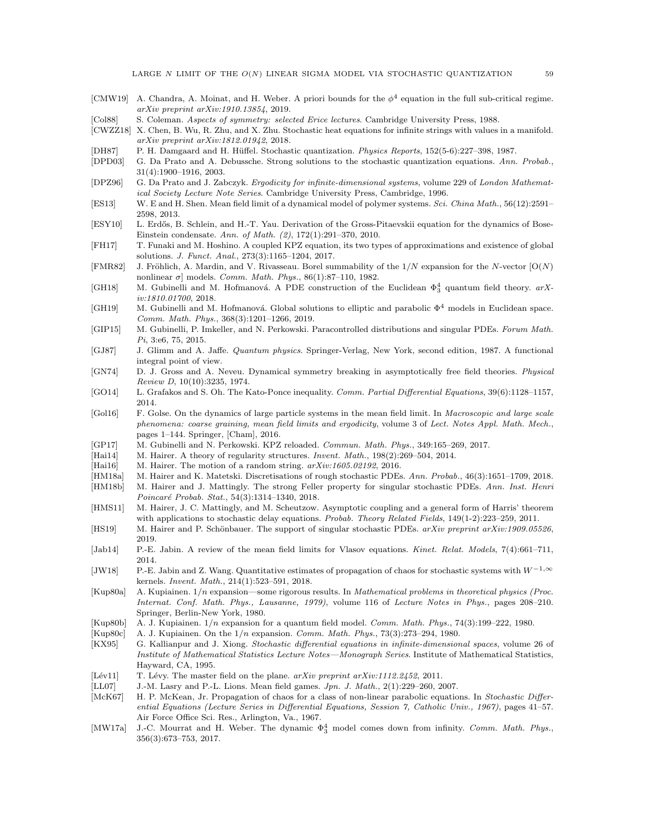- <span id="page-58-14"></span>[CMW19] A. Chandra, A. Moinat, and H. Weber. A priori bounds for the  $\phi^4$  equation in the full sub-critical regime. arXiv preprint arXiv:1910.13854, 2019.
- <span id="page-58-19"></span>[Col88] S. Coleman. Aspects of symmetry: selected Erice lectures. Cambridge University Press, 1988.
- <span id="page-58-17"></span>[CWZZ18] X. Chen, B. Wu, R. Zhu, and X. Zhu. Stochastic heat equations for infinite strings with values in a manifold. arXiv preprint arXiv:1812.01942, 2018.
- <span id="page-58-24"></span>[DH87] P. H. Damgaard and H. Hüffel. Stochastic quantization. Physics Reports, 152(5-6):227–398, 1987.
- <span id="page-58-0"></span>[DPD03] G. Da Prato and A. Debussche. Strong solutions to the stochastic quantization equations. Ann. Probab., 31(4):1900–1916, 2003.
- <span id="page-58-8"></span>[DPZ96] G. Da Prato and J. Zabczyk. Ergodicity for infinite-dimensional systems, volume 229 of London Mathematical Society Lecture Note Series. Cambridge University Press, Cambridge, 1996.
- <span id="page-58-30"></span>[ES13] W. E and H. Shen. Mean field limit of a dynamical model of polymer systems. Sci. China Math., 56(12):2591– 2598, 2013.
- <span id="page-58-27"></span>[ESY10] L. Erd˝os, B. Schlein, and H.-T. Yau. Derivation of the Gross-Pitaevskii equation for the dynamics of Bose-Einstein condensate. Ann. of Math. (2), 172(1):291–370, 2010.
- <span id="page-58-15"></span>[FH17] T. Funaki and M. Hoshino. A coupled KPZ equation, its two types of approximations and existence of global solutions. J. Funct. Anal., 273(3):1165–1204, 2017.
- <span id="page-58-22"></span>[FMR82] J. Fröhlich, A. Mardin, and V. Rivasseau. Borel summability of the  $1/N$  expansion for the N-vector  $[O(N)]$ nonlinear σ] models. Comm. Math. Phys., 86(1):87-110, 1982.
- <span id="page-58-3"></span>[GH18] M. Gubinelli and M. Hofmanová. A PDE construction of the Euclidean  $\Phi_3^4$  quantum field theory.  $arX$ iv:1810.01700, 2018.
- <span id="page-58-13"></span>[GH19] M. Gubinelli and M. Hofmanová. Global solutions to elliptic and parabolic  $\Phi^4$  models in Euclidean space. Comm. Math. Phys., 368(3):1201–1266, 2019.
- <span id="page-58-11"></span>[GIP15] M. Gubinelli, P. Imkeller, and N. Perkowski. Paracontrolled distributions and singular PDEs. Forum Math. Pi, 3:e6, 75, 2015.
- <span id="page-58-33"></span>[GJ87] J. Glimm and A. Jaffe. Quantum physics. Springer-Verlag, New York, second edition, 1987. A functional integral point of view.
- <span id="page-58-18"></span>[GN74] D. J. Gross and A. Neveu. Dynamical symmetry breaking in asymptotically free field theories. Physical Review D, 10(10):3235, 1974.
- <span id="page-58-31"></span>[GO14] L. Grafakos and S. Oh. The Kato-Ponce inequality. Comm. Partial Differential Equations, 39(6):1128–1157, 2014.
- <span id="page-58-28"></span>[Gol16] F. Golse. On the dynamics of large particle systems in the mean field limit. In Macroscopic and large scale phenomena: coarse graining, mean field limits and ergodicity, volume 3 of Lect. Notes Appl. Math. Mech., pages 1–144. Springer, [Cham], 2016.
- <span id="page-58-32"></span>[GP17] M. Gubinelli and N. Perkowski. KPZ reloaded. Commun. Math. Phys., 349:165–269, 2017.
- <span id="page-58-10"></span>[Hai14] M. Hairer. A theory of regularity structures. Invent. Math., 198(2):269–504, 2014.
- <span id="page-58-16"></span>[Hai16] M. Hairer. The motion of a random string.  $arXiv:1605.02192$ , 2016.
- <span id="page-58-2"></span>[HM18a] M. Hairer and K. Matetski. Discretisations of rough stochastic PDEs. Ann. Probab., 46(3):1651–1709, 2018.
- <span id="page-58-4"></span>[HM18b] M. Hairer and J. Mattingly. The strong Feller property for singular stochastic PDEs. Ann. Inst. Henri Poincaré Probab. Stat., 54(3):1314-1340, 2018.
- <span id="page-58-9"></span>[HMS11] M. Hairer, J. C. Mattingly, and M. Scheutzow. Asymptotic coupling and a general form of Harris' theorem with applications to stochastic delay equations. Probab. Theory Related Fields, 149(1-2):223-259, 2011.
- <span id="page-58-5"></span>[HS19] M. Hairer and P. Schönbauer. The support of singular stochastic PDEs. arXiv preprint arXiv:1909.05526, 2019.
- <span id="page-58-1"></span>[Jab14] P.-E. Jabin. A review of the mean field limits for Vlasov equations. Kinet. Relat. Models, 7(4):661–711, 2014.
- <span id="page-58-7"></span>[JW18] P.-E. Jabin and Z. Wang. Quantitative estimates of propagation of chaos for stochastic systems with  $W^{-1,\infty}$ kernels. Invent. Math., 214(1):523–591, 2018.
- <span id="page-58-21"></span>[Kup80a] A. Kupiainen.  $1/n$  expansion—some rigorous results. In *Mathematical problems in theoretical physics (Proc.* Internat. Conf. Math. Phys., Lausanne, 1979), volume 116 of Lecture Notes in Phys., pages 208–210. Springer, Berlin-New York, 1980.
- <span id="page-58-6"></span>[Kup80b] A. J. Kupiainen.  $1/n$  expansion for a quantum field model. *Comm. Math. Phys.*, 74(3):199–222, 1980.
- <span id="page-58-20"></span>[Kup80c] A. J. Kupiainen. On the  $1/n$  expansion. *Comm. Math. Phys.*,  $73(3):273-294$ , 1980.
- <span id="page-58-29"></span>[KX95] G. Kallianpur and J. Xiong. Stochastic differential equations in infinite-dimensional spaces, volume 26 of Institute of Mathematical Statistics Lecture Notes—Monograph Series. Institute of Mathematical Statistics, Hayward, CA, 1995.
- <span id="page-58-23"></span>[Lév11] T. Lévy. The master field on the plane.  $arXiv$  preprint  $arXiv:1112.2452$ , 2011.
- <span id="page-58-26"></span>[LL07] J.-M. Lasry and P.-L. Lions. Mean field games. Jpn. J. Math., 2(1):229–260, 2007.
- <span id="page-58-25"></span>[McK67] H. P. McKean, Jr. Propagation of chaos for a class of non-linear parabolic equations. In Stochastic Differential Equations (Lecture Series in Differential Equations, Session 7, Catholic Univ., 1967), pages 41–57. Air Force Office Sci. Res., Arlington, Va., 1967.
- <span id="page-58-12"></span>[MW17a] J.-C. Mourrat and H. Weber. The dynamic  $\Phi_3^4$  model comes down from infinity. Comm. Math. Phys., 356(3):673–753, 2017.